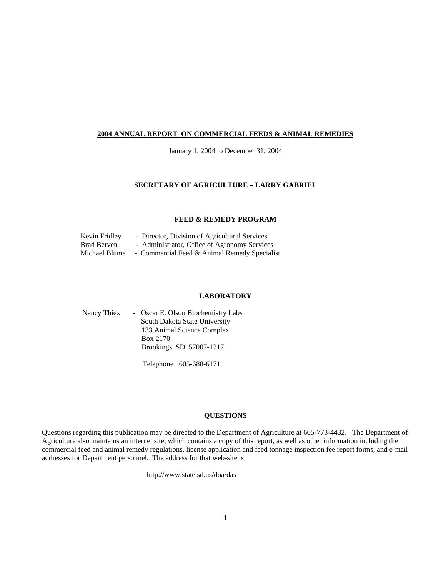#### **2004 ANNUAL REPORT ON COMMERCIAL FEEDS & ANIMAL REMEDIES**

January 1, 2004 to December 31, 2004

#### **SECRETARY OF AGRICULTURE – LARRY GABRIEL**

#### **FEED & REMEDY PROGRAM**

| Kevin Fridley | - Director, Division of Agricultural Services |
|---------------|-----------------------------------------------|
| Brad Berven   | - Administrator, Office of Agronomy Services  |
| Michael Blume | - Commercial Feed & Animal Remedy Specialist  |

#### **LABORATORY**

| Nancy Thiex | - Oscar E. Olson Biochemistry Labs |
|-------------|------------------------------------|
|             | South Dakota State University      |
|             | 133 Animal Science Complex         |
|             | Box 2170                           |
|             | Brookings, SD 57007-1217           |
|             |                                    |

Telephone 605-688-6171

#### **QUESTIONS**

Questions regarding this publication may be directed to the Department of Agriculture at 605-773-4432. The Department of Agriculture also maintains an internet site, which contains a copy of this report, as well as other information including the commercial feed and animal remedy regulations, license application and feed tonnage inspection fee report forms, and e-mail addresses for Department personnel. The address for that web-site is:

http://www.state.sd.us/doa/das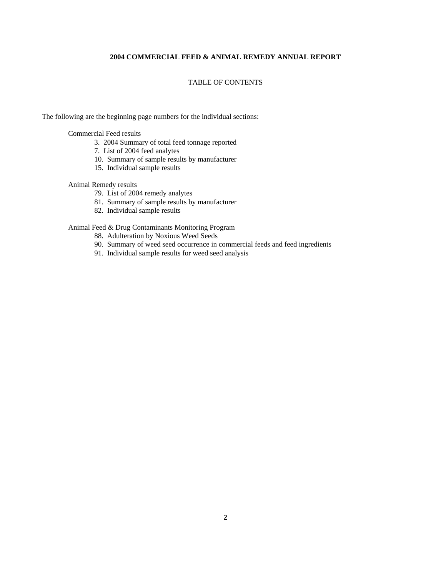#### **2004 COMMERCIAL FEED & ANIMAL REMEDY ANNUAL REPORT**

#### TABLE OF CONTENTS

The following are the beginning page numbers for the individual sections:

Commercial Feed results

- 3. 2004 Summary of total feed tonnage reported
- 7. List of 2004 feed analytes
- 10. Summary of sample results by manufacturer
- 15. Individual sample results

#### Animal Remedy results

- 79. List of 2004 remedy analytes
- 81. Summary of sample results by manufacturer
- 82. Individual sample results

#### Animal Feed & Drug Contaminants Monitoring Program

- 88. Adulteration by Noxious Weed Seeds
- 90. Summary of weed seed occurrence in commercial feeds and feed ingredients
- 91. Individual sample results for weed seed analysis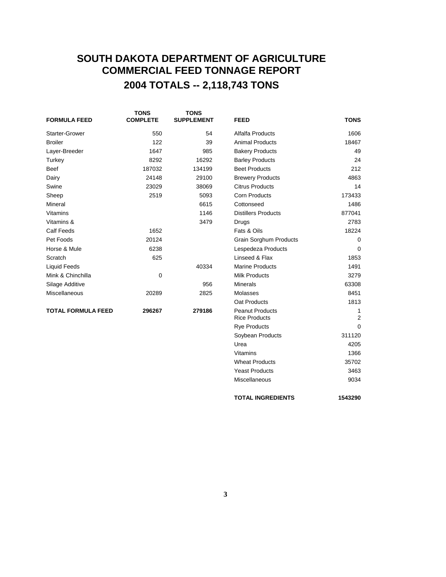# **SOUTH DAKOTA DEPARTMENT OF AGRICULTURE COMMERCIAL FEED TONNAGE REPORT 2004 TOTALS -- 2,118,743 TONS**

| <b>FORMULA FEED</b>       | <b>TONS</b><br><b>COMPLETE</b> | <b>TONS</b><br><b>SUPPLEMENT</b> | <b>FEED</b>                                    | <b>TONS</b>         |
|---------------------------|--------------------------------|----------------------------------|------------------------------------------------|---------------------|
| <b>Starter-Grower</b>     | 550                            | 54                               | Alfalfa Products                               | 1606                |
| <b>Broiler</b>            | 122                            | 39                               | <b>Animal Products</b>                         | 18467               |
| Layer-Breeder             | 1647                           | 985                              | <b>Bakery Products</b>                         | 49                  |
| Turkey                    | 8292                           | 16292                            | <b>Barley Products</b>                         | 24                  |
| <b>Beef</b>               | 187032                         | 134199                           | <b>Beet Products</b>                           | 212                 |
| Dairy                     | 24148                          | 29100                            | <b>Brewery Products</b>                        | 4863                |
| Swine                     | 23029                          | 38069                            | <b>Citrus Products</b>                         | 14                  |
| Sheep                     | 2519                           | 5093                             | <b>Corn Products</b>                           | 173433              |
| Mineral                   |                                | 6615                             | Cottonseed                                     | 1486                |
| Vitamins                  |                                | 1146                             | <b>Distillers Products</b>                     | 877041              |
| Vitamins &                |                                | 3479                             | Drugs                                          | 2783                |
| <b>Calf Feeds</b>         | 1652                           |                                  | Fats & Oils                                    | 18224               |
| Pet Foods                 | 20124                          |                                  | <b>Grain Sorghum Products</b>                  | $\Omega$            |
| Horse & Mule              | 6238                           |                                  | Lespedeza Products                             | $\mathbf 0$         |
| Scratch                   | 625                            |                                  | Linseed & Flax                                 | 1853                |
| <b>Liquid Feeds</b>       |                                | 40334                            | <b>Marine Products</b>                         | 1491                |
| Mink & Chinchilla         | $\mathbf 0$                    |                                  | <b>Milk Products</b>                           | 3279                |
| Silage Additive           |                                | 956                              | <b>Minerals</b>                                | 63308               |
| <b>Miscellaneous</b>      | 20289                          | 2825                             | Molasses                                       | 8451                |
|                           |                                |                                  | Oat Products                                   | 1813                |
| <b>TOTAL FORMULA FEED</b> | 296267                         | 279186                           | <b>Peanut Products</b><br><b>Rice Products</b> | 1<br>$\overline{2}$ |
|                           |                                |                                  | <b>Rye Products</b>                            | 0                   |
|                           |                                |                                  | Soybean Products                               | 311120              |
|                           |                                |                                  | Urea                                           | 4205                |

Vitamins 1366 Wheat Products 35702 Yeast Products 3463 Miscellaneous 9034

**TOTAL INGREDIENTS 1543290**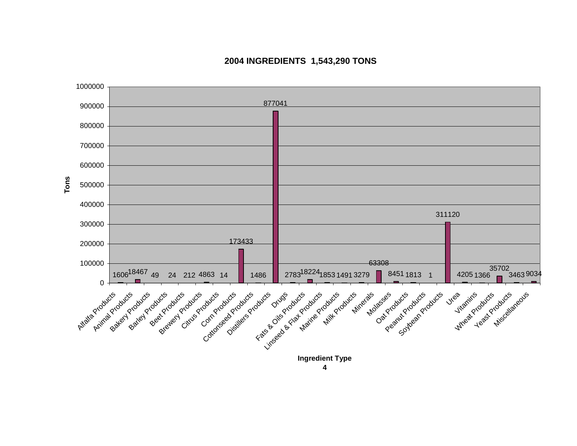

### **2004 INGREDIENTS 1,543,290 TONS**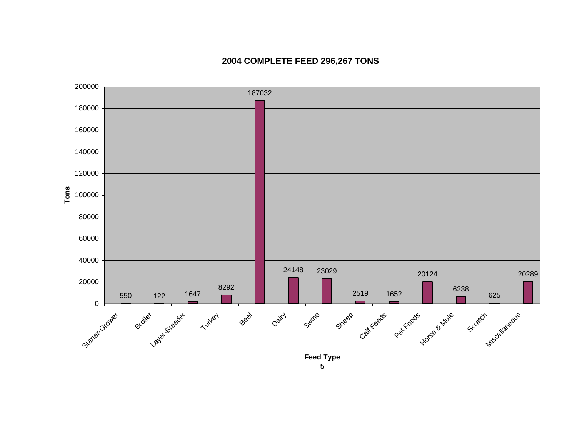

## **2004 COMPLETE FEED 296,267 TONS**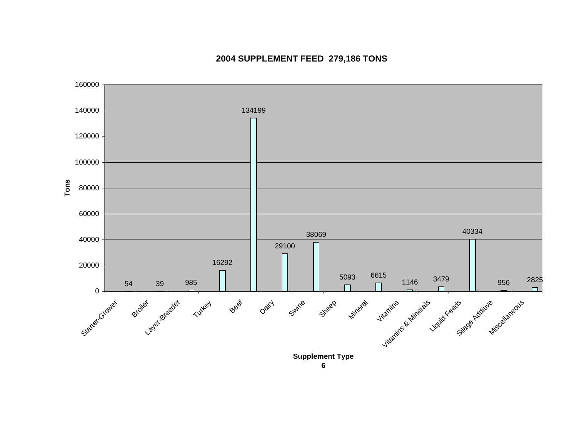

# **2004 SUPPLEMENT FEED 279,186 TONS**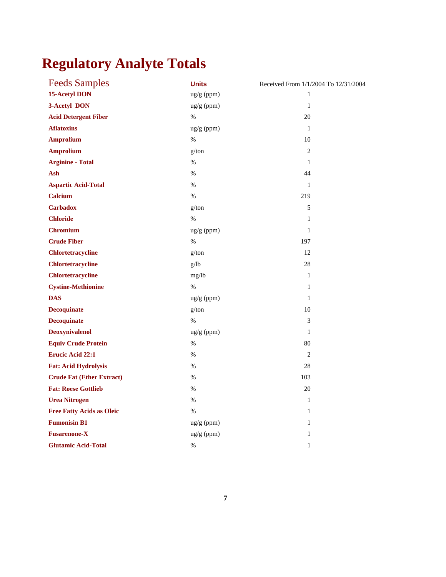# **Regulatory Analyte Totals**

| <b>Feeds Samples</b>             | <b>Units</b>          | Received From 1/1/2004 To 12/31/2004 |
|----------------------------------|-----------------------|--------------------------------------|
| 15-Acetyl DON                    | ug/g (ppm)            | 1                                    |
| 3-Acetyl DON                     | ug/g (ppm)            | $\mathbf{1}$                         |
| <b>Acid Detergent Fiber</b>      | $\%$                  | 20                                   |
| <b>Aflatoxins</b>                | ug/g (ppm)            | 1                                    |
| <b>Amprolium</b>                 | $\%$                  | 10                                   |
| <b>Amprolium</b>                 | g/ton                 | $\overline{2}$                       |
| <b>Arginine - Total</b>          | $\%$                  | $\mathbf{1}$                         |
| Ash                              | $\%$                  | 44                                   |
| <b>Aspartic Acid-Total</b>       | $\%$                  | 1                                    |
| <b>Calcium</b>                   | $\%$                  | 219                                  |
| <b>Carbadox</b>                  | g/ton                 | 5                                    |
| <b>Chloride</b>                  | %                     | $\mathbf{1}$                         |
| <b>Chromium</b>                  | $\frac{u g}{g}$ (ppm) | $\mathbf{1}$                         |
| <b>Crude Fiber</b>               | $\%$                  | 197                                  |
| <b>Chlortetracycline</b>         | g/ton                 | 12                                   |
| <b>Chlortetracycline</b>         | g/lb                  | 28                                   |
| <b>Chlortetracycline</b>         | mg/lb                 | $\mathbf{1}$                         |
| <b>Cystine-Methionine</b>        | $\%$                  | $\mathbf{1}$                         |
| <b>DAS</b>                       | ug/g (ppm)            | $\mathbf{1}$                         |
| <b>Decoquinate</b>               | g/ton                 | 10                                   |
| <b>Decoquinate</b>               | $\%$                  | 3                                    |
| <b>Deoxynivalenol</b>            | $ug/g$ (ppm)          | $\mathbf{1}$                         |
| <b>Equiv Crude Protein</b>       | $\%$                  | 80                                   |
| <b>Erucic Acid 22:1</b>          | %                     | 2                                    |
| <b>Fat: Acid Hydrolysis</b>      | $\%$                  | 28                                   |
| <b>Crude Fat (Ether Extract)</b> | %                     | 103                                  |
| <b>Fat: Roese Gottlieb</b>       | $\%$                  | 20                                   |
| <b>Urea Nitrogen</b>             | $\%$                  | $\mathbf{1}$                         |
| <b>Free Fatty Acids as Oleic</b> | $\%$                  | $\mathbf{1}$                         |
| <b>Fumonisin B1</b>              | ug/g (ppm)            | $\mathbf{1}$                         |
| <b>Fusarenone-X</b>              | ug/g (ppm)            | $\mathbf{1}$                         |
| <b>Glutamic Acid-Total</b>       | $\%$                  | $\mathbf{1}$                         |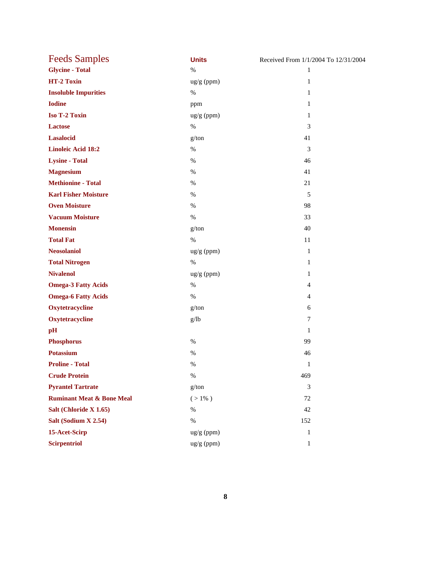| <b>Feeds Samples</b>                 | <b>Units</b>         | Received From 1/1/2004 To 12/31/2004 |
|--------------------------------------|----------------------|--------------------------------------|
| <b>Glycine - Total</b>               | $\%$                 | $\mathbf{1}$                         |
| HT-2 Toxin                           | $\frac{ug}{g}$ (ppm) | $\mathbf{1}$                         |
| <b>Insoluble Impurities</b>          | $\%$                 | 1                                    |
| <b>Iodine</b>                        | ppm                  | $\mathbf{1}$                         |
| <b>Iso T-2 Toxin</b>                 | $\frac{ug}{g}$ (ppm) | $\mathbf{1}$                         |
| <b>Lactose</b>                       | $\%$                 | 3                                    |
| <b>Lasalocid</b>                     | g/ton                | 41                                   |
| <b>Linoleic Acid 18:2</b>            | $\%$                 | 3                                    |
| <b>Lysine - Total</b>                | $\%$                 | 46                                   |
| <b>Magnesium</b>                     | $\%$                 | 41                                   |
| <b>Methionine - Total</b>            | $\%$                 | 21                                   |
| <b>Karl Fisher Moisture</b>          | $\%$                 | 5                                    |
| <b>Oven Moisture</b>                 | $\%$                 | 98                                   |
| <b>Vacuum Moisture</b>               | $\%$                 | 33                                   |
| <b>Monensin</b>                      | g/ton                | 40                                   |
| <b>Total Fat</b>                     | $\%$                 | 11                                   |
| <b>Neosolaniol</b>                   | ug/g (ppm)           | 1                                    |
| <b>Total Nitrogen</b>                | $\%$                 | $\mathbf{1}$                         |
| <b>Nivalenol</b>                     | $\frac{ug}{g}$ (ppm) | $\mathbf{1}$                         |
| <b>Omega-3 Fatty Acids</b>           | $\%$                 | 4                                    |
| <b>Omega-6 Fatty Acids</b>           | $\%$                 | $\overline{4}$                       |
| Oxytetracycline                      | g/ton                | 6                                    |
| Oxytetracycline                      | g/lb                 | 7                                    |
| pH                                   |                      | 1                                    |
| <b>Phosphorus</b>                    | $\%$                 | 99                                   |
| <b>Potassium</b>                     | $\%$                 | 46                                   |
| <b>Proline - Total</b>               | %                    | $\mathbf{1}$                         |
| <b>Crude Protein</b>                 | $\%$                 | 469                                  |
| <b>Pyrantel Tartrate</b>             | g/ton                | 3                                    |
| <b>Ruminant Meat &amp; Bone Meal</b> | $( > 1\% )$          | 72                                   |
| Salt (Chloride X 1.65)               | $\%$                 | 42                                   |
| Salt (Sodium X 2.54)                 | $\%$                 | 152                                  |
| 15-Acet-Scirp                        | ug/g (ppm)           | $\mathbf{1}$                         |
| <b>Scirpentriol</b>                  | $\frac{ug}{g}$ (ppm) | $\mathbf{1}$                         |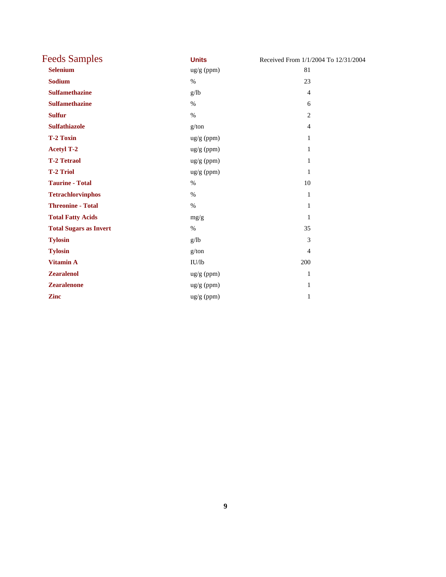| <b>Feeds Samples</b>          | <b>Units</b> | Received From 1/1/2004 To 12/31/2004 |
|-------------------------------|--------------|--------------------------------------|
| <b>Selenium</b>               | ug/g (ppm)   | 81                                   |
| <b>Sodium</b>                 | $\%$         | 23                                   |
| <b>Sulfamethazine</b>         | g/lb         | $\overline{4}$                       |
| <b>Sulfamethazine</b>         | $\%$         | 6                                    |
| <b>Sulfur</b>                 | $\%$         | $\overline{2}$                       |
| <b>Sulfathiazole</b>          | g/ton        | $\overline{4}$                       |
| <b>T-2 Toxin</b>              | ug/g (ppm)   | 1                                    |
| <b>Acetyl T-2</b>             | ug/g (ppm)   | 1                                    |
| <b>T-2 Tetraol</b>            | ug/g (ppm)   | 1                                    |
| <b>T-2 Triol</b>              | ug/g (ppm)   | 1                                    |
| <b>Taurine - Total</b>        | $\%$         | 10                                   |
| <b>Tetrachlorvinphos</b>      | $\%$         | $\mathbf{1}$                         |
| <b>Threonine - Total</b>      | $\%$         | 1                                    |
| <b>Total Fatty Acids</b>      | mg/g         | 1                                    |
| <b>Total Sugars as Invert</b> | $\%$         | 35                                   |
| <b>Tylosin</b>                | g/lb         | 3                                    |
| <b>Tylosin</b>                | g/ton        | $\overline{4}$                       |
| <b>Vitamin A</b>              | IU/lb        | 200                                  |
| <b>Zearalenol</b>             | ug/g (ppm)   | 1                                    |
| <b>Zearalenone</b>            | ug/g (ppm)   | 1                                    |
| <b>Zinc</b>                   | ug/g (ppm)   | 1                                    |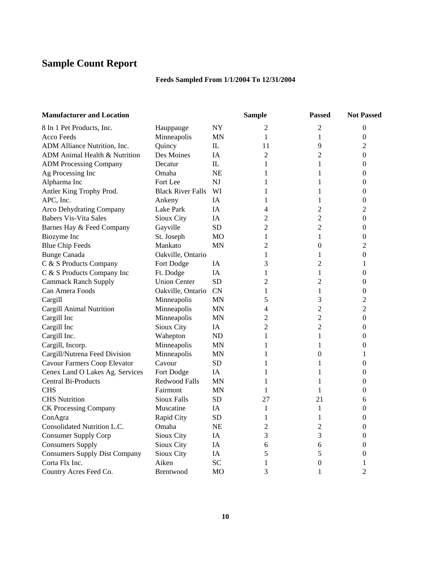# **Sample Count Report**

## **Feeds Sampled From 1/1/2004 To 12/31/2004**

| <b>Manufacturer and Location</b>     |                          |            | <b>Sample</b>  | <b>Passed</b>    | <b>Not Passed</b> |
|--------------------------------------|--------------------------|------------|----------------|------------------|-------------------|
| 8 In 1 Pet Products, Inc.            | Hauppauge                | <b>NY</b>  | 2              | 2                | $\overline{0}$    |
| <b>Acco Feeds</b>                    | Minneapolis              | ΜN         | $\mathbf{1}$   | 1                | $\theta$          |
| ADM Alliance Nutrition, Inc.         | Quincy                   | ${\rm IL}$ | 11             | 9                | 2                 |
| ADM Animal Health & Nutrition        | Des Moines               | IΑ         | $\overline{2}$ | $\overline{2}$   | $\boldsymbol{0}$  |
| <b>ADM Processing Company</b>        | Decatur                  | IL         | 1              | 1                | $\theta$          |
| Ag Processing Inc                    | Omaha                    | NE         | 1              | 1                | $\boldsymbol{0}$  |
| Alpharma Inc                         | Fort Lee                 | NJ         | 1              | 1                | $\mathbf{0}$      |
| Antler King Trophy Prod.             | <b>Black River Falls</b> | WI         | 1              | 1                | $\boldsymbol{0}$  |
| APC, Inc.                            | Ankeny                   | IA         | 1              | 1                | $\theta$          |
| Arco Dehydrating Company             | Lake Park                | IA         | $\overline{4}$ | $\overline{2}$   | 2                 |
| <b>Babers Vis-Vita Sales</b>         | Sioux City               | IA         | $\overline{2}$ | $\overline{2}$   | $\boldsymbol{0}$  |
| Barnes Hay & Feed Company            | Gayville                 | <b>SD</b>  | $\overline{2}$ | $\overline{2}$   | $\mathbf{0}$      |
| Biozyme Inc                          | St. Joseph               | MO         | 1              | 1                | $\boldsymbol{0}$  |
| <b>Blue Chip Feeds</b>               | Mankato                  | MN         | 2              | $\boldsymbol{0}$ | 2                 |
| <b>Bunge Canada</b>                  | Oakville, Ontario        |            | 1              | 1                | $\mathbf{0}$      |
| C & S Products Company               | Fort Dodge               | IA         | 3              | $\overline{2}$   | 1                 |
| C & S Products Company Inc           | Ft. Dodge                | IA         | 1              | 1                | $\theta$          |
| <b>Cammack Ranch Supply</b>          | <b>Union Center</b>      | <b>SD</b>  | $\overline{c}$ | $\overline{2}$   | $\boldsymbol{0}$  |
| Can Amera Foods                      | Oakville, Ontario        | <b>CN</b>  | 1              | 1                | $\boldsymbol{0}$  |
| Cargill                              | Minneapolis              | <b>MN</b>  | 5              | 3                | 2                 |
| Cargill Animal Nutrition             | Minneapolis              | MN         | 4              | $\overline{2}$   | $\overline{2}$    |
| Cargill Inc                          | Minneapolis              | <b>MN</b>  | 2              | $\overline{c}$   | $\mathbf{0}$      |
| Cargill Inc                          | Sioux City               | IA         | $\overline{2}$ | $\overline{2}$   | $\Omega$          |
| Cargill Inc.                         | Wahepton                 | ND         | 1              | 1                | $\theta$          |
| Cargill, Incorp.                     | Minneapolis              | MN         | 1              | 1                | $\mathbf{0}$      |
| Cargill/Nutrena Feed Division        | Minneapolis              | ΜN         | 1              | $\boldsymbol{0}$ | 1                 |
| Cavour Farmers Coop Elevator         | Cavour                   | <b>SD</b>  | 1              | 1                | $\boldsymbol{0}$  |
| Cenex Land O Lakes Ag. Services      | Fort Dodge               | IA         | 1              | 1                | $\theta$          |
| <b>Central Bi-Products</b>           | <b>Redwood Falls</b>     | MN         | 1              | 1                | $\theta$          |
| <b>CHS</b>                           | Fairmont                 | MN         | 1              | 1                | $\theta$          |
| <b>CHS</b> Nutrition                 | <b>Sioux Falls</b>       | <b>SD</b>  | 27             | 21               | 6                 |
| <b>CK Processing Company</b>         | Muscatine                | IA         | $\mathbf{1}$   | 1                | $\theta$          |
| ConAgra                              | Rapid City               | SD         | 1              | $\mathbf{1}$     | $\theta$          |
| Consolidated Nutrition L.C.          | Omaha                    | NE         | $\overline{2}$ | $\overline{2}$   | 0                 |
| <b>Consumer Supply Corp</b>          | Sioux City               | IA         | 3              | 3                | $\theta$          |
| <b>Consumers Supply</b>              | Sioux City               | IA         | 6              | 6                | 0                 |
| <b>Consumers Supply Dist Company</b> | Sioux City               | IA         | 5              | 5                | $\theta$          |
| Corta Flx Inc.                       | Aiken                    | <b>SC</b>  | 1              | $\mathbf{0}$     | 1                 |
| Country Acres Feed Co.               | <b>Brentwood</b>         | MO         | 3              | 1                | $\overline{2}$    |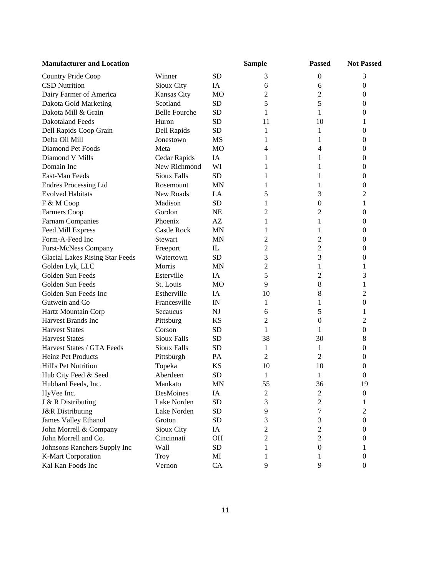| <b>Manufacturer and Location</b>       |                      |                          | <b>Sample</b>  | <b>Passed</b>    | <b>Not Passed</b> |
|----------------------------------------|----------------------|--------------------------|----------------|------------------|-------------------|
| Country Pride Coop                     | Winner               | <b>SD</b>                | 3              | $\boldsymbol{0}$ | 3                 |
| <b>CSD Nutrition</b>                   | Sioux City           | IA                       | 6              | 6                | $\boldsymbol{0}$  |
| Dairy Farmer of America                | Kansas City          | MO                       | 2              | $\mathbf{2}$     | $\boldsymbol{0}$  |
| Dakota Gold Marketing                  | Scotland             | <b>SD</b>                | 5              | 5                | $\boldsymbol{0}$  |
| Dakota Mill & Grain                    | <b>Belle Fourche</b> | <b>SD</b>                | 1              | 1                | $\theta$          |
| <b>Dakotaland Feeds</b>                | Huron                | <b>SD</b>                | 11             | 10               | 1                 |
| Dell Rapids Coop Grain                 | Dell Rapids          | <b>SD</b>                | 1              | 1                | $\overline{0}$    |
| Delta Oil Mill                         | Jonestown            | MS                       | 1              | 1                | $\theta$          |
| Diamond Pet Foods                      | Meta                 | MO                       | 4              | 4                | $\Omega$          |
| Diamond V Mills                        | Cedar Rapids         | IA                       | 1              | 1                | 0                 |
| Domain Inc                             | New Richmond         | WI                       | 1              | 1                | 0                 |
| East-Man Feeds                         | <b>Sioux Falls</b>   | <b>SD</b>                | 1              | 1                | $\theta$          |
| <b>Endres Processing Ltd</b>           | Rosemount            | MN                       | 1              | 1                | 0                 |
| <b>Evolved Habitats</b>                | New Roads            | LA                       | 5              | 3                | $\overline{c}$    |
| F & M Coop                             | Madison              | <b>SD</b>                | 1              | $\boldsymbol{0}$ | 1                 |
| <b>Farmers Coop</b>                    | Gordon               | <b>NE</b>                | 2              | $\overline{c}$   | 0                 |
| <b>Farnam Companies</b>                | Phoenix              | AZ                       | 1              | 1                | $\boldsymbol{0}$  |
| Feed Mill Express                      | <b>Castle Rock</b>   | MN                       | 1              | 1                | $\boldsymbol{0}$  |
| Form-A-Feed Inc                        | <b>Stewart</b>       | MN                       | 2              | $\overline{c}$   | $\boldsymbol{0}$  |
| <b>Furst-McNess Company</b>            | Freeport             | IL                       | $\overline{c}$ | $\overline{c}$   | $\boldsymbol{0}$  |
| <b>Glacial Lakes Rising Star Feeds</b> | Watertown            | <b>SD</b>                | 3              | 3                | 0                 |
| Golden Lyk, LLC                        | Morris               | <b>MN</b>                | $\overline{c}$ | 1                | 1                 |
| Golden Sun Feeds                       | Esterville           | IA                       | 5              | 2                | 3                 |
| Golden Sun Feeds                       | St. Louis            | MO                       | 9              | 8                | 1                 |
| Golden Sun Feeds Inc                   | Estherville          | IA                       | 10             | $\,8$            | $\overline{2}$    |
| Gutwein and Co.                        | Francesville         | $\ensuremath{\text{IN}}$ | 1              | 1                | $\mathbf{0}$      |
| Hartz Mountain Corp                    | Secaucus             | NJ                       | 6              | 5                | 1                 |
| <b>Harvest Brands Inc</b>              | Pittsburg            | KS                       | 2              | $\boldsymbol{0}$ | 2                 |
| <b>Harvest States</b>                  | Corson               | <b>SD</b>                | 1              | 1                | $\boldsymbol{0}$  |
| <b>Harvest States</b>                  | <b>Sioux Falls</b>   | <b>SD</b>                | 38             | 30               | 8                 |
| Harvest States / GTA Feeds             | <b>Sioux Falls</b>   | SD                       | 1              | 1                | $\boldsymbol{0}$  |
| Heinz Pet Products                     | Pittsburgh           | PA                       | $\overline{2}$ | $\overline{2}$   | $\boldsymbol{0}$  |
| Hill's Pet Nutrition                   | Topeka               | KS                       | 10             | 10               | 0                 |
| Hub City Feed & Seed                   | Aberdeen             | <b>SD</b>                | 1              | 1                | 0                 |
| Hubbard Feeds, Inc.                    | Mankato              | MN                       | 55             | 36               | 19                |
| HyVee Inc.                             | DesMoines            | IA                       | 2              | 2                | $\overline{0}$    |
| J & R Distributing                     | Lake Norden          | <b>SD</b>                | 3              | 2                | 1                 |
| <b>J&amp;R</b> Distributing            | Lake Norden          | <b>SD</b>                | 9              | 7                | 2                 |
| <b>James Valley Ethanol</b>            | Groton               | <b>SD</b>                | 3              | 3                | $\theta$          |
| John Morrell & Company                 | Sioux City           | IA                       | $\overline{c}$ | $\mathbf{2}$     | 0                 |
| John Morrell and Co.                   | Cincinnati           | OH                       | 2              | $\overline{2}$   | 0                 |
| Johnsons Ranchers Supply Inc           | Wall                 | <b>SD</b>                | 1              | $\theta$         | 1                 |
| <b>K-Mart Corporation</b>              | <b>Troy</b>          | MI                       | 1              | $\bf{l}$         | $\theta$          |
| Kal Kan Foods Inc                      | Vernon               | CA                       | 9              | 9                | $\mathbf{0}$      |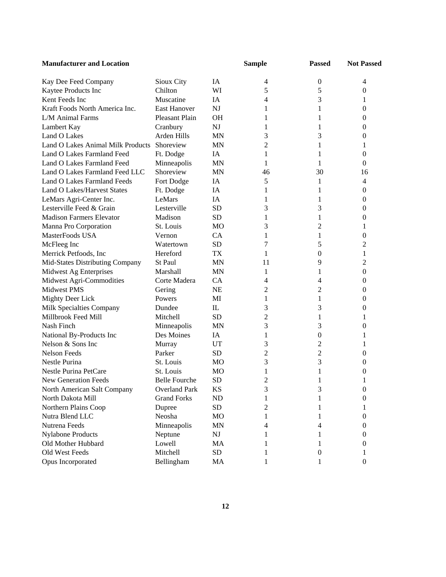| <b>Manufacturer and Location</b>  |                      |                | <b>Sample</b>  | <b>Passed</b>    | <b>Not Passed</b> |
|-----------------------------------|----------------------|----------------|----------------|------------------|-------------------|
| Kay Dee Feed Company              | Sioux City           | IA             | 4              | $\boldsymbol{0}$ | 4                 |
| Kaytee Products Inc               | Chilton              | WI             | 5              | 5                | 0                 |
| Kent Feeds Inc                    | Muscatine            | IA             | 4              | 3                | 1                 |
| Kraft Foods North America Inc.    | <b>East Hanover</b>  | <b>NJ</b>      | 1              | 1                | 0                 |
| L/M Animal Farms                  | Pleasant Plain       | <b>OH</b>      | 1              | 1                | 0                 |
| Lambert Kay                       | Cranbury             | NJ             | 1              | 1                | 0                 |
| Land O Lakes                      | Arden Hills          | <b>MN</b>      | 3              | 3                | 0                 |
| Land O Lakes Animal Milk Products | Shoreview            | <b>MN</b>      | 2              | 1                | 1                 |
| Land O Lakes Farmland Feed        | Ft. Dodge            | IA             | 1              | 1                | $\mathbf{0}$      |
| Land O Lakes Farmland Feed        | Minneapolis          | <b>MN</b>      | 1              | 1                | $\mathbf{0}$      |
| Land O Lakes Farmland Feed LLC    | Shoreview            | <b>MN</b>      | 46             | 30               | 16                |
| Land O Lakes Farmland Feeds       | Fort Dodge           | IA             | 5              | 1                | 4                 |
| Land O Lakes/Harvest States       | Ft. Dodge            | IA             | 1              | 1                | $\boldsymbol{0}$  |
| LeMars Agri-Center Inc.           | LeMars               | IA             | 1              | 1                | $\boldsymbol{0}$  |
| Lesterville Feed & Grain          | Lesterville          | <b>SD</b>      | 3              | 3                | $\boldsymbol{0}$  |
| <b>Madison Farmers Elevator</b>   | Madison              | <b>SD</b>      | 1              | 1                | $\boldsymbol{0}$  |
| Manna Pro Corporation             | St. Louis            | M <sub>O</sub> | 3              | 2                | 1                 |
| MasterFoods USA                   | Vernon               | CA             | 1              | 1                | 0                 |
| McFleeg Inc                       | Watertown            | <b>SD</b>      | 7              | 5                | 2                 |
| Merrick Petfoods, Inc             | Hereford             | <b>TX</b>      | 1              | $\overline{0}$   | 1                 |
| Mid-States Distributing Company   | St Paul              | <b>MN</b>      | 11             | 9                | 2                 |
| Midwest Ag Enterprises            | Marshall             | <b>MN</b>      | 1              | 1                | 0                 |
| Midwest Agri-Commodities          | Corte Madera         | CA             | 4              | 4                | 0                 |
| Midwest PMS                       | Gering               | <b>NE</b>      | $\overline{c}$ | $\overline{c}$   | 0                 |
| <b>Mighty Deer Lick</b>           | Powers               | MI             | 1              | 1                | 0                 |
| Milk Specialties Company          | Dundee               | IL             | 3              | 3                | 0                 |
| Millbrook Feed Mill               | Mitchell             | <b>SD</b>      | $\overline{c}$ | 1                | 1                 |
| Nash Finch                        | Minneapolis          | <b>MN</b>      | 3              | 3                | 0                 |
| National By-Products Inc          | Des Moines           | IA             | 1              | $\boldsymbol{0}$ | 1                 |
| Nelson & Sons Inc                 | Murray               | <b>UT</b>      | 3              | 2                | 1                 |
| Nelson Feeds                      | Parker               | <b>SD</b>      | $\overline{c}$ | $\overline{c}$   | 0                 |
| Nestle Purina                     | St. Louis            | M <sub>O</sub> | 3              | 3                | 0                 |
| <b>Nestle Purina PetCare</b>      | St. Louis            | <b>MO</b>      | 1              | 1                | 0                 |
| New Generation Feeds              | <b>Belle Fourche</b> | <b>SD</b>      | $\overline{c}$ | 1                | 1                 |
| North American Salt Company       | <b>Overland Park</b> | KS             | 3              | 3                | 0                 |
| North Dakota Mill                 | <b>Grand Forks</b>   | ND             | 1              | 1                | $^{(1)}$          |
| Northern Plains Coop              | Dupree               | SD             | 2              | 1                |                   |
| Nutra Blend LLC                   | Neosha               | MO             | 1              | 1                | $^{(1)}$          |
| Nutrena Feeds                     | Minneapolis          | MN             | 4              | 4                | 0                 |
| <b>Nylabone Products</b>          | Neptune              | NJ             | 1              | 1                | 0                 |
| Old Mother Hubbard                | Lowell               | MA             | 1              |                  | 0                 |
| Old West Feeds                    | Mitchell             | SD             | 1              | 0                | 1                 |
| Opus Incorporated                 | Bellingham           | MA             |                |                  | $\theta$          |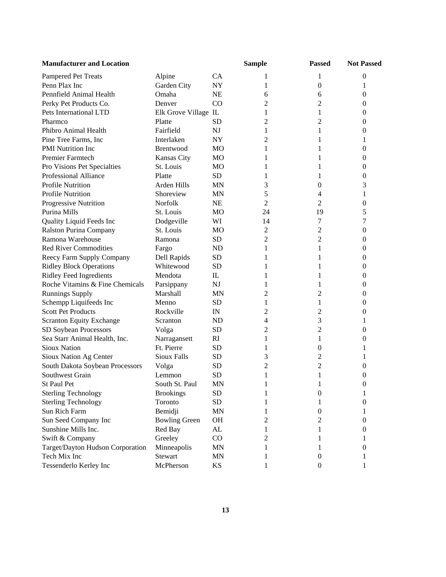| <b>Manufacturer and Location</b> |                      |                | <b>Sample</b>  | <b>Passed</b>    | <b>Not Passed</b> |
|----------------------------------|----------------------|----------------|----------------|------------------|-------------------|
| Pampered Pet Treats              | Alpine               | CA             | 1              | 1                | 0                 |
| Penn Plax Inc                    | Garden City          | NY             | 1              | 0                | 1                 |
| Pennfield Animal Health          | Omaha                | NE             | 6              | 6                | $\boldsymbol{0}$  |
| Perky Pet Products Co.           | Denver               | CO             | 2              | 2                | $\boldsymbol{0}$  |
| Pets International LTD           | Elk Grove Village IL |                | 1              | 1                | 0                 |
| Pharmco                          | Platte               | SD             | 2              | 2                | 0                 |
| Phibro Animal Health             | Fairfield            | <b>NJ</b>      | 1              | 1                | 0                 |
| Pine Tree Farms, Inc             | Interlaken           | <b>NY</b>      | 2              | 1                |                   |
| <b>PMI</b> Nutrition Inc         | Brentwood            | MO             | 1              | 1                | $\theta$          |
| Premier Farmtech                 | Kansas City          | MO             | 1              | 1                | 0                 |
| Pro Visions Pet Specialties      | St. Louis            | MO             | 1              | 1                | 0                 |
| <b>Professional Alliance</b>     | Platte               | <b>SD</b>      | 1              | 1                | 0                 |
| Profile Nutrition                | Arden Hills          | MN             | 3              | 0                | 3                 |
| <b>Profile Nutrition</b>         | Shoreview            | MN             | 5              | 4                |                   |
| <b>Progressive Nutrition</b>     | Norfolk              | <b>NE</b>      | $\overline{2}$ | 2                | 0                 |
| Purina Mills                     | St. Louis            | MO             | 24             | 19               | 5                 |
| Quality Liquid Feeds Inc         | Dodgeville           | WI             | 14             | 7                | 7                 |
| <b>Ralston Purina Company</b>    | St. Louis            | MO             | 2              | 2                | $\boldsymbol{0}$  |
| Ramona Warehouse                 | Ramona               | <b>SD</b>      | $\overline{c}$ | 2                | $\boldsymbol{0}$  |
| <b>Red River Commodities</b>     | Fargo                | <b>ND</b>      | 1              | 1                | 0                 |
| Reecy Farm Supply Company        | Dell Rapids          | <b>SD</b>      | 1              | 1                | 0                 |
| <b>Ridley Block Operations</b>   | Whitewood            | <b>SD</b>      | 1              | 1                | 0                 |
| <b>Ridley Feed Ingredients</b>   | Mendota              | IL             | 1              | 1                | $\theta$          |
| Roche Vitamins & Fine Chemicals  | Parsippany           | <b>NJ</b>      | 1              | 1                | 0                 |
| <b>Runnings Supply</b>           | Marshall             | <b>MN</b>      | 2              | 2                | 0                 |
| Schempp Liquifeeds Inc           | Menno                | <b>SD</b>      | 1              | 1                | 0                 |
| <b>Scott Pet Products</b>        | Rockville            | IN             | 2              | 2                | 0                 |
| <b>Scranton Equity Exchange</b>  | Scranton             | N <sub>D</sub> | 4              | 3                |                   |
| SD Soybean Processors            | Volga                | SD             | 2              | 2                | 0                 |
| Sea Starr Animal Health, Inc.    | Narragansett         | RI             | 1              | 1                | 0                 |
| <b>Sioux Nation</b>              | Ft. Pierre           | <b>SD</b>      | 1              | 0                |                   |
| Sioux Nation Ag Center           | <b>Sioux Falls</b>   | <b>SD</b>      | 3              | 2                |                   |
| South Dakota Soybean Processors  | Volga                | <b>SD</b>      | $\overline{c}$ | 2                | 0                 |
| Southwest Grain                  | Lemmon               | <b>SD</b>      | 1              | 1                | 0                 |
| St Paul Pet                      | South St. Paul       | MN             |                |                  | $\theta$          |
| <b>Sterling Technology</b>       | <b>Brookings</b>     | SD             | 1              | 0                | 1                 |
| <b>Sterling Technology</b>       | Toronto              | <b>SD</b>      | 1              | 1                | $\theta$          |
| Sun Rich Farm                    | Bemidji              | <b>MN</b>      | 1              | $\boldsymbol{0}$ |                   |
| Sun Seed Company Inc             | <b>Bowling Green</b> | <b>OH</b>      | 2              | 2                | 0                 |
| Sunshine Mills Inc.              | Red Bay              | ${\rm AL}$     | 1              | 1                | 0                 |
| Swift & Company                  | Greeley              | CO             | 2              | 1                |                   |
| Target/Dayton Hudson Corporation | Minneapolis          | <b>MN</b>      |                | 1                | 0                 |
| Tech Mix Inc                     | <b>Stewart</b>       | <b>MN</b>      | 1              | 0                |                   |
| Tessenderlo Kerley Inc           | McPherson            | KS             |                | $\boldsymbol{0}$ |                   |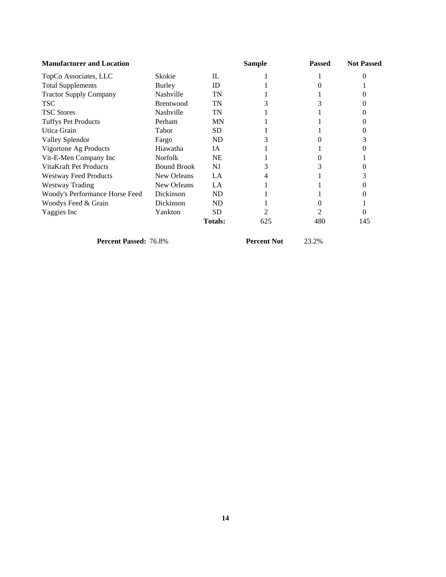| <b>Manufacturer and Location</b> |                    |                | Sample | <b>Passed</b> | <b>Not Passed</b> |
|----------------------------------|--------------------|----------------|--------|---------------|-------------------|
| TopCo Associates, LLC            | Skokie             | IL             |        |               |                   |
| <b>Total Supplements</b>         | Burley             | ID             |        |               |                   |
| <b>Tractor Supply Company</b>    | Nashville          | TN             |        |               |                   |
| <b>TSC</b>                       | Brentwood          | TN             |        |               |                   |
| <b>TSC Stores</b>                | Nashville          | TN             |        |               |                   |
| <b>Tuffys Pet Products</b>       | Perham             | <b>MN</b>      |        |               |                   |
| Utica Grain                      | Tabor              | SD.            |        |               |                   |
| Valley Splendor                  | Fargo              | ND             |        |               |                   |
| Vigortone Ag Products            | Hiawatha           | IA             |        |               |                   |
| Vit-E-Men Company Inc            | <b>Norfolk</b>     | <b>NE</b>      |        |               |                   |
| VitaKraft Pet Products           | <b>Bound Brook</b> | NJ             |        |               |                   |
| <b>Westway Feed Products</b>     | New Orleans        | LA             |        |               |                   |
| Westway Trading                  | New Orleans        | LA             |        |               |                   |
| Woody's Performance Horse Feed   | Dickinson          | ND             |        |               |                   |
| Woodys Feed & Grain              | Dickinson          | ND             |        |               |                   |
| Yaggies Inc                      | Yankton            | <b>SD</b>      |        |               |                   |
|                                  |                    | <b>Totals:</b> | 625    | 480           | 145               |

**Percent Passed:** 76.8% **Percent Not** 23.2%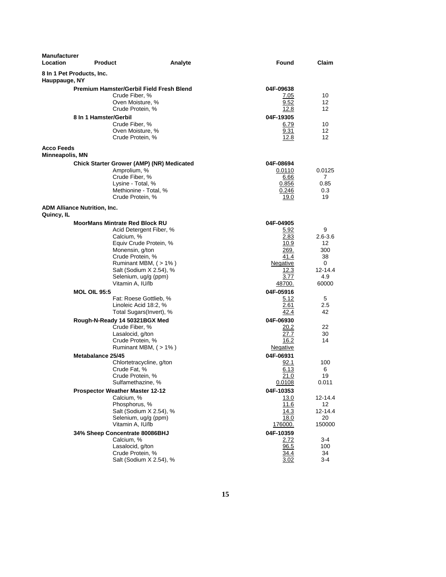| <b>Manufacturer</b><br>Location            | <b>Product</b>                                                                                                                                                                                                                        | Analyte                                                                                                                                                                          | Found                                                                                                                                                            | Claim                                                                                         |
|--------------------------------------------|---------------------------------------------------------------------------------------------------------------------------------------------------------------------------------------------------------------------------------------|----------------------------------------------------------------------------------------------------------------------------------------------------------------------------------|------------------------------------------------------------------------------------------------------------------------------------------------------------------|-----------------------------------------------------------------------------------------------|
| 8 In 1 Pet Products, Inc.<br>Hauppauge, NY |                                                                                                                                                                                                                                       |                                                                                                                                                                                  |                                                                                                                                                                  |                                                                                               |
|                                            | <b>Premium Hamster/Gerbil Field Fresh Blend</b><br>Crude Fiber, %<br>Oven Moisture, %<br>Crude Protein, %<br>8 In 1 Hamster/Gerbil                                                                                                    |                                                                                                                                                                                  | 04F-09638<br>7.05<br>9.52<br>12.8<br>04F-19305                                                                                                                   | 10<br>12<br>12                                                                                |
|                                            | Crude Fiber, %<br>Oven Moisture, %<br>Crude Protein, %                                                                                                                                                                                |                                                                                                                                                                                  | 6.79<br>9.31<br>12.8                                                                                                                                             | 10<br>12<br>12                                                                                |
| <b>Acco Feeds</b>                          |                                                                                                                                                                                                                                       |                                                                                                                                                                                  |                                                                                                                                                                  |                                                                                               |
| Minneapolis, MN                            |                                                                                                                                                                                                                                       |                                                                                                                                                                                  |                                                                                                                                                                  |                                                                                               |
| <b>ADM Alliance Nutrition, Inc.</b>        | Amprolium, %<br>Crude Fiber, %<br>Lysine - Total, %<br>Crude Protein, %                                                                                                                                                               | Chick Starter Grower (AMP) (NR) Medicated<br>Methionine - Total, %                                                                                                               | 04F-08694<br>0.0110<br>6.66<br>0.856<br>0.246<br>19.0                                                                                                            | 0.0125<br>7<br>0.85<br>0.3<br>19                                                              |
| Quincy, IL                                 |                                                                                                                                                                                                                                       |                                                                                                                                                                                  |                                                                                                                                                                  |                                                                                               |
|                                            | <b>MoorMans Mintrate Red Block RU</b><br>Calcium, %<br>Monensin, g/ton<br>Crude Protein, %<br>Vitamin A, IU/lb<br><b>MOL OIL 95:5</b><br>Linoleic Acid 18:2, %<br>Rough-N-Ready 14 50321BGX Med<br>Crude Fiber, %<br>Lasalocid, g/ton | Acid Detergent Fiber, %<br>Equiv Crude Protein, %<br>Ruminant MBM, (>1%)<br>Salt (Sodium X 2.54), %<br>Selenium, ug/g (ppm)<br>Fat: Roese Gottlieb, %<br>Total Sugars(Invert), % | 04F-04905<br>5.92<br>2.83<br>10.9<br>269.<br>41.4<br><b>Negative</b><br>12.3<br>3.77<br>48700.<br>04F-05916<br>5.12<br>2.61<br>42.4<br>04F-06930<br>20.2<br>27.7 | 9<br>2.6-3.6<br>12<br>300<br>38<br>0<br>12-14.4<br>4.9<br>60000<br>5<br>2.5<br>42<br>22<br>30 |
|                                            | Crude Protein, %<br>Metabalance 25/45                                                                                                                                                                                                 | Ruminant MBM, (>1%)                                                                                                                                                              | 16.2<br>Negative<br>04F-06931                                                                                                                                    | 14                                                                                            |
|                                            | Crude Fat, %<br>Crude Protein, %<br>Sulfamethazine, %                                                                                                                                                                                 | Chlortetracycline, g/ton                                                                                                                                                         | 92.1<br>6.13<br>21.0<br>0.0108                                                                                                                                   | 100<br>6<br>19<br>0.011                                                                       |
|                                            | <b>Prospector Weather Master 12-12</b><br>Calcium, %<br>Phosphorus, %<br>Vitamin A, IU/lb                                                                                                                                             | Salt (Sodium X 2.54), %<br>Selenium, ug/g (ppm)                                                                                                                                  | 04F-10353<br><u>13.0</u><br>11.6<br>14.3<br>18.0<br>176000.                                                                                                      | 12-14.4<br>12<br>12-14.4<br>20<br>150000                                                      |
|                                            | 34% Sheep Concentrate 80086BHJ<br>Calcium, %<br>Lasalocid, g/ton<br>Crude Protein, %                                                                                                                                                  | Salt (Sodium X 2.54), %                                                                                                                                                          | 04F-10359<br>2.72<br>96.5<br>34.4<br>3.02                                                                                                                        | 3-4<br>100<br>34<br>3-4                                                                       |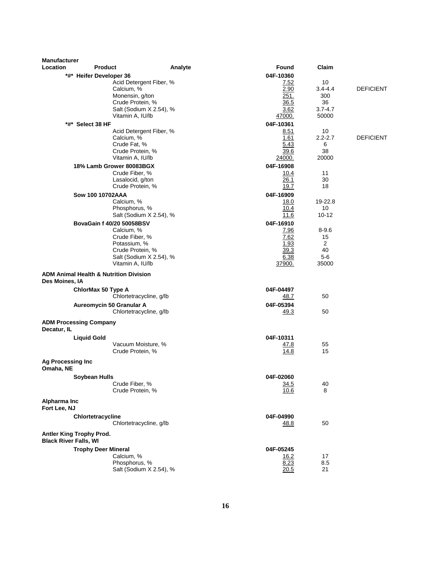| <b>Manufacturer</b>          |                               |                                                   |         |                   |                   |                  |
|------------------------------|-------------------------------|---------------------------------------------------|---------|-------------------|-------------------|------------------|
| Location                     | <b>Product</b>                |                                                   | Analyte | Found             | Claim             |                  |
|                              | *#* Heifer Developer 36       |                                                   |         | 04F-10360         |                   |                  |
|                              |                               | Acid Detergent Fiber, %<br>Calcium, %             |         | 7.52<br>2.90      | 10<br>$3.4 - 4.4$ | <b>DEFICIENT</b> |
|                              |                               | Monensin, g/ton                                   |         | 251.              | 300               |                  |
|                              |                               | Crude Protein, %                                  |         | 36.5              | 36                |                  |
|                              |                               | Salt (Sodium X 2.54), %                           |         | 3.62              | $3.7 - 4.7$       |                  |
|                              |                               | Vitamin A, IU/lb                                  |         | 47000.            | 50000             |                  |
| *#*                          | Select 38 HF                  |                                                   |         | 04F-10361         |                   |                  |
|                              |                               | Acid Detergent Fiber, %                           |         | 8.51              | 10                |                  |
|                              |                               | Calcium, %                                        |         | 1.61              | $2.2 - 2.7$       | <b>DEFICIENT</b> |
|                              |                               | Crude Fat, %                                      |         | 5.43              | 6                 |                  |
|                              |                               | Crude Protein, %                                  |         | 39.6              | 38                |                  |
|                              |                               | Vitamin A, IU/lb                                  |         | <u> 24000.</u>    | 20000             |                  |
|                              |                               | 18% Lamb Grower 80083BGX                          |         | 04F-16908         |                   |                  |
|                              |                               | Crude Fiber, %                                    |         | 10.4<br>26.1      | 11                |                  |
|                              |                               | Lasalocid, g/ton<br>Crude Protein, %              |         | 19.7              | 30<br>18          |                  |
|                              |                               |                                                   |         |                   |                   |                  |
|                              | Sow 100 10702AAA              | Calcium, %                                        |         | 04F-16909<br>18.0 | 19-22.8           |                  |
|                              |                               | Phosphorus, %                                     |         | 10.4              | 10                |                  |
|                              |                               | Salt (Sodium X 2.54), %                           |         | 11.6              | $10 - 12$         |                  |
|                              |                               | BovaGain f 40/20 50058BSV                         |         | 04F-16910         |                   |                  |
|                              |                               | Calcium, %                                        |         | 7.96              | $8 - 9.6$         |                  |
|                              |                               | Crude Fiber, %                                    |         | 7.62              | 15                |                  |
|                              |                               | Potassium, %                                      |         | 1.93              | 2                 |                  |
|                              |                               | Crude Protein, %                                  |         | 39.3              | 40                |                  |
|                              |                               | Salt (Sodium X 2.54), %                           |         | 6.38              | $5-6$             |                  |
|                              |                               | Vitamin A, IU/lb                                  |         | 37900.            | 35000             |                  |
| Des Moines, IA               |                               | <b>ADM Animal Health &amp; Nutrition Division</b> |         |                   |                   |                  |
|                              | ChlorMax 50 Type A            |                                                   |         | 04F-04497         |                   |                  |
|                              |                               | Chlortetracycline, g/lb                           |         | 48.7              | 50                |                  |
|                              |                               | Aureomycin 50 Granular A                          |         | 04F-05394         |                   |                  |
|                              |                               | Chlortetracycline, g/lb                           |         | <u>49.3</u>       | 50                |                  |
| Decatur, IL                  | <b>ADM Processing Company</b> |                                                   |         |                   |                   |                  |
|                              | <b>Liquid Gold</b>            |                                                   |         | 04F-10311         |                   |                  |
|                              |                               | Vacuum Moisture, %                                |         | 47.8              | 55                |                  |
|                              |                               | Crude Protein, %                                  |         | 14.8              | 15                |                  |
| <b>Ag Processing Inc</b>     |                               |                                                   |         |                   |                   |                  |
| Omaha, NE                    |                               |                                                   |         |                   |                   |                  |
|                              | <b>Soybean Hulls</b>          | Crude Fiber, %                                    |         | 04F-02060         |                   |                  |
|                              |                               | Crude Protein, %                                  |         | 34.5<br>10.6      | 40<br>8           |                  |
| Alpharma Inc                 |                               |                                                   |         |                   |                   |                  |
| Fort Lee, NJ                 |                               |                                                   |         |                   |                   |                  |
|                              | Chlortetracycline             |                                                   |         | 04F-04990         |                   |                  |
|                              |                               | Chlortetracycline, g/lb                           |         | <u>48.8</u>       | 50                |                  |
| <b>Black River Falls, WI</b> | Antler King Trophy Prod.      |                                                   |         |                   |                   |                  |
|                              | <b>Trophy Deer Mineral</b>    |                                                   |         | 04F-05245         |                   |                  |
|                              |                               | Calcium, %                                        |         | 16.2              | 17                |                  |
|                              |                               | Phosphorus, %                                     |         | 8.23              | 8.5               |                  |
|                              |                               | Salt (Sodium X 2.54), %                           |         | 20.5              | 21                |                  |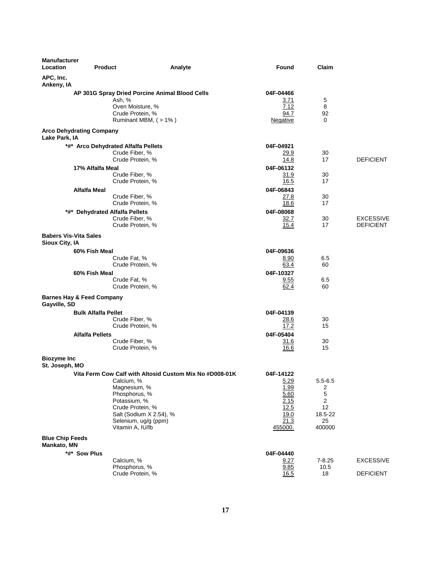| <b>Manufacturer</b><br>Location       | <b>Product</b>                                        | Analyte                                                 | <b>Found</b>            | Claim                   |                  |
|---------------------------------------|-------------------------------------------------------|---------------------------------------------------------|-------------------------|-------------------------|------------------|
| APC, Inc.<br>Ankeny, IA               |                                                       |                                                         |                         |                         |                  |
|                                       | AP 301G Spray Dried Porcine Animal Blood Cells        |                                                         | 04F-04466               |                         |                  |
|                                       | Ash, %                                                |                                                         | 3.71                    | 5                       |                  |
|                                       | Oven Moisture, %                                      |                                                         | 7.12                    | 8                       |                  |
|                                       | Crude Protein, %                                      | Ruminant MBM, (>1%)                                     | 94.7<br><u>Negative</u> | 92<br>0                 |                  |
|                                       |                                                       |                                                         |                         |                         |                  |
|                                       | <b>Arco Dehydrating Company</b>                       |                                                         |                         |                         |                  |
| Lake Park, IA                         |                                                       |                                                         |                         |                         |                  |
|                                       | *#* Arco Dehydrated Alfalfa Pellets<br>Crude Fiber, % |                                                         | 04F-04921<br>29.9       | 30                      |                  |
|                                       | Crude Protein, %                                      |                                                         | 14.8                    | 17                      | <b>DEFICIENT</b> |
|                                       | 17% Alfalfa Meal                                      |                                                         | 04F-06132               |                         |                  |
|                                       | Crude Fiber, %                                        |                                                         | <u>31.9</u>             | 30                      |                  |
|                                       | Crude Protein, %                                      |                                                         | 16.5                    | 17                      |                  |
|                                       | <b>Alfalfa Meal</b>                                   |                                                         | 04F-06843               |                         |                  |
|                                       | Crude Fiber, %                                        |                                                         | 27.8                    | 30                      |                  |
|                                       | Crude Protein, %                                      |                                                         | 18.6                    | 17                      |                  |
|                                       | *#* Dehydrated Alfalfa Pellets                        |                                                         | 04F-08068               |                         |                  |
|                                       | Crude Fiber, %                                        |                                                         | 32.7                    | 30                      | <b>EXCESSIVE</b> |
|                                       | Crude Protein, %                                      |                                                         | 15.4                    | 17                      | <b>DEFICIENT</b> |
| <b>Babers Vis-Vita Sales</b>          |                                                       |                                                         |                         |                         |                  |
| Sioux City, IA                        |                                                       |                                                         |                         |                         |                  |
|                                       | 60% Fish Meal                                         |                                                         | 04F-09636               |                         |                  |
|                                       | Crude Fat. %                                          |                                                         | 8.90                    | 6.5                     |                  |
|                                       | Crude Protein, %                                      |                                                         | 63.4                    | 60                      |                  |
|                                       | 60% Fish Meal                                         |                                                         | 04F-10327               |                         |                  |
|                                       | Crude Fat, %<br>Crude Protein, %                      |                                                         | 9.55<br>62.4            | 6.5<br>60               |                  |
|                                       |                                                       |                                                         |                         |                         |                  |
|                                       | <b>Barnes Hay &amp; Feed Company</b>                  |                                                         |                         |                         |                  |
| Gayville, SD                          |                                                       |                                                         |                         |                         |                  |
|                                       | <b>Bulk Alfalfa Pellet</b><br>Crude Fiber, %          |                                                         | 04F-04139<br>28.6       | 30                      |                  |
|                                       | Crude Protein, %                                      |                                                         | 17.2                    | 15                      |                  |
|                                       | Alfalfa Pellets                                       |                                                         | 04F-05404               |                         |                  |
|                                       | Crude Fiber, %                                        |                                                         | 31.6                    | 30                      |                  |
|                                       | Crude Protein, %                                      |                                                         | 16.6                    | 15                      |                  |
| <b>Biozyme Inc</b>                    |                                                       |                                                         |                         |                         |                  |
| St. Joseph, MO                        |                                                       |                                                         |                         |                         |                  |
|                                       |                                                       | Vita Ferm Cow Calf with Altosid Custom Mix No #D008-01K | 04F-14122               |                         |                  |
|                                       | Calcium, %                                            |                                                         | 5.29                    | $5.5 - 6.5$             |                  |
|                                       | Magnesium, %                                          |                                                         | 1.99                    | $\overline{\mathbf{c}}$ |                  |
|                                       | Phosphorus, %                                         |                                                         | 5.60                    | $\mathbf 5$             |                  |
|                                       | Potassium, %                                          |                                                         | <u>2.15</u>             | $\boldsymbol{2}$        |                  |
|                                       | Crude Protein, %                                      | Salt (Sodium X 2.54), %                                 | 12.5<br>19.0            | 12<br>18.5-22           |                  |
|                                       | Selenium, ug/g (ppm)                                  |                                                         | 21.3                    | 25                      |                  |
|                                       | Vitamin A, IU/lb                                      |                                                         | 455000.                 | 400000                  |                  |
|                                       |                                                       |                                                         |                         |                         |                  |
| <b>Blue Chip Feeds</b><br>Mankato, MN |                                                       |                                                         |                         |                         |                  |
|                                       | *#* Sow Plus                                          |                                                         | 04F-04440               |                         |                  |
|                                       | Calcium, %                                            |                                                         | 9.27                    | $7 - 8.25$              | <b>EXCESSIVE</b> |
|                                       | Phosphorus, %                                         |                                                         | 9.85                    | 10.5                    |                  |
|                                       | Crude Protein, %                                      |                                                         | 16.5                    | 18                      | <b>DEFICIENT</b> |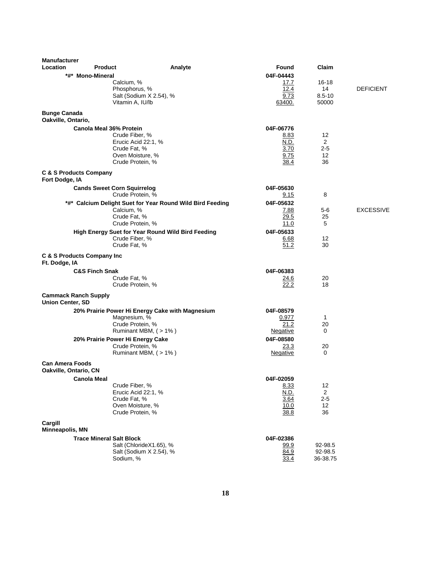| <b>Manufacturer</b><br>Location                        | <b>Product</b>                                                                                                                                 | Analyte<br>Found                   | Claim                                                                               |                  |
|--------------------------------------------------------|------------------------------------------------------------------------------------------------------------------------------------------------|------------------------------------|-------------------------------------------------------------------------------------|------------------|
|                                                        | *#* Mono-Mineral<br>Calcium, %<br>Phosphorus, %<br>Salt (Sodium X 2.54), %<br>Vitamin A, IU/lb                                                 | 04F-04443<br>63400.                | 17.7<br>16-18<br>12.4<br>14<br>$8.5 - 10$<br>9.73<br>50000                          | <b>DEFICIENT</b> |
| <b>Bunge Canada</b><br>Oakville, Ontario,              |                                                                                                                                                |                                    |                                                                                     |                  |
| <b>C &amp; S Products Company</b>                      | <b>Canola Meal 36% Protein</b><br>Crude Fiber, %<br>Erucic Acid 22:1, %<br>Crude Fat. %<br>Oven Moisture, %<br>Crude Protein, %                | 04F-06776                          | 8.83<br>12<br>N.D.<br>$\overline{2}$<br>3.70<br>$2 - 5$<br>9.75<br>12<br>38.4<br>36 |                  |
| Fort Dodge, IA                                         |                                                                                                                                                |                                    |                                                                                     |                  |
|                                                        | <b>Cands Sweet Corn Squirrelog</b><br>Crude Protein, %                                                                                         | 04F-05630                          | 8<br>9.15                                                                           |                  |
|                                                        | *#* Calcium Delight Suet for Year Round Wild Bird Feeding<br>Calcium, %<br>Crude Fat, %<br>Crude Protein, %                                    | 04F-05632                          | 7.88<br>5-6<br>29.5<br>25<br>11.0<br>5                                              | <b>EXCESSIVE</b> |
|                                                        | <b>High Energy Suet for Year Round Wild Bird Feeding</b><br>Crude Fiber, %<br>Crude Fat, %                                                     | 04F-05633                          | 6.68<br>12<br>51.2<br>30                                                            |                  |
| C & S Products Company Inc<br>Ft. Dodge, IA            |                                                                                                                                                |                                    |                                                                                     |                  |
|                                                        | <b>C&amp;S Finch Snak</b><br>Crude Fat, %<br>Crude Protein, %                                                                                  | 04F-06383                          | 24.6<br>20<br>22.2<br>18                                                            |                  |
| <b>Cammack Ranch Supply</b><br><b>Union Center, SD</b> |                                                                                                                                                |                                    |                                                                                     |                  |
|                                                        | 20% Prairie Power Hi Energy Cake with Magnesium<br>Magnesium, %<br>Crude Protein, %<br>Ruminant MBM, (>1%)<br>20% Prairie Power Hi Energy Cake | 04F-08579<br>Negative<br>04F-08580 | 0.977<br>1<br>21.2<br>20<br>$\Omega$                                                |                  |
|                                                        | Crude Protein, %<br>Ruminant MBM, (>1%)                                                                                                        | <u>Negative</u>                    | 23.3<br>20<br>$\Omega$                                                              |                  |
| <b>Can Amera Foods</b><br>Oakville, Ontario, CN        |                                                                                                                                                |                                    |                                                                                     |                  |
|                                                        | <b>Canola Meal</b>                                                                                                                             | 04F-02059                          |                                                                                     |                  |
|                                                        | Crude Fiber, %<br>Erucic Acid 22:1, %<br>Crude Fat, %<br>Oven Moisture, %<br>Crude Protein, %                                                  |                                    | 8.33<br>12<br>N.D.<br>$\overline{2}$<br>3.64<br>$2 - 5$<br>10.0<br>12<br>38.8<br>36 |                  |
| Cargill<br>Minneapolis, MN                             |                                                                                                                                                |                                    |                                                                                     |                  |
|                                                        | <b>Trace Mineral Salt Block</b>                                                                                                                | 04F-02386                          |                                                                                     |                  |
|                                                        | Salt (ChlorideX1.65), %<br>Salt (Sodium X 2.54), %<br>Sodium, %                                                                                |                                    | 99.9<br>92-98.5<br>92-98.5<br>84.9<br>33.4<br>36-38.75                              |                  |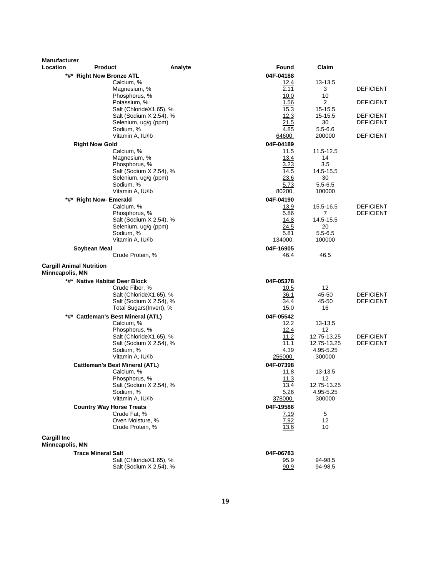| <b>Manufacturer</b>             |                                                  |                                                    |                   |                     |                  |
|---------------------------------|--------------------------------------------------|----------------------------------------------------|-------------------|---------------------|------------------|
| Location                        | <b>Product</b>                                   | Analyte                                            | Found             | Claim               |                  |
|                                 | *#* Right Now Bronze ATL                         |                                                    | 04F-04188         |                     |                  |
|                                 | Calcium, %                                       |                                                    | 12.4              | 13-13.5             |                  |
|                                 | Magnesium, %                                     |                                                    | 2.11              | 3                   | <b>DEFICIENT</b> |
|                                 | Phosphorus, %                                    |                                                    | 10.0<br>1.56      | 10<br>2             | <b>DEFICIENT</b> |
|                                 | Potassium, %                                     | Salt (ChlorideX1.65), %                            | 15.3              | 15-15.5             |                  |
|                                 |                                                  | Salt (Sodium X 2.54), %                            | 12.3              | 15-15.5             | <b>DEFICIENT</b> |
|                                 | Selenium, ug/g (ppm)                             |                                                    | 21.5              | 30                  | <b>DEFICIENT</b> |
|                                 | Sodium, %                                        |                                                    | 4.85              | $5.5 - 6.6$         |                  |
|                                 | Vitamin A, IU/lb                                 |                                                    | 64600.            | 200000              | <b>DEFICIENT</b> |
|                                 | <b>Right Now Gold</b>                            |                                                    | 04F-04189         |                     |                  |
|                                 | Calcium, %                                       |                                                    | 11.5              | 11.5-12.5           |                  |
|                                 | Magnesium, %                                     |                                                    | 13.4              | 14                  |                  |
|                                 | Phosphorus, %                                    |                                                    | 3.23              | 3.5                 |                  |
|                                 |                                                  | Salt (Sodium X 2.54), %                            | 14.5<br>23.6      | 14.5-15.5           |                  |
|                                 | Selenium, ug/g (ppm)<br>Sodium, %                |                                                    | 5.73              | 30<br>$5.5 - 6.5$   |                  |
|                                 | Vitamin A, IU/lb                                 |                                                    | 80200.            | 100000              |                  |
|                                 | *#* Right Now- Emerald                           |                                                    | 04F-04190         |                     |                  |
|                                 | Calcium, %                                       |                                                    | 13.9              | 15.5-16.5           | <b>DEFICIENT</b> |
|                                 | Phosphorus, %                                    |                                                    | 5.86              | 7                   | <b>DEFICIENT</b> |
|                                 |                                                  | Salt (Sodium X 2.54), %                            | 14.8              | 14.5-15.5           |                  |
|                                 | Selenium, ug/g (ppm)                             |                                                    | 24.5              | 20                  |                  |
|                                 | Sodium, %                                        |                                                    | 5.81              | $5.5 - 6.5$         |                  |
|                                 | Vitamin A, IU/lb                                 |                                                    | <u>134000.</u>    | 100000              |                  |
|                                 | Soybean Meal                                     |                                                    | 04F-16905         |                     |                  |
|                                 | Crude Protein, %                                 |                                                    | 46.4              | 46.5                |                  |
| <b>Cargill Animal Nutrition</b> |                                                  |                                                    |                   |                     |                  |
| Minneapolis, MN                 |                                                  |                                                    |                   |                     |                  |
|                                 | *#* Native Habitat Deer Block                    |                                                    | 04F-05378         |                     |                  |
|                                 | Crude Fiber, %                                   |                                                    | 10.5              | 12                  |                  |
|                                 |                                                  | Salt (ChlorideX1.65), %                            | 36.1              | 45-50               | <b>DEFICIENT</b> |
|                                 |                                                  | Salt (Sodium X 2.54), %<br>Total Sugars(Invert), % | 34.4<br>15.0      | 45-50<br>16         | <b>DEFICIENT</b> |
|                                 |                                                  |                                                    | 04F-05542         |                     |                  |
|                                 | *#* Cattleman's Best Mineral (ATL)<br>Calcium, % |                                                    | 12.2              | 13-13.5             |                  |
|                                 | Phosphorus, %                                    |                                                    | 12.4              | 12                  |                  |
|                                 |                                                  | Salt (ChlorideX1.65), %                            | 11.2              | 12.75-13.25         | <b>DEFICIENT</b> |
|                                 |                                                  | Salt (Sodium X 2.54), %                            | 11.1              | 12.75-13.25         | <b>DEFICIENT</b> |
|                                 | Sodium, %                                        |                                                    | 4.39              | 4.95-5.25           |                  |
|                                 | Vitamin A, IU/lb                                 |                                                    | 256000.           | 300000              |                  |
|                                 | <b>Cattleman's Best Mineral (ATL)</b>            |                                                    | 04F-07398         |                     |                  |
|                                 | Calcium, %                                       |                                                    | 11.8              | 13-13.5             |                  |
|                                 | Phosphorus, %                                    |                                                    | 11.3              | 12                  |                  |
|                                 |                                                  | Salt (Sodium X 2.54), %                            | 13.4              | 12.75-13.25         |                  |
|                                 | Sodium, %<br>Vitamin A, IU/lb                    |                                                    | 5.26<br>378000.   | 4.95-5.25<br>300000 |                  |
|                                 |                                                  |                                                    |                   |                     |                  |
|                                 | <b>Country Way Horse Treats</b><br>Crude Fat, %  |                                                    | 04F-19586<br>7.19 | $\mathbf 5$         |                  |
|                                 | Oven Moisture, %                                 |                                                    | 7.92              | 12                  |                  |
|                                 | Crude Protein, %                                 |                                                    | 13.6              | 10                  |                  |
| <b>Cargill Inc</b>              |                                                  |                                                    |                   |                     |                  |
| Minneapolis, MN                 |                                                  |                                                    |                   |                     |                  |
|                                 | <b>Trace Mineral Salt</b>                        |                                                    | 04F-06783         |                     |                  |
|                                 |                                                  | Salt (ChlorideX1.65), %                            | 95.9              | 94-98.5             |                  |
|                                 |                                                  | Salt (Sodium X 2.54), %                            | 90.9              | 94-98.5             |                  |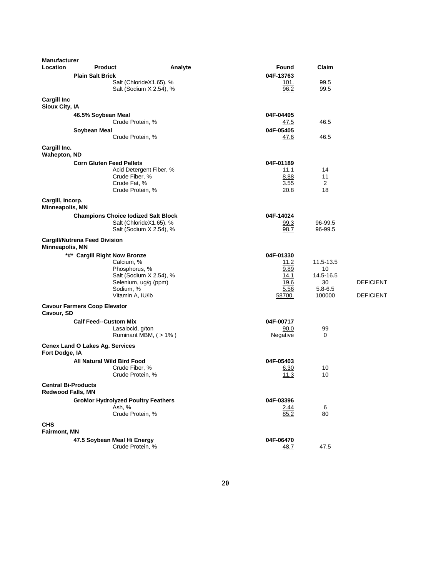| <b>Manufacturer</b><br>Location                        | <b>Product</b>                                  | Analyte                                            | Found                    | Claim                 |                  |
|--------------------------------------------------------|-------------------------------------------------|----------------------------------------------------|--------------------------|-----------------------|------------------|
|                                                        | <b>Plain Salt Brick</b>                         |                                                    | 04F-13763                |                       |                  |
|                                                        |                                                 | Salt (ChlorideX1.65), %<br>Salt (Sodium X 2.54), % | 101.<br>96.2             | 99.5<br>99.5          |                  |
| <b>Cargill Inc</b><br>Sioux City, IA                   |                                                 |                                                    |                          |                       |                  |
|                                                        | 46.5% Soybean Meal<br>Crude Protein, %          |                                                    | 04F-04495<br><u>47.5</u> | 46.5                  |                  |
|                                                        | Soybean Meal<br>Crude Protein, %                |                                                    | 04F-05405<br>47.6        | 46.5                  |                  |
| Cargill Inc.<br><b>Wahepton, ND</b>                    |                                                 |                                                    |                          |                       |                  |
|                                                        | <b>Corn Gluten Feed Pellets</b>                 |                                                    | 04F-01189                |                       |                  |
|                                                        |                                                 | Acid Detergent Fiber, %                            | 11.1                     | 14                    |                  |
|                                                        | Crude Fiber, %                                  |                                                    | 8.88                     | 11                    |                  |
|                                                        | Crude Fat, %                                    |                                                    | 3.55                     | 2                     |                  |
|                                                        | Crude Protein, %                                |                                                    | 20.8                     | 18                    |                  |
| Cargill, Incorp.<br>Minneapolis, MN                    |                                                 |                                                    |                          |                       |                  |
|                                                        | <b>Champions Choice lodized Salt Block</b>      |                                                    | 04F-14024                |                       |                  |
|                                                        |                                                 | Salt (ChlorideX1.65), %<br>Salt (Sodium X 2.54), % | 99.3<br>98.7             | 96-99.5<br>96-99.5    |                  |
| Minneapolis, MN                                        | <b>Cargill/Nutrena Feed Division</b>            |                                                    |                          |                       |                  |
|                                                        | *#* Cargill Right Now Bronze                    |                                                    | 04F-01330                |                       |                  |
|                                                        | Calcium, %                                      |                                                    | 11.2                     | 11.5-13.5             |                  |
|                                                        | Phosphorus, %                                   |                                                    | 9.89                     | 10                    |                  |
|                                                        |                                                 | Salt (Sodium X 2.54), %                            | 14.1                     | 14.5-16.5             |                  |
|                                                        | Selenium, ug/g (ppm)                            |                                                    | 19.6                     | 30                    | <b>DEFICIENT</b> |
|                                                        | Sodium, %<br>Vitamin A, IU/lb                   |                                                    | 5.56<br>58700.           | $5.8 - 6.5$<br>100000 | <b>DEFICIENT</b> |
| Cavour, SD                                             | <b>Cavour Farmers Coop Elevator</b>             |                                                    |                          |                       |                  |
|                                                        | <b>Calf Feed--Custom Mix</b>                    |                                                    | 04F-00717                |                       |                  |
|                                                        | Lasalocid, g/ton                                |                                                    | 90.0                     | 99                    |                  |
|                                                        |                                                 | Ruminant MBM, (>1%)                                | <u>Negative</u>          | 0                     |                  |
| Fort Dodge, IA                                         | <b>Cenex Land O Lakes Ag. Services</b>          |                                                    |                          |                       |                  |
|                                                        | All Natural Wild Bird Food                      |                                                    | 04F-05403                |                       |                  |
|                                                        | Crude Fiber, %<br>Crude Protein, %              |                                                    | 6.30<br>11.3             | 10<br>10              |                  |
| <b>Central Bi-Products</b><br><b>Redwood Falls, MN</b> |                                                 |                                                    |                          |                       |                  |
|                                                        | <b>GroMor Hydrolyzed Poultry Feathers</b>       |                                                    | 04F-03396                |                       |                  |
|                                                        | Ash, %<br>Crude Protein, %                      |                                                    | 2.44<br>85.2             | 6<br>80               |                  |
| <b>CHS</b>                                             |                                                 |                                                    |                          |                       |                  |
| <b>Fairmont, MN</b>                                    |                                                 |                                                    |                          |                       |                  |
|                                                        | 47.5 Soybean Meal Hi Energy<br>Crude Protein, % |                                                    | 04F-06470<br>48.7        | 47.5                  |                  |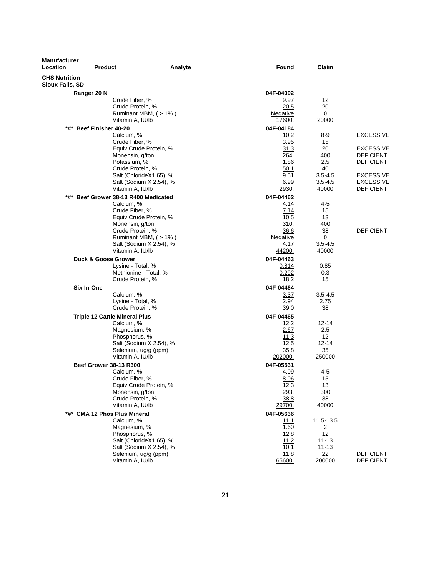| <b>Manufacturer</b><br>Location         | <b>Product</b>                              | Found<br>Analyte  | Claim                      |                                      |
|-----------------------------------------|---------------------------------------------|-------------------|----------------------------|--------------------------------------|
| <b>CHS Nutrition</b><br>Sioux Falls, SD |                                             |                   |                            |                                      |
|                                         | Ranger 20 N                                 | 04F-04092         |                            |                                      |
|                                         | Crude Fiber, %                              | 9.97              | 12                         |                                      |
|                                         | Crude Protein, %                            | 20.5              | 20                         |                                      |
|                                         | Ruminant MBM, (>1%)                         | Negative          | 0                          |                                      |
|                                         | Vitamin A, IU/lb                            | 17600.            | 20000                      |                                      |
| *#*                                     | <b>Beef Finisher 40-20</b><br>Calcium, %    | 04F-04184         | 8-9                        | <b>EXCESSIVE</b>                     |
|                                         | Crude Fiber, %                              | 10.2<br>3.95      | 15                         |                                      |
|                                         | Equiv Crude Protein, %                      | 31.3              | 20                         | <b>EXCESSIVE</b>                     |
|                                         | Monensin, g/ton                             | 264.              | 400                        | <b>DEFICIENT</b>                     |
|                                         | Potassium, %                                | 1.86              | 2.5                        | <b>DEFICIENT</b>                     |
|                                         | Crude Protein, %                            | 50.1              | 40                         |                                      |
|                                         | Salt (ChlorideX1.65), %                     | 9.51              | $3.5 - 4.5$<br>$3.5 - 4.5$ | <b>EXCESSIVE</b><br><b>EXCESSIVE</b> |
|                                         | Salt (Sodium X 2.54), %<br>Vitamin A, IU/lb | 6.99<br>2930.     | 40000                      | <b>DEFICIENT</b>                     |
| *#*                                     | Beef Grower 38-13 R400 Medicated            | 04F-04462         |                            |                                      |
|                                         | Calcium, %                                  | 4.14              | 4-5                        |                                      |
|                                         | Crude Fiber, %                              | 7.14              | 15                         |                                      |
|                                         | Equiv Crude Protein, %                      | 10.5              | 13                         |                                      |
|                                         | Monensin, g/ton                             | 310.              | 400                        |                                      |
|                                         | Crude Protein, %<br>Ruminant MBM, (>1%)     | 36.6              | 38<br>0                    | <b>DEFICIENT</b>                     |
|                                         | Salt (Sodium X 2.54), %                     | Negative<br>4.17  | $3.5 - 4.5$                |                                      |
|                                         | Vitamin A, IU/lb                            | 44200.            | 40000                      |                                      |
|                                         | <b>Duck &amp; Goose Grower</b>              | 04F-04463         |                            |                                      |
|                                         | Lysine - Total, %                           | 0.814             | 0.85                       |                                      |
|                                         | Methionine - Total, %                       | 0.292             | 0.3                        |                                      |
|                                         | Crude Protein, %                            | 18.2              | 15                         |                                      |
| Six-In-One                              |                                             | 04F-04464         |                            |                                      |
|                                         | Calcium, %                                  | 3.37              | $3.5 - 4.5$                |                                      |
|                                         | Lysine - Total, %<br>Crude Protein, %       | 2.94<br>39.0      | 2.75<br>38                 |                                      |
|                                         | <b>Triple 12 Cattle Mineral Plus</b>        | 04F-04465         |                            |                                      |
|                                         | Calcium, %                                  | 12.2              | $12 - 14$                  |                                      |
|                                         | Magnesium, %                                | 2.67              | 2.5                        |                                      |
|                                         | Phosphorus, %                               | 11.3              | 12                         |                                      |
|                                         | Salt (Sodium X 2.54), %                     | 12.5              | 12-14                      |                                      |
|                                         | Selenium, ug/g (ppm)                        | 35.8              | 35                         |                                      |
|                                         | Vitamin A, IU/lb                            | 202000.           | 250000                     |                                      |
|                                         | <b>Beef Grower 38-13 R300</b><br>Calcium, % | 04F-05531<br>4.09 | 4-5                        |                                      |
|                                         | Crude Fiber, %                              | 8.06              | 15                         |                                      |
|                                         | Equiv Crude Protein, %                      | 12.3              | 13                         |                                      |
|                                         | Monensin, g/ton                             | 293.              | 300                        |                                      |
|                                         | Crude Protein, %                            | 38.8              | 38                         |                                      |
|                                         | Vitamin A, IU/lb                            | 29700.            | 40000                      |                                      |
|                                         | *#* CMA 12 Phos Plus Mineral                | 04F-05636         |                            |                                      |
|                                         | Calcium, %<br>Magnesium, %                  | 11.1<br>1.60      | 11.5-13.5<br>2             |                                      |
|                                         | Phosphorus, %                               | 12.8              | 12                         |                                      |
|                                         | Salt (ChlorideX1.65), %                     | 11.2              | $11 - 13$                  |                                      |
|                                         | Salt (Sodium X 2.54), %                     | 10.1              | $11 - 13$                  |                                      |
|                                         | Selenium, ug/g (ppm)                        | 11.8              | 22                         | <b>DEFICIENT</b>                     |
|                                         | Vitamin A, IU/lb                            | 65600.            | 200000                     | <b>DEFICIENT</b>                     |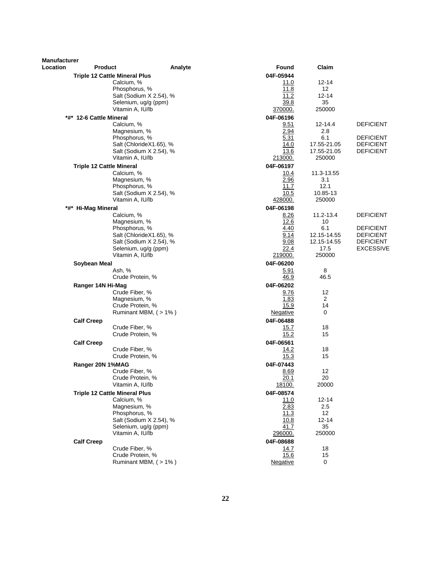| <b>Manufacturer</b><br>Location | <b>Product</b>                                | Analyte                 | Found               | Claim                 |                  |
|---------------------------------|-----------------------------------------------|-------------------------|---------------------|-----------------------|------------------|
|                                 | <b>Triple 12 Cattle Mineral Plus</b>          |                         | 04F-05944           |                       |                  |
|                                 | Calcium, %                                    |                         | 11.0                | 12-14                 |                  |
|                                 | Phosphorus, %                                 |                         | 11.8                | 12                    |                  |
|                                 |                                               | Salt (Sodium X 2.54), % | 11.2                | $12 - 14$             |                  |
|                                 |                                               | Selenium, ug/g (ppm)    | 39.8                | 35                    |                  |
|                                 | Vitamin A, IU/lb                              |                         | 370000.             | 250000                |                  |
|                                 | *#* 12-6 Cattle Mineral                       |                         | 04F-06196           |                       |                  |
|                                 | Calcium, %                                    |                         | 9.51                | 12-14.4               | <b>DEFICIENT</b> |
|                                 | Magnesium, %                                  |                         | 2.94                | 2.8                   |                  |
|                                 | Phosphorus, %                                 |                         | 5.31                | 6.1                   | <b>DEFICIENT</b> |
|                                 |                                               | Salt (ChlorideX1.65), % | 14.0                | 17.55-21.05           | <b>DEFICIENT</b> |
|                                 | Vitamin A, IU/lb                              | Salt (Sodium X 2.54), % | 13.6<br>213000.     | 17.55-21.05<br>250000 | <b>DEFICIENT</b> |
|                                 |                                               |                         |                     |                       |                  |
|                                 | <b>Triple 12 Cattle Mineral</b><br>Calcium, % |                         | 04F-06197<br>10.4   | 11.3-13.55            |                  |
|                                 | Magnesium, %                                  |                         | 2.96                | 3.1                   |                  |
|                                 | Phosphorus, %                                 |                         | 11.7                | 12.1                  |                  |
|                                 |                                               | Salt (Sodium X 2.54), % | 10.5                | 10.85-13              |                  |
|                                 | Vitamin A, IU/lb                              |                         | 428000.             | 250000                |                  |
|                                 | *#* Hi-Mag Mineral                            |                         | 04F-06198           |                       |                  |
|                                 | Calcium, %                                    |                         | 8.26                | 11.2-13.4             | <b>DEFICIENT</b> |
|                                 | Magnesium, %                                  |                         | 12.6                | 10                    |                  |
|                                 | Phosphorus, %                                 |                         | 4.40                | 6.1                   | <b>DEFICIENT</b> |
|                                 |                                               | Salt (ChlorideX1.65), % | 9.14                | 12.15-14.55           | <b>DEFICIENT</b> |
|                                 |                                               | Salt (Sodium X 2.54), % | 9.08                | 12.15-14.55           | <b>DEFICIENT</b> |
|                                 |                                               | Selenium, ug/g (ppm)    | 22.4                | 17.5                  | <b>EXCESSIVE</b> |
|                                 | Vitamin A, IU/lb                              |                         | 219000.             | 250000                |                  |
|                                 | Soybean Meal                                  |                         | 04F-06200           |                       |                  |
|                                 | Ash, %<br>Crude Protein, %                    |                         | 5.91<br>46.9        | 8<br>46.5             |                  |
|                                 |                                               |                         |                     |                       |                  |
|                                 | Ranger 14N Hi-Mag                             |                         | 04F-06202           | 12                    |                  |
|                                 | Crude Fiber, %<br>Magnesium, %                |                         | 9.76<br>1.83        | 2                     |                  |
|                                 | Crude Protein, %                              |                         | 15.9                | 14                    |                  |
|                                 |                                               | Ruminant MBM, (>1%)     | Negative            | 0                     |                  |
|                                 | <b>Calf Creep</b>                             |                         | 04F-06488           |                       |                  |
|                                 | Crude Fiber, %                                |                         | 15.7                | 18                    |                  |
|                                 | Crude Protein, %                              |                         | 15.2                | 15                    |                  |
|                                 | <b>Calf Creep</b>                             |                         | 04F-06561           |                       |                  |
|                                 | Crude Fiber, %                                |                         | 14.2                | 18                    |                  |
|                                 | Crude Protein, %                              |                         | 15.3                | 15                    |                  |
|                                 | Ranger 20N 1%MAG                              |                         | 04F-07443           |                       |                  |
|                                 | Crude Fiber, %                                |                         | 8.69                | 12                    |                  |
|                                 | Crude Protein, %                              |                         | 20.1                | 20                    |                  |
|                                 | Vitamin A, IU/lb                              |                         | <u>18100.</u>       | 20000                 |                  |
|                                 | <b>Triple 12 Cattle Mineral Plus</b>          |                         | 04F-08574           |                       |                  |
|                                 | Calcium, %                                    |                         | 11.0                | 12-14                 |                  |
|                                 | Magnesium, %                                  |                         | 2.83                | 2.5                   |                  |
|                                 | Phosphorus, %                                 |                         | 11.3                | 12                    |                  |
|                                 |                                               | Salt (Sodium X 2.54), % | 10.8                | $12 - 14$             |                  |
|                                 | Vitamin A, IU/lb                              | Selenium, ug/g (ppm)    | 41.7<br>296000.     | 35<br>250000          |                  |
|                                 |                                               |                         |                     |                       |                  |
|                                 | <b>Calf Creep</b><br>Crude Fiber, %           |                         | 04F-08688           | 18                    |                  |
|                                 | Crude Protein, %                              |                         | <u>14.7</u><br>15.6 | 15                    |                  |
|                                 |                                               | Ruminant MBM, (>1%)     | Negative            | 0                     |                  |
|                                 |                                               |                         |                     |                       |                  |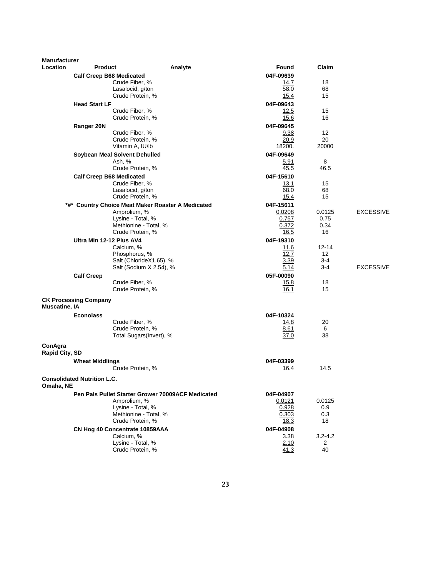| <b>Manufacturer</b><br>Location | <b>Product</b>                     |                                                      | Analyte | Found               | Claim             |                  |
|---------------------------------|------------------------------------|------------------------------------------------------|---------|---------------------|-------------------|------------------|
|                                 |                                    |                                                      |         | 04F-09639           |                   |                  |
|                                 | <b>Calf Creep B68 Medicated</b>    | Crude Fiber, %                                       |         | 14.7                | 18                |                  |
|                                 |                                    | Lasalocid, g/ton                                     |         | 58.0                | 68                |                  |
|                                 |                                    | Crude Protein, %                                     |         | 15.4                | 15                |                  |
|                                 | <b>Head Start LF</b>               |                                                      |         | 04F-09643           |                   |                  |
|                                 |                                    | Crude Fiber, %                                       |         | 12.5                | 15                |                  |
|                                 |                                    | Crude Protein, %                                     |         | 15.6                | 16                |                  |
|                                 | Ranger 20N                         |                                                      |         | 04F-09645           |                   |                  |
|                                 |                                    | Crude Fiber, %<br>Crude Protein, %                   |         | 9.38                | 12<br>20          |                  |
|                                 |                                    | Vitamin A, IU/lb                                     |         | 20.9<br>18200.      | 20000             |                  |
|                                 |                                    | Soybean Meal Solvent Dehulled                        |         | 04F-09649           |                   |                  |
|                                 |                                    | Ash, %                                               |         | 5.91                | 8                 |                  |
|                                 |                                    | Crude Protein, %                                     |         | 45.5                | 46.5              |                  |
|                                 | <b>Calf Creep B68 Medicated</b>    |                                                      |         | 04F-15610           |                   |                  |
|                                 |                                    | Crude Fiber, %                                       |         | 13.1                | 15                |                  |
|                                 |                                    | Lasalocid, g/ton                                     |         | 68.0                | 68                |                  |
|                                 |                                    | Crude Protein, %                                     |         | 15.4                | 15                |                  |
| *#*                             |                                    | <b>Country Choice Meat Maker Roaster A Medicated</b> |         | 04F-15611<br>0.0208 |                   | <b>EXCESSIVE</b> |
|                                 |                                    | Amprolium, %<br>Lysine - Total, %                    |         | 0.757               | 0.0125<br>0.75    |                  |
|                                 |                                    | Methionine - Total, %                                |         | 0.372               | 0.34              |                  |
|                                 |                                    | Crude Protein, %                                     |         | 16.5                | 16                |                  |
|                                 | Ultra Min 12-12 Plus AV4           |                                                      |         | 04F-19310           |                   |                  |
|                                 |                                    | Calcium, %                                           |         | 11.6                | $12 - 14$         |                  |
|                                 |                                    | Phosphorus, %                                        |         | 12.7                | $12 \overline{ }$ |                  |
|                                 |                                    | Salt (ChlorideX1.65), %<br>Salt (Sodium X 2.54), %   |         | 3.39<br>5.14        | $3-4$<br>3-4      | <b>EXCESSIVE</b> |
|                                 | <b>Calf Creep</b>                  |                                                      |         | 05F-00090           |                   |                  |
|                                 |                                    | Crude Fiber, %                                       |         | 15.8                | 18                |                  |
|                                 |                                    | Crude Protein, %                                     |         | 16.1                | 15                |                  |
|                                 | <b>CK Processing Company</b>       |                                                      |         |                     |                   |                  |
| <b>Muscatine, IA</b>            |                                    |                                                      |         |                     |                   |                  |
|                                 | <b>Econolass</b>                   | Crude Fiber, %                                       |         | 04F-10324<br>14.8   | 20                |                  |
|                                 |                                    | Crude Protein, %                                     |         | 8.61                | 6                 |                  |
|                                 |                                    | Total Sugars(Invert), %                              |         | 37.0                | 38                |                  |
| ConAgra<br>Rapid City, SD       |                                    |                                                      |         |                     |                   |                  |
|                                 | <b>Wheat Middlings</b>             |                                                      |         | 04F-03399           |                   |                  |
|                                 |                                    | Crude Protein, %                                     |         | 16.4                | 14.5              |                  |
| Omaha, NE                       | <b>Consolidated Nutrition L.C.</b> |                                                      |         |                     |                   |                  |
|                                 |                                    | Pen Pals Pullet Starter Grower 70009ACF Medicated    |         | 04F-04907           |                   |                  |
|                                 |                                    | Amprolium, %                                         |         | 0.0121              | 0.0125            |                  |
|                                 |                                    | Lysine - Total, %                                    |         | 0.928               | 0.9               |                  |
|                                 |                                    | Methionine - Total, %<br>Crude Protein, %            |         | 0.303               | 0.3               |                  |
|                                 |                                    |                                                      |         | 18.3                | 18                |                  |
|                                 |                                    | CN Hog 40 Concentrate 10859AAA<br>Calcium, %         |         | 04F-04908           | $3.2 - 4.2$       |                  |
|                                 |                                    | Lysine - Total, %                                    |         | 3.38<br>2.10        | 2                 |                  |
|                                 |                                    | Crude Protein, %                                     |         | 41.3                | 40                |                  |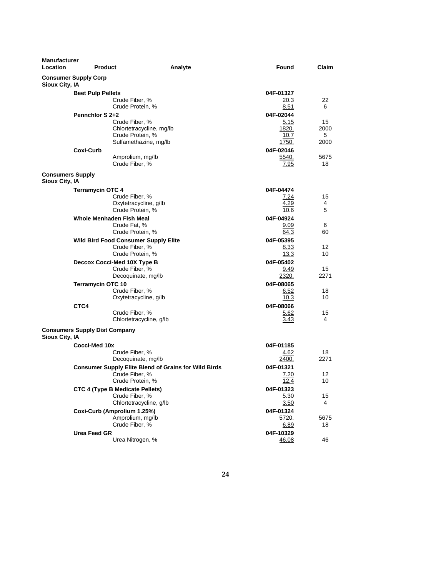| <b>Manufacturer</b><br>Location           | <b>Product</b>                       |                                                                                                   | Analyte | Found                                          | Claim                   |
|-------------------------------------------|--------------------------------------|---------------------------------------------------------------------------------------------------|---------|------------------------------------------------|-------------------------|
| Sioux City, IA                            | <b>Consumer Supply Corp</b>          |                                                                                                   |         |                                                |                         |
|                                           | <b>Beet Pulp Pellets</b>             | Crude Fiber, %<br>Crude Protein, %                                                                |         | 04F-01327<br>20.3<br>8.51                      | 22<br>6                 |
|                                           | Pennchlor S 2+2                      | Crude Fiber, %<br>Chlortetracycline, mg/lb<br>Crude Protein, %<br>Sulfamethazine, mg/lb           |         | 04F-02044<br>5.15<br>1820.<br>10.7<br>1750.    | 15<br>2000<br>5<br>2000 |
|                                           | Coxi-Curb                            | Amprolium, mg/lb<br>Crude Fiber, %                                                                |         | 04F-02046<br>5540.<br>7.95                     | 5675<br>18              |
| <b>Consumers Supply</b><br>Sioux City, IA |                                      |                                                                                                   |         |                                                |                         |
|                                           | <b>Terramycin OTC 4</b>              | Crude Fiber, %<br>Oxytetracycline, q/lb<br>Crude Protein, %<br>Whole Menhaden Fish Meal           |         | 04F-04474<br>7.24<br>4.29<br>10.6<br>04F-04924 | 15<br>4<br>5            |
|                                           |                                      | Crude Fat, %<br>Crude Protein, %                                                                  |         | 9.09<br>64.3                                   | 6<br>60                 |
|                                           |                                      | <b>Wild Bird Food Consumer Supply Elite</b><br>Crude Fiber, %<br>Crude Protein, %                 |         | 04F-05395<br>8.33<br>13.3                      | 12<br>10                |
|                                           |                                      | Deccox Cocci-Med 10X Type B<br>Crude Fiber, %<br>Decoquinate, mg/lb                               |         | 04F-05402<br>9.49<br>2320.                     | 15<br>2271              |
|                                           | <b>Terramycin OTC 10</b>             | Crude Fiber, %<br>Oxytetracycline, g/lb                                                           |         | 04F-08065<br>6.52<br>10.3                      | 18<br>10                |
|                                           | CTC4                                 | Crude Fiber, %<br>Chlortetracycline, g/lb                                                         |         | 04F-08066<br>5.62<br>3.43                      | 15<br>4                 |
| Sioux City, IA                            | <b>Consumers Supply Dist Company</b> |                                                                                                   |         |                                                |                         |
|                                           | Cocci-Med 10x                        | Crude Fiber, %<br>Decoquinate, mg/lb                                                              |         | 04F-01185<br>4.62<br>2400.                     | 18<br>2271              |
|                                           |                                      | <b>Consumer Supply Elite Blend of Grains for Wild Birds</b><br>Crude Fiber, %<br>Crude Protein, % |         | 04F-01321<br>7.20<br>12.4                      | 12<br>10                |
|                                           |                                      | <b>CTC 4 (Type B Medicate Pellets)</b><br>Crude Fiber, %<br>Chlortetracycline, g/lb               |         | 04F-01323<br><u>5.30</u><br>3.50               | 15<br>4                 |
|                                           |                                      | Coxi-Curb (Amprolium 1.25%)<br>Amprolium, mg/lb<br>Crude Fiber, %                                 |         | 04F-01324<br>5720.<br>6.89                     | 5675<br>18              |
|                                           | Urea Feed GR                         | Urea Nitrogen, %                                                                                  |         | 04F-10329<br>46.08                             | 46                      |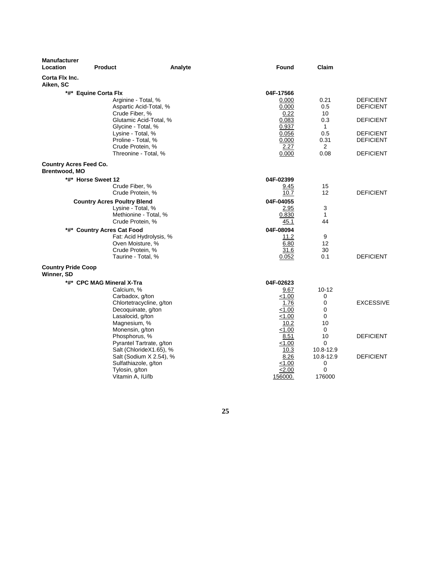| <b>Manufacturer</b><br>Location<br><b>Product</b> | Analyte | Found          | Claim          |                  |
|---------------------------------------------------|---------|----------------|----------------|------------------|
| Corta Flx Inc.<br>Aiken, SC                       |         |                |                |                  |
| *#* Equine Corta Flx                              |         | 04F-17566      |                |                  |
| Arginine - Total, %                               |         | 0.000          | 0.21           | <b>DEFICIENT</b> |
| Aspartic Acid-Total, %                            |         | 0.000          | 0.5            | <b>DEFICIENT</b> |
| Crude Fiber, %                                    |         | 0.22           | 10             |                  |
| Glutamic Acid-Total, %                            |         | 0.083          | 0.3            | <b>DEFICIENT</b> |
| Glycine - Total, %                                |         | 0.937          | $\mathbf{1}$   |                  |
| Lysine - Total, %                                 |         | 0.056          | 0.5            | <b>DEFICIENT</b> |
| Proline - Total, %                                |         | 0.000          | 0.31           | <b>DEFICIENT</b> |
| Crude Protein, %                                  |         | 2.27           | 2              |                  |
| Threonine - Total, %                              |         | 0.000          | 0.08           | <b>DEFICIENT</b> |
| <b>Country Acres Feed Co.</b>                     |         |                |                |                  |
| Brentwood, MO                                     |         |                |                |                  |
| *#* Horse Sweet 12                                |         | 04F-02399      |                |                  |
| Crude Fiber, %                                    |         | 9.45           | 15             |                  |
| Crude Protein, %                                  |         | 10.7           | 12             | <b>DEFICIENT</b> |
| <b>Country Acres Poultry Blend</b>                |         | 04F-04055      |                |                  |
| Lysine - Total, %                                 |         | 2.95           | 3              |                  |
| Methionine - Total, %                             |         | 0.830          | $\mathbf{1}$   |                  |
| Crude Protein, %                                  |         | 45.1           | 44             |                  |
| *#* Country Acres Cat Food                        |         | 04F-08094      |                |                  |
| Fat: Acid Hydrolysis, %                           |         | 11.2           | 9              |                  |
| Oven Moisture, %                                  |         | 6.80           | 12             |                  |
| Crude Protein, %                                  |         | 31.6           | 30             |                  |
| Taurine - Total, %                                |         | 0.052          | 0.1            | <b>DEFICIENT</b> |
| <b>Country Pride Coop</b><br>Winner, SD           |         |                |                |                  |
| *#* CPC MAG Mineral X-Tra                         |         | 04F-02623      |                |                  |
| Calcium, %                                        |         | 9.67           | $10 - 12$      |                  |
| Carbadox, g/ton                                   |         | < 1.00         | $\mathbf 0$    |                  |
| Chlortetracycline, g/ton                          |         | 1.76           | $\mathbf 0$    | <b>EXCESSIVE</b> |
| Decoquinate, g/ton                                |         | < 1.00         | $\mathbf 0$    |                  |
| Lasalocid, g/ton                                  |         | < 1.00         | 0              |                  |
| Magnesium, %                                      |         | 10.2           | 10             |                  |
| Monensin, g/ton                                   |         | < 1.00         | 0              |                  |
| Phosphorus, %                                     |         | 8.51           | 10             | <b>DEFICIENT</b> |
| Pyrantel Tartrate, g/ton                          |         | < 1.00         | 0              |                  |
| Salt (ChlorideX1.65), %                           |         | 10.3           | 10.8-12.9      | <b>DEFICIENT</b> |
| Salt (Sodium X 2.54), %<br>Sulfathiazole, g/ton   |         | 8.26<br>< 1.00 | 10.8-12.9<br>0 |                  |
| Tylosin, g/ton                                    |         | <2.00          | $\mathbf 0$    |                  |
| Vitamin A, IU/lb                                  |         | 156000.        | 176000         |                  |

**25**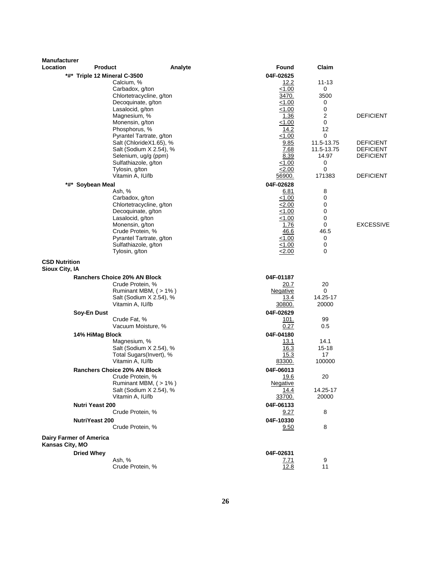| <b>Manufacturer</b>                    |                                            |                                                                                                                                                                                  |                                                                          |                                              |                                                          |
|----------------------------------------|--------------------------------------------|----------------------------------------------------------------------------------------------------------------------------------------------------------------------------------|--------------------------------------------------------------------------|----------------------------------------------|----------------------------------------------------------|
| Location                               | <b>Product</b>                             | Analyte                                                                                                                                                                          | Found                                                                    | Claim                                        |                                                          |
|                                        | *#* Triple 12 Mineral C-3500<br>Calcium, % | Carbadox, g/ton<br>Chlortetracycline, g/ton<br>Decoquinate, g/ton                                                                                                                | 04F-02625<br>12.2<br>1.00<br>3470.<br>1.00                               | 11-13<br>0<br>3500<br>0                      |                                                          |
|                                        |                                            | Lasalocid, g/ton<br>Magnesium, %<br>Monensin, g/ton<br>Phosphorus, %<br>Pyrantel Tartrate, g/ton                                                                                 | 1.00<br>1.36<br>1.00<br>14.2<br>< 1.00                                   | 0<br>$\overline{c}$<br>0<br>12<br>0          | <b>DEFICIENT</b>                                         |
|                                        |                                            | Salt (ChlorideX1.65), %<br>Salt (Sodium X 2.54), %<br>Selenium, ug/g (ppm)<br>Sulfathiazole, g/ton                                                                               | 9.85<br>7.68<br>8.39<br>< 1.00                                           | 11.5-13.75<br>11.5-13.75<br>14.97<br>0<br>0  | <b>DEFICIENT</b><br><b>DEFICIENT</b><br><b>DEFICIENT</b> |
|                                        | Tylosin, g/ton                             | Vitamin A, IU/lb                                                                                                                                                                 | 2.00<br>56900.<br>04F-02628                                              | 171383                                       | <b>DEFICIENT</b>                                         |
|                                        | *#* Soybean Meal<br>Ash, %                 | Carbadox, g/ton<br>Chlortetracycline, g/ton<br>Decoquinate, g/ton<br>Lasalocid, g/ton<br>Monensin, g/ton<br>Crude Protein, %<br>Pyrantel Tartrate, g/ton<br>Sulfathiazole, g/ton | 6.81<br>1.00<br>2.00<br>1.00<br>1.00<br>1.76<br>46.6<br>< 1.00<br>< 1.00 | 8<br>0<br>0<br>0<br>0<br>0<br>46.5<br>0<br>0 | <b>EXCESSIVE</b>                                         |
| <b>CSD Nutrition</b><br>Sioux City, IA | Tylosin, g/ton                             |                                                                                                                                                                                  | < 2.00                                                                   | 0                                            |                                                          |
|                                        | <b>Ranchers Choice 20% AN Block</b>        | Crude Protein, %<br>Ruminant MBM, (> 1%)<br>Salt (Sodium X 2.54), %<br>Vitamin A, IU/lb                                                                                          | 04F-01187<br>20.7<br>Negative<br>13.4<br>30800.                          | 20<br>0<br>14.25-17<br>20000                 |                                                          |
|                                        | Soy-En Dust                                |                                                                                                                                                                                  | 04F-02629                                                                |                                              |                                                          |
|                                        | Crude Fat, %                               | Vacuum Moisture, %                                                                                                                                                               | 101.<br>0.27                                                             | 99<br>0.5                                    |                                                          |
|                                        | 14% HiMag Block<br>Magnesium, %            | Salt (Sodium X 2.54), %<br>Total Sugars(Invert), %<br>Vitamin A, IU/lb                                                                                                           | 04F-04180<br>13.1<br>16.3<br>15.3<br>83300.                              | 14.1<br>15-18<br>17<br>100000                |                                                          |
|                                        | <b>Ranchers Choice 20% AN Block</b>        | Crude Protein, %<br>Ruminant MBM, (>1%)<br>Salt (Sodium X 2.54), %<br>Vitamin A, IU/lb                                                                                           | 04F-06013<br>19.6<br><b>Negative</b><br>14.4<br>33700.                   | 20<br>14.25-17<br>20000                      |                                                          |
|                                        | Nutri Yeast 200                            | Crude Protein, %                                                                                                                                                                 | 04F-06133<br>9.27                                                        | 8                                            |                                                          |
|                                        | NutriYeast 200                             | Crude Protein, %                                                                                                                                                                 | 04F-10330<br>9.50                                                        | 8                                            |                                                          |
| Kansas City, MO                        | <b>Dairy Farmer of America</b>             |                                                                                                                                                                                  |                                                                          |                                              |                                                          |
|                                        | <b>Dried Whey</b><br>Ash, %                | Crude Protein, %                                                                                                                                                                 | 04F-02631<br><u>7.71</u><br>12.8                                         | 9<br>11                                      |                                                          |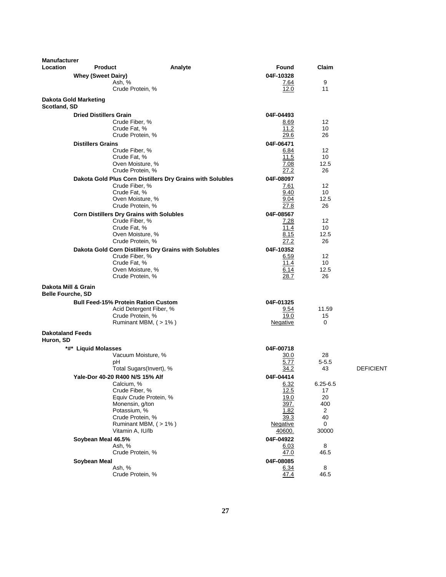| <b>Manufacturer</b>                  |                               |                                                                   |                    |                    |                  |
|--------------------------------------|-------------------------------|-------------------------------------------------------------------|--------------------|--------------------|------------------|
| Location                             | <b>Product</b>                | Analyte                                                           | Found              | Claim              |                  |
|                                      | <b>Whey (Sweet Dairy)</b>     |                                                                   | 04F-10328          |                    |                  |
|                                      |                               | Ash, %                                                            | 7.64               | 9<br>11            |                  |
|                                      |                               | Crude Protein, %                                                  | 12.0               |                    |                  |
| Scotland, SD                         | <b>Dakota Gold Marketing</b>  |                                                                   |                    |                    |                  |
|                                      | <b>Dried Distillers Grain</b> |                                                                   | 04F-04493          |                    |                  |
|                                      |                               | Crude Fiber, %                                                    | 8.69               | 12                 |                  |
|                                      |                               | Crude Fat, %                                                      | 11.2               | 10                 |                  |
|                                      |                               | Crude Protein, %                                                  | 29.6               | 26                 |                  |
|                                      | <b>Distillers Grains</b>      | Crude Fiber, %                                                    | 04F-06471<br>6.84  | 12                 |                  |
|                                      |                               | Crude Fat, %                                                      | 11.5               | 10                 |                  |
|                                      |                               | Oven Moisture, %                                                  | 7.08               | 12.5               |                  |
|                                      |                               | Crude Protein, %                                                  | 27.2               | 26                 |                  |
|                                      |                               | Dakota Gold Plus Corn Distillers Dry Grains with Solubles         | 04F-08097          |                    |                  |
|                                      |                               | Crude Fiber, %                                                    | 7.61               | 12                 |                  |
|                                      |                               | Crude Fat, %                                                      | 9.40               | 10                 |                  |
|                                      |                               | Oven Moisture, %<br>Crude Protein, %                              | 9.04<br>27.8       | 12.5<br>26         |                  |
|                                      |                               |                                                                   |                    |                    |                  |
|                                      |                               | <b>Corn Distillers Dry Grains with Solubles</b><br>Crude Fiber, % | 04F-08567<br>7.28  | 12                 |                  |
|                                      |                               | Crude Fat, %                                                      | 11.4               | 10                 |                  |
|                                      |                               | Oven Moisture, %                                                  | 8.15               | 12.5               |                  |
|                                      |                               | Crude Protein, %                                                  | 27.2               | 26                 |                  |
|                                      |                               | Dakota Gold Corn Distillers Dry Grains with Solubles              | 04F-10352          |                    |                  |
|                                      |                               | Crude Fiber, %                                                    | 6.59               | 12                 |                  |
|                                      |                               | Crude Fat, %                                                      | 11.4               | 10                 |                  |
|                                      |                               | Oven Moisture, %<br>Crude Protein, %                              | 6.14<br>28.7       | 12.5<br>26         |                  |
| Dakota Mill & Grain                  |                               |                                                                   |                    |                    |                  |
| <b>Belle Fourche, SD</b>             |                               |                                                                   |                    |                    |                  |
|                                      |                               | <b>Bull Feed-15% Protein Ration Custom</b>                        | 04F-01325          |                    |                  |
|                                      |                               | Acid Detergent Fiber, %                                           | 9.54               | 11.59              |                  |
|                                      |                               | Crude Protein, %                                                  | 19.0               | 15                 |                  |
|                                      |                               | Ruminant MBM, (>1%)                                               | Negative           | 0                  |                  |
| <b>Dakotaland Feeds</b><br>Huron, SD |                               |                                                                   |                    |                    |                  |
|                                      | *#* Liquid Molasses           |                                                                   | 04F-00718          |                    |                  |
|                                      |                               | Vacuum Moisture, %                                                | 30.0               | 28                 |                  |
|                                      |                               | рH                                                                | 5.77               | $5 - 5.5$          |                  |
|                                      |                               | Total Sugars(Invert), %                                           | 34.2               | 43                 | <b>DEFICIENT</b> |
|                                      |                               | Yale-Dor 40-20 R400 N/S 15% Alf                                   | 04F-04414          |                    |                  |
|                                      |                               | Calcium, %<br>Crude Fiber, %                                      | 6.32<br>12.5       | $6.25 - 6.5$<br>17 |                  |
|                                      |                               | Equiv Crude Protein, %                                            | 19.0               | 20                 |                  |
|                                      |                               | Monensin, g/ton                                                   | 397.               | 400                |                  |
|                                      |                               | Potassium, %                                                      | 1.82               | 2                  |                  |
|                                      |                               | Crude Protein, %                                                  | 39.3               | 40                 |                  |
|                                      |                               | Ruminant MBM, (>1%)<br>Vitamin A, IU/lb                           | Negative<br>40600. | 0<br>30000         |                  |
|                                      | Soybean Meal 46.5%            |                                                                   | 04F-04922          |                    |                  |
|                                      |                               | Ash, %                                                            | 6.03               | 8                  |                  |
|                                      |                               | Crude Protein, %                                                  | 47.0               | 46.5               |                  |
|                                      | Soybean Meal                  |                                                                   | 04F-08085          |                    |                  |
|                                      |                               | Ash, %                                                            | 6.34               | 8                  |                  |
|                                      |                               | Crude Protein, %                                                  | 47.4               | 46.5               |                  |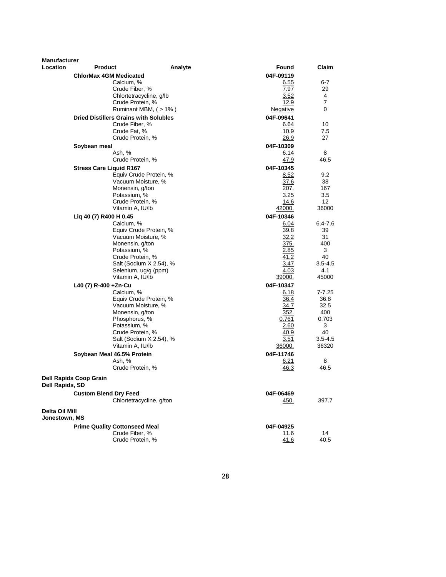| <b>Manufacturer</b>             |                                |                                              |         |                   |                 |
|---------------------------------|--------------------------------|----------------------------------------------|---------|-------------------|-----------------|
| <b>Location</b>                 | <b>Product</b>                 |                                              | Analyte | Found             | Claim           |
|                                 | <b>ChlorMax 4GM Medicated</b>  |                                              |         | 04F-09119         |                 |
|                                 |                                | Calcium. %                                   |         | 6.55              | 6-7             |
|                                 |                                | Crude Fiber, %                               |         | 7.97              | 29              |
|                                 |                                | Chlortetracycline, g/lb                      |         | 3.52              | 4               |
|                                 |                                | Crude Protein, %                             |         | 12.9              | $\overline{7}$  |
|                                 |                                | Ruminant MBM, (>1%)                          |         | Negative          | 0               |
|                                 |                                | <b>Dried Distillers Grains with Solubles</b> |         | 04F-09641         |                 |
|                                 |                                | Crude Fiber, %                               |         | 6.64              | 10              |
|                                 |                                | Crude Fat, %                                 |         | 10.9              | 7.5             |
|                                 |                                | Crude Protein, %                             |         | 26.9              | 27              |
|                                 | Soybean meal                   |                                              |         | 04F-10309         |                 |
|                                 |                                | Ash, %                                       |         | 6.14              | 8               |
|                                 |                                | Crude Protein, %                             |         | 47.9              | 46.5            |
|                                 | <b>Stress Care Liquid R167</b> |                                              |         | 04F-10345         |                 |
|                                 |                                | Equiv Crude Protein, %                       |         | 8.52              | 9.2             |
|                                 |                                | Vacuum Moisture, %                           |         | 37.6              | 38              |
|                                 |                                | Monensin, g/ton                              |         | 207.              | 167             |
|                                 |                                | Potassium, %                                 |         | 3.25              | 3.5             |
|                                 |                                | Crude Protein, %                             |         | 14.6              | 12 <sup>2</sup> |
|                                 |                                | Vitamin A, IU/lb                             |         | 42000.            | 36000           |
|                                 | Liq 40 (7) R400 H 0.45         |                                              |         | 04F-10346         |                 |
|                                 |                                | Calcium, %                                   |         | 6.04              | 6.4-7.6         |
|                                 |                                | Equiv Crude Protein, %<br>Vacuum Moisture, % |         | 39.8              | 39              |
|                                 |                                | Monensin, g/ton                              |         | 32.2<br>375.      | 31<br>400       |
|                                 |                                | Potassium, %                                 |         | 2.85              | 3               |
|                                 |                                | Crude Protein, %                             |         | 41.2              | 40              |
|                                 |                                | Salt (Sodium X 2.54), %                      |         | 3.47              | $3.5 - 4.5$     |
|                                 |                                | Selenium, ug/g (ppm)                         |         | 4.03              | 4.1             |
|                                 |                                | Vitamin A, IU/lb                             |         | 39000.            | 45000           |
|                                 | L40 (7) R-400 +Zn-Cu           |                                              |         | 04F-10347         |                 |
|                                 |                                | Calcium, %                                   |         | 6.18              | $7 - 7.25$      |
|                                 |                                | Equiv Crude Protein, %                       |         | 36.4              | 36.8            |
|                                 |                                | Vacuum Moisture, %                           |         | 34.7              | 32.5            |
|                                 |                                | Monensin, g/ton                              |         | 352.              | 400             |
|                                 |                                | Phosphorus, %                                |         | 0.761             | 0.703           |
|                                 |                                | Potassium, %                                 |         | 2.60              | 3               |
|                                 |                                | Crude Protein, %                             |         | 40.9              | 40              |
|                                 |                                | Salt (Sodium X 2.54), %                      |         | 3.51              | $3.5 - 4.5$     |
|                                 |                                | Vitamin A, IU/lb                             |         | 36000.            | 36320           |
|                                 | Soybean Meal 46.5% Protein     |                                              |         | 04F-11746         |                 |
|                                 |                                | Ash, %                                       |         | 6.21              | 8               |
|                                 |                                | Crude Protein, %                             |         | 46.3              | 46.5            |
| Dell Rapids, SD                 | <b>Dell Rapids Coop Grain</b>  |                                              |         |                   |                 |
|                                 |                                |                                              |         |                   |                 |
|                                 | <b>Custom Blend Dry Feed</b>   | Chlortetracycline, g/ton                     |         | 04F-06469<br>450. | 397.7           |
|                                 |                                |                                              |         |                   |                 |
| Delta Oil Mill<br>Jonestown, MS |                                |                                              |         |                   |                 |
|                                 |                                | <b>Prime Quality Cottonseed Meal</b>         |         | 04F-04925         |                 |
|                                 |                                | Crude Fiber, %                               |         | 11.6              | 14              |
|                                 |                                | Crude Protein, %                             |         | 41.6              | 40.5            |
|                                 |                                |                                              |         |                   |                 |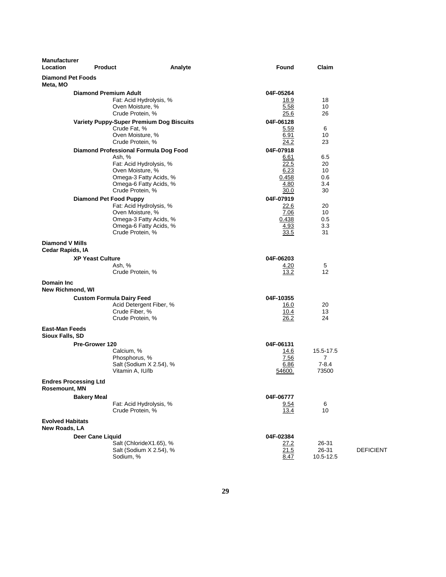| <b>Manufacturer</b><br>Location                      | <b>Product</b>                                                                                                                                                           | Analyte | Found                                                      | Claim                              |                  |
|------------------------------------------------------|--------------------------------------------------------------------------------------------------------------------------------------------------------------------------|---------|------------------------------------------------------------|------------------------------------|------------------|
| <b>Diamond Pet Foods</b><br>Meta, MO                 |                                                                                                                                                                          |         |                                                            |                                    |                  |
|                                                      | <b>Diamond Premium Adult</b><br>Fat: Acid Hydrolysis, %<br>Oven Moisture, %<br>Crude Protein, %                                                                          |         | 04F-05264<br>18.9<br>5.58<br>25.6                          | 18<br>10<br>26                     |                  |
|                                                      | <b>Variety Puppy-Super Premium Dog Biscuits</b><br>Crude Fat, %<br>Oven Moisture, %<br>Crude Protein, %                                                                  |         | 04F-06128<br>5.59<br>6.91<br>24.2                          | 6<br>10<br>23                      |                  |
|                                                      | Diamond Professional Formula Dog Food<br>Ash, %<br>Fat: Acid Hydrolysis, %<br>Oven Moisture, %<br>Omega-3 Fatty Acids, %<br>Omega-6 Fatty Acids, %                       |         | 04F-07918<br>6.61<br>22.5<br>6.23<br>0.458<br>4.80         | 6.5<br>20<br>10<br>0.6<br>3.4      |                  |
|                                                      | Crude Protein, %<br><b>Diamond Pet Food Puppy</b><br>Fat: Acid Hydrolysis, %<br>Oven Moisture, %<br>Omega-3 Fatty Acids, %<br>Omega-6 Fatty Acids, %<br>Crude Protein, % |         | 30.0<br>04F-07919<br>22.6<br>7.06<br>0.438<br>4.93<br>33.5 | 30<br>20<br>10<br>0.5<br>3.3<br>31 |                  |
| <b>Diamond V Mills</b><br>Cedar Rapids, IA           |                                                                                                                                                                          |         |                                                            |                                    |                  |
|                                                      | <b>XP Yeast Culture</b><br>Ash, %<br>Crude Protein, %                                                                                                                    |         | 04F-06203<br>4.20<br>13.2                                  | 5<br>12                            |                  |
| <b>Domain Inc</b><br>New Richmond, WI                |                                                                                                                                                                          |         |                                                            |                                    |                  |
|                                                      | <b>Custom Formula Dairy Feed</b><br>Acid Detergent Fiber, %<br>Crude Fiber, %<br>Crude Protein, %                                                                        |         | 04F-10355<br>16.0<br>10.4<br>26.2                          | 20<br>13<br>24                     |                  |
| <b>East-Man Feeds</b><br>Sioux Falls, SD             |                                                                                                                                                                          |         |                                                            |                                    |                  |
|                                                      | Pre-Grower 120<br>Calcium, %<br>Phosphorus, %<br>Salt (Sodium X 2.54), %<br>Vitamin A, IU/lb                                                                             |         | 04F-06131<br>14.6<br>7.56<br>6.86<br>54600.                | 15.5-17.5<br>7<br>$7-8.4$<br>73500 |                  |
| <b>Endres Processing Ltd</b><br><b>Rosemount, MN</b> |                                                                                                                                                                          |         |                                                            |                                    |                  |
|                                                      | <b>Bakery Meal</b><br>Fat: Acid Hydrolysis, %<br>Crude Protein, %                                                                                                        |         | 04F-06777<br>9.54<br>13.4                                  | 6<br>10                            |                  |
| <b>Evolved Habitats</b><br>New Roads, LA             |                                                                                                                                                                          |         |                                                            |                                    |                  |
|                                                      | <b>Deer Cane Liquid</b><br>Salt (ChlorideX1.65), %<br>Salt (Sodium X 2.54), %<br>Sodium, %                                                                               |         | 04F-02384<br><u>27.2</u><br>21.5<br>8.47                   | 26-31<br>26-31<br>10.5-12.5        | <b>DEFICIENT</b> |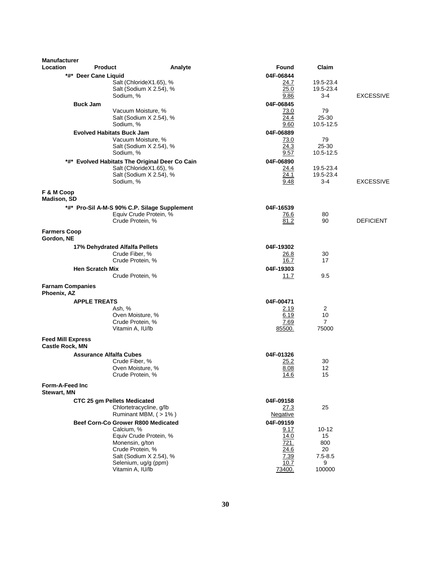| Location<br>*#* Deer Cane Liquid<br><b>Buck Jam</b> | <b>Product</b><br>Analyte<br>Salt (ChlorideX1.65), %<br>Salt (Sodium X 2.54), %<br>Sodium, %<br>Vacuum Moisture, %<br>Salt (Sodium X 2.54), %<br>Sodium, %<br><b>Evolved Habitats Buck Jam</b> | Found<br>04F-06844<br>24.7<br>25.0<br>9.86<br>04F-06845<br>73.0<br>24.4<br>9.60 | Claim<br>19.5-23.4<br>19.5-23.4<br>3-4<br>79<br>$25 - 30$  | <b>EXCESSIVE</b> |
|-----------------------------------------------------|------------------------------------------------------------------------------------------------------------------------------------------------------------------------------------------------|---------------------------------------------------------------------------------|------------------------------------------------------------|------------------|
|                                                     |                                                                                                                                                                                                |                                                                                 |                                                            |                  |
|                                                     |                                                                                                                                                                                                |                                                                                 |                                                            |                  |
|                                                     |                                                                                                                                                                                                |                                                                                 |                                                            |                  |
|                                                     |                                                                                                                                                                                                |                                                                                 | 10.5-12.5                                                  |                  |
|                                                     | Vacuum Moisture, %<br>Salt (Sodium X 2.54), %<br>Sodium, %                                                                                                                                     | 04F-06889<br>73.0<br>24.3<br>9.57                                               | 79<br>$25 - 30$<br>10.5-12.5                               |                  |
|                                                     | *#* Evolved Habitats The Original Deer Co Cain<br>Salt (ChlorideX1.65), %<br>Salt (Sodium X 2.54), %<br>Sodium, %                                                                              | 04F-06890<br>24.4<br>24.1<br>9.48                                               | 19.5-23.4<br>19.5-23.4<br>3-4                              | <b>EXCESSIVE</b> |
| F & M Coop<br>Madison, SD                           |                                                                                                                                                                                                |                                                                                 |                                                            |                  |
|                                                     | *#* Pro-Sil A-M-S 90% C.P. Silage Supplement<br>Equiv Crude Protein, %<br>Crude Protein, %                                                                                                     | 04F-16539<br>76.6<br>81.2                                                       | 80<br>90                                                   | <b>DEFICIENT</b> |
| <b>Farmers Coop</b><br>Gordon, NE                   |                                                                                                                                                                                                |                                                                                 |                                                            |                  |
|                                                     | 17% Dehydrated Alfalfa Pellets<br>Crude Fiber, %<br>Crude Protein, %                                                                                                                           | 04F-19302<br>26.8<br>16.7                                                       | 30<br>17                                                   |                  |
| <b>Hen Scratch Mix</b>                              |                                                                                                                                                                                                | 04F-19303                                                                       |                                                            |                  |
|                                                     | Crude Protein, %                                                                                                                                                                               | 11.7                                                                            | 9.5                                                        |                  |
| <b>Farnam Companies</b><br>Phoenix, AZ              |                                                                                                                                                                                                |                                                                                 |                                                            |                  |
| <b>APPLE TREATS</b>                                 |                                                                                                                                                                                                | 04F-00471                                                                       |                                                            |                  |
|                                                     | Ash, %<br>Oven Moisture, %<br>Crude Protein, %<br>Vitamin A, IU/lb                                                                                                                             | 2.19<br>6.19<br>7.69<br>85500.                                                  | 2<br>10<br>$\overline{7}$<br>75000                         |                  |
| <b>Feed Mill Express</b><br><b>Castle Rock, MN</b>  |                                                                                                                                                                                                |                                                                                 |                                                            |                  |
|                                                     | <b>Assurance Alfalfa Cubes</b><br>Crude Fiber, %<br>Oven Moisture, %<br>Crude Protein, %                                                                                                       | 04F-01326<br>25.2<br>8.08<br>14.6                                               | 30<br>12<br>15                                             |                  |
| Form-A-Feed Inc<br><b>Stewart, MN</b>               |                                                                                                                                                                                                |                                                                                 |                                                            |                  |
|                                                     | CTC 25 qm Pellets Medicated<br>Chlortetracycline, g/lb<br>Ruminant MBM, (>1%)                                                                                                                  | 04F-09158<br>27.3<br>Negative                                                   | 25                                                         |                  |
|                                                     | Beef Corn-Co Grower R800 Medicated<br>Calcium, %<br>Equiv Crude Protein, %<br>Monensin, g/ton<br>Crude Protein, %<br>Salt (Sodium X 2.54), %<br>Selenium, ug/g (ppm)<br>Vitamin A, IU/lb       | 04F-09159<br>9.17<br>14.0<br>721.<br>24.6<br>7.39<br>10.7<br>73400.             | $10 - 12$<br>15<br>800<br>20<br>$7.5 - 8.5$<br>9<br>100000 |                  |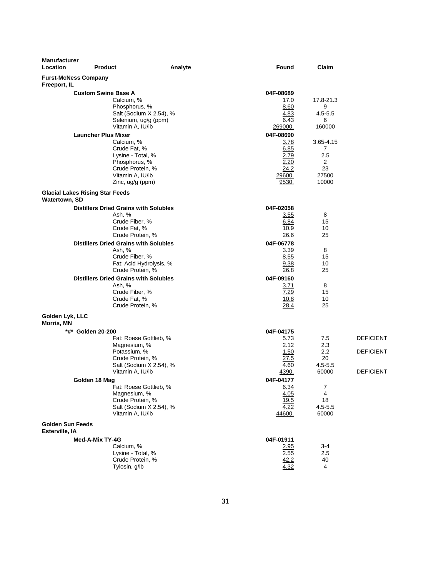| <b>Manufacturer</b><br>Location           | <b>Product</b>                                                                                                                                             | Analyte | Found                                                                | Claim                                                           |                                                          |
|-------------------------------------------|------------------------------------------------------------------------------------------------------------------------------------------------------------|---------|----------------------------------------------------------------------|-----------------------------------------------------------------|----------------------------------------------------------|
| Freeport, IL                              | <b>Furst-McNess Company</b>                                                                                                                                |         |                                                                      |                                                                 |                                                          |
|                                           | <b>Custom Swine Base A</b><br>Calcium, %<br>Phosphorus, %<br>Salt (Sodium X 2.54), %<br>Selenium, ug/g (ppm)<br>Vitamin A, IU/lb                           |         | 04F-08689<br>17.0<br>8.60<br>4.83<br>6.43<br>269000.                 | 17.8-21.3<br>9<br>$4.5 - 5.5$<br>6<br>160000                    |                                                          |
|                                           | <b>Launcher Plus Mixer</b><br>Calcium, %<br>Crude Fat, %<br>Lysine - Total, %<br>Phosphorus, %<br>Crude Protein, %<br>Vitamin A, IU/lb<br>Zinc, ug/g (ppm) |         | 04F-08690<br>3.78<br>6.85<br>2.79<br>2.20<br>24.2<br>29600.<br>9530. | 3.65-4.15<br>7<br>2.5<br>$\overline{2}$<br>23<br>27500<br>10000 |                                                          |
| Watertown, SD                             | <b>Glacial Lakes Rising Star Feeds</b>                                                                                                                     |         |                                                                      |                                                                 |                                                          |
|                                           | <b>Distillers Dried Grains with Solubles</b><br>Ash, %<br>Crude Fiber, %<br>Crude Fat, %<br>Crude Protein, %                                               |         | 04F-02058<br>3.55<br>6.84<br>10.9<br>26.6                            | 8<br>15<br>10<br>25                                             |                                                          |
|                                           | <b>Distillers Dried Grains with Solubles</b><br>Ash, %<br>Crude Fiber, %<br>Fat: Acid Hydrolysis, %<br>Crude Protein, %                                    |         | 04F-06778<br>3.39<br>8.55<br>9.38<br>26.8                            | 8<br>15<br>10<br>25                                             |                                                          |
|                                           | <b>Distillers Dried Grains with Solubles</b><br>Ash, %<br>Crude Fiber, %<br>Crude Fat, %<br>Crude Protein, %                                               |         | 04F-09160<br>3.71<br>7.29<br>10.8<br>28.4                            | 8<br>15<br>10<br>25                                             |                                                          |
| Golden Lyk, LLC<br>Morris, MN             |                                                                                                                                                            |         |                                                                      |                                                                 |                                                          |
|                                           | *#* Golden 20-200<br>Fat: Roese Gottlieb, %<br>Magnesium, %<br>Potassium, %<br>Crude Protein, %<br>Salt (Sodium X 2.54), %<br>Vitamin A, IU/lb             |         | 04F-04175<br>5.73<br>2.12<br>1.50<br>27.5<br>4.60<br>4390.           | 7.5<br>2.3<br>$2.2\,$<br>20<br>$4.5 - 5.5$<br>60000             | <b>DEFICIENT</b><br><b>DEFICIENT</b><br><b>DEFICIENT</b> |
|                                           | Golden 18 Mag<br>Fat: Roese Gottlieb, %<br>Magnesium, %<br>Crude Protein, %<br>Salt (Sodium X 2.54), %<br>Vitamin A, IU/lb                                 |         | 04F-04177<br>6.34<br>4.05<br>19.5<br>4.22<br>44600.                  | 7<br>4<br>18<br>$4.5 - 5.5$<br>60000                            |                                                          |
| <b>Golden Sun Feeds</b><br>Esterville, IA |                                                                                                                                                            |         |                                                                      |                                                                 |                                                          |
|                                           | Med-A-Mix TY-4G<br>Calcium, %<br>Lysine - Total, %<br>Crude Protein, %<br>Tylosin, g/lb                                                                    |         | 04F-01911<br>2.95<br>2.55<br>42.2<br>4.32                            | 3-4<br>2.5<br>40<br>4                                           |                                                          |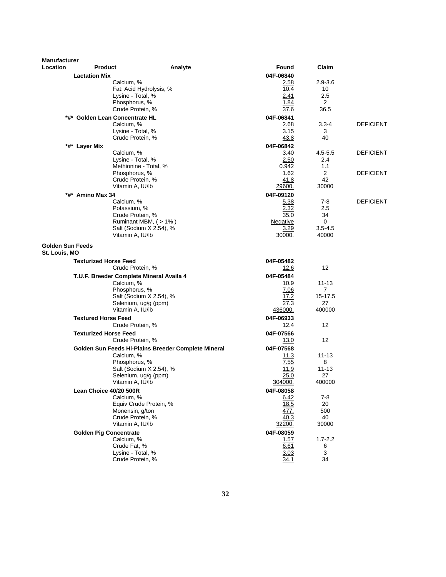| <b>Manufacturer</b><br><b>Location</b>   | <b>Product</b><br>Analyte                                                                                                                                 | Found                                                           | Claim                                              |                  |
|------------------------------------------|-----------------------------------------------------------------------------------------------------------------------------------------------------------|-----------------------------------------------------------------|----------------------------------------------------|------------------|
| <b>Lactation Mix</b>                     |                                                                                                                                                           | 04F-06840                                                       |                                                    |                  |
|                                          | Calcium, %<br>Fat: Acid Hydrolysis, %<br>Lysine - Total, %<br>Phosphorus, %<br>Crude Protein, %                                                           | <u>2.58</u><br>10.4<br>2.41<br>1.84<br>37.6                     | $2.9 - 3.6$<br>10<br>2.5<br>$\overline{2}$<br>36.5 |                  |
|                                          | *#* Golden Lean Concentrate HL<br>Calcium, %<br>Lysine - Total, %<br>Crude Protein, %                                                                     | 04F-06841<br>2.68<br>3.15<br>43.8                               | $3.3 - 4$<br>3<br>40                               | <b>DEFICIENT</b> |
| *#* Layer Mix                            | Calcium, %<br>Lysine - Total, %<br>Methionine - Total, %                                                                                                  | 04F-06842<br>3.40<br>2.50<br>0.942                              | $4.5 - 5.5$<br>2.4<br>1.1                          | <b>DEFICIENT</b> |
|                                          | Phosphorus, %<br>Crude Protein, %<br>Vitamin A, IU/lb                                                                                                     | 1.62<br>41.8<br><u> 29600.</u>                                  | 2<br>42<br>30000                                   | <b>DEFICIENT</b> |
| *#* Amino Max 34                         | Calcium, %<br>Potassium, %<br>Crude Protein, %<br>Ruminant MBM, (>1%)<br>Salt (Sodium X 2.54), %<br>Vitamin A, IU/lb                                      | 04F-09120<br>5.38<br>2.32<br>35.0<br>Negative<br>3.29<br>30000. | $7-8$<br>2.5<br>34<br>0<br>$3.5 - 4.5$<br>40000    | <b>DEFICIENT</b> |
| <b>Golden Sun Feeds</b><br>St. Louis, MO |                                                                                                                                                           |                                                                 |                                                    |                  |
|                                          | <b>Texturized Horse Feed</b><br>Crude Protein, %                                                                                                          | 04F-05482<br>12.6                                               | 12                                                 |                  |
|                                          | T.U.F. Breeder Complete Mineral Availa 4<br>Calcium, %<br>Phosphorus, %<br>Salt (Sodium X 2.54), %<br>Selenium, ug/g (ppm)<br>Vitamin A, IU/lb            | 04F-05484<br>10.9<br>7.06<br>17.2<br>27.3<br>436000.            | 11-13<br>$\overline{7}$<br>15-17.5<br>27<br>400000 |                  |
| <b>Textured Horse Feed</b>               | Crude Protein, %                                                                                                                                          | 04F-06933<br>12.4                                               | 12                                                 |                  |
|                                          | <b>Texturized Horse Feed</b><br>Crude Protein, %                                                                                                          | 04F-07566<br><u>13.0</u>                                        | 12                                                 |                  |
|                                          | Golden Sun Feeds Hi-Plains Breeder Complete Mineral<br>Calcium, %<br>Phosphorus, %<br>Salt (Sodium X 2.54), %<br>Selenium, ug/g (ppm)<br>Vitamin A, IU/lb | 04F-07568<br>11.3<br>7.55<br>11.9<br>25.0<br>304000.            | 11-13<br>8<br>$11 - 13$<br>27<br>400000            |                  |
|                                          | Lean Choice 40/20 500R<br>Calcium, %<br>Equiv Crude Protein, %<br>Monensin, g/ton<br>Crude Protein, %<br>Vitamin A, IU/lb                                 | 04F-08058<br>6.42<br>18.5<br>477.<br>40.3<br>32200.             | 7-8<br>20<br>500<br>40<br>30000                    |                  |
|                                          | <b>Golden Pig Concentrate</b><br>Calcium, %<br>Crude Fat, %<br>Lysine - Total, %<br>Crude Protein, %                                                      | 04F-08059<br>1.57<br>6.61<br>3.03<br>34.1                       | $1.7 - 2.2$<br>6<br>3<br>34                        |                  |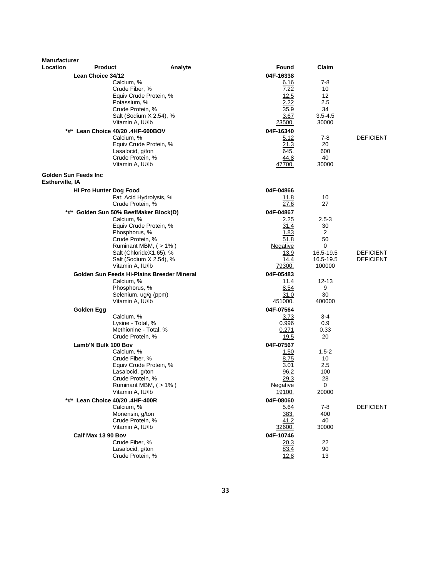| Location<br>Claim<br><b>Product</b><br>Analyte<br>Found<br>04F-16338<br>Lean Choice 34/12<br>Calcium, %<br>6.16<br>7-8<br>7.22<br>Crude Fiber, %<br>10<br>12.5<br>12<br>Equiv Crude Protein, %<br>Potassium, %<br>2.22<br>2.5<br>34<br>Crude Protein, %<br>35.9<br>Salt (Sodium X 2.54), %<br>3.67<br>$3.5 - 4.5$<br>Vitamin A, IU/lb<br>23500.<br>30000<br>*#* Lean Choice 40/20 .4HF-600BOV<br>04F-16340<br>$7-8$<br><b>DEFICIENT</b><br>Calcium. %<br>5.12<br>Equiv Crude Protein, %<br>21.3<br>20<br>Lasalocid, g/ton<br>645.<br>600<br>Crude Protein, %<br>44.8<br>40<br>Vitamin A, IU/lb<br>30000<br>47700.<br>Golden Sun Feeds Inc<br>Estherville, IA<br>04F-04866<br>Hi Pro Hunter Dog Food<br>Fat: Acid Hydrolysis, %<br>11.8<br>10<br>27<br>Crude Protein, %<br>27.6<br>04F-04867<br>Golden Sun 50% BeefMaker Block(D)<br>*#*<br>$2.5 - 3$<br>Calcium, %<br>2.25<br>Equiv Crude Protein, %<br>31.4<br>30<br>Phosphorus, %<br>1.83<br>2<br>50<br>Crude Protein, %<br>51.8<br>Ruminant MBM, (>1%)<br>Negative<br>0<br>16.5-19.5<br><b>DEFICIENT</b><br>Salt (ChlorideX1.65), %<br>13.9<br>14.4<br><b>DEFICIENT</b><br>Salt (Sodium X 2.54), %<br>16.5-19.5<br>Vitamin A, IU/lb<br>79300.<br>100000<br>Golden Sun Feeds Hi-Plains Breeder Mineral<br>04F-05483<br>Calcium, %<br>11.4<br>$12 - 13$<br>8.54<br>9<br>Phosphorus, %<br>Selenium, ug/g (ppm)<br>30<br>31.0<br>400000<br>Vitamin A, IU/lb<br>451000.<br>04F-07564<br>Golden Egg<br>Calcium, %<br>3.73<br>3-4<br>0.9<br>Lysine - Total, %<br>0.996<br>Methionine - Total, %<br>0.271<br>0.33<br>Crude Protein, %<br>19.5<br>20<br>Lamb'N Bulk 100 Bov<br>04F-07567<br>Calcium, %<br>1.50<br>$1.5-2$<br>Crude Fiber, %<br>8.75<br>10<br>Equiv Crude Protein, %<br>3.01<br>2.5<br>Lasalocid, g/ton<br>96.2<br>100<br>Crude Protein, %<br>29.3<br>28<br><b>Negative</b><br>0<br>Ruminant MBM, (>1%)<br>20000<br>Vitamin A, IU/lb<br>19100.<br>*#* Lean Choice 40/20 .4HF-400R<br>04F-08060<br>Calcium, %<br><b>DEFICIENT</b><br>5.64<br>7-8<br>Monensin, g/ton<br>400<br><u>383.</u><br>Crude Protein, %<br>40<br>41.2<br>Vitamin A, IU/lb<br>30000<br><u>32600.</u><br>Calf Max 13 90 Bov<br>04F-10746<br>Crude Fiber, %<br>20.3<br>22<br>Lasalocid, g/ton<br>83.4<br>90<br>Crude Protein, %<br>12.8<br>13 | <b>Manufacturer</b> |  |  |  |
|--------------------------------------------------------------------------------------------------------------------------------------------------------------------------------------------------------------------------------------------------------------------------------------------------------------------------------------------------------------------------------------------------------------------------------------------------------------------------------------------------------------------------------------------------------------------------------------------------------------------------------------------------------------------------------------------------------------------------------------------------------------------------------------------------------------------------------------------------------------------------------------------------------------------------------------------------------------------------------------------------------------------------------------------------------------------------------------------------------------------------------------------------------------------------------------------------------------------------------------------------------------------------------------------------------------------------------------------------------------------------------------------------------------------------------------------------------------------------------------------------------------------------------------------------------------------------------------------------------------------------------------------------------------------------------------------------------------------------------------------------------------------------------------------------------------------------------------------------------------------------------------------------------------------------------------------------------------------------------------------------------------------------------------------------------------------------------------------------------------------------------------------------------------------------------------------------------------------------------------------------------------------------|---------------------|--|--|--|
|                                                                                                                                                                                                                                                                                                                                                                                                                                                                                                                                                                                                                                                                                                                                                                                                                                                                                                                                                                                                                                                                                                                                                                                                                                                                                                                                                                                                                                                                                                                                                                                                                                                                                                                                                                                                                                                                                                                                                                                                                                                                                                                                                                                                                                                                          |                     |  |  |  |
|                                                                                                                                                                                                                                                                                                                                                                                                                                                                                                                                                                                                                                                                                                                                                                                                                                                                                                                                                                                                                                                                                                                                                                                                                                                                                                                                                                                                                                                                                                                                                                                                                                                                                                                                                                                                                                                                                                                                                                                                                                                                                                                                                                                                                                                                          |                     |  |  |  |
|                                                                                                                                                                                                                                                                                                                                                                                                                                                                                                                                                                                                                                                                                                                                                                                                                                                                                                                                                                                                                                                                                                                                                                                                                                                                                                                                                                                                                                                                                                                                                                                                                                                                                                                                                                                                                                                                                                                                                                                                                                                                                                                                                                                                                                                                          |                     |  |  |  |
|                                                                                                                                                                                                                                                                                                                                                                                                                                                                                                                                                                                                                                                                                                                                                                                                                                                                                                                                                                                                                                                                                                                                                                                                                                                                                                                                                                                                                                                                                                                                                                                                                                                                                                                                                                                                                                                                                                                                                                                                                                                                                                                                                                                                                                                                          |                     |  |  |  |
|                                                                                                                                                                                                                                                                                                                                                                                                                                                                                                                                                                                                                                                                                                                                                                                                                                                                                                                                                                                                                                                                                                                                                                                                                                                                                                                                                                                                                                                                                                                                                                                                                                                                                                                                                                                                                                                                                                                                                                                                                                                                                                                                                                                                                                                                          |                     |  |  |  |
|                                                                                                                                                                                                                                                                                                                                                                                                                                                                                                                                                                                                                                                                                                                                                                                                                                                                                                                                                                                                                                                                                                                                                                                                                                                                                                                                                                                                                                                                                                                                                                                                                                                                                                                                                                                                                                                                                                                                                                                                                                                                                                                                                                                                                                                                          |                     |  |  |  |
|                                                                                                                                                                                                                                                                                                                                                                                                                                                                                                                                                                                                                                                                                                                                                                                                                                                                                                                                                                                                                                                                                                                                                                                                                                                                                                                                                                                                                                                                                                                                                                                                                                                                                                                                                                                                                                                                                                                                                                                                                                                                                                                                                                                                                                                                          |                     |  |  |  |
|                                                                                                                                                                                                                                                                                                                                                                                                                                                                                                                                                                                                                                                                                                                                                                                                                                                                                                                                                                                                                                                                                                                                                                                                                                                                                                                                                                                                                                                                                                                                                                                                                                                                                                                                                                                                                                                                                                                                                                                                                                                                                                                                                                                                                                                                          |                     |  |  |  |
|                                                                                                                                                                                                                                                                                                                                                                                                                                                                                                                                                                                                                                                                                                                                                                                                                                                                                                                                                                                                                                                                                                                                                                                                                                                                                                                                                                                                                                                                                                                                                                                                                                                                                                                                                                                                                                                                                                                                                                                                                                                                                                                                                                                                                                                                          |                     |  |  |  |
|                                                                                                                                                                                                                                                                                                                                                                                                                                                                                                                                                                                                                                                                                                                                                                                                                                                                                                                                                                                                                                                                                                                                                                                                                                                                                                                                                                                                                                                                                                                                                                                                                                                                                                                                                                                                                                                                                                                                                                                                                                                                                                                                                                                                                                                                          |                     |  |  |  |
|                                                                                                                                                                                                                                                                                                                                                                                                                                                                                                                                                                                                                                                                                                                                                                                                                                                                                                                                                                                                                                                                                                                                                                                                                                                                                                                                                                                                                                                                                                                                                                                                                                                                                                                                                                                                                                                                                                                                                                                                                                                                                                                                                                                                                                                                          |                     |  |  |  |
|                                                                                                                                                                                                                                                                                                                                                                                                                                                                                                                                                                                                                                                                                                                                                                                                                                                                                                                                                                                                                                                                                                                                                                                                                                                                                                                                                                                                                                                                                                                                                                                                                                                                                                                                                                                                                                                                                                                                                                                                                                                                                                                                                                                                                                                                          |                     |  |  |  |
|                                                                                                                                                                                                                                                                                                                                                                                                                                                                                                                                                                                                                                                                                                                                                                                                                                                                                                                                                                                                                                                                                                                                                                                                                                                                                                                                                                                                                                                                                                                                                                                                                                                                                                                                                                                                                                                                                                                                                                                                                                                                                                                                                                                                                                                                          |                     |  |  |  |
|                                                                                                                                                                                                                                                                                                                                                                                                                                                                                                                                                                                                                                                                                                                                                                                                                                                                                                                                                                                                                                                                                                                                                                                                                                                                                                                                                                                                                                                                                                                                                                                                                                                                                                                                                                                                                                                                                                                                                                                                                                                                                                                                                                                                                                                                          |                     |  |  |  |
|                                                                                                                                                                                                                                                                                                                                                                                                                                                                                                                                                                                                                                                                                                                                                                                                                                                                                                                                                                                                                                                                                                                                                                                                                                                                                                                                                                                                                                                                                                                                                                                                                                                                                                                                                                                                                                                                                                                                                                                                                                                                                                                                                                                                                                                                          |                     |  |  |  |
|                                                                                                                                                                                                                                                                                                                                                                                                                                                                                                                                                                                                                                                                                                                                                                                                                                                                                                                                                                                                                                                                                                                                                                                                                                                                                                                                                                                                                                                                                                                                                                                                                                                                                                                                                                                                                                                                                                                                                                                                                                                                                                                                                                                                                                                                          |                     |  |  |  |
|                                                                                                                                                                                                                                                                                                                                                                                                                                                                                                                                                                                                                                                                                                                                                                                                                                                                                                                                                                                                                                                                                                                                                                                                                                                                                                                                                                                                                                                                                                                                                                                                                                                                                                                                                                                                                                                                                                                                                                                                                                                                                                                                                                                                                                                                          |                     |  |  |  |
|                                                                                                                                                                                                                                                                                                                                                                                                                                                                                                                                                                                                                                                                                                                                                                                                                                                                                                                                                                                                                                                                                                                                                                                                                                                                                                                                                                                                                                                                                                                                                                                                                                                                                                                                                                                                                                                                                                                                                                                                                                                                                                                                                                                                                                                                          |                     |  |  |  |
|                                                                                                                                                                                                                                                                                                                                                                                                                                                                                                                                                                                                                                                                                                                                                                                                                                                                                                                                                                                                                                                                                                                                                                                                                                                                                                                                                                                                                                                                                                                                                                                                                                                                                                                                                                                                                                                                                                                                                                                                                                                                                                                                                                                                                                                                          |                     |  |  |  |
|                                                                                                                                                                                                                                                                                                                                                                                                                                                                                                                                                                                                                                                                                                                                                                                                                                                                                                                                                                                                                                                                                                                                                                                                                                                                                                                                                                                                                                                                                                                                                                                                                                                                                                                                                                                                                                                                                                                                                                                                                                                                                                                                                                                                                                                                          |                     |  |  |  |
|                                                                                                                                                                                                                                                                                                                                                                                                                                                                                                                                                                                                                                                                                                                                                                                                                                                                                                                                                                                                                                                                                                                                                                                                                                                                                                                                                                                                                                                                                                                                                                                                                                                                                                                                                                                                                                                                                                                                                                                                                                                                                                                                                                                                                                                                          |                     |  |  |  |
|                                                                                                                                                                                                                                                                                                                                                                                                                                                                                                                                                                                                                                                                                                                                                                                                                                                                                                                                                                                                                                                                                                                                                                                                                                                                                                                                                                                                                                                                                                                                                                                                                                                                                                                                                                                                                                                                                                                                                                                                                                                                                                                                                                                                                                                                          |                     |  |  |  |
|                                                                                                                                                                                                                                                                                                                                                                                                                                                                                                                                                                                                                                                                                                                                                                                                                                                                                                                                                                                                                                                                                                                                                                                                                                                                                                                                                                                                                                                                                                                                                                                                                                                                                                                                                                                                                                                                                                                                                                                                                                                                                                                                                                                                                                                                          |                     |  |  |  |
|                                                                                                                                                                                                                                                                                                                                                                                                                                                                                                                                                                                                                                                                                                                                                                                                                                                                                                                                                                                                                                                                                                                                                                                                                                                                                                                                                                                                                                                                                                                                                                                                                                                                                                                                                                                                                                                                                                                                                                                                                                                                                                                                                                                                                                                                          |                     |  |  |  |
|                                                                                                                                                                                                                                                                                                                                                                                                                                                                                                                                                                                                                                                                                                                                                                                                                                                                                                                                                                                                                                                                                                                                                                                                                                                                                                                                                                                                                                                                                                                                                                                                                                                                                                                                                                                                                                                                                                                                                                                                                                                                                                                                                                                                                                                                          |                     |  |  |  |
|                                                                                                                                                                                                                                                                                                                                                                                                                                                                                                                                                                                                                                                                                                                                                                                                                                                                                                                                                                                                                                                                                                                                                                                                                                                                                                                                                                                                                                                                                                                                                                                                                                                                                                                                                                                                                                                                                                                                                                                                                                                                                                                                                                                                                                                                          |                     |  |  |  |
|                                                                                                                                                                                                                                                                                                                                                                                                                                                                                                                                                                                                                                                                                                                                                                                                                                                                                                                                                                                                                                                                                                                                                                                                                                                                                                                                                                                                                                                                                                                                                                                                                                                                                                                                                                                                                                                                                                                                                                                                                                                                                                                                                                                                                                                                          |                     |  |  |  |
|                                                                                                                                                                                                                                                                                                                                                                                                                                                                                                                                                                                                                                                                                                                                                                                                                                                                                                                                                                                                                                                                                                                                                                                                                                                                                                                                                                                                                                                                                                                                                                                                                                                                                                                                                                                                                                                                                                                                                                                                                                                                                                                                                                                                                                                                          |                     |  |  |  |
|                                                                                                                                                                                                                                                                                                                                                                                                                                                                                                                                                                                                                                                                                                                                                                                                                                                                                                                                                                                                                                                                                                                                                                                                                                                                                                                                                                                                                                                                                                                                                                                                                                                                                                                                                                                                                                                                                                                                                                                                                                                                                                                                                                                                                                                                          |                     |  |  |  |
|                                                                                                                                                                                                                                                                                                                                                                                                                                                                                                                                                                                                                                                                                                                                                                                                                                                                                                                                                                                                                                                                                                                                                                                                                                                                                                                                                                                                                                                                                                                                                                                                                                                                                                                                                                                                                                                                                                                                                                                                                                                                                                                                                                                                                                                                          |                     |  |  |  |
|                                                                                                                                                                                                                                                                                                                                                                                                                                                                                                                                                                                                                                                                                                                                                                                                                                                                                                                                                                                                                                                                                                                                                                                                                                                                                                                                                                                                                                                                                                                                                                                                                                                                                                                                                                                                                                                                                                                                                                                                                                                                                                                                                                                                                                                                          |                     |  |  |  |
|                                                                                                                                                                                                                                                                                                                                                                                                                                                                                                                                                                                                                                                                                                                                                                                                                                                                                                                                                                                                                                                                                                                                                                                                                                                                                                                                                                                                                                                                                                                                                                                                                                                                                                                                                                                                                                                                                                                                                                                                                                                                                                                                                                                                                                                                          |                     |  |  |  |
|                                                                                                                                                                                                                                                                                                                                                                                                                                                                                                                                                                                                                                                                                                                                                                                                                                                                                                                                                                                                                                                                                                                                                                                                                                                                                                                                                                                                                                                                                                                                                                                                                                                                                                                                                                                                                                                                                                                                                                                                                                                                                                                                                                                                                                                                          |                     |  |  |  |
|                                                                                                                                                                                                                                                                                                                                                                                                                                                                                                                                                                                                                                                                                                                                                                                                                                                                                                                                                                                                                                                                                                                                                                                                                                                                                                                                                                                                                                                                                                                                                                                                                                                                                                                                                                                                                                                                                                                                                                                                                                                                                                                                                                                                                                                                          |                     |  |  |  |
|                                                                                                                                                                                                                                                                                                                                                                                                                                                                                                                                                                                                                                                                                                                                                                                                                                                                                                                                                                                                                                                                                                                                                                                                                                                                                                                                                                                                                                                                                                                                                                                                                                                                                                                                                                                                                                                                                                                                                                                                                                                                                                                                                                                                                                                                          |                     |  |  |  |
|                                                                                                                                                                                                                                                                                                                                                                                                                                                                                                                                                                                                                                                                                                                                                                                                                                                                                                                                                                                                                                                                                                                                                                                                                                                                                                                                                                                                                                                                                                                                                                                                                                                                                                                                                                                                                                                                                                                                                                                                                                                                                                                                                                                                                                                                          |                     |  |  |  |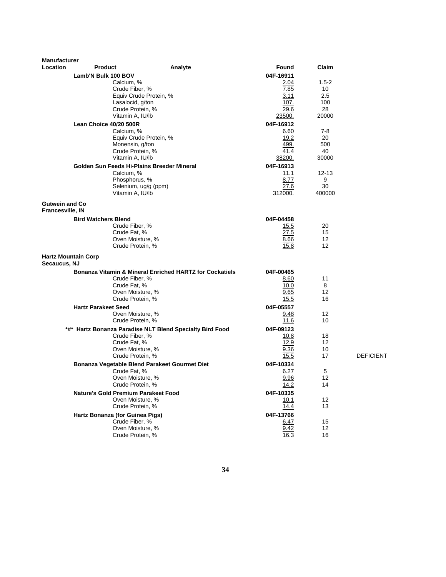| Lamb'N Bulk 100 BOV<br>04F-16911<br>Calcium, %<br>2.04<br>$1.5 - 2$<br>Crude Fiber, %<br>7.85<br>10<br>3.11<br>2.5<br>Equiv Crude Protein, %<br>Lasalocid, g/ton<br>107.<br>100<br>28<br>Crude Protein, %<br>29.6<br>Vitamin A, IU/lb<br>20000<br>23500.<br>Lean Choice 40/20 500R<br>04F-16912<br>Calcium, %<br>6.60<br>7-8<br>Equiv Crude Protein, %<br>19.2<br>20<br>Monensin, g/ton<br>499.<br>500<br>Crude Protein, %<br>41.4<br>40<br>Vitamin A, IU/lb<br>38200.<br>30000<br>Golden Sun Feeds Hi-Plains Breeder Mineral<br>04F-16913<br>Calcium, %<br>11.1<br>$12 - 13$<br>8.77<br>9<br>Phosphorus, %<br>Selenium, ug/g (ppm)<br>30<br>27.6<br>Vitamin A, IU/lb<br>312000.<br>400000<br><b>Gutwein and Co.</b><br>Francesville, IN<br><b>Bird Watchers Blend</b><br>04F-04458<br>Crude Fiber, %<br>20<br>15.5<br>27.5<br>Crude Fat, %<br>15<br>Oven Moisture, %<br>8.66<br>12<br>Crude Protein, %<br>15.8<br>$12 \overline{ }$<br><b>Hartz Mountain Corp</b><br>Secaucus, NJ<br><b>Bonanza Vitamin &amp; Mineral Enriched HARTZ for Cockatiels</b><br>04F-00465<br>Crude Fiber, %<br>8.60<br>11<br>Crude Fat, %<br>10.0<br>8<br>Oven Moisture, %<br>12<br>9.65<br>Crude Protein, %<br>15.5<br>16<br><b>Hartz Parakeet Seed</b><br>04F-05557<br>12<br>Oven Moisture, %<br>9.48<br>Crude Protein, %<br>11.6<br>10<br>*#* Hartz Bonanza Paradise NLT Blend Specialty Bird Food<br>04F-09123<br>Crude Fiber, %<br>10.8<br>18<br>12.9<br>Crude Fat, %<br>$12 \overline{ }$<br>Oven Moisture, %<br>10<br>9.36<br>Crude Protein, %<br>17<br>15.5<br><b>DEFICIENT</b><br>Bonanza Vegetable Blend Parakeet Gourmet Diet<br>04F-10334<br>Crude Fat, %<br>6.27<br>5<br>Oven Moisture, %<br>9.96<br>12<br>Crude Protein, %<br>14<br><u>14.2</u><br><b>Nature's Gold Premium Parakeet Food</b><br>04F-10335<br>Oven Moisture, %<br>12<br>10.1<br>Crude Protein, %<br>13<br>14.4<br>Hartz Bonanza (for Guinea Pigs)<br>04F-13766<br>Crude Fiber, %<br>15<br>6.47<br>9.42<br>Oven Moisture, %<br>12<br>Crude Protein, %<br>16.3<br>16 | <b>Manufacturer</b><br><b>Location</b> | <b>Product</b> | Analyte | Found | Claim |  |
|------------------------------------------------------------------------------------------------------------------------------------------------------------------------------------------------------------------------------------------------------------------------------------------------------------------------------------------------------------------------------------------------------------------------------------------------------------------------------------------------------------------------------------------------------------------------------------------------------------------------------------------------------------------------------------------------------------------------------------------------------------------------------------------------------------------------------------------------------------------------------------------------------------------------------------------------------------------------------------------------------------------------------------------------------------------------------------------------------------------------------------------------------------------------------------------------------------------------------------------------------------------------------------------------------------------------------------------------------------------------------------------------------------------------------------------------------------------------------------------------------------------------------------------------------------------------------------------------------------------------------------------------------------------------------------------------------------------------------------------------------------------------------------------------------------------------------------------------------------------------------------------------------------------------------------------------------------------------------------------------------------------------------|----------------------------------------|----------------|---------|-------|-------|--|
|                                                                                                                                                                                                                                                                                                                                                                                                                                                                                                                                                                                                                                                                                                                                                                                                                                                                                                                                                                                                                                                                                                                                                                                                                                                                                                                                                                                                                                                                                                                                                                                                                                                                                                                                                                                                                                                                                                                                                                                                                              |                                        |                |         |       |       |  |
|                                                                                                                                                                                                                                                                                                                                                                                                                                                                                                                                                                                                                                                                                                                                                                                                                                                                                                                                                                                                                                                                                                                                                                                                                                                                                                                                                                                                                                                                                                                                                                                                                                                                                                                                                                                                                                                                                                                                                                                                                              |                                        |                |         |       |       |  |
|                                                                                                                                                                                                                                                                                                                                                                                                                                                                                                                                                                                                                                                                                                                                                                                                                                                                                                                                                                                                                                                                                                                                                                                                                                                                                                                                                                                                                                                                                                                                                                                                                                                                                                                                                                                                                                                                                                                                                                                                                              |                                        |                |         |       |       |  |
|                                                                                                                                                                                                                                                                                                                                                                                                                                                                                                                                                                                                                                                                                                                                                                                                                                                                                                                                                                                                                                                                                                                                                                                                                                                                                                                                                                                                                                                                                                                                                                                                                                                                                                                                                                                                                                                                                                                                                                                                                              |                                        |                |         |       |       |  |
|                                                                                                                                                                                                                                                                                                                                                                                                                                                                                                                                                                                                                                                                                                                                                                                                                                                                                                                                                                                                                                                                                                                                                                                                                                                                                                                                                                                                                                                                                                                                                                                                                                                                                                                                                                                                                                                                                                                                                                                                                              |                                        |                |         |       |       |  |
|                                                                                                                                                                                                                                                                                                                                                                                                                                                                                                                                                                                                                                                                                                                                                                                                                                                                                                                                                                                                                                                                                                                                                                                                                                                                                                                                                                                                                                                                                                                                                                                                                                                                                                                                                                                                                                                                                                                                                                                                                              |                                        |                |         |       |       |  |
|                                                                                                                                                                                                                                                                                                                                                                                                                                                                                                                                                                                                                                                                                                                                                                                                                                                                                                                                                                                                                                                                                                                                                                                                                                                                                                                                                                                                                                                                                                                                                                                                                                                                                                                                                                                                                                                                                                                                                                                                                              |                                        |                |         |       |       |  |
|                                                                                                                                                                                                                                                                                                                                                                                                                                                                                                                                                                                                                                                                                                                                                                                                                                                                                                                                                                                                                                                                                                                                                                                                                                                                                                                                                                                                                                                                                                                                                                                                                                                                                                                                                                                                                                                                                                                                                                                                                              |                                        |                |         |       |       |  |
|                                                                                                                                                                                                                                                                                                                                                                                                                                                                                                                                                                                                                                                                                                                                                                                                                                                                                                                                                                                                                                                                                                                                                                                                                                                                                                                                                                                                                                                                                                                                                                                                                                                                                                                                                                                                                                                                                                                                                                                                                              |                                        |                |         |       |       |  |
|                                                                                                                                                                                                                                                                                                                                                                                                                                                                                                                                                                                                                                                                                                                                                                                                                                                                                                                                                                                                                                                                                                                                                                                                                                                                                                                                                                                                                                                                                                                                                                                                                                                                                                                                                                                                                                                                                                                                                                                                                              |                                        |                |         |       |       |  |
|                                                                                                                                                                                                                                                                                                                                                                                                                                                                                                                                                                                                                                                                                                                                                                                                                                                                                                                                                                                                                                                                                                                                                                                                                                                                                                                                                                                                                                                                                                                                                                                                                                                                                                                                                                                                                                                                                                                                                                                                                              |                                        |                |         |       |       |  |
|                                                                                                                                                                                                                                                                                                                                                                                                                                                                                                                                                                                                                                                                                                                                                                                                                                                                                                                                                                                                                                                                                                                                                                                                                                                                                                                                                                                                                                                                                                                                                                                                                                                                                                                                                                                                                                                                                                                                                                                                                              |                                        |                |         |       |       |  |
|                                                                                                                                                                                                                                                                                                                                                                                                                                                                                                                                                                                                                                                                                                                                                                                                                                                                                                                                                                                                                                                                                                                                                                                                                                                                                                                                                                                                                                                                                                                                                                                                                                                                                                                                                                                                                                                                                                                                                                                                                              |                                        |                |         |       |       |  |
|                                                                                                                                                                                                                                                                                                                                                                                                                                                                                                                                                                                                                                                                                                                                                                                                                                                                                                                                                                                                                                                                                                                                                                                                                                                                                                                                                                                                                                                                                                                                                                                                                                                                                                                                                                                                                                                                                                                                                                                                                              |                                        |                |         |       |       |  |
|                                                                                                                                                                                                                                                                                                                                                                                                                                                                                                                                                                                                                                                                                                                                                                                                                                                                                                                                                                                                                                                                                                                                                                                                                                                                                                                                                                                                                                                                                                                                                                                                                                                                                                                                                                                                                                                                                                                                                                                                                              |                                        |                |         |       |       |  |
|                                                                                                                                                                                                                                                                                                                                                                                                                                                                                                                                                                                                                                                                                                                                                                                                                                                                                                                                                                                                                                                                                                                                                                                                                                                                                                                                                                                                                                                                                                                                                                                                                                                                                                                                                                                                                                                                                                                                                                                                                              |                                        |                |         |       |       |  |
|                                                                                                                                                                                                                                                                                                                                                                                                                                                                                                                                                                                                                                                                                                                                                                                                                                                                                                                                                                                                                                                                                                                                                                                                                                                                                                                                                                                                                                                                                                                                                                                                                                                                                                                                                                                                                                                                                                                                                                                                                              |                                        |                |         |       |       |  |
|                                                                                                                                                                                                                                                                                                                                                                                                                                                                                                                                                                                                                                                                                                                                                                                                                                                                                                                                                                                                                                                                                                                                                                                                                                                                                                                                                                                                                                                                                                                                                                                                                                                                                                                                                                                                                                                                                                                                                                                                                              |                                        |                |         |       |       |  |
|                                                                                                                                                                                                                                                                                                                                                                                                                                                                                                                                                                                                                                                                                                                                                                                                                                                                                                                                                                                                                                                                                                                                                                                                                                                                                                                                                                                                                                                                                                                                                                                                                                                                                                                                                                                                                                                                                                                                                                                                                              |                                        |                |         |       |       |  |
|                                                                                                                                                                                                                                                                                                                                                                                                                                                                                                                                                                                                                                                                                                                                                                                                                                                                                                                                                                                                                                                                                                                                                                                                                                                                                                                                                                                                                                                                                                                                                                                                                                                                                                                                                                                                                                                                                                                                                                                                                              |                                        |                |         |       |       |  |
|                                                                                                                                                                                                                                                                                                                                                                                                                                                                                                                                                                                                                                                                                                                                                                                                                                                                                                                                                                                                                                                                                                                                                                                                                                                                                                                                                                                                                                                                                                                                                                                                                                                                                                                                                                                                                                                                                                                                                                                                                              |                                        |                |         |       |       |  |
|                                                                                                                                                                                                                                                                                                                                                                                                                                                                                                                                                                                                                                                                                                                                                                                                                                                                                                                                                                                                                                                                                                                                                                                                                                                                                                                                                                                                                                                                                                                                                                                                                                                                                                                                                                                                                                                                                                                                                                                                                              |                                        |                |         |       |       |  |
|                                                                                                                                                                                                                                                                                                                                                                                                                                                                                                                                                                                                                                                                                                                                                                                                                                                                                                                                                                                                                                                                                                                                                                                                                                                                                                                                                                                                                                                                                                                                                                                                                                                                                                                                                                                                                                                                                                                                                                                                                              |                                        |                |         |       |       |  |
|                                                                                                                                                                                                                                                                                                                                                                                                                                                                                                                                                                                                                                                                                                                                                                                                                                                                                                                                                                                                                                                                                                                                                                                                                                                                                                                                                                                                                                                                                                                                                                                                                                                                                                                                                                                                                                                                                                                                                                                                                              |                                        |                |         |       |       |  |
|                                                                                                                                                                                                                                                                                                                                                                                                                                                                                                                                                                                                                                                                                                                                                                                                                                                                                                                                                                                                                                                                                                                                                                                                                                                                                                                                                                                                                                                                                                                                                                                                                                                                                                                                                                                                                                                                                                                                                                                                                              |                                        |                |         |       |       |  |
|                                                                                                                                                                                                                                                                                                                                                                                                                                                                                                                                                                                                                                                                                                                                                                                                                                                                                                                                                                                                                                                                                                                                                                                                                                                                                                                                                                                                                                                                                                                                                                                                                                                                                                                                                                                                                                                                                                                                                                                                                              |                                        |                |         |       |       |  |
|                                                                                                                                                                                                                                                                                                                                                                                                                                                                                                                                                                                                                                                                                                                                                                                                                                                                                                                                                                                                                                                                                                                                                                                                                                                                                                                                                                                                                                                                                                                                                                                                                                                                                                                                                                                                                                                                                                                                                                                                                              |                                        |                |         |       |       |  |
|                                                                                                                                                                                                                                                                                                                                                                                                                                                                                                                                                                                                                                                                                                                                                                                                                                                                                                                                                                                                                                                                                                                                                                                                                                                                                                                                                                                                                                                                                                                                                                                                                                                                                                                                                                                                                                                                                                                                                                                                                              |                                        |                |         |       |       |  |
|                                                                                                                                                                                                                                                                                                                                                                                                                                                                                                                                                                                                                                                                                                                                                                                                                                                                                                                                                                                                                                                                                                                                                                                                                                                                                                                                                                                                                                                                                                                                                                                                                                                                                                                                                                                                                                                                                                                                                                                                                              |                                        |                |         |       |       |  |
|                                                                                                                                                                                                                                                                                                                                                                                                                                                                                                                                                                                                                                                                                                                                                                                                                                                                                                                                                                                                                                                                                                                                                                                                                                                                                                                                                                                                                                                                                                                                                                                                                                                                                                                                                                                                                                                                                                                                                                                                                              |                                        |                |         |       |       |  |
|                                                                                                                                                                                                                                                                                                                                                                                                                                                                                                                                                                                                                                                                                                                                                                                                                                                                                                                                                                                                                                                                                                                                                                                                                                                                                                                                                                                                                                                                                                                                                                                                                                                                                                                                                                                                                                                                                                                                                                                                                              |                                        |                |         |       |       |  |
|                                                                                                                                                                                                                                                                                                                                                                                                                                                                                                                                                                                                                                                                                                                                                                                                                                                                                                                                                                                                                                                                                                                                                                                                                                                                                                                                                                                                                                                                                                                                                                                                                                                                                                                                                                                                                                                                                                                                                                                                                              |                                        |                |         |       |       |  |
|                                                                                                                                                                                                                                                                                                                                                                                                                                                                                                                                                                                                                                                                                                                                                                                                                                                                                                                                                                                                                                                                                                                                                                                                                                                                                                                                                                                                                                                                                                                                                                                                                                                                                                                                                                                                                                                                                                                                                                                                                              |                                        |                |         |       |       |  |
|                                                                                                                                                                                                                                                                                                                                                                                                                                                                                                                                                                                                                                                                                                                                                                                                                                                                                                                                                                                                                                                                                                                                                                                                                                                                                                                                                                                                                                                                                                                                                                                                                                                                                                                                                                                                                                                                                                                                                                                                                              |                                        |                |         |       |       |  |
|                                                                                                                                                                                                                                                                                                                                                                                                                                                                                                                                                                                                                                                                                                                                                                                                                                                                                                                                                                                                                                                                                                                                                                                                                                                                                                                                                                                                                                                                                                                                                                                                                                                                                                                                                                                                                                                                                                                                                                                                                              |                                        |                |         |       |       |  |
|                                                                                                                                                                                                                                                                                                                                                                                                                                                                                                                                                                                                                                                                                                                                                                                                                                                                                                                                                                                                                                                                                                                                                                                                                                                                                                                                                                                                                                                                                                                                                                                                                                                                                                                                                                                                                                                                                                                                                                                                                              |                                        |                |         |       |       |  |
|                                                                                                                                                                                                                                                                                                                                                                                                                                                                                                                                                                                                                                                                                                                                                                                                                                                                                                                                                                                                                                                                                                                                                                                                                                                                                                                                                                                                                                                                                                                                                                                                                                                                                                                                                                                                                                                                                                                                                                                                                              |                                        |                |         |       |       |  |
|                                                                                                                                                                                                                                                                                                                                                                                                                                                                                                                                                                                                                                                                                                                                                                                                                                                                                                                                                                                                                                                                                                                                                                                                                                                                                                                                                                                                                                                                                                                                                                                                                                                                                                                                                                                                                                                                                                                                                                                                                              |                                        |                |         |       |       |  |
|                                                                                                                                                                                                                                                                                                                                                                                                                                                                                                                                                                                                                                                                                                                                                                                                                                                                                                                                                                                                                                                                                                                                                                                                                                                                                                                                                                                                                                                                                                                                                                                                                                                                                                                                                                                                                                                                                                                                                                                                                              |                                        |                |         |       |       |  |
|                                                                                                                                                                                                                                                                                                                                                                                                                                                                                                                                                                                                                                                                                                                                                                                                                                                                                                                                                                                                                                                                                                                                                                                                                                                                                                                                                                                                                                                                                                                                                                                                                                                                                                                                                                                                                                                                                                                                                                                                                              |                                        |                |         |       |       |  |
|                                                                                                                                                                                                                                                                                                                                                                                                                                                                                                                                                                                                                                                                                                                                                                                                                                                                                                                                                                                                                                                                                                                                                                                                                                                                                                                                                                                                                                                                                                                                                                                                                                                                                                                                                                                                                                                                                                                                                                                                                              |                                        |                |         |       |       |  |
|                                                                                                                                                                                                                                                                                                                                                                                                                                                                                                                                                                                                                                                                                                                                                                                                                                                                                                                                                                                                                                                                                                                                                                                                                                                                                                                                                                                                                                                                                                                                                                                                                                                                                                                                                                                                                                                                                                                                                                                                                              |                                        |                |         |       |       |  |
|                                                                                                                                                                                                                                                                                                                                                                                                                                                                                                                                                                                                                                                                                                                                                                                                                                                                                                                                                                                                                                                                                                                                                                                                                                                                                                                                                                                                                                                                                                                                                                                                                                                                                                                                                                                                                                                                                                                                                                                                                              |                                        |                |         |       |       |  |
|                                                                                                                                                                                                                                                                                                                                                                                                                                                                                                                                                                                                                                                                                                                                                                                                                                                                                                                                                                                                                                                                                                                                                                                                                                                                                                                                                                                                                                                                                                                                                                                                                                                                                                                                                                                                                                                                                                                                                                                                                              |                                        |                |         |       |       |  |
|                                                                                                                                                                                                                                                                                                                                                                                                                                                                                                                                                                                                                                                                                                                                                                                                                                                                                                                                                                                                                                                                                                                                                                                                                                                                                                                                                                                                                                                                                                                                                                                                                                                                                                                                                                                                                                                                                                                                                                                                                              |                                        |                |         |       |       |  |
|                                                                                                                                                                                                                                                                                                                                                                                                                                                                                                                                                                                                                                                                                                                                                                                                                                                                                                                                                                                                                                                                                                                                                                                                                                                                                                                                                                                                                                                                                                                                                                                                                                                                                                                                                                                                                                                                                                                                                                                                                              |                                        |                |         |       |       |  |
|                                                                                                                                                                                                                                                                                                                                                                                                                                                                                                                                                                                                                                                                                                                                                                                                                                                                                                                                                                                                                                                                                                                                                                                                                                                                                                                                                                                                                                                                                                                                                                                                                                                                                                                                                                                                                                                                                                                                                                                                                              |                                        |                |         |       |       |  |
|                                                                                                                                                                                                                                                                                                                                                                                                                                                                                                                                                                                                                                                                                                                                                                                                                                                                                                                                                                                                                                                                                                                                                                                                                                                                                                                                                                                                                                                                                                                                                                                                                                                                                                                                                                                                                                                                                                                                                                                                                              |                                        |                |         |       |       |  |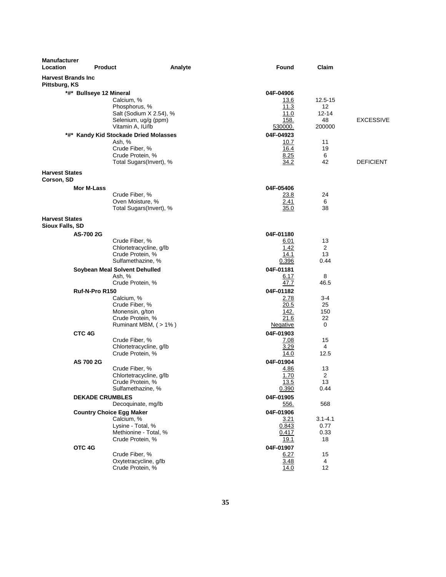| Manufacturer<br>Location                   | <b>Product</b>                  | Analyte                                     | <b>Found</b>            | Claim                |                  |
|--------------------------------------------|---------------------------------|---------------------------------------------|-------------------------|----------------------|------------------|
| <b>Harvest Brands Inc</b><br>Pittsburg, KS |                                 |                                             |                         |                      |                  |
|                                            | *#* Bullseye 12 Mineral         |                                             | 04F-04906               |                      |                  |
|                                            |                                 | Calcium, %                                  | 13.6                    | 12.5-15              |                  |
|                                            |                                 | Phosphorus, %                               | 11.3                    | 12                   |                  |
|                                            |                                 | Salt (Sodium X 2.54), %                     | 11.0                    | $12 - 14$            |                  |
|                                            |                                 | Selenium, ug/g (ppm)                        | 158.                    | 48                   | <b>EXCESSIVE</b> |
|                                            |                                 | Vitamin A, IU/lb                            | 530000.                 | 200000               |                  |
|                                            | Ash, %                          | *#* Kandy Kid Stockade Dried Molasses       | 04F-04923               | 11                   |                  |
|                                            |                                 | Crude Fiber, %                              | 10.7<br>16.4            | 19                   |                  |
|                                            |                                 | Crude Protein, %                            | 8.25                    | 6                    |                  |
|                                            |                                 | Total Sugars(Invert), %                     | 34.2                    | 42                   | <b>DEFICIENT</b> |
| <b>Harvest States</b>                      |                                 |                                             |                         |                      |                  |
| Corson, SD                                 |                                 |                                             |                         |                      |                  |
|                                            | Mor M-Lass                      |                                             | 04F-05406               |                      |                  |
|                                            |                                 | Crude Fiber, %<br>Oven Moisture, %          | 23.8<br>2.41            | 24<br>6              |                  |
|                                            |                                 | Total Sugars(Invert), %                     | 35.0                    | 38                   |                  |
| <b>Harvest States</b>                      |                                 |                                             |                         |                      |                  |
| <b>Sioux Falls, SD</b>                     |                                 |                                             |                         |                      |                  |
|                                            | AS-700 2G                       |                                             | 04F-01180               |                      |                  |
|                                            |                                 | Crude Fiber, %                              | 6.01                    | 13                   |                  |
|                                            |                                 | Chlortetracycline, g/lb<br>Crude Protein, % | 1.42<br>14.1            | $\overline{2}$<br>13 |                  |
|                                            |                                 | Sulfamethazine, %                           | 0.396                   | 0.44                 |                  |
|                                            | Soybean Meal Solvent Dehulled   |                                             | 04F-01181               |                      |                  |
|                                            | Ash, %                          |                                             | 6.17                    | 8                    |                  |
|                                            |                                 | Crude Protein, %                            | 47.7                    | 46.5                 |                  |
|                                            | Ruf-N-Pro R150                  |                                             | 04F-01182               |                      |                  |
|                                            |                                 | Calcium, %                                  | 2.78                    | 3-4                  |                  |
|                                            |                                 | Crude Fiber, %                              | 20.5                    | 25                   |                  |
|                                            |                                 | Monensin, g/ton                             | 142.                    | 150                  |                  |
|                                            |                                 | Crude Protein, %<br>Ruminant MBM, (>1%)     | 21.6<br><b>Negative</b> | 22<br>0              |                  |
|                                            |                                 |                                             |                         |                      |                  |
|                                            | CTC 4G                          | Crude Fiber, %                              | 04F-01903<br>7.08       | 15                   |                  |
|                                            |                                 | Chlortetracycline, g/lb                     | 3.29                    | 4                    |                  |
|                                            |                                 | Crude Protein, %                            | 14.0                    | 12.5                 |                  |
|                                            | AS 700 2G                       |                                             | 04F-01904               |                      |                  |
|                                            |                                 | Crude Fiber, %                              | 4.86                    | 13                   |                  |
|                                            |                                 | Chlortetracycline, g/lb                     | 1.70                    | 2                    |                  |
|                                            |                                 | Crude Protein, %                            | 13.5                    | 13                   |                  |
|                                            |                                 | Sulfamethazine, %                           | 0.390                   | 0.44                 |                  |
|                                            | <b>DEKADE CRUMBLES</b>          |                                             | 04F-01905               |                      |                  |
|                                            |                                 | Decoquinate, mg/lb                          | 556.                    | 568                  |                  |
|                                            | <b>Country Choice Egg Maker</b> | Calcium, %                                  | 04F-01906               |                      |                  |
|                                            |                                 | Lysine - Total, %                           | 3.21<br>0.843           | $3.1 - 4.1$<br>0.77  |                  |
|                                            |                                 | Methionine - Total, %                       | 0.417                   | 0.33                 |                  |
|                                            |                                 | Crude Protein, %                            | <u>19.1</u>             | 18                   |                  |
|                                            | OTC 4G                          |                                             | 04F-01907               |                      |                  |
|                                            |                                 | Crude Fiber, %                              | 6.27                    | 15                   |                  |
|                                            |                                 | Oxytetracycline, g/lb                       | 3.48                    | 4                    |                  |
|                                            |                                 | Crude Protein, %                            | 14.0                    | 12                   |                  |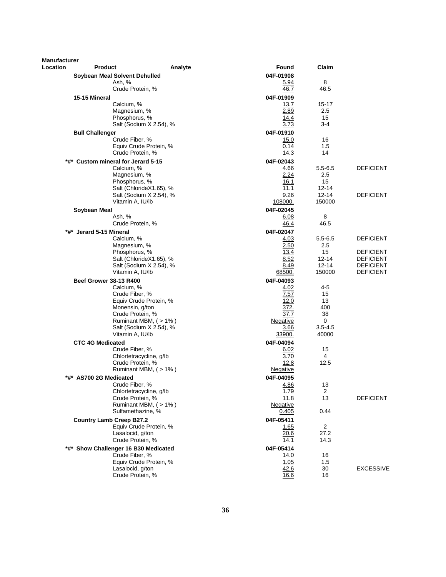| Manufacturer |                                             |                         |              |                                      |
|--------------|---------------------------------------------|-------------------------|--------------|--------------------------------------|
| Location     | <b>Product</b><br>Analyte                   | Found                   | Claim        |                                      |
|              | Soybean Meal Solvent Dehulled               | 04F-01908               |              |                                      |
|              | Ash, %                                      | <u>5.94</u>             | 8            |                                      |
|              | Crude Protein, %                            | 46.7                    | 46.5         |                                      |
|              | 15-15 Mineral                               | 04F-01909               |              |                                      |
|              | Calcium, %<br>Magnesium, %                  | 13.7<br>2.89            | 15-17<br>2.5 |                                      |
|              | Phosphorus, %                               | 14.4                    | 15           |                                      |
|              | Salt (Sodium X 2.54), %                     | 3.73                    | 3-4          |                                      |
|              | <b>Bull Challenger</b>                      | 04F-01910               |              |                                      |
|              | Crude Fiber, %                              | 15.0                    | 16           |                                      |
|              | Equiv Crude Protein, %                      | 0.14                    | 1.5          |                                      |
|              | Crude Protein, %                            | 14.3                    | 14           |                                      |
|              | *#* Custom mineral for Jerard 5-15          | 04F-02043               |              |                                      |
|              | Calcium, %                                  | <u>4.66</u>             | $5.5 - 6.5$  | <b>DEFICIENT</b>                     |
|              | Magnesium, %<br>Phosphorus, %               | 2.24<br>16.1            | 2.5<br>15    |                                      |
|              | Salt (ChlorideX1.65), %                     | 11.1                    | 12-14        |                                      |
|              | Salt (Sodium X 2.54), %                     | 9.26                    | $12 - 14$    | <b>DEFICIENT</b>                     |
|              | Vitamin A, IU/lb                            | 108000.                 | 150000       |                                      |
|              | Soybean Meal                                | 04F-02045               |              |                                      |
|              | Ash, %                                      | 6.08                    | 8            |                                      |
|              | Crude Protein, %                            | 46.4                    | 46.5         |                                      |
| *#*          | Jerard 5-15 Mineral                         | 04F-02047               |              |                                      |
|              | Calcium, %                                  | 4.03                    | $5.5 - 6.5$  | <b>DEFICIENT</b>                     |
|              | Magnesium, %                                | 2.50                    | $2.5\,$      |                                      |
|              | Phosphorus, %<br>Salt (ChlorideX1.65), %    | 13.4<br>8.52            | 15<br>12-14  | <b>DEFICIENT</b><br><b>DEFICIENT</b> |
|              | Salt (Sodium X 2.54), %                     | 8.49                    | 12-14        | <b>DEFICIENT</b>                     |
|              | Vitamin A, IU/lb                            | 68500.                  | 150000       | <b>DEFICIENT</b>                     |
|              | <b>Beef Grower 38-13 R400</b>               | 04F-04093               |              |                                      |
|              | Calcium, %                                  | 4.02                    | 4-5          |                                      |
|              | Crude Fiber, %                              | 7.57                    | 15           |                                      |
|              | Equiv Crude Protein, %                      | 12.0                    | 13           |                                      |
|              | Monensin, g/ton                             | 372.                    | 400          |                                      |
|              | Crude Protein, %<br>Ruminant MBM, (>1%)     | 37.7                    | 38<br>0      |                                      |
|              | Salt (Sodium X 2.54), %                     | <u>Negative</u><br>3.66 | $3.5 - 4.5$  |                                      |
|              | Vitamin A, IU/lb                            | <u>33900.</u>           | 40000        |                                      |
|              | <b>CTC 4G Medicated</b>                     | 04F-04094               |              |                                      |
|              | Crude Fiber, %                              | 6.02                    | 15           |                                      |
|              | Chlortetracycline, g/lb                     | 3.70                    | 4            |                                      |
|              | Crude Protein, %                            | 12.8                    | 12.5         |                                      |
|              | Ruminant MBM, (> 1%)                        | <u>Negative</u>         |              |                                      |
|              | *#* AS700 2G Medicated                      | 04F-04095               |              |                                      |
|              | Crude Fiber, %                              | 4.86                    | 13           |                                      |
|              | Chlortetracycline, g/lb<br>Crude Protein, % | <u>1.79</u><br>11.8     | 2<br>13      | <b>DEFICIENT</b>                     |
|              | Ruminant MBM, (>1%)                         | Negative                |              |                                      |
|              | Sulfamethazine, %                           | 0.405                   | 0.44         |                                      |
|              | <b>Country Lamb Creep B27.2</b>             | 04F-05411               |              |                                      |
|              | Equiv Crude Protein, %                      | <u>1.65</u>             | 2            |                                      |
|              | Lasalocid, g/ton                            | 20.6                    | 27.2         |                                      |
|              | Crude Protein, %                            | 14.1                    | 14.3         |                                      |
|              | *#* Show Challenger 16 B30 Medicated        | 04F-05414               |              |                                      |
|              | Crude Fiber, %                              | 14.0                    | 16           |                                      |
|              | Equiv Crude Protein, %<br>Lasalocid, g/ton  | 1.05<br>42.6            | 1.5<br>30    | <b>EXCESSIVE</b>                     |
|              | Crude Protein, %                            | 16.6                    | 16           |                                      |
|              |                                             |                         |              |                                      |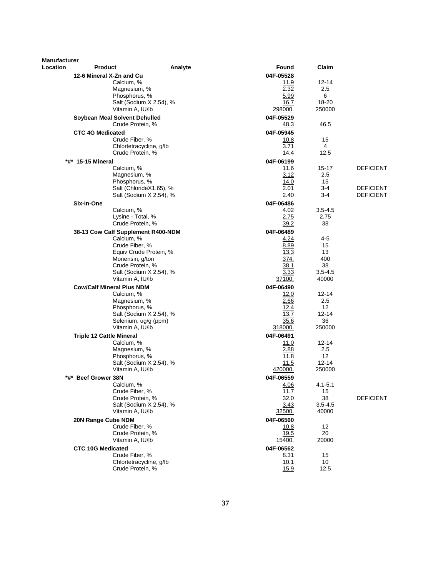| Location<br>Found<br>Claim<br><b>Product</b><br>Analyte<br>04F-05528<br>12-6 Mineral X-Zn and Cu<br>Calcium, %<br>11.9<br>$12 - 14$<br>2.32<br>2.5<br>Magnesium, %<br>5.99<br>6<br>Phosphorus, %<br>Salt (Sodium X 2.54), %<br>16.7<br>18-20<br>Vitamin A, IU/lb<br>298000.<br>250000<br>Soybean Meal Solvent Dehulled<br>04F-05529<br>Crude Protein, %<br>46.5<br><u>48.3</u><br>04F-05945<br><b>CTC 4G Medicated</b><br>Crude Fiber, %<br>15<br>10.8<br>Chlortetracycline, g/lb<br>3.71<br>4<br>Crude Protein, %<br>14.4<br>12.5<br>*#* 15-15 Mineral<br>04F-06199<br>Calcium, %<br>11.6<br>15-17<br><b>DEFICIENT</b><br>3.12<br>2.5<br>Magnesium, %<br>Phosphorus, %<br>14.0<br>15<br>$3-4$<br><b>DEFICIENT</b><br>Salt (ChlorideX1.65), %<br>2.01<br>Salt (Sodium X 2.54), %<br>$3-4$<br><b>DEFICIENT</b><br>2.40<br>Six-In-One<br>04F-06486<br>Calcium, %<br>4.02<br>$3.5 - 4.5$<br>2.75<br>Lysine - Total, %<br>2.75<br>Crude Protein, %<br>38<br>39.2<br>04F-06489<br>38-13 Cow Calf Supplement R400-NDM<br>Calcium, %<br>$4 - 5$<br>4.24<br>Crude Fiber, %<br>8.89<br>15<br>13.3<br>13<br>Equiv Crude Protein, %<br>374.<br>400<br>Monensin, g/ton<br>Crude Protein, %<br>38.1<br>38<br>3.33<br>Salt (Sodium X 2.54), %<br>$3.5 - 4.5$<br>Vitamin A, IU/lb<br>37100.<br>40000<br><b>Cow/Calf Mineral Plus NDM</b><br>04F-06490<br>Calcium, %<br>12.0<br>$12 - 14$<br>2.66<br>2.5<br>Magnesium, %<br>Phosphorus, %<br>12.4<br>$12 \overline{ }$<br>13.7<br>$12 - 14$<br>Salt (Sodium X 2.54), %<br>35.6<br>36<br>Selenium, ug/g (ppm)<br>Vitamin A, IU/lb<br>318000.<br>250000<br><b>Triple 12 Cattle Mineral</b><br>04F-06491<br>Calcium, %<br>11.0<br>12-14<br>2.88<br>2.5<br>Magnesium, %<br>11.8<br>12<br>Phosphorus, %<br>$12 - 14$<br>Salt (Sodium X 2.54), %<br>11.5<br>Vitamin A, IU/lb<br>420000.<br>250000<br>*#* Beef Grower 38N<br>04F-06559<br>Calcium, %<br>4.06<br>$4.1 - 5.1$<br>Crude Fiber, %<br>11.7<br>15<br>Crude Protein, %<br>38<br><b>DEFICIENT</b><br>32.0<br>Salt (Sodium X 2.54), %<br>3.43<br>$3.5 - 4.5$<br>Vitamin A, IU/lb<br>40000<br>32500.<br>20N Range Cube NDM<br>04F-06560<br>Crude Fiber, %<br>12<br><u>10.8</u><br>Crude Protein, %<br>19.5<br>20<br>20000<br>Vitamin A, IU/lb<br><u>15400.</u><br>04F-06562<br><b>CTC 10G Medicated</b> | <b>Manufacturer</b> |  |      |    |  |
|----------------------------------------------------------------------------------------------------------------------------------------------------------------------------------------------------------------------------------------------------------------------------------------------------------------------------------------------------------------------------------------------------------------------------------------------------------------------------------------------------------------------------------------------------------------------------------------------------------------------------------------------------------------------------------------------------------------------------------------------------------------------------------------------------------------------------------------------------------------------------------------------------------------------------------------------------------------------------------------------------------------------------------------------------------------------------------------------------------------------------------------------------------------------------------------------------------------------------------------------------------------------------------------------------------------------------------------------------------------------------------------------------------------------------------------------------------------------------------------------------------------------------------------------------------------------------------------------------------------------------------------------------------------------------------------------------------------------------------------------------------------------------------------------------------------------------------------------------------------------------------------------------------------------------------------------------------------------------------------------------------------------------------------------------------------------------------------------------------------------------------------------------------------------------------------------------------------------------------------------------------------------------------------|---------------------|--|------|----|--|
|                                                                                                                                                                                                                                                                                                                                                                                                                                                                                                                                                                                                                                                                                                                                                                                                                                                                                                                                                                                                                                                                                                                                                                                                                                                                                                                                                                                                                                                                                                                                                                                                                                                                                                                                                                                                                                                                                                                                                                                                                                                                                                                                                                                                                                                                                        |                     |  |      |    |  |
|                                                                                                                                                                                                                                                                                                                                                                                                                                                                                                                                                                                                                                                                                                                                                                                                                                                                                                                                                                                                                                                                                                                                                                                                                                                                                                                                                                                                                                                                                                                                                                                                                                                                                                                                                                                                                                                                                                                                                                                                                                                                                                                                                                                                                                                                                        |                     |  |      |    |  |
|                                                                                                                                                                                                                                                                                                                                                                                                                                                                                                                                                                                                                                                                                                                                                                                                                                                                                                                                                                                                                                                                                                                                                                                                                                                                                                                                                                                                                                                                                                                                                                                                                                                                                                                                                                                                                                                                                                                                                                                                                                                                                                                                                                                                                                                                                        |                     |  |      |    |  |
|                                                                                                                                                                                                                                                                                                                                                                                                                                                                                                                                                                                                                                                                                                                                                                                                                                                                                                                                                                                                                                                                                                                                                                                                                                                                                                                                                                                                                                                                                                                                                                                                                                                                                                                                                                                                                                                                                                                                                                                                                                                                                                                                                                                                                                                                                        |                     |  |      |    |  |
|                                                                                                                                                                                                                                                                                                                                                                                                                                                                                                                                                                                                                                                                                                                                                                                                                                                                                                                                                                                                                                                                                                                                                                                                                                                                                                                                                                                                                                                                                                                                                                                                                                                                                                                                                                                                                                                                                                                                                                                                                                                                                                                                                                                                                                                                                        |                     |  |      |    |  |
|                                                                                                                                                                                                                                                                                                                                                                                                                                                                                                                                                                                                                                                                                                                                                                                                                                                                                                                                                                                                                                                                                                                                                                                                                                                                                                                                                                                                                                                                                                                                                                                                                                                                                                                                                                                                                                                                                                                                                                                                                                                                                                                                                                                                                                                                                        |                     |  |      |    |  |
|                                                                                                                                                                                                                                                                                                                                                                                                                                                                                                                                                                                                                                                                                                                                                                                                                                                                                                                                                                                                                                                                                                                                                                                                                                                                                                                                                                                                                                                                                                                                                                                                                                                                                                                                                                                                                                                                                                                                                                                                                                                                                                                                                                                                                                                                                        |                     |  |      |    |  |
|                                                                                                                                                                                                                                                                                                                                                                                                                                                                                                                                                                                                                                                                                                                                                                                                                                                                                                                                                                                                                                                                                                                                                                                                                                                                                                                                                                                                                                                                                                                                                                                                                                                                                                                                                                                                                                                                                                                                                                                                                                                                                                                                                                                                                                                                                        |                     |  |      |    |  |
|                                                                                                                                                                                                                                                                                                                                                                                                                                                                                                                                                                                                                                                                                                                                                                                                                                                                                                                                                                                                                                                                                                                                                                                                                                                                                                                                                                                                                                                                                                                                                                                                                                                                                                                                                                                                                                                                                                                                                                                                                                                                                                                                                                                                                                                                                        |                     |  |      |    |  |
|                                                                                                                                                                                                                                                                                                                                                                                                                                                                                                                                                                                                                                                                                                                                                                                                                                                                                                                                                                                                                                                                                                                                                                                                                                                                                                                                                                                                                                                                                                                                                                                                                                                                                                                                                                                                                                                                                                                                                                                                                                                                                                                                                                                                                                                                                        |                     |  |      |    |  |
|                                                                                                                                                                                                                                                                                                                                                                                                                                                                                                                                                                                                                                                                                                                                                                                                                                                                                                                                                                                                                                                                                                                                                                                                                                                                                                                                                                                                                                                                                                                                                                                                                                                                                                                                                                                                                                                                                                                                                                                                                                                                                                                                                                                                                                                                                        |                     |  |      |    |  |
|                                                                                                                                                                                                                                                                                                                                                                                                                                                                                                                                                                                                                                                                                                                                                                                                                                                                                                                                                                                                                                                                                                                                                                                                                                                                                                                                                                                                                                                                                                                                                                                                                                                                                                                                                                                                                                                                                                                                                                                                                                                                                                                                                                                                                                                                                        |                     |  |      |    |  |
|                                                                                                                                                                                                                                                                                                                                                                                                                                                                                                                                                                                                                                                                                                                                                                                                                                                                                                                                                                                                                                                                                                                                                                                                                                                                                                                                                                                                                                                                                                                                                                                                                                                                                                                                                                                                                                                                                                                                                                                                                                                                                                                                                                                                                                                                                        |                     |  |      |    |  |
|                                                                                                                                                                                                                                                                                                                                                                                                                                                                                                                                                                                                                                                                                                                                                                                                                                                                                                                                                                                                                                                                                                                                                                                                                                                                                                                                                                                                                                                                                                                                                                                                                                                                                                                                                                                                                                                                                                                                                                                                                                                                                                                                                                                                                                                                                        |                     |  |      |    |  |
|                                                                                                                                                                                                                                                                                                                                                                                                                                                                                                                                                                                                                                                                                                                                                                                                                                                                                                                                                                                                                                                                                                                                                                                                                                                                                                                                                                                                                                                                                                                                                                                                                                                                                                                                                                                                                                                                                                                                                                                                                                                                                                                                                                                                                                                                                        |                     |  |      |    |  |
|                                                                                                                                                                                                                                                                                                                                                                                                                                                                                                                                                                                                                                                                                                                                                                                                                                                                                                                                                                                                                                                                                                                                                                                                                                                                                                                                                                                                                                                                                                                                                                                                                                                                                                                                                                                                                                                                                                                                                                                                                                                                                                                                                                                                                                                                                        |                     |  |      |    |  |
|                                                                                                                                                                                                                                                                                                                                                                                                                                                                                                                                                                                                                                                                                                                                                                                                                                                                                                                                                                                                                                                                                                                                                                                                                                                                                                                                                                                                                                                                                                                                                                                                                                                                                                                                                                                                                                                                                                                                                                                                                                                                                                                                                                                                                                                                                        |                     |  |      |    |  |
|                                                                                                                                                                                                                                                                                                                                                                                                                                                                                                                                                                                                                                                                                                                                                                                                                                                                                                                                                                                                                                                                                                                                                                                                                                                                                                                                                                                                                                                                                                                                                                                                                                                                                                                                                                                                                                                                                                                                                                                                                                                                                                                                                                                                                                                                                        |                     |  |      |    |  |
|                                                                                                                                                                                                                                                                                                                                                                                                                                                                                                                                                                                                                                                                                                                                                                                                                                                                                                                                                                                                                                                                                                                                                                                                                                                                                                                                                                                                                                                                                                                                                                                                                                                                                                                                                                                                                                                                                                                                                                                                                                                                                                                                                                                                                                                                                        |                     |  |      |    |  |
|                                                                                                                                                                                                                                                                                                                                                                                                                                                                                                                                                                                                                                                                                                                                                                                                                                                                                                                                                                                                                                                                                                                                                                                                                                                                                                                                                                                                                                                                                                                                                                                                                                                                                                                                                                                                                                                                                                                                                                                                                                                                                                                                                                                                                                                                                        |                     |  |      |    |  |
|                                                                                                                                                                                                                                                                                                                                                                                                                                                                                                                                                                                                                                                                                                                                                                                                                                                                                                                                                                                                                                                                                                                                                                                                                                                                                                                                                                                                                                                                                                                                                                                                                                                                                                                                                                                                                                                                                                                                                                                                                                                                                                                                                                                                                                                                                        |                     |  |      |    |  |
|                                                                                                                                                                                                                                                                                                                                                                                                                                                                                                                                                                                                                                                                                                                                                                                                                                                                                                                                                                                                                                                                                                                                                                                                                                                                                                                                                                                                                                                                                                                                                                                                                                                                                                                                                                                                                                                                                                                                                                                                                                                                                                                                                                                                                                                                                        |                     |  |      |    |  |
|                                                                                                                                                                                                                                                                                                                                                                                                                                                                                                                                                                                                                                                                                                                                                                                                                                                                                                                                                                                                                                                                                                                                                                                                                                                                                                                                                                                                                                                                                                                                                                                                                                                                                                                                                                                                                                                                                                                                                                                                                                                                                                                                                                                                                                                                                        |                     |  |      |    |  |
|                                                                                                                                                                                                                                                                                                                                                                                                                                                                                                                                                                                                                                                                                                                                                                                                                                                                                                                                                                                                                                                                                                                                                                                                                                                                                                                                                                                                                                                                                                                                                                                                                                                                                                                                                                                                                                                                                                                                                                                                                                                                                                                                                                                                                                                                                        |                     |  |      |    |  |
|                                                                                                                                                                                                                                                                                                                                                                                                                                                                                                                                                                                                                                                                                                                                                                                                                                                                                                                                                                                                                                                                                                                                                                                                                                                                                                                                                                                                                                                                                                                                                                                                                                                                                                                                                                                                                                                                                                                                                                                                                                                                                                                                                                                                                                                                                        |                     |  |      |    |  |
|                                                                                                                                                                                                                                                                                                                                                                                                                                                                                                                                                                                                                                                                                                                                                                                                                                                                                                                                                                                                                                                                                                                                                                                                                                                                                                                                                                                                                                                                                                                                                                                                                                                                                                                                                                                                                                                                                                                                                                                                                                                                                                                                                                                                                                                                                        |                     |  |      |    |  |
|                                                                                                                                                                                                                                                                                                                                                                                                                                                                                                                                                                                                                                                                                                                                                                                                                                                                                                                                                                                                                                                                                                                                                                                                                                                                                                                                                                                                                                                                                                                                                                                                                                                                                                                                                                                                                                                                                                                                                                                                                                                                                                                                                                                                                                                                                        |                     |  |      |    |  |
|                                                                                                                                                                                                                                                                                                                                                                                                                                                                                                                                                                                                                                                                                                                                                                                                                                                                                                                                                                                                                                                                                                                                                                                                                                                                                                                                                                                                                                                                                                                                                                                                                                                                                                                                                                                                                                                                                                                                                                                                                                                                                                                                                                                                                                                                                        |                     |  |      |    |  |
|                                                                                                                                                                                                                                                                                                                                                                                                                                                                                                                                                                                                                                                                                                                                                                                                                                                                                                                                                                                                                                                                                                                                                                                                                                                                                                                                                                                                                                                                                                                                                                                                                                                                                                                                                                                                                                                                                                                                                                                                                                                                                                                                                                                                                                                                                        |                     |  |      |    |  |
|                                                                                                                                                                                                                                                                                                                                                                                                                                                                                                                                                                                                                                                                                                                                                                                                                                                                                                                                                                                                                                                                                                                                                                                                                                                                                                                                                                                                                                                                                                                                                                                                                                                                                                                                                                                                                                                                                                                                                                                                                                                                                                                                                                                                                                                                                        |                     |  |      |    |  |
|                                                                                                                                                                                                                                                                                                                                                                                                                                                                                                                                                                                                                                                                                                                                                                                                                                                                                                                                                                                                                                                                                                                                                                                                                                                                                                                                                                                                                                                                                                                                                                                                                                                                                                                                                                                                                                                                                                                                                                                                                                                                                                                                                                                                                                                                                        |                     |  |      |    |  |
|                                                                                                                                                                                                                                                                                                                                                                                                                                                                                                                                                                                                                                                                                                                                                                                                                                                                                                                                                                                                                                                                                                                                                                                                                                                                                                                                                                                                                                                                                                                                                                                                                                                                                                                                                                                                                                                                                                                                                                                                                                                                                                                                                                                                                                                                                        |                     |  |      |    |  |
|                                                                                                                                                                                                                                                                                                                                                                                                                                                                                                                                                                                                                                                                                                                                                                                                                                                                                                                                                                                                                                                                                                                                                                                                                                                                                                                                                                                                                                                                                                                                                                                                                                                                                                                                                                                                                                                                                                                                                                                                                                                                                                                                                                                                                                                                                        |                     |  |      |    |  |
|                                                                                                                                                                                                                                                                                                                                                                                                                                                                                                                                                                                                                                                                                                                                                                                                                                                                                                                                                                                                                                                                                                                                                                                                                                                                                                                                                                                                                                                                                                                                                                                                                                                                                                                                                                                                                                                                                                                                                                                                                                                                                                                                                                                                                                                                                        |                     |  |      |    |  |
|                                                                                                                                                                                                                                                                                                                                                                                                                                                                                                                                                                                                                                                                                                                                                                                                                                                                                                                                                                                                                                                                                                                                                                                                                                                                                                                                                                                                                                                                                                                                                                                                                                                                                                                                                                                                                                                                                                                                                                                                                                                                                                                                                                                                                                                                                        |                     |  |      |    |  |
|                                                                                                                                                                                                                                                                                                                                                                                                                                                                                                                                                                                                                                                                                                                                                                                                                                                                                                                                                                                                                                                                                                                                                                                                                                                                                                                                                                                                                                                                                                                                                                                                                                                                                                                                                                                                                                                                                                                                                                                                                                                                                                                                                                                                                                                                                        |                     |  |      |    |  |
|                                                                                                                                                                                                                                                                                                                                                                                                                                                                                                                                                                                                                                                                                                                                                                                                                                                                                                                                                                                                                                                                                                                                                                                                                                                                                                                                                                                                                                                                                                                                                                                                                                                                                                                                                                                                                                                                                                                                                                                                                                                                                                                                                                                                                                                                                        |                     |  |      |    |  |
|                                                                                                                                                                                                                                                                                                                                                                                                                                                                                                                                                                                                                                                                                                                                                                                                                                                                                                                                                                                                                                                                                                                                                                                                                                                                                                                                                                                                                                                                                                                                                                                                                                                                                                                                                                                                                                                                                                                                                                                                                                                                                                                                                                                                                                                                                        |                     |  |      |    |  |
|                                                                                                                                                                                                                                                                                                                                                                                                                                                                                                                                                                                                                                                                                                                                                                                                                                                                                                                                                                                                                                                                                                                                                                                                                                                                                                                                                                                                                                                                                                                                                                                                                                                                                                                                                                                                                                                                                                                                                                                                                                                                                                                                                                                                                                                                                        |                     |  |      |    |  |
|                                                                                                                                                                                                                                                                                                                                                                                                                                                                                                                                                                                                                                                                                                                                                                                                                                                                                                                                                                                                                                                                                                                                                                                                                                                                                                                                                                                                                                                                                                                                                                                                                                                                                                                                                                                                                                                                                                                                                                                                                                                                                                                                                                                                                                                                                        |                     |  |      |    |  |
|                                                                                                                                                                                                                                                                                                                                                                                                                                                                                                                                                                                                                                                                                                                                                                                                                                                                                                                                                                                                                                                                                                                                                                                                                                                                                                                                                                                                                                                                                                                                                                                                                                                                                                                                                                                                                                                                                                                                                                                                                                                                                                                                                                                                                                                                                        |                     |  |      |    |  |
|                                                                                                                                                                                                                                                                                                                                                                                                                                                                                                                                                                                                                                                                                                                                                                                                                                                                                                                                                                                                                                                                                                                                                                                                                                                                                                                                                                                                                                                                                                                                                                                                                                                                                                                                                                                                                                                                                                                                                                                                                                                                                                                                                                                                                                                                                        |                     |  |      |    |  |
|                                                                                                                                                                                                                                                                                                                                                                                                                                                                                                                                                                                                                                                                                                                                                                                                                                                                                                                                                                                                                                                                                                                                                                                                                                                                                                                                                                                                                                                                                                                                                                                                                                                                                                                                                                                                                                                                                                                                                                                                                                                                                                                                                                                                                                                                                        |                     |  |      |    |  |
|                                                                                                                                                                                                                                                                                                                                                                                                                                                                                                                                                                                                                                                                                                                                                                                                                                                                                                                                                                                                                                                                                                                                                                                                                                                                                                                                                                                                                                                                                                                                                                                                                                                                                                                                                                                                                                                                                                                                                                                                                                                                                                                                                                                                                                                                                        |                     |  |      |    |  |
|                                                                                                                                                                                                                                                                                                                                                                                                                                                                                                                                                                                                                                                                                                                                                                                                                                                                                                                                                                                                                                                                                                                                                                                                                                                                                                                                                                                                                                                                                                                                                                                                                                                                                                                                                                                                                                                                                                                                                                                                                                                                                                                                                                                                                                                                                        |                     |  |      |    |  |
|                                                                                                                                                                                                                                                                                                                                                                                                                                                                                                                                                                                                                                                                                                                                                                                                                                                                                                                                                                                                                                                                                                                                                                                                                                                                                                                                                                                                                                                                                                                                                                                                                                                                                                                                                                                                                                                                                                                                                                                                                                                                                                                                                                                                                                                                                        |                     |  |      |    |  |
|                                                                                                                                                                                                                                                                                                                                                                                                                                                                                                                                                                                                                                                                                                                                                                                                                                                                                                                                                                                                                                                                                                                                                                                                                                                                                                                                                                                                                                                                                                                                                                                                                                                                                                                                                                                                                                                                                                                                                                                                                                                                                                                                                                                                                                                                                        |                     |  |      |    |  |
|                                                                                                                                                                                                                                                                                                                                                                                                                                                                                                                                                                                                                                                                                                                                                                                                                                                                                                                                                                                                                                                                                                                                                                                                                                                                                                                                                                                                                                                                                                                                                                                                                                                                                                                                                                                                                                                                                                                                                                                                                                                                                                                                                                                                                                                                                        |                     |  |      |    |  |
|                                                                                                                                                                                                                                                                                                                                                                                                                                                                                                                                                                                                                                                                                                                                                                                                                                                                                                                                                                                                                                                                                                                                                                                                                                                                                                                                                                                                                                                                                                                                                                                                                                                                                                                                                                                                                                                                                                                                                                                                                                                                                                                                                                                                                                                                                        |                     |  |      |    |  |
|                                                                                                                                                                                                                                                                                                                                                                                                                                                                                                                                                                                                                                                                                                                                                                                                                                                                                                                                                                                                                                                                                                                                                                                                                                                                                                                                                                                                                                                                                                                                                                                                                                                                                                                                                                                                                                                                                                                                                                                                                                                                                                                                                                                                                                                                                        |                     |  |      |    |  |
|                                                                                                                                                                                                                                                                                                                                                                                                                                                                                                                                                                                                                                                                                                                                                                                                                                                                                                                                                                                                                                                                                                                                                                                                                                                                                                                                                                                                                                                                                                                                                                                                                                                                                                                                                                                                                                                                                                                                                                                                                                                                                                                                                                                                                                                                                        |                     |  |      |    |  |
| Crude Fiber, %<br>Chlortetracycline, g/lb<br>10<br>10.1                                                                                                                                                                                                                                                                                                                                                                                                                                                                                                                                                                                                                                                                                                                                                                                                                                                                                                                                                                                                                                                                                                                                                                                                                                                                                                                                                                                                                                                                                                                                                                                                                                                                                                                                                                                                                                                                                                                                                                                                                                                                                                                                                                                                                                |                     |  | 8.31 | 15 |  |
| Crude Protein, %<br>15.9<br>12.5                                                                                                                                                                                                                                                                                                                                                                                                                                                                                                                                                                                                                                                                                                                                                                                                                                                                                                                                                                                                                                                                                                                                                                                                                                                                                                                                                                                                                                                                                                                                                                                                                                                                                                                                                                                                                                                                                                                                                                                                                                                                                                                                                                                                                                                       |                     |  |      |    |  |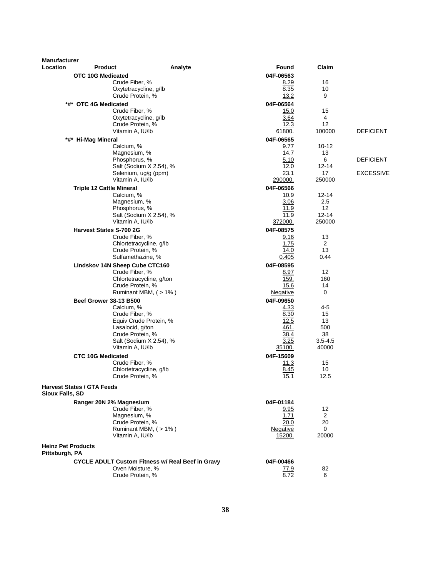| <b>Manufacturer</b><br>Location   | <b>Product</b>                            | Analyte                                                 | Found           | Claim               |                  |
|-----------------------------------|-------------------------------------------|---------------------------------------------------------|-----------------|---------------------|------------------|
|                                   | OTC 10G Medicated                         |                                                         | 04F-06563       |                     |                  |
|                                   | Crude Fiber, %                            |                                                         | 8.29            | 16                  |                  |
|                                   | Oxytetracycline, g/lb                     |                                                         | 8.35            | 10                  |                  |
|                                   | Crude Protein, %                          |                                                         | 13.2            | 9                   |                  |
|                                   | *#* OTC 4G Medicated                      |                                                         | 04F-06564       |                     |                  |
|                                   | Crude Fiber, %                            |                                                         | 15.0            | 15                  |                  |
|                                   | Oxytetracycline, g/lb                     |                                                         | 3.64            | 4                   |                  |
|                                   | Crude Protein, %                          |                                                         | 12.3            | 12                  |                  |
|                                   | Vitamin A, IU/lb                          |                                                         | 61800.          | 100000              | <b>DEFICIENT</b> |
|                                   | *#* Hi-Mag Mineral                        |                                                         | 04F-06565       |                     |                  |
|                                   | Calcium, %<br>Magnesium, %                |                                                         | 9.77<br>14.7    | 10-12<br>13         |                  |
|                                   | Phosphorus, %                             |                                                         | 5.10            | 6                   | <b>DEFICIENT</b> |
|                                   |                                           | Salt (Sodium X 2.54), %                                 | 12.0            | 12-14               |                  |
|                                   | Selenium, ug/g (ppm)                      |                                                         | 23.1            | 17                  | <b>EXCESSIVE</b> |
|                                   | Vitamin A, IU/lb                          |                                                         | 290000.         | 250000              |                  |
|                                   | <b>Triple 12 Cattle Mineral</b>           |                                                         | 04F-06566       |                     |                  |
|                                   | Calcium, %                                |                                                         | 10.9            | 12-14               |                  |
|                                   | Magnesium, %                              |                                                         | 3.06            | 2.5                 |                  |
|                                   | Phosphorus, %                             |                                                         | 11.9            | $12 \overline{ }$   |                  |
|                                   | Vitamin A, IU/lb                          | Salt (Sodium X 2.54), %                                 | 11.9<br>372000. | $12 - 14$<br>250000 |                  |
|                                   |                                           |                                                         |                 |                     |                  |
|                                   | <b>Harvest States S-700 2G</b>            |                                                         | 04F-08575       | 13                  |                  |
|                                   | Crude Fiber, %<br>Chlortetracycline, g/lb |                                                         | 9.16<br>1.75    | 2                   |                  |
|                                   | Crude Protein, %                          |                                                         | 14.0            | 13                  |                  |
|                                   | Sulfamethazine, %                         |                                                         | 0.405           | 0.44                |                  |
|                                   | Lindskov 14N Sheep Cube CTC160            |                                                         | 04F-08595       |                     |                  |
|                                   | Crude Fiber, %                            |                                                         | 8.97            | 12                  |                  |
|                                   |                                           | Chlortetracycline, g/ton                                | 159.            | 160                 |                  |
|                                   | Crude Protein, %                          |                                                         | 15.6            | 14                  |                  |
|                                   |                                           | Ruminant MBM, $($ > 1% $)$                              | Negative        | 0                   |                  |
|                                   | <b>Beef Grower 38-13 B500</b>             |                                                         | 04F-09650       |                     |                  |
|                                   | Calcium, %                                |                                                         | 4.33            | 4-5                 |                  |
|                                   | Crude Fiber, %                            | Equiv Crude Protein, %                                  | 8.30<br>12.5    | 15<br>13            |                  |
|                                   | Lasalocid, g/ton                          |                                                         | 461.            | 500                 |                  |
|                                   | Crude Protein, %                          |                                                         | 38.4            | 38                  |                  |
|                                   |                                           | Salt (Sodium X 2.54), %                                 | 3.25            | $3.5 - 4.5$         |                  |
|                                   | Vitamin A, IU/lb                          |                                                         | 35100.          | 40000               |                  |
|                                   | <b>CTC 10G Medicated</b>                  |                                                         | 04F-15609       |                     |                  |
|                                   | Crude Fiber, %                            |                                                         | 11.3            | 15                  |                  |
|                                   | Chlortetracycline, g/lb                   |                                                         | 8.45            | 10                  |                  |
|                                   | Crude Protein, %                          |                                                         | 15.1            | 12.5                |                  |
| <b>Harvest States / GTA Feeds</b> |                                           |                                                         |                 |                     |                  |
| <b>Sioux Falls, SD</b>            |                                           |                                                         |                 |                     |                  |
|                                   | Ranger 20N 2% Magnesium                   |                                                         | 04F-01184       |                     |                  |
|                                   | Crude Fiber, %                            |                                                         | 9.95            | 12                  |                  |
|                                   | Magnesium, %                              |                                                         | 1.71            | $\overline{2}$      |                  |
|                                   | Crude Protein, %                          |                                                         | 20.0            | 20                  |                  |
|                                   | Vitamin A, IU/lb                          | Ruminant MBM, (>1%)                                     | Negative        | 0<br>20000          |                  |
|                                   |                                           |                                                         | 15200.          |                     |                  |
| <b>Heinz Pet Products</b>         |                                           |                                                         |                 |                     |                  |
| Pittsburgh, PA                    |                                           |                                                         |                 |                     |                  |
|                                   |                                           | <b>CYCLE ADULT Custom Fitness w/ Real Beef in Gravy</b> | 04F-00466       |                     |                  |
|                                   | Oven Moisture, %                          |                                                         | <u>77.9</u>     | 82                  |                  |
|                                   | Crude Protein, %                          |                                                         | 8.72            | 6                   |                  |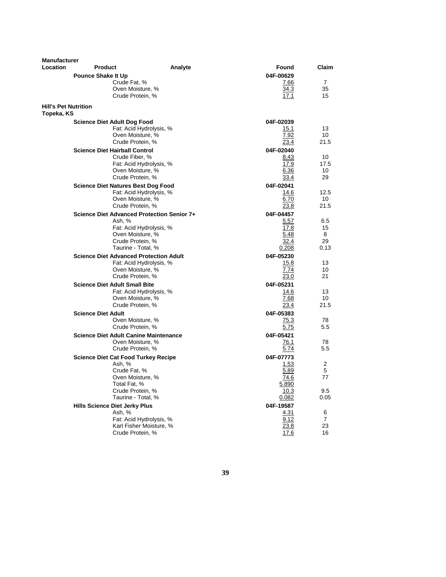| <b>Manufacturer</b>                       |                                               |                         |              |                 |
|-------------------------------------------|-----------------------------------------------|-------------------------|--------------|-----------------|
| Location                                  | <b>Product</b>                                | Analyte                 | Found        | Claim           |
|                                           | <b>Pounce Shake It Up</b>                     |                         | 04F-00629    |                 |
|                                           | Crude Fat, %                                  |                         | 7.66         | $\overline{7}$  |
|                                           | Oven Moisture, %                              |                         | 34.3         | 35              |
|                                           | Crude Protein, %                              |                         | 17.1         | 15              |
| <b>Hill's Pet Nutrition</b><br>Topeka, KS |                                               |                         |              |                 |
|                                           | <b>Science Diet Adult Dog Food</b>            |                         | 04F-02039    |                 |
|                                           |                                               | Fat: Acid Hydrolysis, % | 15.1         | 13              |
|                                           | Oven Moisture, %                              |                         | 7.92         | 10              |
|                                           | Crude Protein, %                              |                         | 23.4         | 21.5            |
|                                           | <b>Science Diet Hairball Control</b>          |                         | 04F-02040    |                 |
|                                           | Crude Fiber, %                                |                         | 8.43         | 10 <sup>1</sup> |
|                                           |                                               | Fat: Acid Hydrolysis, % | 17.9         | 17.5            |
|                                           | Oven Moisture, %                              |                         | 6.36         | 10              |
|                                           | Crude Protein, %                              |                         | 33.4         | 29              |
|                                           | <b>Science Diet Natures Best Dog Food</b>     |                         | 04F-02041    |                 |
|                                           |                                               | Fat: Acid Hydrolysis, % | 14.6         | 12.5            |
|                                           | Oven Moisture, %                              |                         | 6.70         | 10              |
|                                           | Crude Protein, %                              |                         | 23.8         | 21.5            |
|                                           | Science Diet Advanced Protection Senior 7+    |                         | 04F-04457    |                 |
|                                           | Ash, %                                        | Fat: Acid Hydrolysis, % | 5.57<br>17.8 | 6.5<br>15       |
|                                           | Oven Moisture, %                              |                         | 5.48         | 8               |
|                                           | Crude Protein, %                              |                         | 32.4         | 29              |
|                                           | Taurine - Total, %                            |                         | 0.208        | 0.13            |
|                                           | <b>Science Diet Advanced Protection Adult</b> |                         | 04F-05230    |                 |
|                                           |                                               | Fat: Acid Hydrolysis, % | 15.8         | 13              |
|                                           | Oven Moisture, %                              |                         | 7.74         | 10              |
|                                           | Crude Protein, %                              |                         | 23.0         | 21              |
|                                           | <b>Science Diet Adult Small Bite</b>          |                         | 04F-05231    |                 |
|                                           |                                               | Fat: Acid Hydrolysis, % | 14.6         | 13              |
|                                           | Oven Moisture, %                              |                         | 7.68         | 10              |
|                                           | Crude Protein, %                              |                         | 23.4         | 21.5            |
|                                           | <b>Science Diet Adult</b>                     |                         | 04F-05383    |                 |
|                                           | Oven Moisture, %                              |                         | 75.3         | 78              |
|                                           | Crude Protein, %                              |                         | 5.75         | 5.5             |
|                                           | <b>Science Diet Adult Canine Maintenance</b>  |                         | 04F-05421    |                 |
|                                           | Oven Moisture, %                              |                         | 76.1         | 78              |
|                                           | Crude Protein, %                              |                         | 5.74         | 5.5             |
|                                           | <b>Science Diet Cat Food Turkey Recipe</b>    |                         | 04F-07773    |                 |
|                                           | Ash, %<br>Crude Fat. %                        |                         | 1.53<br>5.89 | 2<br>5          |
|                                           | Oven Moisture, %                              |                         | 74.6         | 77              |
|                                           | Total Fat, %                                  |                         | 5.890        |                 |
|                                           | Crude Protein, %                              |                         | 10.3         | 9.5             |
|                                           | Taurine - Total, %                            |                         | 0.082        | 0.05            |
|                                           | <b>Hills Science Diet Jerky Plus</b>          |                         | 04F-19587    |                 |
|                                           | Ash, %                                        |                         | 4.31         | 6               |
|                                           |                                               | Fat: Acid Hydrolysis, % | 9.12         | 7               |
|                                           |                                               | Karl Fisher Moisture, % | 23.8         | 23              |
|                                           | Crude Protein, %                              |                         | 17.6         | 16              |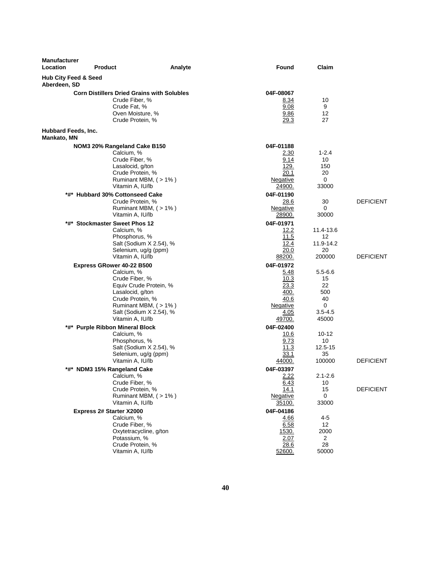| <b>Manufacturer</b><br>Location                 | <b>Product</b>                                                                                                                             | Analyte                                                                  | Found                                                                           | Claim                                                             |                  |
|-------------------------------------------------|--------------------------------------------------------------------------------------------------------------------------------------------|--------------------------------------------------------------------------|---------------------------------------------------------------------------------|-------------------------------------------------------------------|------------------|
| <b>Hub City Feed &amp; Seed</b><br>Aberdeen, SD |                                                                                                                                            |                                                                          |                                                                                 |                                                                   |                  |
|                                                 | <b>Corn Distillers Dried Grains with Solubles</b><br>Crude Fiber, %<br>Crude Fat, %<br>Oven Moisture, %<br>Crude Protein, %                |                                                                          | 04F-08067<br><u>8.34</u><br>9.08<br>9.86<br>29.3                                | 10<br>9<br>12<br>27                                               |                  |
| Hubbard Feeds, Inc.<br>Mankato, MN              |                                                                                                                                            |                                                                          |                                                                                 |                                                                   |                  |
|                                                 | NOM3 20% Rangeland Cake B150<br>Calcium, %<br>Crude Fiber, %<br>Lasalocid, g/ton<br>Crude Protein, %<br>Vitamin A, IU/lb                   | Ruminant MBM, (>1%)                                                      | 04F-01188<br>2.30<br>9.14<br>129.<br>20.1<br>Negative<br>24900.                 | $1 - 2.4$<br>10<br>150<br>20<br>0<br>33000                        |                  |
|                                                 | *#* Hubbard 30% Cottonseed Cake<br>Crude Protein, %<br>Vitamin A, IU/lb                                                                    | Ruminant MBM, (>1%)                                                      | 04F-01190<br>28.6<br>Negative<br>28900.                                         | 30<br>0<br>30000                                                  | <b>DEFICIENT</b> |
| *#*                                             | <b>Stockmaster Sweet Phos 12</b><br>Calcium, %<br>Phosphorus, %<br>Selenium, ug/g (ppm)<br>Vitamin A, IU/lb                                | Salt (Sodium X 2.54), %                                                  | 04F-01971<br>12.2<br>11.5<br>12.4<br>20.0<br><u>88200.</u>                      | 11.4-13.6<br>12<br>11.9-14.2<br>20<br>200000                      | <b>DEFICIENT</b> |
|                                                 | Express GRower 40-22 B500<br>Calcium, %<br>Crude Fiber, %<br>Lasalocid, g/ton<br>Crude Protein, %<br>Vitamin A, IU/lb                      | Equiv Crude Protein, %<br>Ruminant MBM, (>1%)<br>Salt (Sodium X 2.54), % | 04F-01972<br>5.48<br>10.3<br>23.3<br>400.<br>40.6<br>Negative<br>4.05<br>49700. | $5.5 - 6.6$<br>15<br>22<br>500<br>40<br>0<br>$3.5 - 4.5$<br>45000 |                  |
|                                                 | *#* Purple Ribbon Mineral Block<br>Calcium, %<br>Phosphorus, %<br>Selenium, ug/g (ppm)<br>Vitamin A, IU/lb                                 | Salt (Sodium X 2.54), %                                                  | 04F-02400<br>10.6<br>9.73<br>11.3<br>33.1<br>44000.                             | $10 - 12$<br>10<br>12.5-15<br>35<br>100000                        | <b>DEFICIENT</b> |
|                                                 | *#* NDM3 15% Rangeland Cake<br>Calcium, %<br>Crude Fiber, %<br>Crude Protein, %<br>Vitamin A, IU/lb                                        | Ruminant MBM, (>1%)                                                      | 04F-03397<br>2.22<br>6.43<br>14.1<br>Negative<br>35100.                         | $2.1 - 2.6$<br>10<br>15<br>0<br>33000                             | <b>DEFICIENT</b> |
|                                                 | Express 2# Starter X2000<br>Calcium, %<br>Crude Fiber, %<br>Oxytetracycline, g/ton<br>Potassium, %<br>Crude Protein, %<br>Vitamin A, IU/lb |                                                                          | 04F-04186<br>4.66<br>6.58<br>1530.<br>2.07<br>28.6<br>52600.                    | 4-5<br>$12 \overline{ }$<br>2000<br>$\overline{2}$<br>28<br>50000 |                  |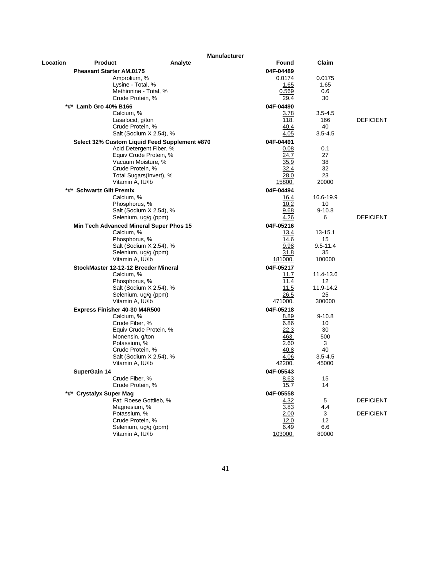| <b>Manufacturer</b> |                                               |                         |                   |                      |                  |
|---------------------|-----------------------------------------------|-------------------------|-------------------|----------------------|------------------|
| Location            | <b>Product</b>                                | Analyte                 | <b>Found</b>      | Claim                |                  |
|                     | <b>Pheasant Starter AM.0175</b>               |                         | 04F-04489         |                      |                  |
|                     | Amprolium, %                                  |                         | 0.0174            | 0.0175               |                  |
|                     | Lysine - Total, %                             |                         | 1.65              | 1.65                 |                  |
|                     | Methionine - Total, %                         |                         | 0.569             | 0.6                  |                  |
|                     | Crude Protein, %                              |                         | 29.4              | 30                   |                  |
| *#*                 | <b>Lamb Gro 40% B166</b>                      |                         | 04F-04490         |                      |                  |
|                     | Calcium, %<br>Lasalocid, g/ton                |                         | 3.78<br>118.      | $3.5 - 4.5$<br>166   | <b>DEFICIENT</b> |
|                     | Crude Protein, %                              |                         | 40.4              | 40                   |                  |
|                     |                                               | Salt (Sodium X 2.54), % | 4.05              | $3.5 - 4.5$          |                  |
|                     | Select 32% Custom Liquid Feed Supplement #870 |                         | 04F-04491         |                      |                  |
|                     |                                               | Acid Detergent Fiber, % | 0.08              | 0.1                  |                  |
|                     |                                               | Equiv Crude Protein, %  | 24.7              | 27                   |                  |
|                     | Vacuum Moisture, %                            |                         | 35.9              | 38                   |                  |
|                     | Crude Protein, %                              |                         | 32.4              | 32                   |                  |
|                     | Total Sugars(Invert), %                       |                         | 28.0              | 23                   |                  |
|                     | Vitamin A, IU/lb                              |                         | 15800.            | 20000                |                  |
|                     | *#* Schwartz Gilt Premix                      |                         | 04F-04494         |                      |                  |
|                     | Calcium, %                                    |                         | 16.4              | 16.6-19.9            |                  |
|                     | Phosphorus, %                                 | Salt (Sodium X 2.54), % | 10.2<br>9.68      | 10<br>$9 - 10.8$     |                  |
|                     | Selenium, ug/g (ppm)                          |                         | 4.26              | 6                    | <b>DEFICIENT</b> |
|                     | Min Tech Advanced Mineral Super Phos 15       |                         | 04F-05216         |                      |                  |
|                     | Calcium, %                                    |                         | 13.4              | $13 - 15.1$          |                  |
|                     | Phosphorus, %                                 |                         | 14.6              | 15                   |                  |
|                     |                                               | Salt (Sodium X 2.54), % | 9.98              | $9.5 - 11.4$         |                  |
|                     | Selenium, ug/g (ppm)                          |                         | 31.8              | 35                   |                  |
|                     | Vitamin A, IU/lb                              |                         | 181000.           | 100000               |                  |
|                     | StockMaster 12-12-12 Breeder Mineral          |                         | 04F-05217         |                      |                  |
|                     | Calcium, %                                    |                         | 11.7              | 11.4-13.6            |                  |
|                     | Phosphorus, %                                 |                         | 11.4              | 12                   |                  |
|                     | Selenium, ug/g (ppm)                          | Salt (Sodium X 2.54), % | 11.5<br>26.5      | 11.9-14.2<br>25      |                  |
|                     | Vitamin A, IU/lb                              |                         | 471000.           | 300000               |                  |
|                     | Express Finisher 40-30 M4R500                 |                         | 04F-05218         |                      |                  |
|                     | Calcium, %                                    |                         | 8.89              | $9 - 10.8$           |                  |
|                     | Crude Fiber, %                                |                         | 6.86              | 10                   |                  |
|                     |                                               | Equiv Crude Protein, %  | 22.3              | 30                   |                  |
|                     | Monensin, g/ton                               |                         | 463.              | 500                  |                  |
|                     | Potassium, %                                  |                         | 2.60              | 3                    |                  |
|                     | Crude Protein, %                              |                         | 40.8              | 40                   |                  |
|                     | Vitamin A, IU/lb                              | Salt (Sodium X 2.54), % | 4.06<br>42200.    | $3.5 - 4.5$<br>45000 |                  |
|                     |                                               |                         |                   |                      |                  |
|                     | SuperGain 14<br>Crude Fiber, %                |                         | 04F-05543<br>8.63 | 15                   |                  |
|                     | Crude Protein, %                              |                         | 15.7              | 14                   |                  |
|                     | *#* Crystalyx Super Mag                       |                         | 04F-05558         |                      |                  |
|                     | Fat: Roese Gottlieb, %                        |                         | 4.32              | 5                    | <b>DEFICIENT</b> |
|                     | Magnesium, %                                  |                         | 3.83              | 4.4                  |                  |
|                     | Potassium, %                                  |                         | 2.00              | 3                    | <b>DEFICIENT</b> |
|                     | Crude Protein, %                              |                         | 12.0              | 12                   |                  |
|                     | Selenium, ug/g (ppm)                          |                         | 6.49              | 6.6                  |                  |
|                     | Vitamin A, IU/lb                              |                         | 103000.           | 80000                |                  |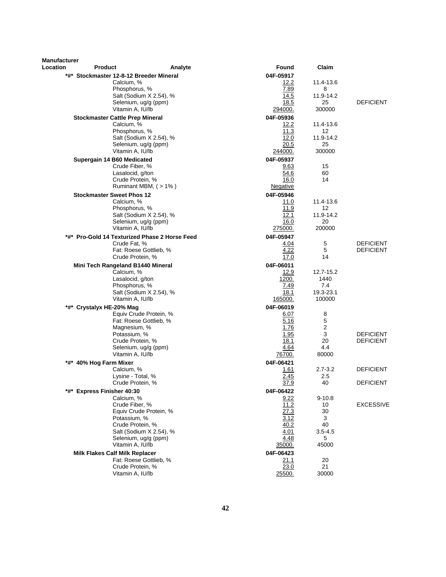| <b>Manufacturer</b><br>Location | <b>Product</b>                                 | Analyte                                          | Found             | Claim           |                  |
|---------------------------------|------------------------------------------------|--------------------------------------------------|-------------------|-----------------|------------------|
|                                 | *#* Stockmaster 12-8-12 Breeder Mineral        |                                                  | 04F-05917         |                 |                  |
|                                 | Calcium, %                                     |                                                  | 12.2              | 11.4-13.6       |                  |
|                                 | Phosphorus, %                                  |                                                  | 7.89              | 8               |                  |
|                                 |                                                | Salt (Sodium X 2.54), %                          | 14.5              | 11.9-14.2       |                  |
|                                 |                                                | Selenium, ug/g (ppm)                             | 18.5              | 25              | <b>DEFICIENT</b> |
|                                 | Vitamin A, IU/lb                               |                                                  | 294000.           | 300000          |                  |
|                                 | <b>Stockmaster Cattle Prep Mineral</b>         |                                                  | 04F-05936         |                 |                  |
|                                 | Calcium, %<br>Phosphorus, %                    |                                                  | 12.2<br>11.3      | 11.4-13.6<br>12 |                  |
|                                 |                                                | Salt (Sodium X 2.54), %                          | 12.0              | 11.9-14.2       |                  |
|                                 |                                                | Selenium, ug/g (ppm)                             | 20.5              | 25              |                  |
|                                 | Vitamin A, IU/lb                               |                                                  | 244000.           | 300000          |                  |
|                                 | Supergain 14 B60 Medicated                     |                                                  | 04F-05937         |                 |                  |
|                                 | Crude Fiber, %                                 |                                                  | 9.63              | 15              |                  |
|                                 | Lasalocid, g/ton                               |                                                  | 54.6              | 60              |                  |
|                                 | Crude Protein, %                               | Ruminant MBM, (>1%)                              | 16.0              | 14              |                  |
|                                 |                                                |                                                  | <u>Negative</u>   |                 |                  |
|                                 | <b>Stockmaster Sweet Phos 12</b><br>Calcium, % |                                                  | 04F-05946<br>11.0 | 11.4-13.6       |                  |
|                                 | Phosphorus, %                                  |                                                  | 11.9              | 12              |                  |
|                                 |                                                | Salt (Sodium X 2.54), %                          | 12.1              | 11.9-14.2       |                  |
|                                 |                                                | Selenium, ug/g (ppm)                             | 16.0              | 20              |                  |
|                                 | Vitamin A, IU/lb                               |                                                  | 275000.           | 200000          |                  |
|                                 |                                                | *#* Pro-Gold 14 Texturized Phase 2 Horse Feed    | 04F-05947         |                 |                  |
|                                 | Crude Fat, %                                   |                                                  | 4.04              | 5               | <b>DEFICIENT</b> |
|                                 | Crude Protein, %                               | Fat: Roese Gottlieb, %                           | 4.22<br>17.0      | 5<br>14         | <b>DEFICIENT</b> |
|                                 | Mini Tech Rangeland B1440 Mineral              |                                                  | 04F-06011         |                 |                  |
|                                 | Calcium, %                                     |                                                  | 12.9              | 12.7-15.2       |                  |
|                                 | Lasalocid, g/ton                               |                                                  | 1200.             | 1440            |                  |
|                                 | Phosphorus, %                                  |                                                  | 7.49              | 7.4             |                  |
|                                 |                                                | Salt (Sodium X 2.54), %                          | 18.1              | 19.3-23.1       |                  |
|                                 | Vitamin A, IU/lb                               |                                                  | 165000.           | 100000          |                  |
|                                 | *#* Crystalyx HE-20% Mag                       |                                                  | 04F-06019         |                 |                  |
|                                 |                                                | Equiv Crude Protein, %<br>Fat: Roese Gottlieb, % | 6.07<br>5.16      | 8<br>5          |                  |
|                                 | Magnesium, %                                   |                                                  | 1.76              | 2               |                  |
|                                 | Potassium, %                                   |                                                  | 1.95              | 3               | <b>DEFICIENT</b> |
|                                 | Crude Protein, %                               |                                                  | 18.1              | 20              | <b>DEFICIENT</b> |
|                                 |                                                | Selenium, ug/g (ppm)                             | 4.64              | 4.4             |                  |
|                                 | Vitamin A, IU/lb                               |                                                  | 76700.            | 80000           |                  |
| *#*                             | 40% Hog Farm Mixer<br>Calcium, %               |                                                  | 04F-06421<br>1.61 | $2.7 - 3.2$     | <b>DEFICIENT</b> |
|                                 | Lysine - Total, %                              |                                                  | 2.45              | 2.5             |                  |
|                                 | Crude Protein, %                               |                                                  | 37.9              | 40              | <b>DEFICIENT</b> |
|                                 | *#* Express Finisher 40:30                     |                                                  | 04F-06422         |                 |                  |
|                                 | Calcium, %                                     |                                                  | 9.22              | $9 - 10.8$      |                  |
|                                 | Crude Fiber, %                                 |                                                  | 11.2              | 10              | <b>EXCESSIVE</b> |
|                                 |                                                | Equiv Crude Protein, %                           | 27.3              | 30              |                  |
|                                 | Potassium, %<br>Crude Protein, %               |                                                  | 3.12<br>40.2      | 3<br>40         |                  |
|                                 |                                                | Salt (Sodium X 2.54), %                          | 4.01              | 3.5-4.5         |                  |
|                                 |                                                | Selenium, ug/g (ppm)                             | 4.48              | 5               |                  |
|                                 | Vitamin A, IU/lb                               |                                                  | <u>35000.</u>     | 45000           |                  |
|                                 | <b>Milk Flakes Calf Milk Replacer</b>          |                                                  | 04F-06423         |                 |                  |
|                                 |                                                | Fat: Roese Gottlieb, %                           | 21.1              | 20              |                  |
|                                 | Crude Protein, %<br>Vitamin A, IU/lb           |                                                  | 23.0<br>25500.    | 21<br>30000     |                  |
|                                 |                                                |                                                  |                   |                 |                  |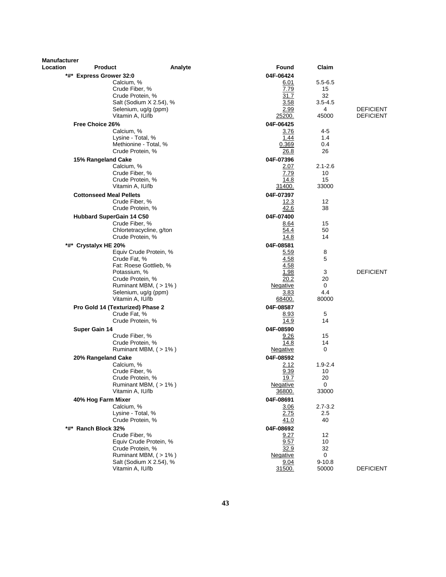| <b>Manufacturer</b> |                                    |                            |                 |             |                  |
|---------------------|------------------------------------|----------------------------|-----------------|-------------|------------------|
| Location            | <b>Product</b>                     | Analyte                    | Found           | Claim       |                  |
|                     | *#* Express Grower 32:0            |                            | 04F-06424       |             |                  |
|                     | Calcium, %                         |                            | 6.01            | $5.5 - 6.5$ |                  |
|                     | Crude Fiber, %<br>Crude Protein, % |                            | 7.79<br>31.7    | 15<br>32    |                  |
|                     |                                    | Salt (Sodium X 2.54), %    | 3.58            | $3.5 - 4.5$ |                  |
|                     |                                    | Selenium, ug/g (ppm)       | 2.99            | 4           | <b>DEFICIENT</b> |
|                     | Vitamin A, IU/lb                   |                            | 25200.          | 45000       | <b>DEFICIENT</b> |
|                     | Free Choice 26%                    |                            | 04F-06425       |             |                  |
|                     | Calcium, %                         |                            | 3.76            | 4-5         |                  |
|                     | Lysine - Total, %                  |                            | 1.44            | 1.4         |                  |
|                     |                                    | Methionine - Total, %      | 0.369           | 0.4         |                  |
|                     | Crude Protein, %                   |                            | 26.8            | 26          |                  |
|                     | 15% Rangeland Cake                 |                            | 04F-07396       |             |                  |
|                     | Calcium, %                         |                            | 2.07            | $2.1 - 2.6$ |                  |
|                     | Crude Fiber, %                     |                            | 7.79            | 10          |                  |
|                     | Crude Protein, %                   |                            | 14.8            | 15          |                  |
|                     | Vitamin A, IU/lb                   |                            | 31400.          | 33000       |                  |
|                     | <b>Cottonseed Meal Pellets</b>     |                            | 04F-07397       |             |                  |
|                     | Crude Fiber, %                     |                            | 12.3            | 12          |                  |
|                     | Crude Protein, %                   |                            | 42.6            | 38          |                  |
|                     | Hubbard SuperGain 14 C50           |                            | 04F-07400       |             |                  |
|                     | Crude Fiber, %                     |                            | 8.64            | 15<br>50    |                  |
|                     | Crude Protein, %                   | Chlortetracycline, g/ton   | 54.4<br>14.8    | 14          |                  |
|                     | *#* Crystalyx HE 20%               |                            | 04F-08581       |             |                  |
|                     |                                    | Equiv Crude Protein, %     | <u>5.59</u>     | 8           |                  |
|                     | Crude Fat. %                       |                            | 4.58            | 5           |                  |
|                     |                                    | Fat: Roese Gottlieb, %     | 4.58            |             |                  |
|                     | Potassium, %                       |                            | 1.98            | 3           | <b>DEFICIENT</b> |
|                     | Crude Protein, %                   |                            | 20.2            | 20          |                  |
|                     |                                    | Ruminant MBM, (>1%)        | Negative        | 0           |                  |
|                     |                                    | Selenium, ug/g (ppm)       | 3.83            | 4.4         |                  |
|                     | Vitamin A, IU/lb                   |                            | 68400.          | 80000       |                  |
|                     | Pro Gold 14 (Texturized) Phase 2   |                            | 04F-08587       |             |                  |
|                     | Crude Fat, %                       |                            | 8.93            | 5           |                  |
|                     | Crude Protein, %                   |                            | 14.9            | 14          |                  |
|                     | <b>Super Gain 14</b>               |                            | 04F-08590       |             |                  |
|                     | Crude Fiber, %<br>Crude Protein, % |                            | 9.26<br>14.8    | 15<br>14    |                  |
|                     |                                    | Ruminant MBM, (>1%)        | Negative        | 0           |                  |
|                     | 20% Rangeland Cake                 |                            | 04F-08592       |             |                  |
|                     | Calcium, %                         |                            | 2.12            | $1.9 - 2.4$ |                  |
|                     | Crude Fiber, %                     |                            | 9.39            | 10          |                  |
|                     | Crude Protein, %                   |                            | 19.7            | 20          |                  |
|                     |                                    | Ruminant MBM, (>1%)        | <b>Negative</b> | 0           |                  |
|                     | Vitamin A, IU/lb                   |                            | 36800.          | 33000       |                  |
|                     | 40% Hog Farm Mixer                 |                            | 04F-08691       |             |                  |
|                     | Calcium, %                         |                            | 3.06            | $2.7 - 3.2$ |                  |
|                     | Lysine - Total, %                  |                            | 2.75            | 2.5         |                  |
|                     | Crude Protein, %                   |                            | 41.0            | 40          |                  |
|                     | *#* Ranch Block 32%                |                            | 04F-08692       |             |                  |
|                     | Crude Fiber, %                     |                            | 9.27            | 12          |                  |
|                     | Crude Protein, %                   | Equiv Crude Protein, %     | 9.57<br>32.9    | 10<br>32    |                  |
|                     |                                    | Ruminant MBM, $($ > 1% $)$ | Negative        | 0           |                  |
|                     |                                    | Salt (Sodium X 2.54), %    | 9.04            | $9 - 10.8$  |                  |
|                     | Vitamin A, IU/lb                   |                            | 31500.          | 50000       | <b>DEFICIENT</b> |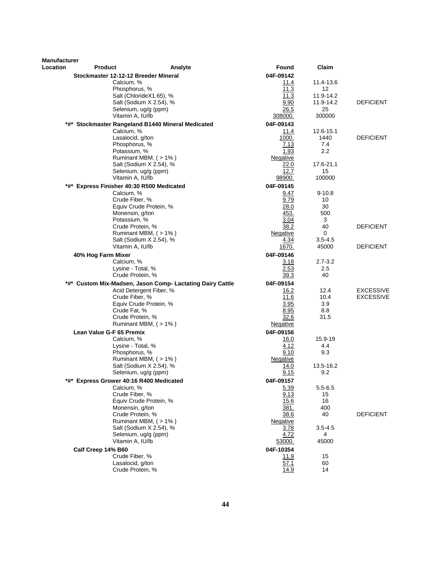| <b>Manufacturer</b> |                                           |                                                           |                         |                    |                  |
|---------------------|-------------------------------------------|-----------------------------------------------------------|-------------------------|--------------------|------------------|
| Location            | <b>Product</b>                            | Analyte                                                   | <b>Found</b>            | Claim              |                  |
|                     | Stockmaster 12-12-12 Breeder Mineral      |                                                           | 04F-09142               |                    |                  |
|                     | Calcium, %                                | Phosphorus, %                                             | 11.4<br>11.3            | 11.4-13.6<br>12    |                  |
|                     |                                           | Salt (ChlorideX1.65), %                                   | 11.3                    | 11.9-14.2          |                  |
|                     |                                           | Salt (Sodium X 2.54), %                                   | 9.90                    | 11.9-14.2          | DEFICIENT        |
|                     |                                           | Selenium, ug/g (ppm)                                      | 26.5                    | 25                 |                  |
|                     |                                           | Vitamin A, IU/lb                                          | 308000.                 | 300000             |                  |
|                     |                                           | *#* Stockmaster Rangeland B1440 Mineral Medicated         | 04F-09143               |                    |                  |
|                     | Calcium, %                                | Lasalocid, g/ton                                          | 11.4                    | 12.6-15.1<br>1440  | <b>DEFICIENT</b> |
|                     |                                           | Phosphorus, %                                             | 1000.<br>7.13           | 7.4                |                  |
|                     | Potassium, %                              |                                                           | 1.93                    | 2.2                |                  |
|                     |                                           | Ruminant MBM, (>1%)                                       | Negative                |                    |                  |
|                     |                                           | Salt (Sodium X 2.54), %                                   | <u> 22.0</u>            | 17.6-21.1          |                  |
|                     |                                           | Selenium, ug/g (ppm)<br>Vitamin A, IU/lb                  | 12.7<br>98900.          | 15<br>100000       |                  |
|                     | *#* Express Finisher 40:30 R500 Medicated |                                                           | 04F-09145               |                    |                  |
|                     | Calcium, %                                |                                                           | 9.47                    | $9 - 10.8$         |                  |
|                     | Crude Fiber, %                            |                                                           | 9.79                    | 10                 |                  |
|                     |                                           | Equiv Crude Protein, %                                    | 28.0                    | 30                 |                  |
|                     |                                           | Monensin, g/ton                                           | 453.                    | 500                |                  |
|                     | Potassium, %                              | Crude Protein, %                                          | 3.04<br>38.2            | 3<br>40            | <b>DEFICIENT</b> |
|                     |                                           | Ruminant MBM, (>1%)                                       | Negative                | 0                  |                  |
|                     |                                           | Salt (Sodium X 2.54), %                                   | 4.34                    | $3.5 - 4.5$        |                  |
|                     |                                           | Vitamin A, IU/lb                                          | 1670.                   | 45000              | <b>DEFICIENT</b> |
|                     | 40% Hog Farm Mixer                        |                                                           | 04F-09146               |                    |                  |
|                     | Calcium, %                                | Lysine - Total, %                                         | 3.18<br>2.53            | $2.7 - 3.2$<br>2.5 |                  |
|                     |                                           | Crude Protein, %                                          | 39.3                    | 40                 |                  |
|                     |                                           | *#* Custom Mix-Madsen, Jason Comp- Lactating Dairy Cattle | 04F-09154               |                    |                  |
|                     |                                           | Acid Detergent Fiber, %                                   | 16.2                    | 12.4               | <b>EXCESSIVE</b> |
|                     | Crude Fiber, %                            |                                                           | 11.6                    | 10.4               | <b>EXCESSIVE</b> |
|                     |                                           | Equiv Crude Protein, %                                    | 3.95                    | 3.9                |                  |
|                     | Crude Fat, %                              | Crude Protein, %                                          | 8.95<br>32.6            | 8.8<br>31.5        |                  |
|                     |                                           | Ruminant MBM, (> 1%)                                      | Negative                |                    |                  |
|                     | Lean Value G-F 65 Premix                  |                                                           | 04F-09156               |                    |                  |
|                     | Calcium, %                                |                                                           | 16.0                    | 15.9-19            |                  |
|                     |                                           | Lysine - Total, %                                         | 4.12                    | 4.4                |                  |
|                     |                                           | Phosphorus, %<br>Ruminant MBM, (>1%)                      | 9.10<br><b>Negative</b> | 9.3                |                  |
|                     |                                           | Salt (Sodium X 2.54), %                                   | 14.0                    | 13.5-16.2          |                  |
|                     |                                           | Selenium, ug/g (ppm)                                      | 9.15                    | 9.2                |                  |
|                     | *#* Express Grower 40:16 R400 Medicated   |                                                           | 04F-09157               |                    |                  |
|                     | Calcium, %                                |                                                           | 5.39                    | $5.5 - 6.5$        |                  |
|                     | Crude Fiber, %                            |                                                           | 9.13                    | 15                 |                  |
|                     |                                           | Equiv Crude Protein, %<br>Monensin, g/ton                 | 15.6<br>381.            | 16<br>400          |                  |
|                     |                                           | Crude Protein, %                                          | 38.6                    | 40                 | <b>DEFICIENT</b> |
|                     |                                           | Ruminant MBM, (>1%)                                       | Negative                |                    |                  |
|                     |                                           | Salt (Sodium X 2.54), %                                   | 3.78                    | $3.5 - 4.5$        |                  |
|                     |                                           | Selenium, ug/g (ppm)<br>Vitamin A, IU/lb                  | 4.72                    | 4<br>45000         |                  |
|                     |                                           |                                                           | 53000.<br>04F-10354     |                    |                  |
|                     | Calf Creep 14% B60                        | Crude Fiber, %                                            | 11.9                    | 15                 |                  |
|                     |                                           | Lasalocid, g/ton                                          | 57.1                    | 60                 |                  |
|                     |                                           | Crude Protein, %                                          | 14.9                    | 14                 |                  |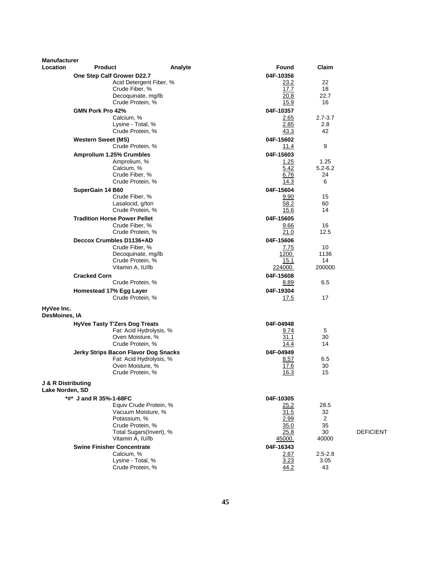| <b>Manufacturer</b>                   |                                        |                         |                |                |                  |
|---------------------------------------|----------------------------------------|-------------------------|----------------|----------------|------------------|
| <b>Location</b>                       | <b>Product</b>                         | Analyte                 | Found          | Claim          |                  |
|                                       | One Step Calf Grower D22.7             |                         | 04F-10356      |                |                  |
|                                       |                                        | Acid Detergent Fiber, % | 23.2           | 22             |                  |
|                                       | Crude Fiber, %<br>Decoquinate, mg/lb   |                         | 17.7<br>20.8   | 18<br>22.7     |                  |
|                                       | Crude Protein, %                       |                         | 15.9           | 16             |                  |
|                                       | GMN Pork Pro 42%                       |                         | 04F-10357      |                |                  |
|                                       | Calcium, %                             |                         | 2.65           | $2.7 - 3.7$    |                  |
|                                       | Lysine - Total, %                      |                         | 2.85           | 2.8            |                  |
|                                       | Crude Protein, %                       |                         | 43.3           | 42             |                  |
|                                       | <b>Western Sweet (MS)</b>              |                         | 04F-15602      |                |                  |
|                                       | Crude Protein, %                       |                         | 11.4           | 9              |                  |
|                                       | Amprolium 1.25% Crumbles               |                         | 04F-15603      |                |                  |
|                                       | Amprolium, %                           |                         | 1.25           | 1.25           |                  |
|                                       | Calcium, %                             |                         | 5.42           | $5.2 - 6.2$    |                  |
|                                       | Crude Fiber, %<br>Crude Protein, %     |                         | 6.76<br>14.3   | 24<br>6        |                  |
|                                       | SuperGain 14 B60                       |                         | 04F-15604      |                |                  |
|                                       | Crude Fiber, %                         |                         | 9.90           | 15             |                  |
|                                       | Lasalocid, g/ton                       |                         | 58.2           | 60             |                  |
|                                       | Crude Protein, %                       |                         | 15.6           | 14             |                  |
|                                       | <b>Tradition Horse Power Pellet</b>    |                         | 04F-15605      |                |                  |
|                                       | Crude Fiber, %                         |                         | 9.66           | 16             |                  |
|                                       | Crude Protein, %                       |                         | 21.0           | 12.5           |                  |
|                                       | Deccox Crumbles D1136+AD               |                         | 04F-15606      |                |                  |
|                                       | Crude Fiber, %                         |                         | 7.75           | 10             |                  |
|                                       | Decoquinate, mg/lb<br>Crude Protein, % |                         | 1200.<br>15.1  | 1136<br>14     |                  |
|                                       | Vitamin A, IU/lb                       |                         | 224000.        | 200000         |                  |
|                                       | <b>Cracked Corn</b>                    |                         | 04F-15608      |                |                  |
|                                       | Crude Protein, %                       |                         | 8.89           | 6.5            |                  |
|                                       | Homestead 17% Egg Layer                |                         | 04F-19304      |                |                  |
|                                       | Crude Protein, %                       |                         | 17.5           | 17             |                  |
| HyVee Inc.<br>DesMoines, IA           |                                        |                         |                |                |                  |
|                                       |                                        |                         | 04F-04948      |                |                  |
|                                       | HyVee Tasty T'Zers Dog Treats          | Fat: Acid Hydrolysis, % | 9.74           | 5              |                  |
|                                       | Oven Moisture, %                       |                         | 31.1           | 30             |                  |
|                                       | Crude Protein, %                       |                         | 14.4           | 14             |                  |
|                                       | Jerky Strips Bacon Flavor Dog Snacks   |                         | 04F-04949      |                |                  |
|                                       | Fat: Acid Hydrolysis, %                |                         | 8.57           | 6.5            |                  |
|                                       | Oven Moisture, %                       |                         | 17.6           | 30             |                  |
|                                       | Crude Protein, %                       |                         | 16.3           | 15             |                  |
| J & R Distributing<br>Lake Norden, SD |                                        |                         |                |                |                  |
|                                       | *#* J and R 35%-1-68FC                 |                         | 04F-10305      |                |                  |
|                                       |                                        | Equiv Crude Protein, %  | 25.2           | 28.5           |                  |
|                                       | Vacuum Moisture, %                     |                         | 31.5           | 32             |                  |
|                                       | Potassium, %                           |                         | 2.99           | $\overline{2}$ |                  |
|                                       | Crude Protein, %                       | Total Sugars(Invert), % | 35.0           | 35<br>30       | <b>DEFICIENT</b> |
|                                       | Vitamin A, IU/lb                       |                         | 25.8<br>45000. | 40000          |                  |
|                                       | <b>Swine Finisher Concentrate</b>      |                         | 04F-16343      |                |                  |
|                                       | Calcium, %                             |                         | 2.67           | $2.5 - 2.8$    |                  |
|                                       | Lysine - Total, %                      |                         | 3.23           | 3.05           |                  |
|                                       | Crude Protein, %                       |                         | 44.2           | 43             |                  |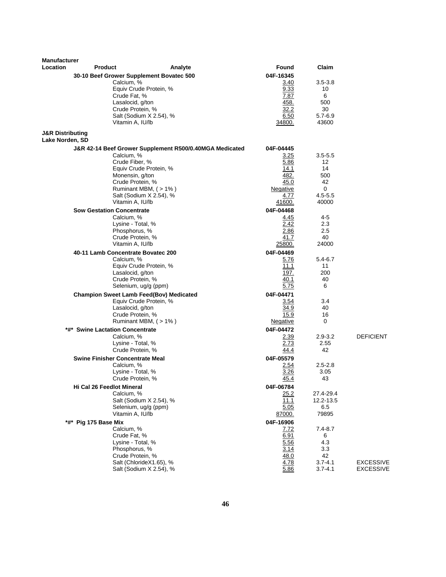| <b>Manufacturer</b><br><b>Location</b> | <b>Product</b>                                 | Analyte                                                 | Found             | Claim                |                  |
|----------------------------------------|------------------------------------------------|---------------------------------------------------------|-------------------|----------------------|------------------|
|                                        |                                                |                                                         | 04F-16345         |                      |                  |
|                                        | Calcium, %                                     | 30-10 Beef Grower Supplement Bovatec 500                | 3.40              | $3.5 - 3.8$          |                  |
|                                        |                                                | Equiv Crude Protein, %                                  | 9.33              | 10                   |                  |
|                                        |                                                | Crude Fat, %                                            | 7.87              | 6                    |                  |
|                                        |                                                | Lasalocid, g/ton                                        | 458.              | 500                  |                  |
|                                        |                                                | Crude Protein, %                                        | 32.2              | 30                   |                  |
|                                        |                                                | Salt (Sodium X 2.54), %<br>Vitamin A, IU/lb             | 6.50<br>34800.    | $5.7 - 6.9$<br>43600 |                  |
| <b>J&amp;R Distributing</b>            |                                                |                                                         |                   |                      |                  |
| Lake Norden, SD                        |                                                |                                                         |                   |                      |                  |
|                                        |                                                | J&R 42-14 Beef Grower Supplement R500/0.40MGA Medicated | 04F-04445         |                      |                  |
|                                        | Calcium, %                                     |                                                         | 3.25              | $3.5 - 5.5$          |                  |
|                                        |                                                | Crude Fiber, %<br>Equiv Crude Protein, %                | 5.86<br>14.1      | 12<br>14             |                  |
|                                        |                                                | Monensin, g/ton                                         | 482.              | 500                  |                  |
|                                        |                                                | Crude Protein, %                                        | 45.0              | 42                   |                  |
|                                        |                                                | Ruminant MBM, (>1%)                                     | Negative          | 0                    |                  |
|                                        |                                                | Salt (Sodium X 2.54), %                                 | 4.77              | $4.5 - 5.5$          |                  |
|                                        |                                                | Vitamin A, IU/lb                                        | 41600.            | 40000                |                  |
|                                        | <b>Sow Gestation Concentrate</b><br>Calcium, % |                                                         | 04F-04468<br>4.45 | 4-5                  |                  |
|                                        |                                                | Lysine - Total, %                                       | 2.42              | 2.3                  |                  |
|                                        |                                                | Phosphorus, %                                           | 2.86              | 2.5                  |                  |
|                                        |                                                | Crude Protein, %                                        | 41.7              | 40                   |                  |
|                                        |                                                | Vitamin A, IU/lb                                        | 25800.            | 24000                |                  |
|                                        | 40-11 Lamb Concentrate Bovatec 200             |                                                         | 04F-04469         |                      |                  |
|                                        | Calcium, %                                     | Equiv Crude Protein, %                                  | 5.76<br>11.1      | $5.4 - 6.7$<br>11    |                  |
|                                        |                                                | Lasalocid, g/ton                                        | 197.              | 200                  |                  |
|                                        |                                                | Crude Protein, %                                        | 40.1              | 40                   |                  |
|                                        |                                                | Selenium, ug/g (ppm)                                    | 5.75              | 6                    |                  |
|                                        |                                                | <b>Champion Sweet Lamb Feed(Bov) Medicated</b>          | 04F-04471         |                      |                  |
|                                        |                                                | Equiv Crude Protein, %                                  | 3.54              | 3.4                  |                  |
|                                        |                                                | Lasalocid, g/ton<br>Crude Protein, %                    | 34.9<br>15.9      | 40<br>16             |                  |
|                                        |                                                | Ruminant MBM, $($ > 1% $)$                              | Negative          | 0                    |                  |
|                                        | *#* Swine Lactation Concentrate                |                                                         | 04F-04472         |                      |                  |
|                                        | Calcium, %                                     |                                                         | 2.39              | $2.9 - 3.2$          | <b>DEFICIENT</b> |
|                                        |                                                | Lysine - Total, %                                       | 2.73              | 2.55                 |                  |
|                                        |                                                | Crude Protein, %                                        | 44.4              | 42                   |                  |
|                                        | <b>Swine Finisher Concentrate Meal</b>         |                                                         | 04F-05579         |                      |                  |
|                                        | Calcium, %                                     | Lysine - Total, %                                       | 2.54<br>3.26      | $2.5 - 2.8$<br>3.05  |                  |
|                                        |                                                | Crude Protein, %                                        | 45.4              | 43                   |                  |
|                                        | Hi Cal 26 Feedlot Mineral                      |                                                         | 04F-06784         |                      |                  |
|                                        | Calcium, %                                     |                                                         | 25.2              | 27.4-29.4            |                  |
|                                        |                                                | Salt (Sodium X 2.54), %                                 | 11.1              | 12.2-13.5            |                  |
|                                        |                                                | Selenium, ug/g (ppm)                                    | 5.05              | 6.5                  |                  |
|                                        |                                                | Vitamin A, IU/lb                                        | 87000.            | 79895                |                  |
| *#*                                    | Pig 175 Base Mix<br>Calcium, %                 |                                                         | 04F-16906<br>7.72 | $7.4 - 8.7$          |                  |
|                                        | Crude Fat, %                                   |                                                         | 6.91              | 6                    |                  |
|                                        |                                                | Lysine - Total, %                                       | 5.56              | 4.3                  |                  |
|                                        |                                                | Phosphorus, %                                           | 3.14              | 3.3                  |                  |
|                                        |                                                | Crude Protein, %<br>Salt (ChlorideX1.65), %             | 48.0              | 42<br>$3.7 - 4.1$    | <b>EXCESSIVE</b> |
|                                        |                                                | Salt (Sodium X 2.54), %                                 | 4.78<br>5.86      | $3.7 - 4.1$          | <b>EXCESSIVE</b> |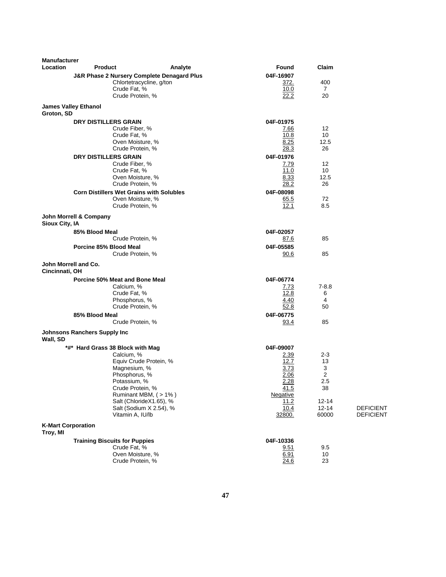| <b>Manufacturer</b>       |                                                 |                                                       |                   |                |                  |
|---------------------------|-------------------------------------------------|-------------------------------------------------------|-------------------|----------------|------------------|
| Location                  | <b>Product</b>                                  | Analyte                                               | Found             | Claim          |                  |
|                           |                                                 | <b>J&amp;R Phase 2 Nursery Complete Denagard Plus</b> | 04F-16907         |                |                  |
|                           |                                                 | Chlortetracycline, g/ton                              | 372.              | 400            |                  |
|                           | Crude Fat, %                                    |                                                       | 10.0              | $\overline{7}$ |                  |
|                           | Crude Protein, %                                |                                                       | 22.2              | 20             |                  |
| Groton, SD                | <b>James Valley Ethanol</b>                     |                                                       |                   |                |                  |
|                           | <b>DRY DISTILLERS GRAIN</b>                     |                                                       | 04F-01975         |                |                  |
|                           | Crude Fiber, %                                  |                                                       | 7.66              | 12             |                  |
|                           | Crude Fat, %                                    |                                                       | 10.8              | 10             |                  |
|                           | Oven Moisture, %                                |                                                       | 8.25              | 12.5           |                  |
|                           | Crude Protein, %                                |                                                       | 28.3              | 26             |                  |
|                           | <b>DRY DISTILLERS GRAIN</b><br>Crude Fiber, %   |                                                       | 04F-01976<br>7.79 | 12             |                  |
|                           | Crude Fat, %                                    |                                                       | 11.0              | 10             |                  |
|                           | Oven Moisture, %                                |                                                       | 8.33              | 12.5           |                  |
|                           | Crude Protein, %                                |                                                       | 28.2              | 26             |                  |
|                           | <b>Corn Distillers Wet Grains with Solubles</b> |                                                       | 04F-08098         |                |                  |
|                           | Oven Moisture, %                                |                                                       | 65.5              | 72             |                  |
|                           | Crude Protein, %                                |                                                       | 12.1              | 8.5            |                  |
| Sioux City, IA            | John Morrell & Company                          |                                                       |                   |                |                  |
|                           | 85% Blood Meal                                  |                                                       | 04F-02057         |                |                  |
|                           | Crude Protein, %                                |                                                       | 87.6              | 85             |                  |
|                           | Porcine 85% Blood Meal                          |                                                       | 04F-05585         |                |                  |
|                           | Crude Protein, %                                |                                                       | 90.6              | 85             |                  |
| Cincinnati, OH            | John Morrell and Co.                            |                                                       |                   |                |                  |
|                           | Porcine 50% Meat and Bone Meal                  |                                                       | 04F-06774         |                |                  |
|                           | Calcium, %                                      |                                                       | 7.73              | $7 - 8.8$      |                  |
|                           | Crude Fat, %                                    |                                                       | 12.8              | 6              |                  |
|                           | Phosphorus, %<br>Crude Protein, %               |                                                       | 4.40              | 4              |                  |
|                           |                                                 |                                                       | 52.8              | 50             |                  |
|                           | 85% Blood Meal                                  |                                                       | 04F-06775         | 85             |                  |
|                           | Crude Protein, %                                |                                                       | 93.4              |                |                  |
| Wall, SD                  | <b>Johnsons Ranchers Supply Inc</b>             |                                                       |                   |                |                  |
|                           | *#* Hard Grass 38 Block with Mag                |                                                       | 04F-09007         |                |                  |
|                           | Calcium, %                                      |                                                       | 2.39              | $2 - 3$        |                  |
|                           |                                                 | Equiv Crude Protein, %                                | 12.7              | 13             |                  |
|                           | Magnesium, %<br>Phosphorus, %                   |                                                       | 3.73<br>2.06      | 3<br>2         |                  |
|                           | Potassium, %                                    |                                                       | 2.28              | $2.5\,$        |                  |
|                           | Crude Protein, %                                |                                                       | 41.5              | 38             |                  |
|                           |                                                 | Ruminant MBM, (>1%)                                   | Negative          |                |                  |
|                           |                                                 | Salt (ChlorideX1.65), %                               | 11.2              | $12 - 14$      |                  |
|                           |                                                 | Salt (Sodium X 2.54), %                               | 10.4              | $12 - 14$      | <b>DEFICIENT</b> |
|                           | Vitamin A, IU/lb                                |                                                       | 32800.            | 60000          | <b>DEFICIENT</b> |
| <b>K-Mart Corporation</b> |                                                 |                                                       |                   |                |                  |
| Troy, MI                  |                                                 |                                                       |                   |                |                  |
|                           | <b>Training Biscuits for Puppies</b>            |                                                       | 04F-10336         |                |                  |
|                           | Crude Fat, %<br>Oven Moisture, %                |                                                       | 9.51<br>6.91      | 9.5<br>10      |                  |
|                           | Crude Protein, %                                |                                                       | 24.6              | 23             |                  |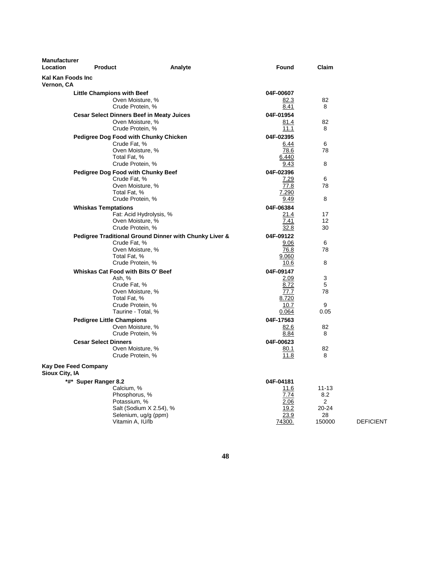| <b>Manufacturer</b><br>Location | <b>Product</b>                                                                                | Analyte                                                | Found                                                       | Claim                                              |                  |
|---------------------------------|-----------------------------------------------------------------------------------------------|--------------------------------------------------------|-------------------------------------------------------------|----------------------------------------------------|------------------|
| Kal Kan Foods Inc<br>Vernon, CA |                                                                                               |                                                        |                                                             |                                                    |                  |
|                                 | <b>Little Champions with Beef</b><br>Oven Moisture, %<br>Crude Protein, %                     |                                                        | 04F-00607<br>82.3<br>8.41                                   | 82<br>8                                            |                  |
|                                 | <b>Cesar Select Dinners Beef in Meaty Juices</b><br>Oven Moisture, %                          |                                                        | 04F-01954<br>81.4                                           | 82                                                 |                  |
|                                 | Crude Protein, %<br><b>Pedigree Dog Food with Chunky Chicken</b><br>Crude Fat, %              |                                                        | 11.1<br>04F-02395<br>6.44                                   | 8<br>6                                             |                  |
|                                 | Oven Moisture, %<br>Total Fat, %<br>Crude Protein, %                                          |                                                        | 78.6<br>6.440<br>9.43                                       | 78<br>8                                            |                  |
|                                 | <b>Pedigree Dog Food with Chunky Beef</b><br>Crude Fat, %<br>Oven Moisture, %<br>Total Fat, % |                                                        | 04F-02396<br>7.29<br>77.8<br>7.290                          | 6<br>78                                            |                  |
|                                 | Crude Protein, %<br><b>Whiskas Temptations</b>                                                |                                                        | 9.49<br>04F-06384                                           | 8                                                  |                  |
|                                 | Oven Moisture, %<br>Crude Protein, %                                                          | Fat: Acid Hydrolysis, %                                | 21.4<br>7.41<br>32.8                                        | 17<br>12<br>30                                     |                  |
|                                 | Crude Fat, %<br>Oven Moisture, %<br>Total Fat, %<br>Crude Protein, %                          | Pedigree Traditional Ground Dinner with Chunky Liver & | 04F-09122<br>9.06<br>76.8<br>9.060<br>10.6                  | 6<br>78<br>8                                       |                  |
|                                 | Whiskas Cat Food with Bits O' Beef<br>Ash, %                                                  |                                                        | 04F-09147<br>2.09                                           | 3                                                  |                  |
|                                 | Crude Fat, %<br>Oven Moisture, %<br>Total Fat, %<br>Crude Protein, %                          |                                                        | 8.72<br>77.7<br>8.720<br>10.7                               | 5<br>78<br>9                                       |                  |
|                                 | Taurine - Total. %<br><b>Pedigree Little Champions</b><br>Oven Moisture, %                    |                                                        | 0.064<br>04F-17563<br>82.6                                  | 0.05<br>82                                         |                  |
|                                 | Crude Protein, %<br><b>Cesar Select Dinners</b><br>Oven Moisture, %<br>Crude Protein, %       |                                                        | 8.84<br>04F-00623<br>80.1<br>11.8                           | 8<br>82<br>8                                       |                  |
| Sioux City, IA                  | <b>Kay Dee Feed Company</b>                                                                   |                                                        |                                                             |                                                    |                  |
|                                 | *#* Super Ranger 8.2<br>Calcium, %<br>Phosphorus, %<br>Potassium, %<br>Vitamin A, IU/lb       | Salt (Sodium X 2.54), %<br>Selenium, ug/g (ppm)        | 04F-04181<br>11.6<br>7.74<br>2.06<br>19.2<br>23.9<br>74300. | $11 - 13$<br>8.2<br>2<br>$20 - 24$<br>28<br>150000 | <b>DEFICIENT</b> |

**48**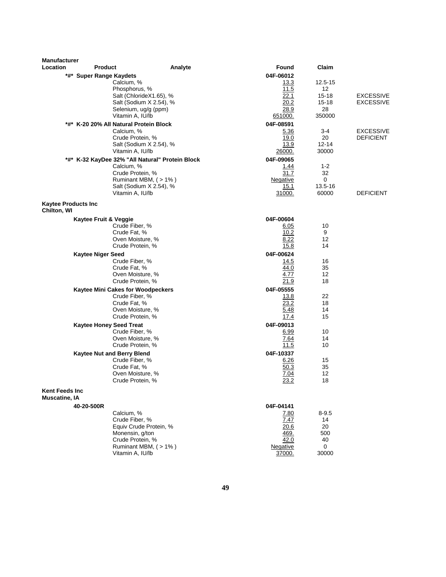| <b>Manufacturer</b>                       |                                |                                                            |         |                         |                    |                                      |
|-------------------------------------------|--------------------------------|------------------------------------------------------------|---------|-------------------------|--------------------|--------------------------------------|
| Location                                  | <b>Product</b>                 |                                                            | Analyte | <b>Found</b>            | Claim              |                                      |
|                                           | *#* Super Range Kaydets        |                                                            |         | 04F-06012               |                    |                                      |
|                                           |                                | Calcium, %                                                 |         | <u> 13.3</u>            | 12.5-15            |                                      |
|                                           |                                | Phosphorus, %                                              |         | 11.5                    | 12                 |                                      |
|                                           |                                | Salt (ChlorideX1.65), %<br>Salt (Sodium X 2.54), %         |         | 22.1<br>20.2            | 15-18<br>$15 - 18$ | <b>EXCESSIVE</b><br><b>EXCESSIVE</b> |
|                                           |                                | Selenium, ug/g (ppm)                                       |         | 28.9                    | 28                 |                                      |
|                                           |                                | Vitamin A, IU/lb                                           |         | 651000.                 | 350000             |                                      |
|                                           |                                | *#* K-20 20% All Natural Protein Block                     |         | 04F-08591               |                    |                                      |
|                                           |                                | Calcium, %                                                 |         | <u>5.36</u>             | 3-4                | <b>EXCESSIVE</b>                     |
|                                           |                                | Crude Protein, %                                           |         | 19.0                    | 20                 | <b>DEFICIENT</b>                     |
|                                           |                                | Salt (Sodium X 2.54), %                                    |         | 13.9                    | $12 - 14$          |                                      |
|                                           |                                | Vitamin A, IU/lb                                           |         | 26000.                  | 30000              |                                      |
|                                           |                                | *#* K-32 KayDee 32% "All Natural" Protein Block            |         | 04F-09065               |                    |                                      |
|                                           |                                | Calcium, %                                                 |         | 1.44                    | $1 - 2$            |                                      |
|                                           |                                | Crude Protein, %                                           |         | 31.7                    | 32<br>0            |                                      |
|                                           |                                | Ruminant MBM, (>1%)<br>Salt (Sodium X 2.54), %             |         | <b>Negative</b><br>15.1 | 13.5-16            |                                      |
|                                           |                                | Vitamin A, IU/lb                                           |         | 31000.                  | 60000              | <b>DEFICIENT</b>                     |
|                                           |                                |                                                            |         |                         |                    |                                      |
| <b>Kaytee Products Inc</b><br>Chilton, WI |                                |                                                            |         |                         |                    |                                      |
|                                           |                                |                                                            |         | 04F-00604               |                    |                                      |
|                                           | Kaytee Fruit & Veggie          | Crude Fiber, %                                             |         | 6.05                    | 10                 |                                      |
|                                           |                                | Crude Fat, %                                               |         | 10.2                    | 9                  |                                      |
|                                           |                                | Oven Moisture, %                                           |         | 8.22                    | 12                 |                                      |
|                                           |                                | Crude Protein, %                                           |         | 15.8                    | 14                 |                                      |
|                                           | <b>Kaytee Niger Seed</b>       |                                                            |         | 04F-00624               |                    |                                      |
|                                           |                                | Crude Fiber, %                                             |         | 14.5                    | 16                 |                                      |
|                                           |                                | Crude Fat, %                                               |         | 44.0                    | 35                 |                                      |
|                                           |                                | Oven Moisture, %                                           |         | 4.77<br>21.9            | 12                 |                                      |
|                                           |                                | Crude Protein, %                                           |         |                         | 18                 |                                      |
|                                           |                                | <b>Kaytee Mini Cakes for Woodpeckers</b><br>Crude Fiber, % |         | 04F-05555<br>13.8       | 22                 |                                      |
|                                           |                                | Crude Fat, %                                               |         | 23.2                    | 18                 |                                      |
|                                           |                                | Oven Moisture, %                                           |         | 5.48                    | 14                 |                                      |
|                                           |                                | Crude Protein, %                                           |         | 17.4                    | 15                 |                                      |
|                                           | <b>Kaytee Honey Seed Treat</b> |                                                            |         | 04F-09013               |                    |                                      |
|                                           |                                | Crude Fiber, %                                             |         | 6.99                    | 10                 |                                      |
|                                           |                                | Oven Moisture, %                                           |         | 7.64                    | 14                 |                                      |
|                                           |                                | Crude Protein, %                                           |         | 11.5                    | 10                 |                                      |
|                                           |                                | Kaytee Nut and Berry Blend                                 |         | 04F-10337               |                    |                                      |
|                                           |                                | Crude Fiber, %                                             |         | 6.26<br>50.3            | 15<br>35           |                                      |
|                                           |                                | Crude Fat, %<br>Oven Moisture, %                           |         | 7.04                    | 12                 |                                      |
|                                           |                                | Crude Protein, %                                           |         | 23.2                    | 18                 |                                      |
| Kent Feeds Inc<br>Muscatine, IA           |                                |                                                            |         |                         |                    |                                      |
|                                           | 40-20-500R                     |                                                            |         | 04F-04141               |                    |                                      |
|                                           |                                | Calcium, %                                                 |         | 7.80                    | $8 - 9.5$          |                                      |
|                                           |                                | Crude Fiber, %                                             |         | 7.47                    | 14                 |                                      |
|                                           |                                | Equiv Crude Protein, %                                     |         | 20.6                    | 20                 |                                      |
|                                           |                                | Monensin, g/ton                                            |         | 469.                    | 500                |                                      |
|                                           |                                | Crude Protein, %                                           |         | 42.0                    | 40                 |                                      |
|                                           |                                | Ruminant MBM, (>1%)                                        |         | Negative                | 0                  |                                      |
|                                           |                                | Vitamin A, IU/lb                                           |         | 37000.                  | 30000              |                                      |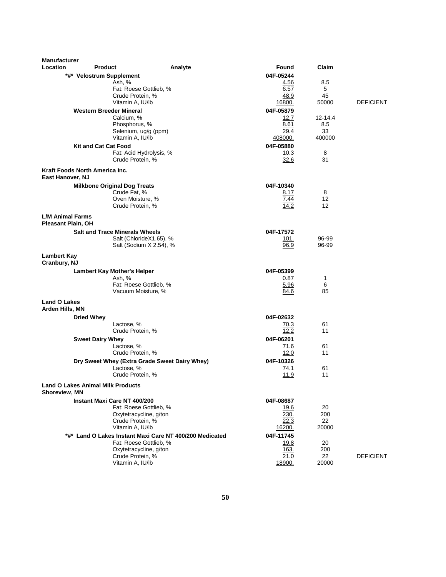| <b>Manufacturer</b><br>Location                           |                                                         |         |                   |             |                  |
|-----------------------------------------------------------|---------------------------------------------------------|---------|-------------------|-------------|------------------|
|                                                           | <b>Product</b>                                          | Analyte | Found             | Claim       |                  |
| *#* Velostrum Supplement                                  | Ash, %                                                  |         | 04F-05244<br>4.56 | 8.5         |                  |
|                                                           | Fat: Roese Gottlieb, %                                  |         | 6.57              | 5           |                  |
|                                                           | Crude Protein, %                                        |         | 48.9              | 45          |                  |
|                                                           | Vitamin A, IU/lb                                        |         | 16800.            | 50000       | <b>DEFICIENT</b> |
|                                                           | <b>Western Breeder Mineral</b>                          |         | 04F-05879         |             |                  |
|                                                           | Calcium, %                                              |         | 12.7              | $12 - 14.4$ |                  |
|                                                           | Phosphorus, %                                           |         | 8.61              | 8.5         |                  |
|                                                           | Selenium, ug/g (ppm)                                    |         | 29.4              | 33          |                  |
|                                                           | Vitamin A, IU/lb                                        |         | 408000.           | 400000      |                  |
| <b>Kit and Cat Cat Food</b>                               | Fat: Acid Hydrolysis, %                                 |         | 04F-05880<br>10.3 | 8           |                  |
|                                                           | Crude Protein, %                                        |         | 32.6              | 31          |                  |
|                                                           |                                                         |         |                   |             |                  |
| Kraft Foods North America Inc.<br>East Hanover, NJ        |                                                         |         |                   |             |                  |
|                                                           | <b>Milkbone Original Dog Treats</b>                     |         | 04F-10340         |             |                  |
|                                                           | Crude Fat, %                                            |         | 8.17              | 8           |                  |
|                                                           | Oven Moisture, %                                        |         | 7.44              | 12          |                  |
|                                                           | Crude Protein, %                                        |         | 14.2              | 12          |                  |
| <b>L/M Animal Farms</b><br><b>Pleasant Plain, OH</b>      |                                                         |         |                   |             |                  |
|                                                           | <b>Salt and Trace Minerals Wheels</b>                   |         | 04F-17572         |             |                  |
|                                                           | Salt (ChlorideX1.65), %                                 |         | 101.              | 96-99       |                  |
|                                                           | Salt (Sodium X 2.54), %                                 |         | 96.9              | 96-99       |                  |
| Lambert Kay                                               |                                                         |         |                   |             |                  |
| Cranbury, NJ                                              |                                                         |         |                   |             |                  |
|                                                           | <b>Lambert Kay Mother's Helper</b>                      |         | 04F-05399         |             |                  |
|                                                           | Ash, %                                                  |         | 0.87              | 1           |                  |
|                                                           | Fat: Roese Gottlieb, %                                  |         | 5.96              | 6           |                  |
|                                                           | Vacuum Moisture, %                                      |         | 84.6              | 85          |                  |
| <b>Land O Lakes</b>                                       |                                                         |         |                   |             |                  |
| Arden Hills, MN                                           |                                                         |         | 04F-02632         |             |                  |
| <b>Dried Whey</b>                                         | Lactose, %                                              |         | 70.3              | 61          |                  |
|                                                           | Crude Protein, %                                        |         | 12.2              | 11          |                  |
| <b>Sweet Dairy Whey</b>                                   |                                                         |         | 04F-06201         |             |                  |
|                                                           | Lactose, %                                              |         | 71.6              | 61          |                  |
|                                                           | Crude Protein, %                                        |         | 12.0              | 11          |                  |
|                                                           | Dry Sweet Whey (Extra Grade Sweet Dairy Whey)           |         | 04F-10326         |             |                  |
|                                                           | Lactose, %                                              |         | 74.1              | 61          |                  |
|                                                           | Crude Protein, %                                        |         | 11.9              | 11          |                  |
| <b>Land O Lakes Animal Milk Products</b><br>Shoreview, MN |                                                         |         |                   |             |                  |
|                                                           | Instant Maxi Care NT 400/200                            |         | 04F-08687         |             |                  |
|                                                           | Fat: Roese Gottlieb, %                                  |         | 19.6              | 20          |                  |
|                                                           | Oxytetracycline, g/ton                                  |         | 230.              | 200         |                  |
|                                                           | Crude Protein, %                                        |         | 22.3              | 22          |                  |
|                                                           | Vitamin A, IU/lb                                        |         | 16200.            | 20000       |                  |
|                                                           | *#* Land O Lakes Instant Maxi Care NT 400/200 Medicated |         | 04F-11745         |             |                  |
|                                                           | Fat: Roese Gottlieb, %                                  |         | 19.8              | 20          |                  |
|                                                           | Oxytetracycline, g/ton<br>Crude Protein, %              |         | 163.<br>21.0      | 200<br>22   | <b>DEFICIENT</b> |
|                                                           | Vitamin A, IU/lb                                        |         | 18900.            | 20000       |                  |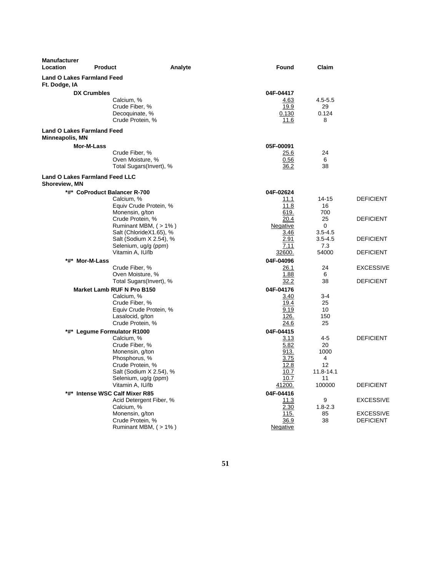| <b>Manufacturer</b><br><b>Location</b>                      | <b>Product</b><br>Analyte                                                                                                                                              | Found                                                             | Claim                                           |                                      |
|-------------------------------------------------------------|------------------------------------------------------------------------------------------------------------------------------------------------------------------------|-------------------------------------------------------------------|-------------------------------------------------|--------------------------------------|
| <b>Land O Lakes Farmland Feed</b><br>Ft. Dodge, IA          |                                                                                                                                                                        |                                                                   |                                                 |                                      |
|                                                             | <b>DX Crumbles</b><br>Calcium, %                                                                                                                                       | 04F-04417<br>4.63                                                 | $4.5 - 5.5$                                     |                                      |
|                                                             | Crude Fiber, %<br>Decoquinate, %<br>Crude Protein, %                                                                                                                   | 19.9<br>0.130<br>11.6                                             | 29<br>0.124<br>8                                |                                      |
| <b>Land O Lakes Farmland Feed</b><br><b>Minneapolis, MN</b> |                                                                                                                                                                        |                                                                   |                                                 |                                      |
|                                                             | Mor-M-Lass                                                                                                                                                             | 05F-00091                                                         |                                                 |                                      |
|                                                             | Crude Fiber, %<br>Oven Moisture, %<br>Total Sugars(Invert), %                                                                                                          | 25.6<br>0.56<br>36.2                                              | 24<br>6<br>38                                   |                                      |
| Shoreview, MN                                               | <b>Land O Lakes Farmland Feed LLC</b>                                                                                                                                  |                                                                   |                                                 |                                      |
|                                                             | *#* CoProduct Balancer R-700                                                                                                                                           | 04F-02624                                                         |                                                 |                                      |
|                                                             | Calcium, %<br>Equiv Crude Protein, %<br>Monensin, g/ton                                                                                                                | 11.1<br>11.8<br>619.                                              | $14 - 15$<br>16<br>700                          | <b>DEFICIENT</b>                     |
|                                                             | Crude Protein, %<br>Ruminant MBM, (> 1%)<br>Salt (ChlorideX1.65), %                                                                                                    | 20.4<br>Negative<br>3.46                                          | 25<br>$\Omega$<br>$3.5 - 4.5$                   | <b>DEFICIENT</b>                     |
|                                                             | Salt (Sodium X 2.54), %<br>Selenium, ug/g (ppm)                                                                                                                        | 2.91<br>7.11                                                      | $3.5 - 4.5$<br>7.3                              | <b>DEFICIENT</b>                     |
|                                                             | Vitamin A, IU/lb<br>*#* Mor-M-Lass                                                                                                                                     | 32600.<br>04F-04096                                               | 54000                                           | <b>DEFICIENT</b>                     |
|                                                             | Crude Fiber, %<br>Oven Moisture, %<br>Total Sugars(Invert), %                                                                                                          | 26.1<br>1.88<br>32.2                                              | 24<br>6<br>38                                   | <b>EXCESSIVE</b><br><b>DEFICIENT</b> |
|                                                             | <b>Market Lamb RUF N Pro B150</b>                                                                                                                                      | 04F-04176                                                         |                                                 |                                      |
|                                                             | Calcium, %<br>Crude Fiber, %<br>Equiv Crude Protein, %<br>Lasalocid, g/ton<br>Crude Protein, %                                                                         | 3.40<br>19.4<br>9.19<br>126.<br>24.6                              | $3-4$<br>25<br>10<br>150<br>25                  |                                      |
|                                                             | *#* Legume Formulator R1000<br>Calcium, %<br>Crude Fiber, %<br>Monensin, g/ton<br>Phosphorus, %<br>Crude Protein, %<br>Salt (Sodium X 2.54), %<br>Selenium, ug/g (ppm) | 04F-04415<br>3.13<br>5.82<br>913.<br>3.75<br>12.8<br>10.7<br>10.7 | 4-5<br>20<br>1000<br>4<br>12<br>11.8-14.1<br>11 | <b>DEFICIENT</b>                     |
|                                                             | Vitamin A. IU/lb<br>*#* Intense WSC Calf Mixer R85                                                                                                                     | 41200.<br>04F-04416                                               | 100000                                          | <b>DEFICIENT</b>                     |
|                                                             | Acid Detergent Fiber, %<br>Calcium, %                                                                                                                                  | 11.3<br>2.30                                                      | 9<br>$1.8 - 2.3$                                | <b>EXCESSIVE</b>                     |
|                                                             | Monensin, g/ton<br>Crude Protein, %<br>Ruminant MBM, (>1%)                                                                                                             | 115.<br>36.9<br>Negative                                          | 85<br>38                                        | <b>EXCESSIVE</b><br><b>DEFICIENT</b> |

**51**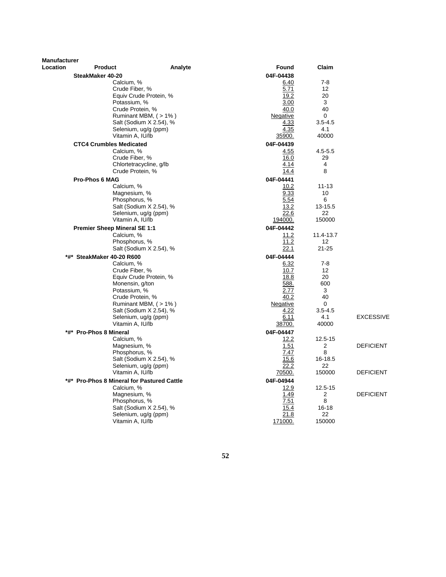| Location<br><b>Product</b><br>Analyte<br>Found<br>Claim<br>SteakMaker 40-20<br>04F-04438<br>$7 - 8$<br>Calcium, %<br><u>6.40</u><br>Crude Fiber, %<br>5.71<br>12<br>19.2<br>20<br>Equiv Crude Protein, %<br>Potassium, %<br>3.00<br>3<br>Crude Protein, %<br>40.0<br>40<br>Ruminant MBM, (>1%)<br>Negative<br>0<br>Salt (Sodium X 2.54), %<br>4.33<br>$3.5 - 4.5$<br>4.35<br>4.1<br>Selenium, ug/g (ppm)<br>Vitamin A, IU/lb<br>40000<br>35900.<br><b>CTC4 Crumbles Medicated</b><br>04F-04439<br>Calcium, %<br>4.55<br>$4.5 - 5.5$<br>Crude Fiber, %<br>16.0<br>29<br>Chlortetracycline, g/lb<br>4.14<br>4<br>Crude Protein, %<br>8<br><u>14.4</u><br><b>Pro-Phos 6 MAG</b><br>04F-04441<br>Calcium, %<br>10.2<br>$11 - 13$<br>Magnesium, %<br>9.33<br>10<br>Phosphorus, %<br>5.54<br>6<br>Salt (Sodium X 2.54), %<br>13-15.5<br>13.2<br>Selenium, ug/g (ppm)<br>22.6<br>22<br>Vitamin A, IU/lb<br>194000.<br>150000<br><b>Premier Sheep Mineral SE 1:1</b><br>04F-04442<br>Calcium, %<br>11.2<br>11.4-13.7<br>11.2<br>Phosphorus, %<br>12<br>$21 - 25$<br>Salt (Sodium X 2.54), %<br>22.1<br>*#* SteakMaker 40-20 R600<br>04F-04444<br>$7 - 8$<br>Calcium, %<br>6.32<br>10.7<br>Crude Fiber, %<br>12<br>Equiv Crude Protein, %<br>18.8<br>20<br>Monensin, g/ton<br>588.<br>600<br>2.77<br>3<br>Potassium, %<br>40<br>Crude Protein, %<br>40.2<br>Ruminant MBM, (> 1%)<br>Negative<br>0<br>4.22<br>Salt (Sodium X 2.54), %<br>$3.5 - 4.5$<br>4.1<br><b>EXCESSIVE</b><br>Selenium, ug/g (ppm)<br>6.11<br>Vitamin A, IU/lb<br>40000<br>38700.<br>*#* Pro-Phos 8 Mineral<br>04F-04447<br>Calcium, %<br>12.2<br>$12.5 - 15$<br>Magnesium, %<br>1.51<br>2<br><b>DEFICIENT</b><br>Phosphorus, %<br>7.47<br>8<br>16-18.5<br>Salt (Sodium X 2.54), %<br>15.6<br>Selenium, ug/g (ppm)<br>22.2<br>22<br>Vitamin A, IU/lb<br>150000<br><b>DEFICIENT</b><br>70500.<br>04F-04944<br>*#* Pro-Phos 8 Mineral for Pastured Cattle<br>Calcium, %<br>12.9<br>12.5-15<br>1.49<br>$\overline{2}$<br>Magnesium, %<br><b>DEFICIENT</b><br>Phosphorus, %<br>7.51<br>8<br>Salt (Sodium X 2.54), %<br>$16 - 18$<br>15.4<br>21.8<br>22<br>Selenium, ug/g (ppm)<br>Vitamin A, IU/lb<br>171000.<br>150000 | <b>Manufacturer</b> |  |  |  |
|--------------------------------------------------------------------------------------------------------------------------------------------------------------------------------------------------------------------------------------------------------------------------------------------------------------------------------------------------------------------------------------------------------------------------------------------------------------------------------------------------------------------------------------------------------------------------------------------------------------------------------------------------------------------------------------------------------------------------------------------------------------------------------------------------------------------------------------------------------------------------------------------------------------------------------------------------------------------------------------------------------------------------------------------------------------------------------------------------------------------------------------------------------------------------------------------------------------------------------------------------------------------------------------------------------------------------------------------------------------------------------------------------------------------------------------------------------------------------------------------------------------------------------------------------------------------------------------------------------------------------------------------------------------------------------------------------------------------------------------------------------------------------------------------------------------------------------------------------------------------------------------------------------------------------------------------------------------------------------------------------------------------------------------------------------------------------------------------------------------------------------------------------------------------------------|---------------------|--|--|--|
|                                                                                                                                                                                                                                                                                                                                                                                                                                                                                                                                                                                                                                                                                                                                                                                                                                                                                                                                                                                                                                                                                                                                                                                                                                                                                                                                                                                                                                                                                                                                                                                                                                                                                                                                                                                                                                                                                                                                                                                                                                                                                                                                                                                |                     |  |  |  |
|                                                                                                                                                                                                                                                                                                                                                                                                                                                                                                                                                                                                                                                                                                                                                                                                                                                                                                                                                                                                                                                                                                                                                                                                                                                                                                                                                                                                                                                                                                                                                                                                                                                                                                                                                                                                                                                                                                                                                                                                                                                                                                                                                                                |                     |  |  |  |
|                                                                                                                                                                                                                                                                                                                                                                                                                                                                                                                                                                                                                                                                                                                                                                                                                                                                                                                                                                                                                                                                                                                                                                                                                                                                                                                                                                                                                                                                                                                                                                                                                                                                                                                                                                                                                                                                                                                                                                                                                                                                                                                                                                                |                     |  |  |  |
|                                                                                                                                                                                                                                                                                                                                                                                                                                                                                                                                                                                                                                                                                                                                                                                                                                                                                                                                                                                                                                                                                                                                                                                                                                                                                                                                                                                                                                                                                                                                                                                                                                                                                                                                                                                                                                                                                                                                                                                                                                                                                                                                                                                |                     |  |  |  |
|                                                                                                                                                                                                                                                                                                                                                                                                                                                                                                                                                                                                                                                                                                                                                                                                                                                                                                                                                                                                                                                                                                                                                                                                                                                                                                                                                                                                                                                                                                                                                                                                                                                                                                                                                                                                                                                                                                                                                                                                                                                                                                                                                                                |                     |  |  |  |
|                                                                                                                                                                                                                                                                                                                                                                                                                                                                                                                                                                                                                                                                                                                                                                                                                                                                                                                                                                                                                                                                                                                                                                                                                                                                                                                                                                                                                                                                                                                                                                                                                                                                                                                                                                                                                                                                                                                                                                                                                                                                                                                                                                                |                     |  |  |  |
|                                                                                                                                                                                                                                                                                                                                                                                                                                                                                                                                                                                                                                                                                                                                                                                                                                                                                                                                                                                                                                                                                                                                                                                                                                                                                                                                                                                                                                                                                                                                                                                                                                                                                                                                                                                                                                                                                                                                                                                                                                                                                                                                                                                |                     |  |  |  |
|                                                                                                                                                                                                                                                                                                                                                                                                                                                                                                                                                                                                                                                                                                                                                                                                                                                                                                                                                                                                                                                                                                                                                                                                                                                                                                                                                                                                                                                                                                                                                                                                                                                                                                                                                                                                                                                                                                                                                                                                                                                                                                                                                                                |                     |  |  |  |
|                                                                                                                                                                                                                                                                                                                                                                                                                                                                                                                                                                                                                                                                                                                                                                                                                                                                                                                                                                                                                                                                                                                                                                                                                                                                                                                                                                                                                                                                                                                                                                                                                                                                                                                                                                                                                                                                                                                                                                                                                                                                                                                                                                                |                     |  |  |  |
|                                                                                                                                                                                                                                                                                                                                                                                                                                                                                                                                                                                                                                                                                                                                                                                                                                                                                                                                                                                                                                                                                                                                                                                                                                                                                                                                                                                                                                                                                                                                                                                                                                                                                                                                                                                                                                                                                                                                                                                                                                                                                                                                                                                |                     |  |  |  |
|                                                                                                                                                                                                                                                                                                                                                                                                                                                                                                                                                                                                                                                                                                                                                                                                                                                                                                                                                                                                                                                                                                                                                                                                                                                                                                                                                                                                                                                                                                                                                                                                                                                                                                                                                                                                                                                                                                                                                                                                                                                                                                                                                                                |                     |  |  |  |
|                                                                                                                                                                                                                                                                                                                                                                                                                                                                                                                                                                                                                                                                                                                                                                                                                                                                                                                                                                                                                                                                                                                                                                                                                                                                                                                                                                                                                                                                                                                                                                                                                                                                                                                                                                                                                                                                                                                                                                                                                                                                                                                                                                                |                     |  |  |  |
|                                                                                                                                                                                                                                                                                                                                                                                                                                                                                                                                                                                                                                                                                                                                                                                                                                                                                                                                                                                                                                                                                                                                                                                                                                                                                                                                                                                                                                                                                                                                                                                                                                                                                                                                                                                                                                                                                                                                                                                                                                                                                                                                                                                |                     |  |  |  |
|                                                                                                                                                                                                                                                                                                                                                                                                                                                                                                                                                                                                                                                                                                                                                                                                                                                                                                                                                                                                                                                                                                                                                                                                                                                                                                                                                                                                                                                                                                                                                                                                                                                                                                                                                                                                                                                                                                                                                                                                                                                                                                                                                                                |                     |  |  |  |
|                                                                                                                                                                                                                                                                                                                                                                                                                                                                                                                                                                                                                                                                                                                                                                                                                                                                                                                                                                                                                                                                                                                                                                                                                                                                                                                                                                                                                                                                                                                                                                                                                                                                                                                                                                                                                                                                                                                                                                                                                                                                                                                                                                                |                     |  |  |  |
|                                                                                                                                                                                                                                                                                                                                                                                                                                                                                                                                                                                                                                                                                                                                                                                                                                                                                                                                                                                                                                                                                                                                                                                                                                                                                                                                                                                                                                                                                                                                                                                                                                                                                                                                                                                                                                                                                                                                                                                                                                                                                                                                                                                |                     |  |  |  |
|                                                                                                                                                                                                                                                                                                                                                                                                                                                                                                                                                                                                                                                                                                                                                                                                                                                                                                                                                                                                                                                                                                                                                                                                                                                                                                                                                                                                                                                                                                                                                                                                                                                                                                                                                                                                                                                                                                                                                                                                                                                                                                                                                                                |                     |  |  |  |
|                                                                                                                                                                                                                                                                                                                                                                                                                                                                                                                                                                                                                                                                                                                                                                                                                                                                                                                                                                                                                                                                                                                                                                                                                                                                                                                                                                                                                                                                                                                                                                                                                                                                                                                                                                                                                                                                                                                                                                                                                                                                                                                                                                                |                     |  |  |  |
|                                                                                                                                                                                                                                                                                                                                                                                                                                                                                                                                                                                                                                                                                                                                                                                                                                                                                                                                                                                                                                                                                                                                                                                                                                                                                                                                                                                                                                                                                                                                                                                                                                                                                                                                                                                                                                                                                                                                                                                                                                                                                                                                                                                |                     |  |  |  |
|                                                                                                                                                                                                                                                                                                                                                                                                                                                                                                                                                                                                                                                                                                                                                                                                                                                                                                                                                                                                                                                                                                                                                                                                                                                                                                                                                                                                                                                                                                                                                                                                                                                                                                                                                                                                                                                                                                                                                                                                                                                                                                                                                                                |                     |  |  |  |
|                                                                                                                                                                                                                                                                                                                                                                                                                                                                                                                                                                                                                                                                                                                                                                                                                                                                                                                                                                                                                                                                                                                                                                                                                                                                                                                                                                                                                                                                                                                                                                                                                                                                                                                                                                                                                                                                                                                                                                                                                                                                                                                                                                                |                     |  |  |  |
|                                                                                                                                                                                                                                                                                                                                                                                                                                                                                                                                                                                                                                                                                                                                                                                                                                                                                                                                                                                                                                                                                                                                                                                                                                                                                                                                                                                                                                                                                                                                                                                                                                                                                                                                                                                                                                                                                                                                                                                                                                                                                                                                                                                |                     |  |  |  |
|                                                                                                                                                                                                                                                                                                                                                                                                                                                                                                                                                                                                                                                                                                                                                                                                                                                                                                                                                                                                                                                                                                                                                                                                                                                                                                                                                                                                                                                                                                                                                                                                                                                                                                                                                                                                                                                                                                                                                                                                                                                                                                                                                                                |                     |  |  |  |
|                                                                                                                                                                                                                                                                                                                                                                                                                                                                                                                                                                                                                                                                                                                                                                                                                                                                                                                                                                                                                                                                                                                                                                                                                                                                                                                                                                                                                                                                                                                                                                                                                                                                                                                                                                                                                                                                                                                                                                                                                                                                                                                                                                                |                     |  |  |  |
|                                                                                                                                                                                                                                                                                                                                                                                                                                                                                                                                                                                                                                                                                                                                                                                                                                                                                                                                                                                                                                                                                                                                                                                                                                                                                                                                                                                                                                                                                                                                                                                                                                                                                                                                                                                                                                                                                                                                                                                                                                                                                                                                                                                |                     |  |  |  |
|                                                                                                                                                                                                                                                                                                                                                                                                                                                                                                                                                                                                                                                                                                                                                                                                                                                                                                                                                                                                                                                                                                                                                                                                                                                                                                                                                                                                                                                                                                                                                                                                                                                                                                                                                                                                                                                                                                                                                                                                                                                                                                                                                                                |                     |  |  |  |
|                                                                                                                                                                                                                                                                                                                                                                                                                                                                                                                                                                                                                                                                                                                                                                                                                                                                                                                                                                                                                                                                                                                                                                                                                                                                                                                                                                                                                                                                                                                                                                                                                                                                                                                                                                                                                                                                                                                                                                                                                                                                                                                                                                                |                     |  |  |  |
|                                                                                                                                                                                                                                                                                                                                                                                                                                                                                                                                                                                                                                                                                                                                                                                                                                                                                                                                                                                                                                                                                                                                                                                                                                                                                                                                                                                                                                                                                                                                                                                                                                                                                                                                                                                                                                                                                                                                                                                                                                                                                                                                                                                |                     |  |  |  |
|                                                                                                                                                                                                                                                                                                                                                                                                                                                                                                                                                                                                                                                                                                                                                                                                                                                                                                                                                                                                                                                                                                                                                                                                                                                                                                                                                                                                                                                                                                                                                                                                                                                                                                                                                                                                                                                                                                                                                                                                                                                                                                                                                                                |                     |  |  |  |
|                                                                                                                                                                                                                                                                                                                                                                                                                                                                                                                                                                                                                                                                                                                                                                                                                                                                                                                                                                                                                                                                                                                                                                                                                                                                                                                                                                                                                                                                                                                                                                                                                                                                                                                                                                                                                                                                                                                                                                                                                                                                                                                                                                                |                     |  |  |  |
|                                                                                                                                                                                                                                                                                                                                                                                                                                                                                                                                                                                                                                                                                                                                                                                                                                                                                                                                                                                                                                                                                                                                                                                                                                                                                                                                                                                                                                                                                                                                                                                                                                                                                                                                                                                                                                                                                                                                                                                                                                                                                                                                                                                |                     |  |  |  |
|                                                                                                                                                                                                                                                                                                                                                                                                                                                                                                                                                                                                                                                                                                                                                                                                                                                                                                                                                                                                                                                                                                                                                                                                                                                                                                                                                                                                                                                                                                                                                                                                                                                                                                                                                                                                                                                                                                                                                                                                                                                                                                                                                                                |                     |  |  |  |
|                                                                                                                                                                                                                                                                                                                                                                                                                                                                                                                                                                                                                                                                                                                                                                                                                                                                                                                                                                                                                                                                                                                                                                                                                                                                                                                                                                                                                                                                                                                                                                                                                                                                                                                                                                                                                                                                                                                                                                                                                                                                                                                                                                                |                     |  |  |  |
|                                                                                                                                                                                                                                                                                                                                                                                                                                                                                                                                                                                                                                                                                                                                                                                                                                                                                                                                                                                                                                                                                                                                                                                                                                                                                                                                                                                                                                                                                                                                                                                                                                                                                                                                                                                                                                                                                                                                                                                                                                                                                                                                                                                |                     |  |  |  |
|                                                                                                                                                                                                                                                                                                                                                                                                                                                                                                                                                                                                                                                                                                                                                                                                                                                                                                                                                                                                                                                                                                                                                                                                                                                                                                                                                                                                                                                                                                                                                                                                                                                                                                                                                                                                                                                                                                                                                                                                                                                                                                                                                                                |                     |  |  |  |
|                                                                                                                                                                                                                                                                                                                                                                                                                                                                                                                                                                                                                                                                                                                                                                                                                                                                                                                                                                                                                                                                                                                                                                                                                                                                                                                                                                                                                                                                                                                                                                                                                                                                                                                                                                                                                                                                                                                                                                                                                                                                                                                                                                                |                     |  |  |  |
|                                                                                                                                                                                                                                                                                                                                                                                                                                                                                                                                                                                                                                                                                                                                                                                                                                                                                                                                                                                                                                                                                                                                                                                                                                                                                                                                                                                                                                                                                                                                                                                                                                                                                                                                                                                                                                                                                                                                                                                                                                                                                                                                                                                |                     |  |  |  |
|                                                                                                                                                                                                                                                                                                                                                                                                                                                                                                                                                                                                                                                                                                                                                                                                                                                                                                                                                                                                                                                                                                                                                                                                                                                                                                                                                                                                                                                                                                                                                                                                                                                                                                                                                                                                                                                                                                                                                                                                                                                                                                                                                                                |                     |  |  |  |
|                                                                                                                                                                                                                                                                                                                                                                                                                                                                                                                                                                                                                                                                                                                                                                                                                                                                                                                                                                                                                                                                                                                                                                                                                                                                                                                                                                                                                                                                                                                                                                                                                                                                                                                                                                                                                                                                                                                                                                                                                                                                                                                                                                                |                     |  |  |  |
|                                                                                                                                                                                                                                                                                                                                                                                                                                                                                                                                                                                                                                                                                                                                                                                                                                                                                                                                                                                                                                                                                                                                                                                                                                                                                                                                                                                                                                                                                                                                                                                                                                                                                                                                                                                                                                                                                                                                                                                                                                                                                                                                                                                |                     |  |  |  |
|                                                                                                                                                                                                                                                                                                                                                                                                                                                                                                                                                                                                                                                                                                                                                                                                                                                                                                                                                                                                                                                                                                                                                                                                                                                                                                                                                                                                                                                                                                                                                                                                                                                                                                                                                                                                                                                                                                                                                                                                                                                                                                                                                                                |                     |  |  |  |
|                                                                                                                                                                                                                                                                                                                                                                                                                                                                                                                                                                                                                                                                                                                                                                                                                                                                                                                                                                                                                                                                                                                                                                                                                                                                                                                                                                                                                                                                                                                                                                                                                                                                                                                                                                                                                                                                                                                                                                                                                                                                                                                                                                                |                     |  |  |  |
|                                                                                                                                                                                                                                                                                                                                                                                                                                                                                                                                                                                                                                                                                                                                                                                                                                                                                                                                                                                                                                                                                                                                                                                                                                                                                                                                                                                                                                                                                                                                                                                                                                                                                                                                                                                                                                                                                                                                                                                                                                                                                                                                                                                |                     |  |  |  |
|                                                                                                                                                                                                                                                                                                                                                                                                                                                                                                                                                                                                                                                                                                                                                                                                                                                                                                                                                                                                                                                                                                                                                                                                                                                                                                                                                                                                                                                                                                                                                                                                                                                                                                                                                                                                                                                                                                                                                                                                                                                                                                                                                                                |                     |  |  |  |
|                                                                                                                                                                                                                                                                                                                                                                                                                                                                                                                                                                                                                                                                                                                                                                                                                                                                                                                                                                                                                                                                                                                                                                                                                                                                                                                                                                                                                                                                                                                                                                                                                                                                                                                                                                                                                                                                                                                                                                                                                                                                                                                                                                                |                     |  |  |  |
|                                                                                                                                                                                                                                                                                                                                                                                                                                                                                                                                                                                                                                                                                                                                                                                                                                                                                                                                                                                                                                                                                                                                                                                                                                                                                                                                                                                                                                                                                                                                                                                                                                                                                                                                                                                                                                                                                                                                                                                                                                                                                                                                                                                |                     |  |  |  |
|                                                                                                                                                                                                                                                                                                                                                                                                                                                                                                                                                                                                                                                                                                                                                                                                                                                                                                                                                                                                                                                                                                                                                                                                                                                                                                                                                                                                                                                                                                                                                                                                                                                                                                                                                                                                                                                                                                                                                                                                                                                                                                                                                                                |                     |  |  |  |

**52**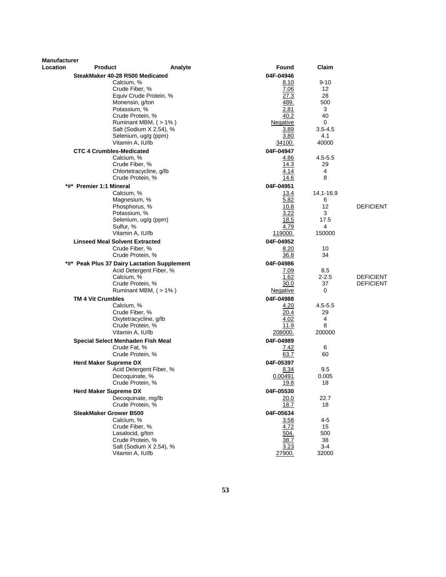| <b>Manufacturer</b><br><b>Location</b> | <b>Product</b>                                    | Analyte                 | Found             | Claim       |                  |
|----------------------------------------|---------------------------------------------------|-------------------------|-------------------|-------------|------------------|
|                                        | SteakMaker 40-28 R500 Medicated                   |                         | 04F-04946         |             |                  |
|                                        | Calcium, %                                        |                         | 8.10              | $9 - 10$    |                  |
|                                        | Crude Fiber, %                                    |                         | 7.06              | 12          |                  |
|                                        |                                                   | Equiv Crude Protein, %  | 27.3              | 28          |                  |
|                                        | Monensin, g/ton                                   |                         | 489.              | 500         |                  |
|                                        | Potassium, %                                      |                         | 2.81              | 3           |                  |
|                                        | Crude Protein, %                                  |                         | 40.2              | 40          |                  |
|                                        |                                                   | Ruminant MBM, (>1%)     | Negative          | 0           |                  |
|                                        |                                                   | Salt (Sodium X 2.54), % | 3.89              | $3.5 - 4.5$ |                  |
|                                        |                                                   | Selenium, ug/g (ppm)    | 3.80              | 4.1         |                  |
|                                        | Vitamin A, IU/lb                                  |                         | 34100.            | 40000       |                  |
|                                        | <b>CTC 4 Crumbles-Medicated</b>                   |                         | 04F-04947         |             |                  |
|                                        | Calcium, %                                        |                         | 4.86              | $4.5 - 5.5$ |                  |
|                                        | Crude Fiber, %                                    |                         | 14.3<br>4.14      | 29<br>4     |                  |
|                                        | Crude Protein, %                                  | Chlortetracycline, g/lb | 14.6              | 8           |                  |
|                                        |                                                   |                         |                   |             |                  |
|                                        | *#* Premier 1:1 Mineral<br>Calcium, %             |                         | 04F-04951<br>13.4 | 14.1-16.9   |                  |
|                                        | Magnesium, %                                      |                         | 5.82              | 6           |                  |
|                                        | Phosphorus, %                                     |                         | 10.8              | 12          | <b>DEFICIENT</b> |
|                                        | Potassium, %                                      |                         | 3.22              | 3           |                  |
|                                        |                                                   | Selenium, ug/g (ppm)    | 18.5              | 17.5        |                  |
|                                        | Sulfur, %                                         |                         | 4.79              | 4           |                  |
|                                        | Vitamin A, IU/lb                                  |                         | 119000.           | 150000      |                  |
|                                        | <b>Linseed Meal Solvent Extracted</b>             |                         | 04F-04952         |             |                  |
|                                        | Crude Fiber, %                                    |                         | 8.20              | 10          |                  |
|                                        | Crude Protein, %                                  |                         | 36.8              | 34          |                  |
|                                        | *#* Peak Plus 37 Dairy Lactation Supplement       |                         | 04F-04986         |             |                  |
|                                        |                                                   | Acid Detergent Fiber, % | 7.09              | 8.5         |                  |
|                                        | Calcium, %                                        |                         | 1.62              | $2 - 2.5$   | <b>DEFICIENT</b> |
|                                        | Crude Protein, %                                  |                         | 30.0              | 37          | <b>DEFICIENT</b> |
|                                        |                                                   | Ruminant MBM, (>1%)     | Negative          | 0           |                  |
|                                        | <b>TM 4 Vit Crumbles</b>                          |                         | 04F-04988         |             |                  |
|                                        | Calcium, %                                        |                         | 4.20              | $4.5 - 5.5$ |                  |
|                                        | Crude Fiber, %                                    |                         | 20.4              | 29          |                  |
|                                        | Crude Protein, %                                  | Oxytetracycline, g/lb   | 4.02<br>11.9      | 4<br>8      |                  |
|                                        | Vitamin A, IU/lb                                  |                         | 208000.           | 200000      |                  |
|                                        |                                                   |                         | 04F-04989         |             |                  |
|                                        | Special Select Menhaden Fish Meal<br>Crude Fat. % |                         | <u>7.42</u>       | 6           |                  |
|                                        | Crude Protein, %                                  |                         | 63.7              | 60          |                  |
|                                        | <b>Herd Maker Supreme DX</b>                      |                         | 04F-05397         |             |                  |
|                                        |                                                   | Acid Detergent Fiber, % | 8.34              | 9.5         |                  |
|                                        | Decoquinate, %                                    |                         | 0.00491           | 0.005       |                  |
|                                        | Crude Protein, %                                  |                         | <u> 19.8</u>      | 18          |                  |
|                                        | <b>Herd Maker Supreme DX</b>                      |                         | 04F-05530         |             |                  |
|                                        |                                                   | Decoquinate, mg/lb      | 20.0              | 22.7        |                  |
|                                        | Crude Protein, %                                  |                         | 18.7              | 18          |                  |
|                                        | <b>SteakMaker Grower B500</b>                     |                         | 04F-05634         |             |                  |
|                                        | Calcium, %                                        |                         | 3.58              | $4 - 5$     |                  |
|                                        | Crude Fiber, %                                    |                         | 4.72              | 15          |                  |
|                                        | Lasalocid, g/ton                                  |                         | 504.              | 500         |                  |
|                                        | Crude Protein, %                                  |                         | 38.7              | 38          |                  |
|                                        |                                                   | Salt (Sodium X 2.54), % | 3.23              | 3-4         |                  |
|                                        | Vitamin A, IU/lb                                  |                         | 27900.            | 32000       |                  |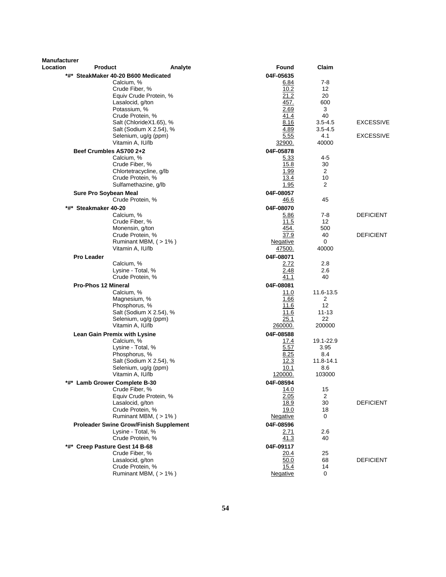| <b>Manufacturer</b><br>Location | <b>Product</b>                                | Analyte                 | Found           | Claim                |                  |
|---------------------------------|-----------------------------------------------|-------------------------|-----------------|----------------------|------------------|
|                                 | *#* SteakMaker 40-20 B600 Medicated           |                         | 04F-05635       |                      |                  |
|                                 | Calcium, %                                    |                         | 6.84            | 7-8                  |                  |
|                                 | Crude Fiber, %                                |                         | 10.2            | 12                   |                  |
|                                 |                                               | Equiv Crude Protein, %  | 21.2            | 20                   |                  |
|                                 | Lasalocid, g/ton                              |                         | 457.            | 600                  |                  |
|                                 | Potassium, %                                  |                         | 2.69            | 3                    |                  |
|                                 | Crude Protein, %                              |                         | 41.4            | 40                   |                  |
|                                 |                                               | Salt (ChlorideX1.65), % | 8.16            | $3.5 - 4.5$          | <b>EXCESSIVE</b> |
|                                 |                                               | Salt (Sodium X 2.54), % | 4.89            | $3.5 - 4.5$          |                  |
|                                 |                                               | Selenium, ug/g (ppm)    | 5.55            | 4.1                  | <b>EXCESSIVE</b> |
|                                 | Vitamin A, IU/lb                              |                         | 32900.          | 40000                |                  |
|                                 | Beef Crumbles AS700 2+2                       |                         | 04F-05878       |                      |                  |
|                                 | Calcium, %<br>Crude Fiber, %                  |                         | 5.33<br>15.8    | 4-5<br>30            |                  |
|                                 |                                               | Chlortetracycline, g/lb | 1.99            | 2                    |                  |
|                                 | Crude Protein, %                              |                         | 13.4            | 10                   |                  |
|                                 |                                               | Sulfamethazine, g/lb    | 1.95            | $\overline{2}$       |                  |
|                                 | <b>Sure Pro Soybean Meal</b>                  |                         | 04F-08057       |                      |                  |
|                                 | Crude Protein, %                              |                         | 46.6            | 45                   |                  |
|                                 | *#* Steakmaker 40-20                          |                         | 04F-08070       |                      |                  |
|                                 | Calcium, %                                    |                         | 5.86            | $7-8$                | <b>DEFICIENT</b> |
|                                 | Crude Fiber, %                                |                         | 11.5            | 12                   |                  |
|                                 | Monensin, g/ton                               |                         | 454.            | 500                  |                  |
|                                 | Crude Protein, %                              |                         | 37.9            | 40                   | <b>DEFICIENT</b> |
|                                 |                                               | Ruminant MBM, (>1%)     | Negative        | 0                    |                  |
|                                 | Vitamin A, IU/lb                              |                         | 47500.          | 40000                |                  |
|                                 | <b>Pro Leader</b>                             |                         | 04F-08071       |                      |                  |
|                                 | Calcium, %                                    |                         | 2.72            | 2.8                  |                  |
|                                 | Lysine - Total, %                             |                         | 2.48            | 2.6                  |                  |
|                                 | Crude Protein, %                              |                         | 41.1            | 40                   |                  |
|                                 | <b>Pro-Phos 12 Mineral</b>                    |                         | 04F-08081       |                      |                  |
|                                 | Calcium, %                                    |                         | 11.0            | 11.6-13.5<br>2       |                  |
|                                 | Magnesium, %<br>Phosphorus, %                 |                         | 1.66<br>11.6    | 12                   |                  |
|                                 |                                               | Salt (Sodium X 2.54), % | 11.6            | $11 - 13$            |                  |
|                                 |                                               | Selenium, ug/g (ppm)    | 25.1            | 22                   |                  |
|                                 | Vitamin A, IU/lb                              |                         | 260000.         | 200000               |                  |
|                                 | Lean Gain Premix with Lysine                  |                         | 04F-08588       |                      |                  |
|                                 | Calcium, %                                    |                         | 17.4            | 19.1-22.9            |                  |
|                                 | Lysine - Total, %                             |                         | 5.57            | 3.95                 |                  |
|                                 | Phosphorus, %                                 |                         | 8.25            | 8.4                  |                  |
|                                 |                                               | Salt (Sodium X 2.54), % | 12.3            | 11.8-14.1            |                  |
|                                 |                                               | Selenium, ug/g (ppm)    | 10.1            | 8.6                  |                  |
|                                 | Vitamin A, IU/lb                              |                         | 120000.         | 103000               |                  |
|                                 | <sup>*</sup> Lamb Grower Complete B-30        |                         | 04F-08594       |                      |                  |
|                                 | Crude Fiber, %                                |                         | 14.0            | 15                   |                  |
|                                 | Lasalocid, g/ton                              | Equiv Crude Protein, %  | 2.05<br>18.9    | $\overline{2}$<br>30 | <b>DEFICIENT</b> |
|                                 | Crude Protein, %                              |                         | 19.0            | 18                   |                  |
|                                 |                                               | Ruminant MBM, (>1%)     | <u>Negative</u> | 0                    |                  |
|                                 | <b>Proleader Swine Grow/Finish Supplement</b> |                         | 04F-08596       |                      |                  |
|                                 | Lysine - Total, %                             |                         | <u>2.71</u>     | 2.6                  |                  |
|                                 | Crude Protein, %                              |                         | 41.3            | 40                   |                  |
|                                 | *#* Creep Pasture Gest 14 B-68                |                         | 04F-09117       |                      |                  |
|                                 | Crude Fiber, %                                |                         | 20.4            | 25                   |                  |
|                                 | Lasalocid, g/ton                              |                         | 50.0            | 68                   | <b>DEFICIENT</b> |
|                                 | Crude Protein, %                              |                         | 15.4            | 14                   |                  |
|                                 |                                               | Ruminant MBM, (>1%)     | Negative        | 0                    |                  |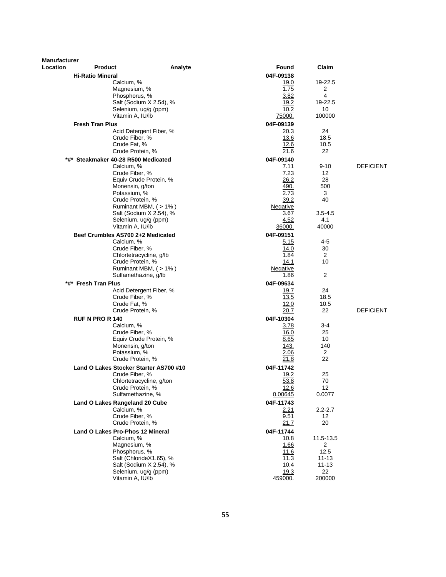| <b>Manufacturer</b> |                         |                                                          |                   |                      |                  |
|---------------------|-------------------------|----------------------------------------------------------|-------------------|----------------------|------------------|
| Location            | <b>Product</b>          | Analyte                                                  | Found             | Claim                |                  |
|                     | <b>Hi-Ratio Mineral</b> |                                                          | 04F-09138         |                      |                  |
|                     |                         | Calcium, %                                               | 19.0              | 19-22.5              |                  |
|                     |                         | Magnesium, %<br>Phosphorus, %                            | 1.75<br>3.82      | 2<br>4               |                  |
|                     |                         | Salt (Sodium X 2.54), %                                  | 19.2              | 19-22.5              |                  |
|                     |                         | Selenium, ug/g (ppm)                                     | 10.2              | 10                   |                  |
|                     |                         | Vitamin A, IU/lb                                         | <u>75000.</u>     | 100000               |                  |
|                     | <b>Fresh Tran Plus</b>  |                                                          | 04F-09139         |                      |                  |
|                     |                         | Acid Detergent Fiber, %                                  | 20.3              | 24                   |                  |
|                     |                         | Crude Fiber, %                                           | 13.6              | 18.5                 |                  |
|                     |                         | Crude Fat. %<br>Crude Protein, %                         | 12.6<br>21.6      | 10.5<br>22           |                  |
| *#*                 |                         | Steakmaker 40-28 R500 Medicated                          | 04F-09140         |                      |                  |
|                     |                         | Calcium, %                                               | 7.11              | $9 - 10$             | <b>DEFICIENT</b> |
|                     |                         | Crude Fiber, %                                           | 7.23              | 12                   |                  |
|                     |                         | Equiv Crude Protein, %                                   | 26.2              | 28                   |                  |
|                     |                         | Monensin, g/ton                                          | 490.              | 500                  |                  |
|                     |                         | Potassium, %                                             | 2.73              | 3                    |                  |
|                     |                         | Crude Protein, %<br>Ruminant MBM, (>1%)                  | 39.2<br>Negative  | 40                   |                  |
|                     |                         | Salt (Sodium X 2.54), %                                  | <u>3.67</u>       | $3.5 - 4.5$          |                  |
|                     |                         | Selenium, ug/g (ppm)                                     | 4.52              | 4.1                  |                  |
|                     |                         | Vitamin A, IU/lb                                         | 36000.            | 40000                |                  |
|                     |                         | Beef Crumbles AS700 2+2 Medicated                        | 04F-09151         |                      |                  |
|                     |                         | Calcium, %                                               | <u>5.15</u>       | 4-5                  |                  |
|                     |                         | Crude Fiber, %<br>Chlortetracycline, g/lb                | 14.0              | 30<br>2              |                  |
|                     |                         | Crude Protein, %                                         | 1.84<br>14.1      | 10                   |                  |
|                     |                         | Ruminant MBM, (> 1%)                                     | Negative          |                      |                  |
|                     |                         | Sulfamethazine, g/lb                                     | 1.86              | 2                    |                  |
|                     | *#* Fresh Tran Plus     |                                                          | 04F-09634         |                      |                  |
|                     |                         | Acid Detergent Fiber, %                                  | <u> 19.7</u>      | 24                   |                  |
|                     |                         | Crude Fiber, %                                           | 13.5              | 18.5                 |                  |
|                     |                         | Crude Fat, %<br>Crude Protein, %                         | 12.0<br>20.7      | 10.5<br>22           | <b>DEFICIENT</b> |
|                     | <b>RUF N PRO R 140</b>  |                                                          | 04F-10304         |                      |                  |
|                     |                         | Calcium, %                                               | 3.78              | $3 - 4$              |                  |
|                     |                         | Crude Fiber, %                                           | 16.0              | 25                   |                  |
|                     |                         | Equiv Crude Protein, %                                   | 8.65              | 10                   |                  |
|                     |                         | Monensin, g/ton                                          | 143.              | 140                  |                  |
|                     |                         | Potassium, %<br>Crude Protein, %                         | 2.06              | $\overline{2}$<br>22 |                  |
|                     |                         |                                                          | 21.8              |                      |                  |
|                     |                         | Land O Lakes Stocker Starter AS700 #10<br>Crude Fiber, % | 04F-11742<br>19.2 | 25                   |                  |
|                     |                         | Chlortetracycline, g/ton                                 | 53.8              | 70                   |                  |
|                     |                         | Crude Protein, %                                         | 12.6              | 12                   |                  |
|                     |                         | Sulfamethazine, %                                        | 0.00645           | 0.0077               |                  |
|                     |                         | Land O Lakes Rangeland 20 Cube                           | 04F-11743         |                      |                  |
|                     |                         | Calcium. %                                               | 2.21              | $2.2 - 2.7$          |                  |
|                     |                         | Crude Fiber, %                                           | 9.51              | 12<br>20             |                  |
|                     |                         | Crude Protein, %                                         | 21.7              |                      |                  |
|                     |                         | <b>Land O Lakes Pro-Phos 12 Mineral</b><br>Calcium, %    | 04F-11744<br>10.8 | 11.5-13.5            |                  |
|                     |                         | Magnesium, %                                             | 1.66              | $\overline{c}$       |                  |
|                     |                         | Phosphorus, %                                            | 11.6              | 12.5                 |                  |
|                     |                         | Salt (ChlorideX1.65), %                                  | 11.3              | $11 - 13$            |                  |
|                     |                         | Salt (Sodium X 2.54), %                                  | 10.4              | $11 - 13$            |                  |
|                     |                         | Selenium, ug/g (ppm)<br>Vitamin A, IU/lb                 | 19.3<br>459000.   | 22<br>200000         |                  |
|                     |                         |                                                          |                   |                      |                  |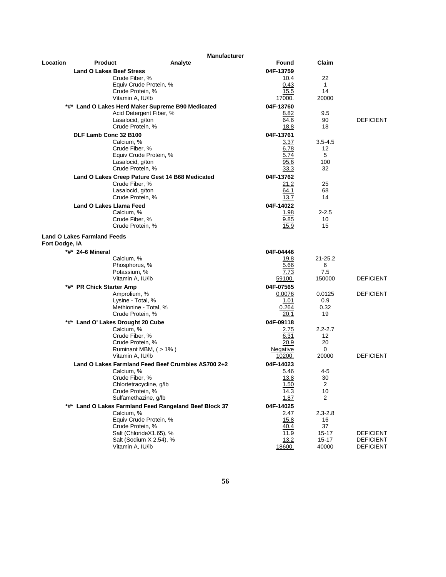|                |                                                 | <b>Manufacturer</b>                                    |                |                    |                  |
|----------------|-------------------------------------------------|--------------------------------------------------------|----------------|--------------------|------------------|
| Location       | <b>Product</b>                                  | Analyte                                                | Found          | Claim              |                  |
|                | <b>Land O Lakes Beef Stress</b>                 |                                                        | 04F-13759      |                    |                  |
|                | Crude Fiber, %                                  |                                                        | 10.4           | 22                 |                  |
|                | Crude Protein, %                                | Equiv Crude Protein, %                                 | 0.43<br>15.5   | $\mathbf{1}$<br>14 |                  |
|                | Vitamin A, IU/lb                                |                                                        | 17000.         | 20000              |                  |
|                |                                                 | *#* Land O Lakes Herd Maker Supreme B90 Medicated      | 04F-13760      |                    |                  |
|                |                                                 | Acid Detergent Fiber, %                                | 8.82           | 9.5                |                  |
|                | Lasalocid, g/ton                                |                                                        | 64.6           | 90                 | <b>DEFICIENT</b> |
|                | Crude Protein, %                                |                                                        | 18.8           | 18                 |                  |
|                | DLF Lamb Conc 32 B100                           |                                                        | 04F-13761      |                    |                  |
|                | Calcium. %                                      |                                                        | 3.37           | $3.5 - 4.5$        |                  |
|                | Crude Fiber, %                                  | Equiv Crude Protein, %                                 | 6.78<br>5.74   | 12<br>5            |                  |
|                | Lasalocid, g/ton                                |                                                        | 95.6           | 100                |                  |
|                | Crude Protein, %                                |                                                        | 33.3           | 32                 |                  |
|                |                                                 | Land O Lakes Creep Pature Gest 14 B68 Medicated        | 04F-13762      |                    |                  |
|                | Crude Fiber, %                                  |                                                        | 21.2           | 25                 |                  |
|                | Lasalocid, g/ton<br>Crude Protein, %            |                                                        | 64.1<br>13.7   | 68<br>14           |                  |
|                | <b>Land O Lakes Llama Feed</b>                  |                                                        | 04F-14022      |                    |                  |
|                | Calcium, %                                      |                                                        | 1.98           | $2 - 2.5$          |                  |
|                | Crude Fiber, %                                  |                                                        | 9.85           | 10                 |                  |
|                | Crude Protein, %                                |                                                        | 15.9           | 15                 |                  |
|                | <b>Land O Lakes Farmland Feeds</b>              |                                                        |                |                    |                  |
| Fort Dodge, IA |                                                 |                                                        |                |                    |                  |
|                | *#* 24-6 Mineral                                |                                                        | 04F-04446      |                    |                  |
|                | Calcium, %                                      |                                                        | 19.8           | $21 - 25.2$        |                  |
|                | Phosphorus, %                                   |                                                        | 5.66           | 6<br>7.5           |                  |
|                | Potassium, %<br>Vitamin A, IU/lb                |                                                        | 7.73<br>59100. | 150000             | <b>DEFICIENT</b> |
|                | *#* PR Chick Starter Amp                        |                                                        | 04F-07565      |                    |                  |
|                | Amprolium, %                                    |                                                        | 0.0076         | 0.0125             | <b>DEFICIENT</b> |
|                | Lysine - Total, %                               |                                                        | 1.01           | 0.9                |                  |
|                | Methionine - Total, %                           |                                                        | 0.264          | 0.32               |                  |
|                | Crude Protein, %                                |                                                        | 20.1           | 19                 |                  |
|                | *#* Land O' Lakes Drought 20 Cube<br>Calcium, % |                                                        | 04F-09118      | $2.2 - 2.7$        |                  |
|                | Crude Fiber, %                                  |                                                        | 2.75<br>6.31   | 12 <sup>2</sup>    |                  |
|                | Crude Protein, %                                |                                                        | 20.9           | 20                 |                  |
|                |                                                 | Ruminant MBM, (>1%)                                    | Negative       | 0                  |                  |
|                | Vitamin A, IU/lb                                |                                                        | 10200.         | 20000              | <b>DEFICIENT</b> |
|                |                                                 | Land O Lakes Farmland Feed Beef Crumbles AS700 2+2     | 04F-14023      |                    |                  |
|                | Calcium, %<br>Crude Fiber, %                    |                                                        | 5.46<br>13.8   | 4-5<br>30          |                  |
|                | Chlortetracycline, g/lb                         |                                                        | 1.50           | 2                  |                  |
|                | Crude Protein, %                                |                                                        | 14.3           | 10                 |                  |
|                | Sulfamethazine, q/lb                            |                                                        | 1.87           | 2                  |                  |
|                |                                                 | *#* Land O Lakes Farmland Feed Rangeland Beef Block 37 | 04F-14025      |                    |                  |
|                | Calcium, %                                      | Equiv Crude Protein, %                                 | 2.47           | $2.3 - 2.8$        |                  |
|                | Crude Protein, %                                |                                                        | 15.8<br>40.4   | 16<br>37           |                  |
|                |                                                 | Salt (ChlorideX1.65), %                                | 11.9           | $15 - 17$          | <b>DEFICIENT</b> |
|                |                                                 | Salt (Sodium X 2.54), %                                | 13.2           | $15 - 17$          | <b>DEFICIENT</b> |
|                | Vitamin A, IU/lb                                |                                                        | 18600.         | 40000              | <b>DEFICIENT</b> |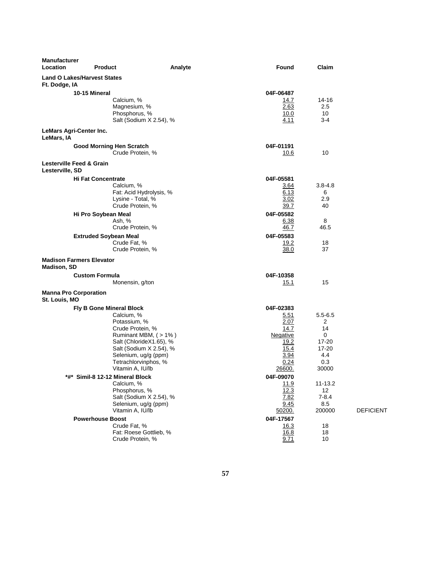| <b>Manufacturer</b><br>Location                     | <b>Product</b>                                                                                                                                                                                                              | Analyte | Found                                                                                   | Claim                                                                |                  |
|-----------------------------------------------------|-----------------------------------------------------------------------------------------------------------------------------------------------------------------------------------------------------------------------------|---------|-----------------------------------------------------------------------------------------|----------------------------------------------------------------------|------------------|
| <b>Land O Lakes/Harvest States</b><br>Ft. Dodge, IA |                                                                                                                                                                                                                             |         |                                                                                         |                                                                      |                  |
|                                                     | 10-15 Mineral                                                                                                                                                                                                               |         | 04F-06487                                                                               |                                                                      |                  |
|                                                     | Calcium, %<br>Magnesium, %<br>Phosphorus, %                                                                                                                                                                                 |         | 14.7<br>2.63<br>10.0                                                                    | 14-16<br>2.5<br>10                                                   |                  |
|                                                     | Salt (Sodium X 2.54), %                                                                                                                                                                                                     |         | 4.11                                                                                    | 3-4                                                                  |                  |
| LeMars Agri-Center Inc.<br>LeMars, IA               |                                                                                                                                                                                                                             |         |                                                                                         |                                                                      |                  |
|                                                     | <b>Good Morning Hen Scratch</b><br>Crude Protein, %                                                                                                                                                                         |         | 04F-01191<br>10.6                                                                       | 10                                                                   |                  |
| Lesterville Feed & Grain<br>Lesterville, SD         |                                                                                                                                                                                                                             |         |                                                                                         |                                                                      |                  |
|                                                     | <b>Hi Fat Concentrate</b><br>Calcium, %<br>Fat: Acid Hydrolysis, %<br>Lysine - Total, %<br>Crude Protein, %                                                                                                                 |         | 04F-05581<br>3.64<br>6.13<br>3.02<br>39.7                                               | $3.8 - 4.8$<br>6<br>2.9<br>40                                        |                  |
|                                                     | Hi Pro Soybean Meal<br>Ash, %<br>Crude Protein, %                                                                                                                                                                           |         | 04F-05582<br>6.38<br>46.7                                                               | 8<br>46.5                                                            |                  |
|                                                     | <b>Extruded Soybean Meal</b><br>Crude Fat, %<br>Crude Protein, %                                                                                                                                                            |         | 04F-05583<br>19.2<br>38.0                                                               | 18<br>37                                                             |                  |
| <b>Madison Farmers Elevator</b><br>Madison, SD      |                                                                                                                                                                                                                             |         |                                                                                         |                                                                      |                  |
|                                                     | <b>Custom Formula</b><br>Monensin, g/ton                                                                                                                                                                                    |         | 04F-10358<br><u> 15.1</u>                                                               | 15                                                                   |                  |
| <b>Manna Pro Corporation</b><br>St. Louis, MO       |                                                                                                                                                                                                                             |         |                                                                                         |                                                                      |                  |
|                                                     | Fly B Gone Mineral Block<br>Calcium, %<br>Potassium, %<br>Crude Protein, %<br>Ruminant MBM, (>1%)<br>Salt (ChlorideX1.65), %<br>Salt (Sodium X 2.54), %<br>Selenium, ug/g (ppm)<br>Tetrachlorvinphos, %<br>Vitamin A, IU/lb |         | 04F-02383<br>5.51<br>2.07<br>14.7<br>Negative<br>19.2<br>15.4<br>3.94<br>0.24<br>26600. | $5.5 - 6.5$<br>2<br>14<br>0<br>17-20<br>17-20<br>4.4<br>0.3<br>30000 |                  |
|                                                     | *#*  Simil-8 12-12 Mineral Block<br>Calcium, %<br>Phosphorus, %<br>Salt (Sodium X 2.54), %<br>Selenium, ug/g (ppm)<br>Vitamin A, IU/lb                                                                                      |         | 04F-09070<br><u>11.9</u><br>12.3<br>7.82<br>9.45<br>50200.                              | 11-13.2<br>12<br>$7 - 8.4$<br>8.5<br>200000                          | <b>DEFICIENT</b> |
|                                                     | <b>Powerhouse Boost</b><br>Crude Fat, %<br>Fat: Roese Gottlieb, %<br>Crude Protein, %                                                                                                                                       |         | 04F-17567<br>16.3<br><u>16.8</u><br>9.71                                                | 18<br>18<br>10                                                       |                  |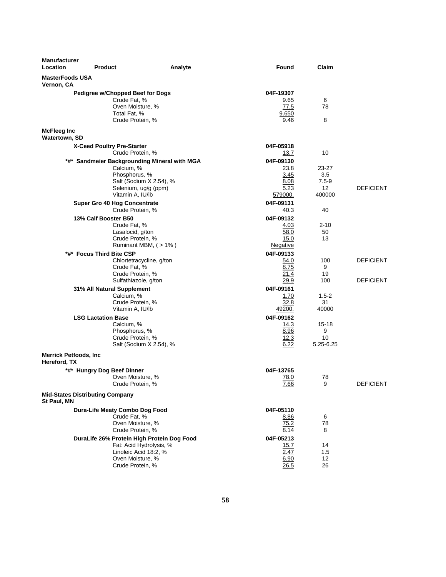| <b>Manufacturer</b><br>Location              | <b>Product</b>                                                                                           | Analyte                                                                                         | <b>Found</b>                                         | Claim                                     |                                      |
|----------------------------------------------|----------------------------------------------------------------------------------------------------------|-------------------------------------------------------------------------------------------------|------------------------------------------------------|-------------------------------------------|--------------------------------------|
| <b>MasterFoods USA</b><br>Vernon, CA         |                                                                                                          |                                                                                                 |                                                      |                                           |                                      |
|                                              | Pedigree w/Chopped Beef for Dogs<br>Crude Fat, %<br>Oven Moisture, %<br>Total Fat, %<br>Crude Protein, % |                                                                                                 | 04F-19307<br>9.65<br>77.5<br>9.650<br>9.46           | 6<br>78<br>8                              |                                      |
| <b>McFleeg Inc</b><br>Watertown, SD          |                                                                                                          |                                                                                                 |                                                      |                                           |                                      |
|                                              | X-Ceed Poultry Pre-Starter<br>Crude Protein, %                                                           |                                                                                                 | 04F-05918<br>13.7                                    | 10                                        |                                      |
|                                              | Calcium, %<br>Phosphorus, %<br>Vitamin A, IU/lb                                                          | *#* Sandmeier Backgrounding Mineral with MGA<br>Salt (Sodium X 2.54), %<br>Selenium, ug/g (ppm) | 04F-09130<br>23.8<br>3.45<br>8.08<br>5.23<br>579000. | 23-27<br>3.5<br>$7.5 - 9$<br>12<br>400000 | <b>DEFICIENT</b>                     |
|                                              | Super Gro 40 Hog Concentrate<br>Crude Protein, %                                                         |                                                                                                 | 04F-09131<br>40.3                                    | 40                                        |                                      |
|                                              | 13% Calf Booster B50<br>Crude Fat, %<br>Lasalocid, g/ton<br>Crude Protein, %                             | Ruminant MBM, (>1%)                                                                             | 04F-09132<br>4.03<br>58.0<br>15.0<br>Negative        | $2 - 10$<br>50<br>13                      |                                      |
|                                              | *#* Focus Third Bite CSP<br>Crude Fat, %<br>Crude Protein, %<br>Sulfathiazole, g/ton                     | Chlortetracycline, g/ton                                                                        | 04F-09133<br>54.0<br>8.75<br>21.4<br>29.9            | 100<br>9<br>19<br>100                     | <b>DEFICIENT</b><br><b>DEFICIENT</b> |
|                                              | 31% All Natural Supplement<br>Calcium, %<br>Crude Protein, %<br>Vitamin A, IU/lb                         |                                                                                                 | 04F-09161<br>1.70<br>32.8<br>49200.                  | $1.5-2$<br>31<br>40000                    |                                      |
|                                              | <b>LSG Lactation Base</b><br>Calcium, %<br>Phosphorus, %<br>Crude Protein, %                             | Salt (Sodium X 2.54), %                                                                         | 04F-09162<br>14.3<br>8.96<br>12.3<br>6.22            | 15-18<br>9<br>10<br>5.25-6.25             |                                      |
| <b>Merrick Petfoods, Inc</b><br>Hereford, TX |                                                                                                          |                                                                                                 |                                                      |                                           |                                      |
|                                              | *#* Hungry Dog Beef Dinner<br>Oven Moisture, %<br>Crude Protein, %                                       |                                                                                                 | 04F-13765<br>78.0<br>7.66                            | 78<br>9                                   | <b>DEFICIENT</b>                     |
| St Paul, MN                                  | <b>Mid-States Distributing Company</b>                                                                   |                                                                                                 |                                                      |                                           |                                      |
|                                              | Dura-Life Meaty Combo Dog Food<br>Crude Fat, %<br>Oven Moisture, %<br>Crude Protein, %                   |                                                                                                 | 04F-05110<br>8.86<br>75.2<br>8.14                    | 6<br>78<br>8                              |                                      |
|                                              | Oven Moisture, %<br>Crude Protein, %                                                                     | DuraLife 26% Protein High Protein Dog Food<br>Fat: Acid Hydrolysis, %<br>Linoleic Acid 18:2, %  | 04F-05213<br>15.7<br>2.47<br>6.90<br>26.5            | 14<br>1.5<br>12<br>26                     |                                      |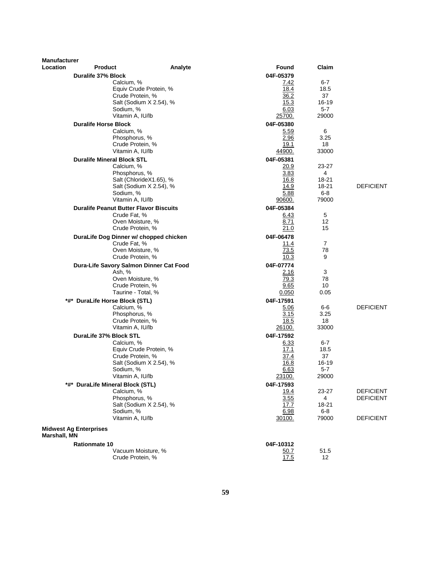| <b>Manufacturer</b> |                                               |                         |               |                  |                  |
|---------------------|-----------------------------------------------|-------------------------|---------------|------------------|------------------|
| Location            | <b>Product</b>                                | Analyte                 | Found         | Claim            |                  |
|                     | Duralife 37% Block                            |                         | 04F-05379     |                  |                  |
|                     | Calcium, %                                    |                         | 7.42          | 6-7              |                  |
|                     | Equiv Crude Protein, %                        |                         | 18.4          | 18.5             |                  |
|                     | Crude Protein, %                              |                         | 36.2          | 37               |                  |
|                     | Sodium, %                                     | Salt (Sodium X 2.54), % | 15.3<br>6.03  | 16-19<br>$5 - 7$ |                  |
|                     | Vitamin A, IU/lb                              |                         | 25700.        | 29000            |                  |
|                     | <b>Duralife Horse Block</b>                   |                         | 04F-05380     |                  |                  |
|                     | Calcium, %                                    |                         | 5.59          | 6                |                  |
|                     | Phosphorus, %                                 |                         | 2.96          | 3.25             |                  |
|                     | Crude Protein, %                              |                         | 19.1          | 18               |                  |
|                     | Vitamin A, IU/lb                              |                         | 44900.        | 33000            |                  |
|                     | <b>Duralife Mineral Block STL</b>             |                         | 04F-05381     |                  |                  |
|                     | Calcium, %                                    |                         | 20.9          | 23-27            |                  |
|                     | Phosphorus, %                                 |                         | 3.83          | 4                |                  |
|                     |                                               | Salt (ChlorideX1.65), % | 16.8          | 18-21            |                  |
|                     |                                               | Salt (Sodium X 2.54), % | 14.9          | 18-21            | <b>DEFICIENT</b> |
|                     | Sodium, %                                     |                         | 5.88          | $6 - 8$          |                  |
|                     | Vitamin A, IU/lb                              |                         | 90600.        | 79000            |                  |
|                     | <b>Duralife Peanut Butter Flavor Biscuits</b> |                         | 04F-05384     |                  |                  |
|                     | Crude Fat, %                                  |                         | 6.43          | 5                |                  |
|                     | Oven Moisture, %<br>Crude Protein, %          |                         | 8.71<br>21.0  | 12<br>15         |                  |
|                     |                                               |                         |               |                  |                  |
|                     | DuraLife Dog Dinner w/ chopped chicken        |                         | 04F-06478     | 7                |                  |
|                     | Crude Fat, %<br>Oven Moisture, %              |                         | 11.4<br>73.5  | 78               |                  |
|                     | Crude Protein, %                              |                         | 10.3          | 9                |                  |
|                     | Dura-Life Savory Salmon Dinner Cat Food       |                         | 04F-07774     |                  |                  |
|                     | Ash, %                                        |                         | 2.16          | 3                |                  |
|                     | Oven Moisture, %                              |                         | 79.3          | 78               |                  |
|                     | Crude Protein, %                              |                         | 9.65          | 10               |                  |
|                     | Taurine - Total, %                            |                         | 0.050         | 0.05             |                  |
|                     | *#* DuraLife Horse Block (STL)                |                         | 04F-17591     |                  |                  |
|                     | Calcium, %                                    |                         | 5.06          | 6-6              | <b>DEFICIENT</b> |
|                     | Phosphorus, %                                 |                         | 3.15          | 3.25             |                  |
|                     | Crude Protein, %                              |                         | 18.5          | 18               |                  |
|                     | Vitamin A, IU/lb                              |                         | 26100.        | 33000            |                  |
|                     | DuraLife 37% Block STL                        |                         | 04F-17592     |                  |                  |
|                     | Calcium, %<br>Equiv Crude Protein, %          |                         | 6.33<br>17.1  | $6-7$<br>18.5    |                  |
|                     | Crude Protein, %                              |                         | 37.4          | 37               |                  |
|                     |                                               | Salt (Sodium X 2.54), % | 16.8          | 16-19            |                  |
|                     | Sodium, %                                     |                         | 6.63          | $5 - 7$          |                  |
|                     | Vitamin A, IU/lb                              |                         | <u>23100.</u> | 29000            |                  |
|                     | *#* DuraLife Mineral Block (STL)              |                         | 04F-17593     |                  |                  |
|                     | Calcium, %                                    |                         | 19.4          | 23-27            | <b>DEFICIENT</b> |
|                     | Phosphorus, %                                 |                         | 3.55          | 4                | <b>DEFICIENT</b> |
|                     |                                               | Salt (Sodium X 2.54), % | 17.7          | 18-21            |                  |
|                     | Sodium, %                                     |                         | 6.98          | $6-8$            |                  |
|                     | Vitamin A, IU/lb                              |                         | 30100.        | 79000            | <b>DEFICIENT</b> |
| Marshall, MN        | <b>Midwest Ag Enterprises</b>                 |                         |               |                  |                  |
|                     | <b>Rationmate 10</b>                          |                         | 04F-10312     |                  |                  |
|                     | Vacuum Moisture, %<br>Crude Protein, %        |                         | 50.7<br>17.5  | 51.5<br>12       |                  |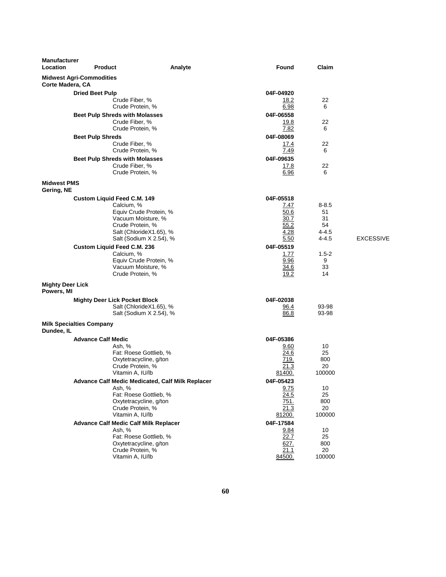| <b>Manufacturer</b><br>Location       | <b>Product</b>                                                                                                                                                             | Analyte | <b>Found</b>                                              | Claim                                             |                  |
|---------------------------------------|----------------------------------------------------------------------------------------------------------------------------------------------------------------------------|---------|-----------------------------------------------------------|---------------------------------------------------|------------------|
| Corte Madera, CA                      | <b>Midwest Agri-Commodities</b>                                                                                                                                            |         |                                                           |                                                   |                  |
|                                       | <b>Dried Beet Pulp</b><br>Crude Fiber, %                                                                                                                                   |         | 04F-04920<br>18.2                                         | 22                                                |                  |
|                                       | Crude Protein, %<br><b>Beet Pulp Shreds with Molasses</b><br>Crude Fiber, %                                                                                                |         | 6.98<br>04F-06558<br>19.8                                 | 6<br>22                                           |                  |
|                                       | Crude Protein, %<br><b>Beet Pulp Shreds</b>                                                                                                                                |         | 7.82<br>04F-08069                                         | 6                                                 |                  |
|                                       | Crude Fiber, %<br>Crude Protein, %                                                                                                                                         |         | 17.4<br>7.49                                              | 22<br>6                                           |                  |
|                                       | <b>Beet Pulp Shreds with Molasses</b><br>Crude Fiber, %<br>Crude Protein, %                                                                                                |         | 04F-09635<br><u>17.8</u><br>6.96                          | 22<br>6                                           |                  |
| <b>Midwest PMS</b><br>Gering, NE      |                                                                                                                                                                            |         |                                                           |                                                   |                  |
|                                       | <b>Custom Liquid Feed C.M. 149</b><br>Calcium, %<br>Equiv Crude Protein, %<br>Vacuum Moisture, %<br>Crude Protein, %<br>Salt (ChlorideX1.65), %<br>Salt (Sodium X 2.54), % |         | 04F-05518<br>7.47<br>50.6<br>30.7<br>55.2<br>4.28<br>5.50 | $8 - 8.5$<br>51<br>31<br>54<br>4-4.5<br>$4 - 4.5$ | <b>EXCESSIVE</b> |
|                                       | Custom Liquid Feed C.M. 236<br>Calcium, %<br>Equiv Crude Protein, %<br>Vacuum Moisture, %<br>Crude Protein, %                                                              |         | 04F-05519<br>1.77<br>9.96<br>34.6<br>19.2                 | $1.5 - 2$<br>9<br>33<br>14                        |                  |
| <b>Mighty Deer Lick</b><br>Powers, MI |                                                                                                                                                                            |         |                                                           |                                                   |                  |
|                                       | <b>Mighty Deer Lick Pocket Block</b><br>Salt (ChlorideX1.65), %<br>Salt (Sodium X 2.54), %                                                                                 |         | 04F-02038<br>96.4<br>86.8                                 | 93-98<br>93-98                                    |                  |
| Dundee, IL                            | <b>Milk Specialties Company</b>                                                                                                                                            |         |                                                           |                                                   |                  |
|                                       | <b>Advance Calf Medic</b><br>Ash. %<br>Fat: Roese Gottlieb, %<br>Oxytetracycline, g/ton<br>Crude Protein, %<br>Vitamin A, IU/lb                                            |         | 04F-05386<br>9.60<br>24.6<br>719.<br>21.3<br>81400.       | 10<br>25<br>800<br>20<br>100000                   |                  |
|                                       | Advance Calf Medic Medicated, Calf Milk Replacer<br>Ash, %<br>Fat: Roese Gottlieb, %<br>Oxytetracycline, g/ton<br>Crude Protein, %<br>Vitamin A, IU/lb                     |         | 04F-05423<br>9.75<br>24.5<br>751.<br>21.3<br>81200.       | 10<br>25<br>800<br>20<br>100000                   |                  |
|                                       | <b>Advance Calf Medic Calf Milk Replacer</b><br>Ash, %<br>Fat: Roese Gottlieb, %<br>Oxytetracycline, g/ton<br>Crude Protein, %<br>Vitamin A, IU/lb                         |         | 04F-17584<br>9.84<br>22.7<br>627.<br>21.1<br>84500.       | 10<br>25<br>800<br>20<br>100000                   |                  |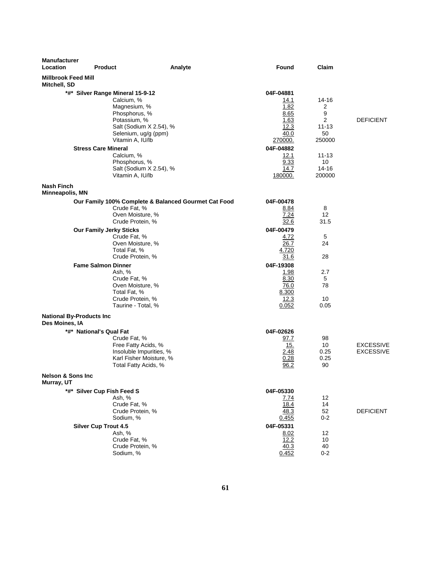| <b>Manufacturer</b><br><b>Location</b>      | <b>Product</b>                                                                                                                                                  | Analyte                                                                                           | <b>Found</b>                                                                              | Claim                                                                |                                      |
|---------------------------------------------|-----------------------------------------------------------------------------------------------------------------------------------------------------------------|---------------------------------------------------------------------------------------------------|-------------------------------------------------------------------------------------------|----------------------------------------------------------------------|--------------------------------------|
| <b>Millbrook Feed Mill</b><br>Mitchell, SD  |                                                                                                                                                                 |                                                                                                   |                                                                                           |                                                                      |                                      |
|                                             | *#* Silver Range Mineral 15-9-12<br>Calcium, %<br>Magnesium, %<br>Phosphorus, %<br>Potassium, %<br>Vitamin A, IU/lb<br><b>Stress Care Mineral</b><br>Calcium, % | Salt (Sodium X 2.54), %<br>Selenium, ug/g (ppm)                                                   | 04F-04881<br>14.1<br>1.82<br>8.65<br>1.63<br>12.3<br>40.0<br>270000.<br>04F-04882<br>12.1 | 14-16<br>2<br>9<br>2<br>$11 - 13$<br>50<br>250000<br>$11 - 13$<br>10 | <b>DEFICIENT</b>                     |
|                                             | Phosphorus, %<br>Vitamin A, IU/lb                                                                                                                               | Salt (Sodium X 2.54), %                                                                           | 9.33<br>14.7<br>180000.                                                                   | $14 - 16$<br>200000                                                  |                                      |
| <b>Nash Finch</b><br><b>Minneapolis, MN</b> |                                                                                                                                                                 |                                                                                                   |                                                                                           |                                                                      |                                      |
|                                             | Crude Fat, %<br>Oven Moisture, %<br>Crude Protein, %                                                                                                            | Our Family 100% Complete & Balanced Gourmet Cat Food                                              | 04F-00478<br>8.84<br>7.24<br>32.6                                                         | 8<br>$12 \overline{ }$<br>31.5                                       |                                      |
|                                             | <b>Our Family Jerky Sticks</b><br>Crude Fat, %<br>Oven Moisture, %<br>Total Fat, %<br>Crude Protein, %                                                          |                                                                                                   | 04F-00479<br>4.72<br>26.7<br>4.720<br>31.6                                                | 5<br>24<br>28                                                        |                                      |
|                                             | <b>Fame Salmon Dinner</b><br>Ash, %<br>Crude Fat, %<br>Oven Moisture, %<br>Total Fat, %<br>Crude Protein, %<br>Taurine - Total, %                               |                                                                                                   | 04F-19308<br>1.98<br>8.30<br>76.0<br>8.300<br>12.3<br>0.052                               | 2.7<br>5<br>78<br>10<br>0.05                                         |                                      |
| Des Moines, IA                              | <b>National By-Products Inc</b>                                                                                                                                 |                                                                                                   |                                                                                           |                                                                      |                                      |
| <b>Nelson &amp; Sons Inc.</b>               | *#* National's Qual Fat<br>Crude Fat, %                                                                                                                         | Free Fatty Acids, %<br>Insoluble Impurities, %<br>Karl Fisher Moisture, %<br>Total Fatty Acids, % | 04F-02626<br>97.7<br>15.<br>2.48<br>0.28<br>96.2                                          | 98<br>10<br>0.25<br>0.25<br>90                                       | <b>EXCESSIVE</b><br><b>EXCESSIVE</b> |
| Murray, UT                                  |                                                                                                                                                                 |                                                                                                   |                                                                                           |                                                                      |                                      |
|                                             | *#* Silver Cup Fish Feed S<br>Ash, %<br>Crude Fat, %<br>Crude Protein, %<br>Sodium, %                                                                           |                                                                                                   | 04F-05330<br>7.74<br>18.4<br>48.3<br>0.455<br>04F-05331                                   | 12<br>14<br>52<br>$0 - 2$                                            | <b>DEFICIENT</b>                     |
|                                             | <b>Silver Cup Trout 4.5</b><br>Ash, %<br>Crude Fat, %<br>Crude Protein, %<br>Sodium, %                                                                          |                                                                                                   | 8.02<br>12.2<br>40.3<br>0.452                                                             | 12<br>10<br>40<br>$0 - 2$                                            |                                      |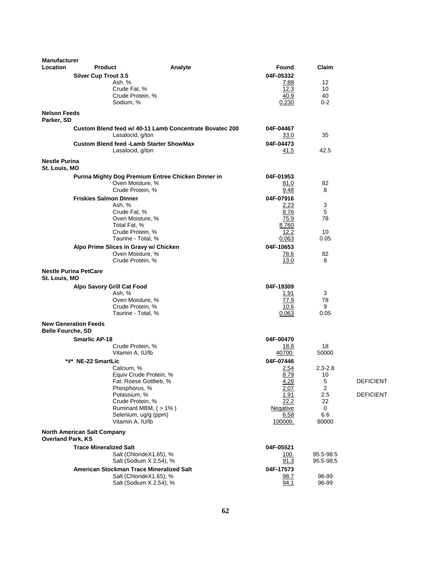| <b>Manufacturer</b>               |                                         |                                                         |                 |                   |                  |
|-----------------------------------|-----------------------------------------|---------------------------------------------------------|-----------------|-------------------|------------------|
| Location                          | <b>Product</b>                          | Analyte                                                 | Found           | Claim             |                  |
|                                   | <b>Silver Cup Trout 3.5</b>             |                                                         | 04F-05332       |                   |                  |
|                                   | Ash, %                                  |                                                         | <u>7.88</u>     | 12                |                  |
|                                   |                                         | Crude Fat, %                                            | 12.3            | 10                |                  |
|                                   |                                         | Crude Protein, %<br>Sodium, %                           | 40.9<br>0.230   | 40<br>$0 - 2$     |                  |
|                                   |                                         |                                                         |                 |                   |                  |
| <b>Nelson Feeds</b><br>Parker, SD |                                         |                                                         |                 |                   |                  |
|                                   |                                         | Custom Blend feed w/ 40-11 Lamb Concentrate Bovatec 200 | 04F-04467       |                   |                  |
|                                   |                                         | Lasalocid, g/ton                                        | 33.0            | 35                |                  |
|                                   |                                         | <b>Custom Blend feed - Lamb Starter ShowMax</b>         | 04F-04473       |                   |                  |
|                                   |                                         | Lasalocid, g/ton                                        | 41.5            | 42.5              |                  |
| <b>Nestle Purina</b>              |                                         |                                                         |                 |                   |                  |
| St. Louis, MO                     |                                         |                                                         |                 |                   |                  |
|                                   |                                         | Purina Mighty Dog Premium Entree Chicken Dinner in      | 04F-01953       |                   |                  |
|                                   |                                         | Oven Moisture, %<br>Crude Protein, %                    | 81.0<br>9.48    | 82<br>8           |                  |
|                                   |                                         |                                                         | 04F-07916       |                   |                  |
|                                   | <b>Friskies Salmon Dinner</b><br>Ash, % |                                                         | 2.23            | 3                 |                  |
|                                   |                                         | Crude Fat, %                                            | 8.76            | 5                 |                  |
|                                   |                                         | Oven Moisture, %                                        | 75.9            | 78                |                  |
|                                   |                                         | Total Fat, %                                            | 8.760           |                   |                  |
|                                   |                                         | Crude Protein, %                                        | 12.2            | 10                |                  |
|                                   |                                         | Taurine - Total, %                                      | 0.063           | 0.05              |                  |
|                                   |                                         | Alpo Prime Slices in Gravy w/ Chicken                   | 04F-10653       |                   |                  |
|                                   |                                         | Oven Moisture, %                                        | 78.6            | 82                |                  |
|                                   |                                         | Crude Protein, %                                        | 13.0            | 8                 |                  |
| St. Louis, MO                     | <b>Nestle Purina PetCare</b>            |                                                         |                 |                   |                  |
|                                   | <b>Alpo Savory Grill Cat Food</b>       |                                                         | 04F-19309       |                   |                  |
|                                   | Ash, %                                  |                                                         | 1.91            | 3                 |                  |
|                                   |                                         | Oven Moisture, %                                        | 77.9            | 78                |                  |
|                                   |                                         | Crude Protein, %                                        | 10.6            | 9                 |                  |
|                                   |                                         | Taurine - Total, %                                      | 0.063           | 0.05              |                  |
| <b>Belle Fourche, SD</b>          | <b>New Generation Feeds</b>             |                                                         |                 |                   |                  |
|                                   | <b>Smarlic AP-18</b>                    |                                                         | 04F-00470       |                   |                  |
|                                   |                                         | Crude Protein, %                                        | <u>18.8</u>     | 18                |                  |
|                                   |                                         | Vitamin A, IU/lb                                        | 40700.          | 50000             |                  |
|                                   | *#*  NE-22 SmartLic                     |                                                         | 04F-07446       |                   |                  |
|                                   |                                         | Calcium, %                                              | 2.54            | $2.3 - 2.8$       |                  |
|                                   |                                         | Equiv Crude Protein, %<br>Fat: Roese Gottlieb, %        | 8.79<br>4.28    | 10<br>$\mathbf 5$ | <b>DEFICIENT</b> |
|                                   |                                         | Phosphorus, %                                           | 2.07            | 2                 |                  |
|                                   |                                         | Potassium, %                                            | 1.91            | 2.5               | <b>DEFICIENT</b> |
|                                   |                                         | Crude Protein, %                                        | 22.2            | 22                |                  |
|                                   |                                         | Ruminant MBM, (>1%)                                     | <b>Negative</b> | 0                 |                  |
|                                   |                                         | Selenium, ug/g (ppm)                                    | 6.58            | 6.6               |                  |
|                                   |                                         | Vitamin A, IU/lb                                        | 100000.         | 80000             |                  |
| <b>Overland Park, KS</b>          | <b>North American Salt Company</b>      |                                                         |                 |                   |                  |
|                                   | <b>Trace Mineralized Salt</b>           |                                                         | 04F-05521       |                   |                  |
|                                   |                                         | Salt (ChlorideX1.65), %                                 | 100.            | 95.5-98.5         |                  |
|                                   |                                         | Salt (Sodium X 2.54), %                                 | 91.3            | 95.5-98.5         |                  |
|                                   |                                         | American Stockman Trace Mineralized Salt                | 04F-17573       |                   |                  |
|                                   |                                         | Salt (ChlorideX1.65), %                                 | 98.7            | 96-99             |                  |
|                                   |                                         | Salt (Sodium X 2.54), %                                 | 94.1            | 96-99             |                  |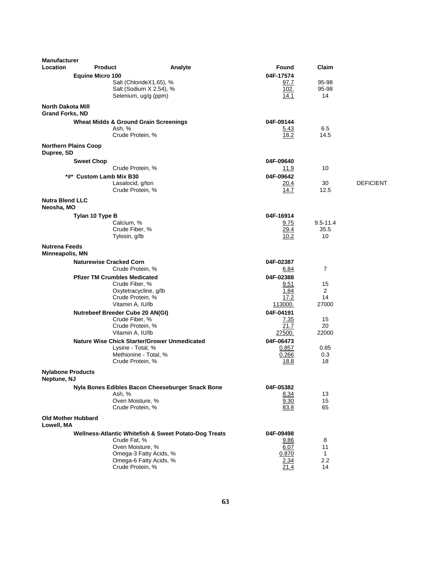| <b>Manufacturer</b>                                |                                                     |                                                       |                       |                     |                  |
|----------------------------------------------------|-----------------------------------------------------|-------------------------------------------------------|-----------------------|---------------------|------------------|
| Location                                           | <b>Product</b>                                      | Analyte                                               | Found                 | Claim               |                  |
|                                                    | <b>Equine Micro 100</b>                             |                                                       | 04F-17574             |                     |                  |
|                                                    | Salt (ChlorideX1.65), %                             |                                                       | 97.7                  | 95-98               |                  |
|                                                    | Salt (Sodium X 2.54), %<br>Selenium, ug/g (ppm)     |                                                       | 102.<br>14.1          | 95-98<br>14         |                  |
|                                                    |                                                     |                                                       |                       |                     |                  |
| <b>North Dakota Mill</b><br><b>Grand Forks, ND</b> |                                                     |                                                       |                       |                     |                  |
|                                                    | <b>Wheat Midds &amp; Ground Grain Screenings</b>    |                                                       | 04F-09144             |                     |                  |
|                                                    | Ash, %<br>Crude Protein, %                          |                                                       | 5.43<br>18.2          | 6.5                 |                  |
|                                                    |                                                     |                                                       |                       | 14.5                |                  |
| <b>Northern Plains Coop</b><br>Dupree, SD          |                                                     |                                                       |                       |                     |                  |
|                                                    | <b>Sweet Chop</b>                                   |                                                       | 04F-09640             |                     |                  |
|                                                    | Crude Protein, %                                    |                                                       | 11.9                  | 10                  |                  |
|                                                    | *#* Custom Lamb Mix B30                             |                                                       | 04F-09642             |                     |                  |
|                                                    | Lasalocid, g/ton<br>Crude Protein, %                |                                                       | 20.4<br>14.7          | 30<br>12.5          | <b>DEFICIENT</b> |
|                                                    |                                                     |                                                       |                       |                     |                  |
| <b>Nutra Blend LLC</b><br>Neosha, MO               |                                                     |                                                       |                       |                     |                  |
|                                                    | Tylan 10 Type B                                     |                                                       | 04F-16914             |                     |                  |
|                                                    | Calcium, %                                          |                                                       | 9.75                  | $9.5 - 11.4$        |                  |
|                                                    | Crude Fiber, %<br>Tylosin, g/lb                     |                                                       | 29.4<br>10.2          | 35.5<br>10          |                  |
| <b>Nutrena Feeds</b><br>Minneapolis, MN            |                                                     |                                                       |                       |                     |                  |
|                                                    | <b>Naturewise Cracked Corn</b>                      |                                                       | 04F-02387             |                     |                  |
|                                                    | Crude Protein, %                                    |                                                       | 6.84                  | $\overline{7}$      |                  |
|                                                    | <b>Pfizer TM Crumbles Medicated</b>                 |                                                       | 04F-02388             |                     |                  |
|                                                    | Crude Fiber, %                                      |                                                       | 9.51                  | 15                  |                  |
|                                                    | Oxytetracycline, g/lb                               |                                                       | 1.84                  | 2                   |                  |
|                                                    | Crude Protein, %<br>Vitamin A, IU/lb                |                                                       | 17.2<br>113000.       | 14<br>27000         |                  |
|                                                    | Nutrebeef Breeder Cube 20 AN(GI)                    |                                                       | 04F-04191             |                     |                  |
|                                                    | Crude Fiber, %                                      |                                                       | 7.35                  | 15                  |                  |
|                                                    | Crude Protein, %                                    |                                                       | 21.7                  | 20                  |                  |
|                                                    | Vitamin A, IU/lb                                    |                                                       | 27500.                | 22000               |                  |
|                                                    | <b>Nature Wise Chick Starter/Grower Unmedicated</b> |                                                       | 04F-06473             |                     |                  |
|                                                    | Lysine - Total, %                                   |                                                       | 0.857                 | 0.85                |                  |
|                                                    | Methionine - Total, %<br>Crude Protein, %           |                                                       | 0.266<br><u> 18.8</u> | 0.3<br>18           |                  |
| <b>Nylabone Products</b><br>Neptune, NJ            |                                                     |                                                       |                       |                     |                  |
|                                                    |                                                     | Nyla Bones Edibles Bacon Cheeseburger Snack Bone      | 04F-05382             |                     |                  |
|                                                    | Ash, %                                              |                                                       | 8.34                  | 13                  |                  |
|                                                    | Oven Moisture, %                                    |                                                       | 9.30                  | 15                  |                  |
|                                                    | Crude Protein, %                                    |                                                       | 83.8                  | 65                  |                  |
| <b>Old Mother Hubbard</b><br>Lowell, MA            |                                                     |                                                       |                       |                     |                  |
|                                                    |                                                     | Wellness-Atlantic Whitefish & Sweet Potato-Dog Treats | 04F-09498             |                     |                  |
|                                                    | Crude Fat, %                                        |                                                       | 9.86                  | 8                   |                  |
|                                                    | Oven Moisture, %                                    |                                                       | 6.07                  | 11                  |                  |
|                                                    | Omega-3 Fatty Acids, %<br>Omega-6 Fatty Acids, %    |                                                       | 0.870<br>2.34         | $\mathbf{1}$<br>2.2 |                  |
|                                                    | Crude Protein, %                                    |                                                       | 21.4                  | 14                  |                  |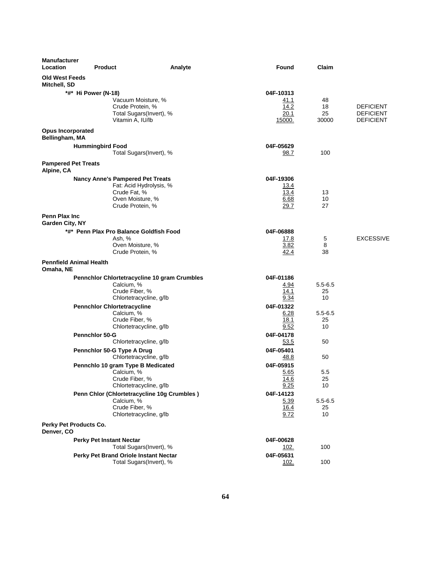| <b>Manufacturer</b><br>Location            | <b>Product</b>                                                    | Analyte | Found             | Claim       |                  |
|--------------------------------------------|-------------------------------------------------------------------|---------|-------------------|-------------|------------------|
| <b>Old West Feeds</b><br>Mitchell, SD      |                                                                   |         |                   |             |                  |
|                                            | *#* Hi Power (N-18)                                               |         | 04F-10313         |             |                  |
|                                            | Vacuum Moisture, %                                                |         | 41.1              | 48          |                  |
|                                            | Crude Protein, %                                                  |         | 14.2              | 18          | <b>DEFICIENT</b> |
|                                            | Total Sugars(Invert), %                                           |         | 20.1              | 25          | <b>DEFICIENT</b> |
|                                            | Vitamin A, IU/lb                                                  |         | 15000.            | 30000       | <b>DEFICIENT</b> |
| <b>Opus Incorporated</b><br>Bellingham, MA |                                                                   |         |                   |             |                  |
|                                            | <b>Hummingbird Food</b>                                           |         | 04F-05629         |             |                  |
|                                            | Total Sugars(Invert), %                                           |         | 98.7              | 100         |                  |
| <b>Pampered Pet Treats</b><br>Alpine, CA   |                                                                   |         |                   |             |                  |
|                                            | <b>Nancy Anne's Pampered Pet Treats</b>                           |         | 04F-19306         |             |                  |
|                                            | Fat: Acid Hydrolysis, %                                           |         | <u> 13.4</u>      |             |                  |
|                                            | Crude Fat, %                                                      |         | 13.4              | 13          |                  |
|                                            | Oven Moisture, %<br>Crude Protein, %                              |         | 6.68<br>29.7      | 10<br>27    |                  |
|                                            |                                                                   |         |                   |             |                  |
| Penn Plax Inc<br>Garden City, NY           |                                                                   |         |                   |             |                  |
|                                            | *#* Penn Plax Pro Balance Goldfish Food                           |         | 04F-06888         |             |                  |
|                                            | Ash, %                                                            |         | 17.8              | 5           | <b>EXCESSIVE</b> |
|                                            | Oven Moisture, %<br>Crude Protein, %                              |         | 3.82<br>42.4      | 8<br>38     |                  |
|                                            |                                                                   |         |                   |             |                  |
| <b>Pennfield Animal Health</b>             |                                                                   |         |                   |             |                  |
| Omaha, NE                                  |                                                                   |         |                   |             |                  |
|                                            | <b>Pennchlor Chlortetracycline 10 gram Crumbles</b><br>Calcium, % |         | 04F-01186<br>4.94 | $5.5 - 6.5$ |                  |
|                                            | Crude Fiber, %                                                    |         | 14.1              | 25          |                  |
|                                            | Chlortetracycline, g/lb                                           |         | 9.34              | 10          |                  |
|                                            | <b>Pennchlor Chlortetracycline</b>                                |         | 04F-01322         |             |                  |
|                                            | Calcium, %                                                        |         | 6.28              | $5.5 - 6.5$ |                  |
|                                            | Crude Fiber, %                                                    |         | 18.1              | 25          |                  |
|                                            | Chlortetracycline, g/lb                                           |         | 9.52              | 10          |                  |
|                                            | <b>Pennchlor 50-G</b>                                             |         | 04F-04178         |             |                  |
|                                            | Chlortetracycline, g/lb                                           |         | 53.5              | 50          |                  |
|                                            | Pennchlor 50-G Type A Drug<br>Chlortetracycline, g/lb             |         | 04F-05401         | 50          |                  |
|                                            |                                                                   |         | 48.8              |             |                  |
|                                            | Pennchlo 10 gram Type B Medicated<br>Calcium, %                   |         | 04F-05915<br>5.65 | 5.5         |                  |
|                                            | Crude Fiber, %                                                    |         | 14.6              | 25          |                  |
|                                            | Chlortetracycline, g/lb                                           |         | 9.25              | 10          |                  |
|                                            | Penn Chlor (Chlortetracycline 10g Crumbles)                       |         | 04F-14123         |             |                  |
|                                            | Calcium, %                                                        |         | 5.39              | $5.5 - 6.5$ |                  |
|                                            | Crude Fiber, %                                                    |         | <u>16.4</u>       | 25          |                  |
|                                            | Chlortetracycline, g/lb                                           |         | 9.72              | 10          |                  |
| Perky Pet Products Co.<br>Denver, CO       |                                                                   |         |                   |             |                  |
|                                            | <b>Perky Pet Instant Nectar</b>                                   |         | 04F-00628         |             |                  |
|                                            | Total Sugars(Invert), %                                           |         | <u>102.</u>       | 100         |                  |
|                                            | Perky Pet Brand Oriole Instant Nectar                             |         | 04F-05631         |             |                  |
|                                            | Total Sugars(Invert), %                                           |         | 102.              | 100         |                  |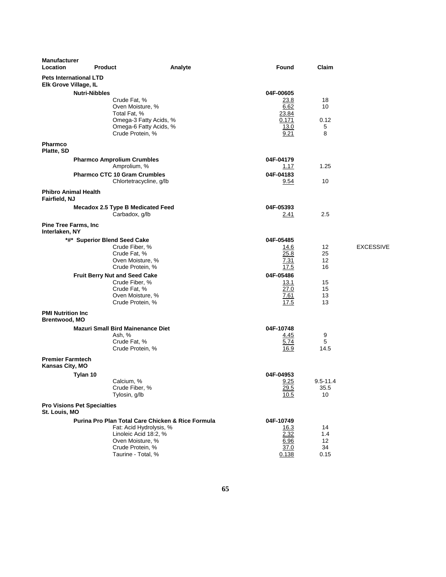| <b>Manufacturer</b><br>Location                        | <b>Product</b>                     |                                                                      | Analyte | Found                    | Claim          |                  |
|--------------------------------------------------------|------------------------------------|----------------------------------------------------------------------|---------|--------------------------|----------------|------------------|
| <b>Pets International LTD</b><br>Elk Grove Village, IL |                                    |                                                                      |         |                          |                |                  |
|                                                        | <b>Nutri-Nibbles</b>               |                                                                      |         | 04F-00605                |                |                  |
|                                                        |                                    | Crude Fat, %<br>Oven Moisture, %<br>Total Fat, %                     |         | 23.8<br>6.62<br>23.84    | 18<br>10       |                  |
|                                                        |                                    | Omega-3 Fatty Acids, %<br>Omega-6 Fatty Acids, %<br>Crude Protein, % |         | 0.171<br>13.0<br>9.21    | 0.12<br>5<br>8 |                  |
| <b>Pharmco</b><br>Platte, SD                           |                                    |                                                                      |         |                          |                |                  |
|                                                        |                                    | <b>Pharmco Amprolium Crumbles</b><br>Amprolium, %                    |         | 04F-04179<br>1.17        | 1.25           |                  |
|                                                        |                                    | <b>Pharmco CTC 10 Gram Crumbles</b><br>Chlortetracycline, g/lb       |         | 04F-04183<br><u>9.54</u> | 10             |                  |
| <b>Phibro Animal Health</b><br>Fairfield, NJ           |                                    |                                                                      |         |                          |                |                  |
|                                                        |                                    | <b>Mecadox 2.5 Type B Medicated Feed</b><br>Carbadox, q/lb           |         | 04F-05393<br><u>2.41</u> | 2.5            |                  |
| <b>Pine Tree Farms, Inc.</b><br>Interlaken, NY         |                                    |                                                                      |         |                          |                |                  |
|                                                        |                                    | *#* Superior Blend Seed Cake                                         |         | 04F-05485                |                |                  |
|                                                        |                                    | Crude Fiber, %                                                       |         | 14.6                     | 12             | <b>EXCESSIVE</b> |
|                                                        |                                    | Crude Fat, %<br>Oven Moisture, %                                     |         | 25.8<br>7.31             | 25<br>12       |                  |
|                                                        |                                    | Crude Protein, %                                                     |         | 17.5                     | 16             |                  |
|                                                        |                                    | <b>Fruit Berry Nut and Seed Cake</b>                                 |         | 04F-05486                |                |                  |
|                                                        |                                    | Crude Fiber, %                                                       |         | 13.1                     | 15             |                  |
|                                                        |                                    | Crude Fat, %                                                         |         | 27.0                     | 15             |                  |
|                                                        |                                    | Oven Moisture, %<br>Crude Protein, %                                 |         | <u>7.61</u><br>17.5      | 13<br>13       |                  |
| <b>PMI Nutrition Inc.</b><br><b>Brentwood, MO</b>      |                                    |                                                                      |         |                          |                |                  |
|                                                        |                                    | <b>Mazuri Small Bird Mainenance Diet</b>                             |         | 04F-10748                |                |                  |
|                                                        |                                    | Ash, %<br>Crude Fat, %<br>Crude Protein, %                           |         | 4.45<br>5.74<br>16.9     | 9<br>5<br>14.5 |                  |
| <b>Premier Farmtech</b><br>Kansas City, MO             |                                    |                                                                      |         |                          |                |                  |
|                                                        | Tylan 10                           |                                                                      |         | 04F-04953                |                |                  |
|                                                        |                                    | Calcium, %                                                           |         | 9.25                     | $9.5 - 11.4$   |                  |
|                                                        |                                    | Crude Fiber, %<br>Tylosin, g/lb                                      |         | 29.5<br>10.5             | 35.5<br>10     |                  |
| St. Louis, MO                                          | <b>Pro Visions Pet Specialties</b> |                                                                      |         |                          |                |                  |
|                                                        |                                    | Purina Pro Plan Total Care Chicken & Rice Formula                    |         | 04F-10749                |                |                  |
|                                                        |                                    | Fat: Acid Hydrolysis, %<br>Linoleic Acid 18:2, %                     |         | <u>16.3</u><br>2.32      | 14<br>1.4      |                  |
|                                                        |                                    | Oven Moisture, %                                                     |         | 6.96                     | 12             |                  |
|                                                        |                                    | Crude Protein, %<br>Taurine - Total, %                               |         | 37.0<br>0.138            | 34<br>0.15     |                  |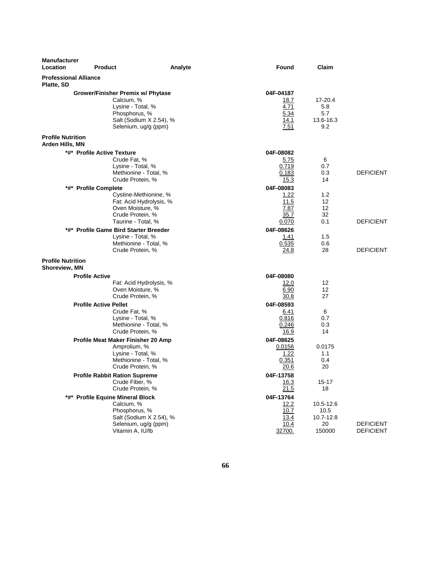| <b>Manufacturer</b><br>Location                  | <b>Product</b>                                                                                                                           | Analyte | Found                                                | Claim                                          |                                      |
|--------------------------------------------------|------------------------------------------------------------------------------------------------------------------------------------------|---------|------------------------------------------------------|------------------------------------------------|--------------------------------------|
| <b>Professional Alliance</b><br>Platte, SD       |                                                                                                                                          |         |                                                      |                                                |                                      |
|                                                  | Grower/Finisher Premix w/ Phytase<br>Calcium, %<br>Lysine - Total, %<br>Phosphorus, %<br>Salt (Sodium X 2.54), %<br>Selenium, ug/g (ppm) |         | 04F-04187<br>18.7<br>4.71<br>5.34<br>14.1<br>7.51    | 17-20.4<br>5.8<br>5.7<br>13.6-16.3<br>9.2      |                                      |
| <b>Profile Nutrition</b><br>Arden Hills, MN      |                                                                                                                                          |         |                                                      |                                                |                                      |
|                                                  | *#* Profile Active Texture<br>Crude Fat, %<br>Lysine - Total, %<br>Methionine - Total, %<br>Crude Protein, %                             |         | 04F-08082<br>5.75<br>0.719<br>0.183<br>15.3          | 6<br>0.7<br>0.3<br>14                          | <b>DEFICIENT</b>                     |
|                                                  | *#* Profile Complete<br>Cystine-Methionine, %<br>Fat: Acid Hydrolysis, %<br>Oven Moisture, %<br>Crude Protein, %<br>Taurine - Total, %   |         | 04F-08083<br>1.22<br>11.5<br>7.87<br>35.7            | 1.2<br>12<br>12<br>32<br>0.1                   | <b>DEFICIENT</b>                     |
|                                                  | *#* Profile Game Bird Starter Breeder<br>Lysine - Total, %<br>Methionine - Total, %<br>Crude Protein, %                                  |         | 0.070<br>04F-08626<br>1.41<br>0.535<br>24.8          | 1.5<br>0.6<br>28                               | <b>DEFICIENT</b>                     |
| <b>Profile Nutrition</b><br><b>Shoreview, MN</b> |                                                                                                                                          |         |                                                      |                                                |                                      |
|                                                  | <b>Profile Active</b><br>Fat: Acid Hydrolysis, %<br>Oven Moisture, %<br>Crude Protein, %                                                 |         | 04F-08080<br>12.0<br>6.90<br>30.8                    | 12<br>12<br>27                                 |                                      |
|                                                  | <b>Profile Active Pellet</b><br>Crude Fat, %<br>Lysine - Total, %<br>Methionine - Total, %<br>Crude Protein, %                           |         | 04F-08593<br>6.41<br>0.816<br>0.246<br>16.9          | 6<br>0.7<br>0.3<br>14                          |                                      |
|                                                  | Profile Meat Maker Finisher 20 Amp<br>Amprolium, %<br>Lysine - Total, %<br>Methionine - Total, %<br>Crude Protein, %                     |         | 04F-08625<br>0.0156<br>1.22<br>0.351<br><u> 20.6</u> | 0.0175<br>1.1<br>0.4<br>20                     |                                      |
|                                                  | <b>Profile Rabbit Ration Supreme</b><br>Crude Fiber, %<br>Crude Protein, %                                                               |         | 04F-13758<br>16.3<br>21.5                            | $15 - 17$<br>18                                |                                      |
|                                                  | *#* Profile Equine Mineral Block<br>Calcium, %<br>Phosphorus, %<br>Salt (Sodium X 2.54), %<br>Selenium, ug/g (ppm)<br>Vitamin A, IU/lb   |         | 04F-13764<br>12.2<br>10.7<br>13.4<br>10.4<br>32700.  | 10.5-12.6<br>10.5<br>10.7-12.8<br>20<br>150000 | <b>DEFICIENT</b><br><b>DEFICIENT</b> |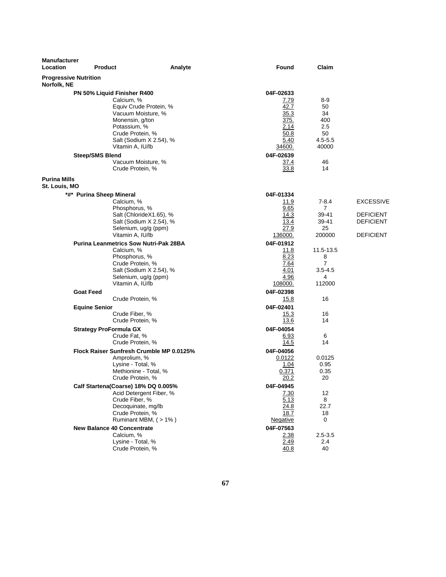| <b>Manufacturer</b><br>Location             | <b>Product</b>                                                                                                                                                                                                                                                      | Analyte | <b>Found</b>                                                                                                    | Claim                                                                   |                                                                       |
|---------------------------------------------|---------------------------------------------------------------------------------------------------------------------------------------------------------------------------------------------------------------------------------------------------------------------|---------|-----------------------------------------------------------------------------------------------------------------|-------------------------------------------------------------------------|-----------------------------------------------------------------------|
| <b>Progressive Nutrition</b><br>Norfolk, NE |                                                                                                                                                                                                                                                                     |         |                                                                                                                 |                                                                         |                                                                       |
|                                             | PN 50% Liquid Finisher R400<br>Calcium, %<br>Equiv Crude Protein, %<br>Vacuum Moisture, %<br>Monensin, g/ton<br>Potassium, %<br>Crude Protein, %<br>Salt (Sodium X 2.54), %<br>Vitamin A, IU/lb<br><b>Steep/SMS Blend</b><br>Vacuum Moisture, %<br>Crude Protein, % |         | 04F-02633<br><u>7.79</u><br>42.7<br>35.3<br>375.<br>2.14<br>50.8<br>5.40<br>34600.<br>04F-02639<br>37.4<br>33.8 | 8-9<br>50<br>34<br>400<br>2.5<br>50<br>$4.5 - 5.5$<br>40000<br>46<br>14 |                                                                       |
| <b>Purina Mills</b><br>St. Louis, MO        |                                                                                                                                                                                                                                                                     |         |                                                                                                                 |                                                                         |                                                                       |
|                                             | *#* Purina Sheep Mineral<br>Calcium, %<br>Phosphorus, %<br>Salt (ChlorideX1.65), %<br>Salt (Sodium X 2.54), %<br>Selenium, ug/g (ppm)<br>Vitamin A, IU/lb                                                                                                           |         | 04F-01334<br>11.9<br>9.65<br>14.3<br>13.4<br>27.9<br>136000.                                                    | $7-8.4$<br>$\overline{7}$<br>39-41<br>39-41<br>25<br>200000             | <b>EXCESSIVE</b><br>DEFICIENT<br><b>DEFICIENT</b><br><b>DEFICIENT</b> |
|                                             | <b>Purina Leanmetrics Sow Nutri-Pak 28BA</b><br>Calcium, %<br>Phosphorus, %<br>Crude Protein, %<br>Salt (Sodium X 2.54), %<br>Selenium, ug/g (ppm)<br>Vitamin A, IU/lb                                                                                              |         | 04F-01912<br>11.8<br>8.23<br>7.64<br>4.01<br>4.96<br><u>108000.</u>                                             | 11.5-13.5<br>8<br>$\overline{7}$<br>$3.5 - 4.5$<br>4<br>112000          |                                                                       |
|                                             | <b>Goat Feed</b><br>Crude Protein, %                                                                                                                                                                                                                                |         | 04F-02398<br>15.8                                                                                               | 16                                                                      |                                                                       |
|                                             | <b>Equine Senior</b><br>Crude Fiber, %<br>Crude Protein, %                                                                                                                                                                                                          |         | 04F-02401<br>15.3<br>13.6                                                                                       | 16<br>14                                                                |                                                                       |
|                                             | <b>Strategy ProFormula GX</b><br>Crude Fat, %<br>Crude Protein, %                                                                                                                                                                                                   |         | 04F-04054<br>6.93<br>14.5                                                                                       | 6<br>14                                                                 |                                                                       |
|                                             | Flock Raiser Sunfresh Crumble MP 0.0125%<br>Amprolium, %<br>Lysine - Total, %<br>Methionine - Total, %<br>Crude Protein, %                                                                                                                                          |         | 04F-04056<br>0.0122<br>1.04<br>0.371<br>20.2                                                                    | 0.0125<br>0.95<br>0.35<br>20                                            |                                                                       |
|                                             | Calf Startena(Coarse) 18% DQ 0.005%<br>Acid Detergent Fiber, %<br>Crude Fiber, %<br>Decoquinate, mg/lb<br>Crude Protein, %<br>Ruminant MBM, (>1%)                                                                                                                   |         | 04F-04945<br><u>7.30</u><br>5.13<br>24.8<br>18.7<br>Negative                                                    | 12<br>8<br>22.7<br>18<br>0                                              |                                                                       |
|                                             | <b>New Balance 40 Concentrate</b><br>Calcium, %<br>Lysine - Total, %<br>Crude Protein, %                                                                                                                                                                            |         | 04F-07563<br>2.38<br>2.49<br>40.8                                                                               | $2.5 - 3.5$<br>2.4<br>40                                                |                                                                       |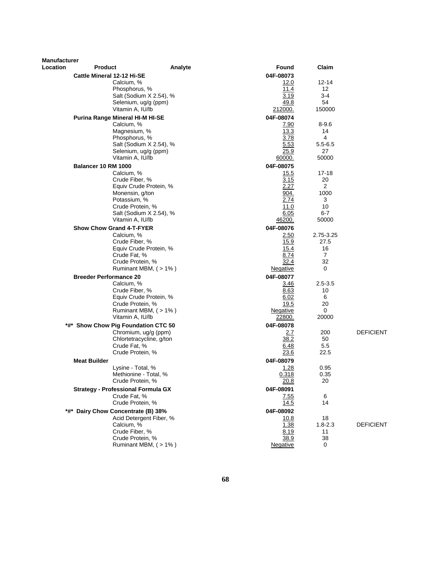| Cattle Mineral 12-12 Hi-SE<br>04F-08073<br>Calcium, %<br>12.0<br>12-14<br>Phosphorus, %<br>11.4<br>$12 \overline{ }$<br>Salt (Sodium X 2.54), %<br>3.19<br>$3-4$<br>54<br>Selenium, ug/g (ppm)<br>49.8<br>Vitamin A, IU/lb<br>212000.<br>150000<br>04F-08074<br>Purina Range Mineral HI-M HI-SE<br>Calcium, %<br>$8 - 9.6$<br>7.90<br>13.3<br>Magnesium, %<br>14<br>Phosphorus, %<br>3.78<br>4<br>5.53<br>Salt (Sodium X 2.54), %<br>$5.5 - 6.5$<br>Selenium, ug/g (ppm)<br>25.9<br>27<br>Vitamin A, IU/lb<br>60000.<br>50000<br><b>Balancer 10 RM 1000</b><br>04F-08075<br>Calcium, %<br>15.5<br>17-18<br>Crude Fiber, %<br>3.15<br>20<br>2<br>Equiv Crude Protein, %<br>2.27<br>Monensin, g/ton<br>904.<br>1000<br>Potassium, %<br>2.74<br>3<br>11.0<br>Crude Protein, %<br>10<br>6.05<br>$6-7$<br>Salt (Sodium X 2.54), %<br>Vitamin A, IU/lb<br>46200.<br>50000<br><b>Show Chow Grand 4-T-FYER</b><br>04F-08076<br>Calcium, %<br>2.50<br>2.75-3.25<br>Crude Fiber, %<br>15.9<br>27.5<br>Equiv Crude Protein, %<br>16<br>15.4<br>Crude Fat, %<br>8.74<br>$\mathbf{7}$<br>Crude Protein, %<br>32.4<br>32<br>Ruminant MBM, (>1%)<br>0<br>Negative<br><b>Breeder Performance 20</b><br>04F-08077<br>Calcium, %<br>$2.5 - 3.5$<br>3.46<br>8.63<br>Crude Fiber, %<br>10<br>Equiv Crude Protein, %<br>6<br>6.02<br>19.5<br>20<br>Crude Protein, %<br>0<br>Ruminant MBM, $($ > 1% $)$<br>Negative<br>Vitamin A, IU/lb<br>22800.<br>20000<br>04F-08078<br>*#* Show Chow Pig Foundation CTC 50<br><b>DEFICIENT</b><br>Chromium, ug/g (ppm)<br>2.7<br>200<br>Chlortetracycline, g/ton<br>38.2<br>50<br>Crude Fat, %<br>6.48<br>5.5<br>Crude Protein, %<br>22.5<br>23.6<br><b>Meat Builder</b><br>04F-08079<br>0.95<br>Lysine - Total, %<br>1.28<br>Methionine - Total, %<br>0.35<br>0.318<br>20<br>Crude Protein, %<br>20.8<br><b>Strategy - Professional Formula GX</b><br>04F-08091<br>Crude Fat, %<br>7.55<br>6<br>Crude Protein, %<br>14.5<br>14<br>*#* Dairy Chow Concentrate (B) 38%<br>04F-08092<br>Acid Detergent Fiber, %<br>18<br>10.8<br>Calcium, %<br>1.38<br>$1.8 - 2.3$<br><b>DEFICIENT</b><br>Crude Fiber, %<br>8.19<br>11<br>Crude Protein, %<br>38.9<br>38<br>Ruminant MBM, (>1%)<br>0<br><b>Negative</b> | Manufacturer |                |         |       |       |  |
|---------------------------------------------------------------------------------------------------------------------------------------------------------------------------------------------------------------------------------------------------------------------------------------------------------------------------------------------------------------------------------------------------------------------------------------------------------------------------------------------------------------------------------------------------------------------------------------------------------------------------------------------------------------------------------------------------------------------------------------------------------------------------------------------------------------------------------------------------------------------------------------------------------------------------------------------------------------------------------------------------------------------------------------------------------------------------------------------------------------------------------------------------------------------------------------------------------------------------------------------------------------------------------------------------------------------------------------------------------------------------------------------------------------------------------------------------------------------------------------------------------------------------------------------------------------------------------------------------------------------------------------------------------------------------------------------------------------------------------------------------------------------------------------------------------------------------------------------------------------------------------------------------------------------------------------------------------------------------------------------------------------------------------------------------------------------------------------------------------------------------------------------------------------------------------------------------------------------|--------------|----------------|---------|-------|-------|--|
|                                                                                                                                                                                                                                                                                                                                                                                                                                                                                                                                                                                                                                                                                                                                                                                                                                                                                                                                                                                                                                                                                                                                                                                                                                                                                                                                                                                                                                                                                                                                                                                                                                                                                                                                                                                                                                                                                                                                                                                                                                                                                                                                                                                                                     | Location     | <b>Product</b> | Analyte | Found | Claim |  |
|                                                                                                                                                                                                                                                                                                                                                                                                                                                                                                                                                                                                                                                                                                                                                                                                                                                                                                                                                                                                                                                                                                                                                                                                                                                                                                                                                                                                                                                                                                                                                                                                                                                                                                                                                                                                                                                                                                                                                                                                                                                                                                                                                                                                                     |              |                |         |       |       |  |
|                                                                                                                                                                                                                                                                                                                                                                                                                                                                                                                                                                                                                                                                                                                                                                                                                                                                                                                                                                                                                                                                                                                                                                                                                                                                                                                                                                                                                                                                                                                                                                                                                                                                                                                                                                                                                                                                                                                                                                                                                                                                                                                                                                                                                     |              |                |         |       |       |  |
|                                                                                                                                                                                                                                                                                                                                                                                                                                                                                                                                                                                                                                                                                                                                                                                                                                                                                                                                                                                                                                                                                                                                                                                                                                                                                                                                                                                                                                                                                                                                                                                                                                                                                                                                                                                                                                                                                                                                                                                                                                                                                                                                                                                                                     |              |                |         |       |       |  |
|                                                                                                                                                                                                                                                                                                                                                                                                                                                                                                                                                                                                                                                                                                                                                                                                                                                                                                                                                                                                                                                                                                                                                                                                                                                                                                                                                                                                                                                                                                                                                                                                                                                                                                                                                                                                                                                                                                                                                                                                                                                                                                                                                                                                                     |              |                |         |       |       |  |
|                                                                                                                                                                                                                                                                                                                                                                                                                                                                                                                                                                                                                                                                                                                                                                                                                                                                                                                                                                                                                                                                                                                                                                                                                                                                                                                                                                                                                                                                                                                                                                                                                                                                                                                                                                                                                                                                                                                                                                                                                                                                                                                                                                                                                     |              |                |         |       |       |  |
|                                                                                                                                                                                                                                                                                                                                                                                                                                                                                                                                                                                                                                                                                                                                                                                                                                                                                                                                                                                                                                                                                                                                                                                                                                                                                                                                                                                                                                                                                                                                                                                                                                                                                                                                                                                                                                                                                                                                                                                                                                                                                                                                                                                                                     |              |                |         |       |       |  |
|                                                                                                                                                                                                                                                                                                                                                                                                                                                                                                                                                                                                                                                                                                                                                                                                                                                                                                                                                                                                                                                                                                                                                                                                                                                                                                                                                                                                                                                                                                                                                                                                                                                                                                                                                                                                                                                                                                                                                                                                                                                                                                                                                                                                                     |              |                |         |       |       |  |
|                                                                                                                                                                                                                                                                                                                                                                                                                                                                                                                                                                                                                                                                                                                                                                                                                                                                                                                                                                                                                                                                                                                                                                                                                                                                                                                                                                                                                                                                                                                                                                                                                                                                                                                                                                                                                                                                                                                                                                                                                                                                                                                                                                                                                     |              |                |         |       |       |  |
|                                                                                                                                                                                                                                                                                                                                                                                                                                                                                                                                                                                                                                                                                                                                                                                                                                                                                                                                                                                                                                                                                                                                                                                                                                                                                                                                                                                                                                                                                                                                                                                                                                                                                                                                                                                                                                                                                                                                                                                                                                                                                                                                                                                                                     |              |                |         |       |       |  |
|                                                                                                                                                                                                                                                                                                                                                                                                                                                                                                                                                                                                                                                                                                                                                                                                                                                                                                                                                                                                                                                                                                                                                                                                                                                                                                                                                                                                                                                                                                                                                                                                                                                                                                                                                                                                                                                                                                                                                                                                                                                                                                                                                                                                                     |              |                |         |       |       |  |
|                                                                                                                                                                                                                                                                                                                                                                                                                                                                                                                                                                                                                                                                                                                                                                                                                                                                                                                                                                                                                                                                                                                                                                                                                                                                                                                                                                                                                                                                                                                                                                                                                                                                                                                                                                                                                                                                                                                                                                                                                                                                                                                                                                                                                     |              |                |         |       |       |  |
|                                                                                                                                                                                                                                                                                                                                                                                                                                                                                                                                                                                                                                                                                                                                                                                                                                                                                                                                                                                                                                                                                                                                                                                                                                                                                                                                                                                                                                                                                                                                                                                                                                                                                                                                                                                                                                                                                                                                                                                                                                                                                                                                                                                                                     |              |                |         |       |       |  |
|                                                                                                                                                                                                                                                                                                                                                                                                                                                                                                                                                                                                                                                                                                                                                                                                                                                                                                                                                                                                                                                                                                                                                                                                                                                                                                                                                                                                                                                                                                                                                                                                                                                                                                                                                                                                                                                                                                                                                                                                                                                                                                                                                                                                                     |              |                |         |       |       |  |
|                                                                                                                                                                                                                                                                                                                                                                                                                                                                                                                                                                                                                                                                                                                                                                                                                                                                                                                                                                                                                                                                                                                                                                                                                                                                                                                                                                                                                                                                                                                                                                                                                                                                                                                                                                                                                                                                                                                                                                                                                                                                                                                                                                                                                     |              |                |         |       |       |  |
|                                                                                                                                                                                                                                                                                                                                                                                                                                                                                                                                                                                                                                                                                                                                                                                                                                                                                                                                                                                                                                                                                                                                                                                                                                                                                                                                                                                                                                                                                                                                                                                                                                                                                                                                                                                                                                                                                                                                                                                                                                                                                                                                                                                                                     |              |                |         |       |       |  |
|                                                                                                                                                                                                                                                                                                                                                                                                                                                                                                                                                                                                                                                                                                                                                                                                                                                                                                                                                                                                                                                                                                                                                                                                                                                                                                                                                                                                                                                                                                                                                                                                                                                                                                                                                                                                                                                                                                                                                                                                                                                                                                                                                                                                                     |              |                |         |       |       |  |
|                                                                                                                                                                                                                                                                                                                                                                                                                                                                                                                                                                                                                                                                                                                                                                                                                                                                                                                                                                                                                                                                                                                                                                                                                                                                                                                                                                                                                                                                                                                                                                                                                                                                                                                                                                                                                                                                                                                                                                                                                                                                                                                                                                                                                     |              |                |         |       |       |  |
|                                                                                                                                                                                                                                                                                                                                                                                                                                                                                                                                                                                                                                                                                                                                                                                                                                                                                                                                                                                                                                                                                                                                                                                                                                                                                                                                                                                                                                                                                                                                                                                                                                                                                                                                                                                                                                                                                                                                                                                                                                                                                                                                                                                                                     |              |                |         |       |       |  |
|                                                                                                                                                                                                                                                                                                                                                                                                                                                                                                                                                                                                                                                                                                                                                                                                                                                                                                                                                                                                                                                                                                                                                                                                                                                                                                                                                                                                                                                                                                                                                                                                                                                                                                                                                                                                                                                                                                                                                                                                                                                                                                                                                                                                                     |              |                |         |       |       |  |
|                                                                                                                                                                                                                                                                                                                                                                                                                                                                                                                                                                                                                                                                                                                                                                                                                                                                                                                                                                                                                                                                                                                                                                                                                                                                                                                                                                                                                                                                                                                                                                                                                                                                                                                                                                                                                                                                                                                                                                                                                                                                                                                                                                                                                     |              |                |         |       |       |  |
|                                                                                                                                                                                                                                                                                                                                                                                                                                                                                                                                                                                                                                                                                                                                                                                                                                                                                                                                                                                                                                                                                                                                                                                                                                                                                                                                                                                                                                                                                                                                                                                                                                                                                                                                                                                                                                                                                                                                                                                                                                                                                                                                                                                                                     |              |                |         |       |       |  |
|                                                                                                                                                                                                                                                                                                                                                                                                                                                                                                                                                                                                                                                                                                                                                                                                                                                                                                                                                                                                                                                                                                                                                                                                                                                                                                                                                                                                                                                                                                                                                                                                                                                                                                                                                                                                                                                                                                                                                                                                                                                                                                                                                                                                                     |              |                |         |       |       |  |
|                                                                                                                                                                                                                                                                                                                                                                                                                                                                                                                                                                                                                                                                                                                                                                                                                                                                                                                                                                                                                                                                                                                                                                                                                                                                                                                                                                                                                                                                                                                                                                                                                                                                                                                                                                                                                                                                                                                                                                                                                                                                                                                                                                                                                     |              |                |         |       |       |  |
|                                                                                                                                                                                                                                                                                                                                                                                                                                                                                                                                                                                                                                                                                                                                                                                                                                                                                                                                                                                                                                                                                                                                                                                                                                                                                                                                                                                                                                                                                                                                                                                                                                                                                                                                                                                                                                                                                                                                                                                                                                                                                                                                                                                                                     |              |                |         |       |       |  |
|                                                                                                                                                                                                                                                                                                                                                                                                                                                                                                                                                                                                                                                                                                                                                                                                                                                                                                                                                                                                                                                                                                                                                                                                                                                                                                                                                                                                                                                                                                                                                                                                                                                                                                                                                                                                                                                                                                                                                                                                                                                                                                                                                                                                                     |              |                |         |       |       |  |
|                                                                                                                                                                                                                                                                                                                                                                                                                                                                                                                                                                                                                                                                                                                                                                                                                                                                                                                                                                                                                                                                                                                                                                                                                                                                                                                                                                                                                                                                                                                                                                                                                                                                                                                                                                                                                                                                                                                                                                                                                                                                                                                                                                                                                     |              |                |         |       |       |  |
|                                                                                                                                                                                                                                                                                                                                                                                                                                                                                                                                                                                                                                                                                                                                                                                                                                                                                                                                                                                                                                                                                                                                                                                                                                                                                                                                                                                                                                                                                                                                                                                                                                                                                                                                                                                                                                                                                                                                                                                                                                                                                                                                                                                                                     |              |                |         |       |       |  |
|                                                                                                                                                                                                                                                                                                                                                                                                                                                                                                                                                                                                                                                                                                                                                                                                                                                                                                                                                                                                                                                                                                                                                                                                                                                                                                                                                                                                                                                                                                                                                                                                                                                                                                                                                                                                                                                                                                                                                                                                                                                                                                                                                                                                                     |              |                |         |       |       |  |
|                                                                                                                                                                                                                                                                                                                                                                                                                                                                                                                                                                                                                                                                                                                                                                                                                                                                                                                                                                                                                                                                                                                                                                                                                                                                                                                                                                                                                                                                                                                                                                                                                                                                                                                                                                                                                                                                                                                                                                                                                                                                                                                                                                                                                     |              |                |         |       |       |  |
|                                                                                                                                                                                                                                                                                                                                                                                                                                                                                                                                                                                                                                                                                                                                                                                                                                                                                                                                                                                                                                                                                                                                                                                                                                                                                                                                                                                                                                                                                                                                                                                                                                                                                                                                                                                                                                                                                                                                                                                                                                                                                                                                                                                                                     |              |                |         |       |       |  |
|                                                                                                                                                                                                                                                                                                                                                                                                                                                                                                                                                                                                                                                                                                                                                                                                                                                                                                                                                                                                                                                                                                                                                                                                                                                                                                                                                                                                                                                                                                                                                                                                                                                                                                                                                                                                                                                                                                                                                                                                                                                                                                                                                                                                                     |              |                |         |       |       |  |
|                                                                                                                                                                                                                                                                                                                                                                                                                                                                                                                                                                                                                                                                                                                                                                                                                                                                                                                                                                                                                                                                                                                                                                                                                                                                                                                                                                                                                                                                                                                                                                                                                                                                                                                                                                                                                                                                                                                                                                                                                                                                                                                                                                                                                     |              |                |         |       |       |  |
|                                                                                                                                                                                                                                                                                                                                                                                                                                                                                                                                                                                                                                                                                                                                                                                                                                                                                                                                                                                                                                                                                                                                                                                                                                                                                                                                                                                                                                                                                                                                                                                                                                                                                                                                                                                                                                                                                                                                                                                                                                                                                                                                                                                                                     |              |                |         |       |       |  |
|                                                                                                                                                                                                                                                                                                                                                                                                                                                                                                                                                                                                                                                                                                                                                                                                                                                                                                                                                                                                                                                                                                                                                                                                                                                                                                                                                                                                                                                                                                                                                                                                                                                                                                                                                                                                                                                                                                                                                                                                                                                                                                                                                                                                                     |              |                |         |       |       |  |
|                                                                                                                                                                                                                                                                                                                                                                                                                                                                                                                                                                                                                                                                                                                                                                                                                                                                                                                                                                                                                                                                                                                                                                                                                                                                                                                                                                                                                                                                                                                                                                                                                                                                                                                                                                                                                                                                                                                                                                                                                                                                                                                                                                                                                     |              |                |         |       |       |  |
|                                                                                                                                                                                                                                                                                                                                                                                                                                                                                                                                                                                                                                                                                                                                                                                                                                                                                                                                                                                                                                                                                                                                                                                                                                                                                                                                                                                                                                                                                                                                                                                                                                                                                                                                                                                                                                                                                                                                                                                                                                                                                                                                                                                                                     |              |                |         |       |       |  |
|                                                                                                                                                                                                                                                                                                                                                                                                                                                                                                                                                                                                                                                                                                                                                                                                                                                                                                                                                                                                                                                                                                                                                                                                                                                                                                                                                                                                                                                                                                                                                                                                                                                                                                                                                                                                                                                                                                                                                                                                                                                                                                                                                                                                                     |              |                |         |       |       |  |
|                                                                                                                                                                                                                                                                                                                                                                                                                                                                                                                                                                                                                                                                                                                                                                                                                                                                                                                                                                                                                                                                                                                                                                                                                                                                                                                                                                                                                                                                                                                                                                                                                                                                                                                                                                                                                                                                                                                                                                                                                                                                                                                                                                                                                     |              |                |         |       |       |  |
|                                                                                                                                                                                                                                                                                                                                                                                                                                                                                                                                                                                                                                                                                                                                                                                                                                                                                                                                                                                                                                                                                                                                                                                                                                                                                                                                                                                                                                                                                                                                                                                                                                                                                                                                                                                                                                                                                                                                                                                                                                                                                                                                                                                                                     |              |                |         |       |       |  |
|                                                                                                                                                                                                                                                                                                                                                                                                                                                                                                                                                                                                                                                                                                                                                                                                                                                                                                                                                                                                                                                                                                                                                                                                                                                                                                                                                                                                                                                                                                                                                                                                                                                                                                                                                                                                                                                                                                                                                                                                                                                                                                                                                                                                                     |              |                |         |       |       |  |
|                                                                                                                                                                                                                                                                                                                                                                                                                                                                                                                                                                                                                                                                                                                                                                                                                                                                                                                                                                                                                                                                                                                                                                                                                                                                                                                                                                                                                                                                                                                                                                                                                                                                                                                                                                                                                                                                                                                                                                                                                                                                                                                                                                                                                     |              |                |         |       |       |  |
|                                                                                                                                                                                                                                                                                                                                                                                                                                                                                                                                                                                                                                                                                                                                                                                                                                                                                                                                                                                                                                                                                                                                                                                                                                                                                                                                                                                                                                                                                                                                                                                                                                                                                                                                                                                                                                                                                                                                                                                                                                                                                                                                                                                                                     |              |                |         |       |       |  |
|                                                                                                                                                                                                                                                                                                                                                                                                                                                                                                                                                                                                                                                                                                                                                                                                                                                                                                                                                                                                                                                                                                                                                                                                                                                                                                                                                                                                                                                                                                                                                                                                                                                                                                                                                                                                                                                                                                                                                                                                                                                                                                                                                                                                                     |              |                |         |       |       |  |
|                                                                                                                                                                                                                                                                                                                                                                                                                                                                                                                                                                                                                                                                                                                                                                                                                                                                                                                                                                                                                                                                                                                                                                                                                                                                                                                                                                                                                                                                                                                                                                                                                                                                                                                                                                                                                                                                                                                                                                                                                                                                                                                                                                                                                     |              |                |         |       |       |  |
|                                                                                                                                                                                                                                                                                                                                                                                                                                                                                                                                                                                                                                                                                                                                                                                                                                                                                                                                                                                                                                                                                                                                                                                                                                                                                                                                                                                                                                                                                                                                                                                                                                                                                                                                                                                                                                                                                                                                                                                                                                                                                                                                                                                                                     |              |                |         |       |       |  |
|                                                                                                                                                                                                                                                                                                                                                                                                                                                                                                                                                                                                                                                                                                                                                                                                                                                                                                                                                                                                                                                                                                                                                                                                                                                                                                                                                                                                                                                                                                                                                                                                                                                                                                                                                                                                                                                                                                                                                                                                                                                                                                                                                                                                                     |              |                |         |       |       |  |
|                                                                                                                                                                                                                                                                                                                                                                                                                                                                                                                                                                                                                                                                                                                                                                                                                                                                                                                                                                                                                                                                                                                                                                                                                                                                                                                                                                                                                                                                                                                                                                                                                                                                                                                                                                                                                                                                                                                                                                                                                                                                                                                                                                                                                     |              |                |         |       |       |  |
|                                                                                                                                                                                                                                                                                                                                                                                                                                                                                                                                                                                                                                                                                                                                                                                                                                                                                                                                                                                                                                                                                                                                                                                                                                                                                                                                                                                                                                                                                                                                                                                                                                                                                                                                                                                                                                                                                                                                                                                                                                                                                                                                                                                                                     |              |                |         |       |       |  |
|                                                                                                                                                                                                                                                                                                                                                                                                                                                                                                                                                                                                                                                                                                                                                                                                                                                                                                                                                                                                                                                                                                                                                                                                                                                                                                                                                                                                                                                                                                                                                                                                                                                                                                                                                                                                                                                                                                                                                                                                                                                                                                                                                                                                                     |              |                |         |       |       |  |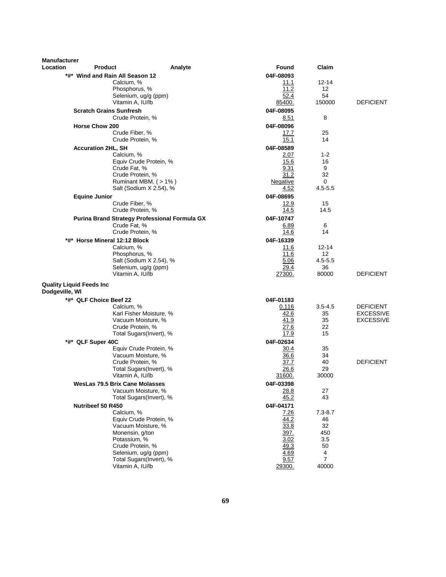| <b>Manufacturer</b> |                                                 |                         |                     |                     |                  |
|---------------------|-------------------------------------------------|-------------------------|---------------------|---------------------|------------------|
| Location            | <b>Product</b>                                  | Analyte                 | Found               | Claim               |                  |
|                     | *#* Wind and Rain All Season 12                 |                         | 04F-08093           |                     |                  |
|                     | Calcium, %<br>Phosphorus, %                     |                         | 11.1<br>11.2        | 12-14<br>12         |                  |
|                     | Selenium, ug/g (ppm)                            |                         | 52.4                | 54                  |                  |
|                     | Vitamin A, IU/lb                                |                         | 85400.              | 150000              | <b>DEFICIENT</b> |
|                     | <b>Scratch Grains Sunfresh</b>                  |                         | 04F-08095           |                     |                  |
|                     | Crude Protein, %                                |                         | 8.51                | 8                   |                  |
|                     | <b>Horse Chow 200</b>                           |                         | 04F-08096           |                     |                  |
|                     | Crude Fiber, %                                  |                         | 17.7                | 25                  |                  |
|                     | Crude Protein, %                                |                         | 15.1                | 14                  |                  |
|                     | <b>Accuration 2HL, SH</b>                       |                         | 04F-08589           |                     |                  |
|                     | Calcium, %                                      |                         | 2.07                | $1 - 2$             |                  |
|                     | Equiv Crude Protein, %<br>Crude Fat, %          |                         | 15.6<br>9.31        | 16<br>9             |                  |
|                     | Crude Protein, %                                |                         | 31.2                | 32                  |                  |
|                     |                                                 | Ruminant MBM, (>1%)     | Negative            | 0                   |                  |
|                     |                                                 | Salt (Sodium X 2.54), % | 4.52                | $4.5 - 5.5$         |                  |
|                     | <b>Equine Junior</b>                            |                         | 04F-08695           |                     |                  |
|                     | Crude Fiber, %                                  |                         | 12.9                | 15                  |                  |
|                     | Crude Protein, %                                |                         | 14.5                | 14.5                |                  |
|                     | Purina Brand Strategy Professional Formula GX   |                         | 04F-10747           |                     |                  |
|                     | Crude Fat, %<br>Crude Protein, %                |                         | 6.89<br>14.6        | 6<br>14             |                  |
|                     | *#* Horse Mineral 12:12 Block                   |                         | 04F-16339           |                     |                  |
|                     | Calcium, %                                      |                         | 11.6                | $12 - 14$           |                  |
|                     | Phosphorus, %                                   |                         | 11.6                | $12 \overline{ }$   |                  |
|                     |                                                 | Salt (Sodium X 2.54), % | 5.06                | $4.5 - 5.5$         |                  |
|                     | Selenium, ug/g (ppm)                            |                         | 29.4                | 36                  |                  |
|                     | Vitamin A, IU/lb                                |                         | 27300.              | 80000               | <b>DEFICIENT</b> |
| Dodgeville, WI      | <b>Quality Liquid Feeds Inc</b>                 |                         |                     |                     |                  |
|                     | *#* QLF Choice Beef 22                          |                         | 04F-01183           |                     |                  |
|                     | Calcium, %                                      |                         | 0.116               | $3.5 - 4.5$         | <b>DEFICIENT</b> |
|                     | Karl Fisher Moisture, %                         |                         | 42.6                | 35                  | <b>EXCESSIVE</b> |
|                     | Vacuum Moisture, %                              |                         | 41.9                | 35                  | <b>EXCESSIVE</b> |
|                     | Crude Protein, %                                |                         | 27.6                | 22                  |                  |
|                     | Total Sugars(Invert), %                         |                         | 17.9                | 15                  |                  |
|                     | *#* QLF Super 40C                               |                         | 04F-02634           |                     |                  |
|                     | Equiv Crude Protein, %<br>Vacuum Moisture, %    |                         | <u>30.4</u><br>36.6 | 35<br>34            |                  |
|                     | Crude Protein, %                                |                         | 37.7                | 40                  | <b>DEFICIENT</b> |
|                     | Total Sugars(Invert), %                         |                         | 26.6                | 29                  |                  |
|                     | Vitamin A, IU/lb                                |                         | 31600.              | 30000               |                  |
|                     | WesLas 79.5 Brix Cane Molasses                  |                         | 04F-03398           |                     |                  |
|                     | Vacuum Moisture, %                              |                         | 28.8                | 27                  |                  |
|                     | Total Sugars(Invert), %                         |                         | 45.2                | 43                  |                  |
|                     | Nutribeef 50 R450                               |                         | 04F-04171           |                     |                  |
|                     | Calcium, %<br>Equiv Crude Protein, %            |                         | 7.26<br>44.2        | $7.3 - 8.7$<br>46   |                  |
|                     | Vacuum Moisture, %                              |                         | 33.8                | 32                  |                  |
|                     | Monensin, g/ton                                 |                         | 397.                | 450                 |                  |
|                     | Potassium, %                                    |                         | 3.02                | 3.5                 |                  |
|                     | Crude Protein, %                                |                         | 49.3                | 50                  |                  |
|                     | Selenium, ug/g (ppm)<br>Total Sugars(Invert), % |                         | 4.69<br>9.57        | 4<br>$\overline{7}$ |                  |
|                     | Vitamin A, IU/lb                                |                         | 29300.              | 40000               |                  |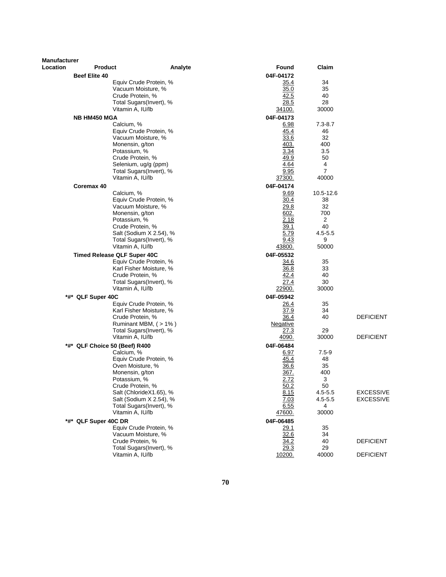| <b>Manufacturer</b> |                                    |                                                    |               |                   |                  |
|---------------------|------------------------------------|----------------------------------------------------|---------------|-------------------|------------------|
| Location            | <b>Product</b>                     | Analyte                                            | Found         | Claim             |                  |
|                     | <b>Beef Elite 40</b>               |                                                    | 04F-04172     |                   |                  |
|                     |                                    | Equiv Crude Protein, %                             | 35.4          | 34                |                  |
|                     | Crude Protein, %                   | Vacuum Moisture, %                                 | 35.0<br>42.5  | 35<br>40          |                  |
|                     |                                    | Total Sugars(Invert), %                            | 28.5          | 28                |                  |
|                     | Vitamin A, IU/lb                   |                                                    | 34100.        | 30000             |                  |
|                     |                                    |                                                    | 04F-04173     |                   |                  |
|                     | <b>NB HM450 MGA</b><br>Calcium, %  |                                                    | 6.98          | $7.3 - 8.7$       |                  |
|                     |                                    | Equiv Crude Protein, %                             | 45.4          | 46                |                  |
|                     |                                    | Vacuum Moisture, %                                 | 33.6          | 32                |                  |
|                     | Monensin, g/ton                    |                                                    | 403.          | 400               |                  |
|                     | Potassium, %                       |                                                    | 3.34          | 3.5               |                  |
|                     | Crude Protein, %                   |                                                    | 49.9          | 50                |                  |
|                     |                                    | Selenium, ug/g (ppm)                               | 4.64          | 4                 |                  |
|                     |                                    | Total Sugars(Invert), %                            | 9.95          | $\overline{7}$    |                  |
|                     | Vitamin A, IU/lb                   |                                                    | <u>37300.</u> | 40000             |                  |
|                     | Coremax 40                         |                                                    | 04F-04174     |                   |                  |
|                     | Calcium, %                         |                                                    | 9.69          | 10.5-12.6         |                  |
|                     |                                    | Equiv Crude Protein, %                             | 30.4          | 38                |                  |
|                     |                                    | Vacuum Moisture, %                                 | 29.8          | 32                |                  |
|                     | Monensin, g/ton                    |                                                    | 602.          | 700               |                  |
|                     | Potassium, %                       |                                                    | 2.18          | 2                 |                  |
|                     | Crude Protein, %                   |                                                    | 39.1<br>5.79  | 40<br>$4.5 - 5.5$ |                  |
|                     |                                    | Salt (Sodium X 2.54), %<br>Total Sugars(Invert), % | 9.43          | 9                 |                  |
|                     | Vitamin A, IU/lb                   |                                                    | 43800.        | 50000             |                  |
|                     | <b>Timed Release QLF Super 40C</b> |                                                    | 04F-05532     |                   |                  |
|                     |                                    | Equiv Crude Protein, %                             | 34.6          | 35                |                  |
|                     |                                    | Karl Fisher Moisture, %                            | 36.8          | 33                |                  |
|                     | Crude Protein, %                   |                                                    | 42.4          | 40                |                  |
|                     |                                    | Total Sugars(Invert), %                            | 27.4          | 30                |                  |
|                     | Vitamin A, IU/lb                   |                                                    | 22900.        | 30000             |                  |
|                     | *#* QLF Super 40C                  |                                                    | 04F-05942     |                   |                  |
|                     |                                    | Equiv Crude Protein, %                             | 26.4          | 35                |                  |
|                     |                                    | Karl Fisher Moisture, %                            | 37.9          | 34                |                  |
|                     | Crude Protein, %                   |                                                    | 36.4          | 40                | <b>DEFICIENT</b> |
|                     |                                    | Ruminant MBM, (> 1%)                               | Negative      |                   |                  |
|                     |                                    | Total Sugars(Invert), %                            | 27.3          | 29                |                  |
|                     | Vitamin A, IU/lb                   |                                                    | 4090.         | 30000             | <b>DEFICIENT</b> |
|                     | *#* QLF Choice 50 (Beef) R400      |                                                    | 04F-06484     |                   |                  |
|                     | Calcium, %                         |                                                    | 6.97          | $7.5 - 9$         |                  |
|                     |                                    | Equiv Crude Protein, %                             | 45.4          | 48                |                  |
|                     | Oven Moisture, %                   |                                                    | 36.6          | 35                |                  |
|                     | Monensin, g/ton<br>Potassium, %    |                                                    | 367.<br>2.72  | 400<br>3          |                  |
|                     | Crude Protein, %                   |                                                    | 50.2          | 50                |                  |
|                     |                                    | Salt (ChlorideX1.65), %                            | 8.15          | $4.5 - 5.5$       | <b>EXCESSIVE</b> |
|                     |                                    | Salt (Sodium X 2.54), %                            | 7.03          | 4.5-5.5           | <b>EXCESSIVE</b> |
|                     |                                    | Total Sugars(Invert), %                            | 6.55          | 4                 |                  |
|                     | Vitamin A, IU/lb                   |                                                    | 47600.        | 30000             |                  |
|                     | *#* QLF Super 40C DR               |                                                    | 04F-06485     |                   |                  |
|                     |                                    | Equiv Crude Protein, %                             | 29.1          | 35                |                  |
|                     |                                    | Vacuum Moisture, %                                 | 32.6          | 34                |                  |
|                     | Crude Protein, %                   |                                                    | 34.2          | 40                | <b>DEFICIENT</b> |
|                     |                                    | Total Sugars(Invert), %                            | 29.3          | 29                |                  |
|                     | Vitamin A, IU/lb                   |                                                    | 10200.        | 40000             | <b>DEFICIENT</b> |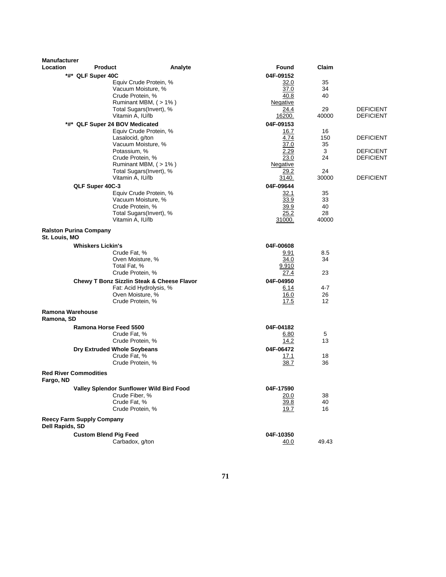| <b>Manufacturer</b> |                                  |                                                       |         |                   |             |                  |
|---------------------|----------------------------------|-------------------------------------------------------|---------|-------------------|-------------|------------------|
| <b>Location</b>     | <b>Product</b>                   |                                                       | Analyte | Found             | Claim       |                  |
|                     | *#* QLF Super 40C                |                                                       |         | 04F-09152         |             |                  |
|                     |                                  | Equiv Crude Protein, %                                |         | 32.0              | 35          |                  |
|                     |                                  | Vacuum Moisture, %                                    |         | 37.0              | 34          |                  |
|                     |                                  | Crude Protein, %                                      |         | 40.8<br>Negative  | 40          |                  |
|                     |                                  | Ruminant MBM, (>1%)<br>Total Sugars(Invert), %        |         | 24.4              | 29          | <b>DEFICIENT</b> |
|                     |                                  | Vitamin A, IU/lb                                      |         | 16200.            | 40000       | <b>DEFICIENT</b> |
|                     |                                  | *#* QLF Super 24 BOV Medicated                        |         | 04F-09153         |             |                  |
|                     |                                  | Equiv Crude Protein, %                                |         | 16.7              | 16          |                  |
|                     |                                  | Lasalocid, g/ton                                      |         | 4.74              | 150         | <b>DEFICIENT</b> |
|                     |                                  | Vacuum Moisture, %                                    |         | 37.0              | 35          |                  |
|                     |                                  | Potassium, %                                          |         | 2.29              | 3           | <b>DEFICIENT</b> |
|                     |                                  | Crude Protein, %                                      |         | 23.0              | 24          | <b>DEFICIENT</b> |
|                     |                                  | Ruminant MBM, (>1%)                                   |         | Negative          |             |                  |
|                     |                                  | Total Sugars(Invert), %<br>Vitamin A, IU/lb           |         | 29.2              | 24<br>30000 | <b>DEFICIENT</b> |
|                     |                                  |                                                       |         | 3140.             |             |                  |
|                     | QLF Super 40C-3                  | Equiv Crude Protein, %                                |         | 04F-09644<br>32.1 | 35          |                  |
|                     |                                  | Vacuum Moisture, %                                    |         | 33.9              | 33          |                  |
|                     |                                  | Crude Protein, %                                      |         | 39.9              | 40          |                  |
|                     |                                  | Total Sugars(Invert), %                               |         | 25.2              | 28          |                  |
|                     |                                  | Vitamin A, IU/lb                                      |         | 31000.            | 40000       |                  |
|                     | <b>Ralston Purina Company</b>    |                                                       |         |                   |             |                  |
| St. Louis, MO       |                                  |                                                       |         |                   |             |                  |
|                     | <b>Whiskers Lickin's</b>         |                                                       |         | 04F-00608         |             |                  |
|                     |                                  | Crude Fat, %                                          |         | 9.91              | 8.5         |                  |
|                     |                                  | Oven Moisture, %                                      |         | 34.0              | 34          |                  |
|                     |                                  | Total Fat, %                                          |         | 9.910             |             |                  |
|                     |                                  | Crude Protein, %                                      |         | 27.4              | 23          |                  |
|                     |                                  | <b>Chewy T Bonz Sizzlin Steak &amp; Cheese Flavor</b> |         | 04F-04950         |             |                  |
|                     |                                  | Fat: Acid Hydrolysis, %<br>Oven Moisture, %           |         | 6.14<br>16.0      | 4-7<br>26   |                  |
|                     |                                  | Crude Protein, %                                      |         | 17.5              | 12          |                  |
| Ramona Warehouse    |                                  |                                                       |         |                   |             |                  |
| Ramona, SD          |                                  |                                                       |         |                   |             |                  |
|                     | Ramona Horse Feed 5500           |                                                       |         | 04F-04182         |             |                  |
|                     |                                  | Crude Fat, %                                          |         | 6.80              | 5           |                  |
|                     |                                  | Crude Protein, %                                      |         | 14.2              | 13          |                  |
|                     |                                  | Dry Extruded Whole Soybeans                           |         | 04F-06472         |             |                  |
|                     |                                  | Crude Fat, %                                          |         | 17.1              | 18          |                  |
|                     |                                  | Crude Protein, %                                      |         | 38.7              | 36          |                  |
| Fargo, ND           | <b>Red River Commodities</b>     |                                                       |         |                   |             |                  |
|                     |                                  | Valley Splendor Sunflower Wild Bird Food              |         | 04F-17590         |             |                  |
|                     |                                  | Crude Fiber, %                                        |         | 20.0              | 38          |                  |
|                     |                                  | Crude Fat, %                                          |         | 39.8              | 40          |                  |
|                     |                                  | Crude Protein, %                                      |         | 19.7              | 16          |                  |
| Dell Rapids, SD     | <b>Reecy Farm Supply Company</b> |                                                       |         |                   |             |                  |
|                     |                                  |                                                       |         | 04F-10350         |             |                  |
|                     | <b>Custom Blend Pig Feed</b>     | Carbadox, g/ton                                       |         | 40.0              | 49.43       |                  |
|                     |                                  |                                                       |         |                   |             |                  |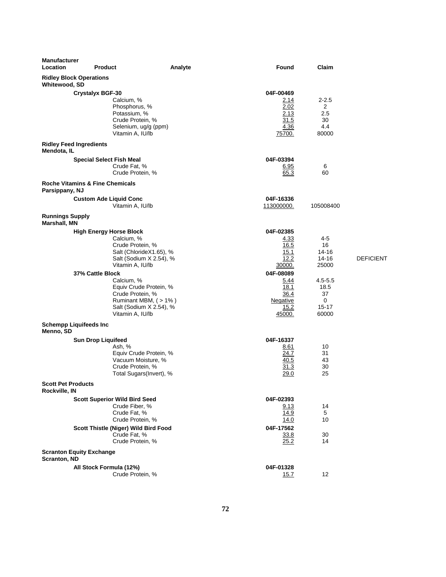| Manufacturer<br>Location                        | <b>Product</b>                                                                                                                                                         | Analyte | Found                                                           | Claim                                                    |                  |
|-------------------------------------------------|------------------------------------------------------------------------------------------------------------------------------------------------------------------------|---------|-----------------------------------------------------------------|----------------------------------------------------------|------------------|
| <b>Ridley Block Operations</b><br>Whitewood, SD |                                                                                                                                                                        |         |                                                                 |                                                          |                  |
| <b>Ridley Feed Ingredients</b>                  | <b>Crystalyx BGF-30</b><br>Calcium, %<br>Phosphorus, %<br>Potassium, %<br>Crude Protein, %<br>Selenium, ug/g (ppm)<br>Vitamin A, IU/lb                                 |         | 04F-00469<br>2.14<br>2.02<br>2.13<br>31.5<br>4.36<br>75700.     | $2 - 2.5$<br>$\overline{2}$<br>2.5<br>30<br>4.4<br>80000 |                  |
| Mendota, IL                                     |                                                                                                                                                                        |         |                                                                 |                                                          |                  |
|                                                 | <b>Special Select Fish Meal</b><br>Crude Fat, %<br>Crude Protein, %                                                                                                    |         | 04F-03394<br>6.95<br>65.3                                       | 6<br>60                                                  |                  |
| Parsippany, NJ                                  | <b>Roche Vitamins &amp; Fine Chemicals</b>                                                                                                                             |         |                                                                 |                                                          |                  |
|                                                 | <b>Custom Ade Liquid Conc</b><br>Vitamin A, IU/lb                                                                                                                      |         | 04F-16336<br>113000000.                                         | 105008400                                                |                  |
| <b>Runnings Supply</b><br>Marshall, MN          |                                                                                                                                                                        |         |                                                                 |                                                          |                  |
|                                                 | <b>High Energy Horse Block</b><br>Calcium, %<br>Crude Protein, %<br>Salt (ChlorideX1.65), %<br>Salt (Sodium X 2.54), %<br>Vitamin A, IU/lb                             |         | 04F-02385<br><u>4.33</u><br>16.5<br>15.1<br>12.2<br>30000.      | 4-5<br>16<br>14-16<br>14-16<br>25000                     | <b>DEFICIENT</b> |
|                                                 | 37% Cattle Block<br>Calcium, %<br>Equiv Crude Protein, %<br>Crude Protein, %<br>Ruminant MBM, (>1%)<br>Salt (Sodium X 2.54), %<br>Vitamin A, IU/lb                     |         | 04F-08089<br>5.44<br>18.1<br>36.4<br>Negative<br>15.2<br>45000. | $4.5 - 5.5$<br>18.5<br>37<br>0<br>$15 - 17$<br>60000     |                  |
| <b>Schempp Liquifeeds Inc</b><br>Menno, SD      |                                                                                                                                                                        |         |                                                                 |                                                          |                  |
|                                                 | <b>Sun Drop Liquifeed</b><br>Ash, %<br>Equiv Crude Protein, %<br>Vacuum Moisture, %<br>Crude Protein, %<br>Total Sugars(Invert), %                                     |         | 04F-16337<br>8.61<br>24.7<br>40.5<br>31.3<br>29.0               | 10<br>31<br>43<br>30<br>25                               |                  |
| <b>Scott Pet Products</b><br>Rockville, IN      |                                                                                                                                                                        |         |                                                                 |                                                          |                  |
|                                                 | <b>Scott Superior Wild Bird Seed</b><br>Crude Fiber, %<br>Crude Fat, %<br>Crude Protein, %<br>Scott Thistle (Niger) Wild Bird Food<br>Crude Fat, %<br>Crude Protein, % |         | 04F-02393<br>9.13<br>14.9<br>14.0<br>04F-17562<br>33.8<br>25.2  | 14<br>5<br>10<br>30<br>14                                |                  |
|                                                 | <b>Scranton Equity Exchange</b>                                                                                                                                        |         |                                                                 |                                                          |                  |
| Scranton, ND                                    | All Stock Formula (12%)<br>Crude Protein, %                                                                                                                            |         | 04F-01328<br>15.7                                               | 12                                                       |                  |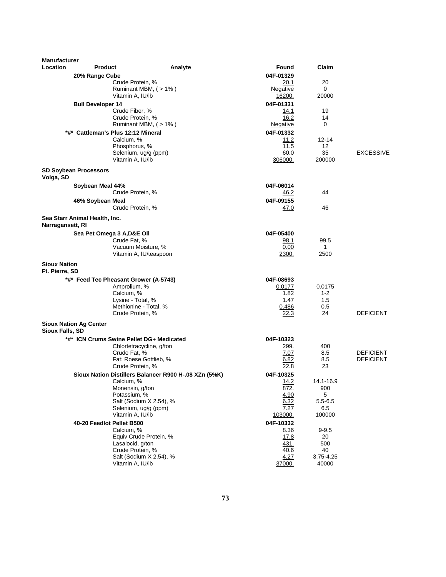| <b>Manufacturer</b>                   |                               |                                                       |         |                  |                    |                  |
|---------------------------------------|-------------------------------|-------------------------------------------------------|---------|------------------|--------------------|------------------|
| Location                              | <b>Product</b>                |                                                       | Analyte | Found            | Claim              |                  |
|                                       | 20% Range Cube                |                                                       |         | 04F-01329        |                    |                  |
|                                       |                               | Crude Protein, %<br>Ruminant MBM, (>1%)               |         | 20.1<br>Negative | 20<br>0            |                  |
|                                       |                               | Vitamin A, IU/lb                                      |         | 16200.           | 20000              |                  |
|                                       | <b>Bull Developer 14</b>      |                                                       |         | 04F-01331        |                    |                  |
|                                       |                               | Crude Fiber, %                                        |         | 14.1             | 19                 |                  |
|                                       |                               | Crude Protein, %                                      |         | 16.2             | 14                 |                  |
|                                       |                               | Ruminant MBM, $($ > 1% $)$                            |         | <u>Negative</u>  | 0                  |                  |
|                                       |                               | *#* Cattleman's Plus 12:12 Mineral                    |         | 04F-01332        |                    |                  |
|                                       |                               | Calcium, %<br>Phosphorus, %                           |         | 11.2<br>11.5     | 12-14<br>12        |                  |
|                                       |                               | Selenium, ug/g (ppm)                                  |         | 60.0             | 35                 | <b>EXCESSIVE</b> |
|                                       |                               | Vitamin A, IU/lb                                      |         | 306000.          | 200000             |                  |
| Volga, SD                             | <b>SD Soybean Processors</b>  |                                                       |         |                  |                    |                  |
|                                       | Soybean Meal 44%              |                                                       |         | 04F-06014        |                    |                  |
|                                       |                               | Crude Protein, %                                      |         | 46.2             | 44                 |                  |
|                                       | 46% Soybean Meal              |                                                       |         | 04F-09155        |                    |                  |
|                                       |                               | Crude Protein, %                                      |         | <u>47.0</u>      | 46                 |                  |
| Narragansett, RI                      | Sea Starr Animal Health, Inc. |                                                       |         |                  |                    |                  |
|                                       | Sea Pet Omega 3 A, D&E Oil    |                                                       |         | 04F-05400        |                    |                  |
|                                       |                               | Crude Fat, %                                          |         | 98.1             | 99.5               |                  |
|                                       |                               | Vacuum Moisture, %                                    |         | 0.00             | 1<br>2500          |                  |
|                                       |                               | Vitamin A, IU/teaspoon                                |         | 2300.            |                    |                  |
| <b>Sioux Nation</b><br>Ft. Pierre, SD |                               |                                                       |         |                  |                    |                  |
|                                       |                               | *#* Feed Tec Pheasant Grower (A-5743)                 |         | 04F-08693        |                    |                  |
|                                       |                               | Amprolium, %                                          |         | 0.0177           | 0.0175             |                  |
|                                       |                               | Calcium, %<br>Lysine - Total, %                       |         | 1.82<br>1.47     | $1 - 2$<br>1.5     |                  |
|                                       |                               | Methionine - Total, %                                 |         | 0.486            | 0.5                |                  |
|                                       |                               | Crude Protein, %                                      |         | 22.3             | 24                 | <b>DEFICIENT</b> |
| Sioux Falls, SD                       | <b>Sioux Nation Ag Center</b> |                                                       |         |                  |                    |                  |
|                                       |                               | *#* ICN Crums Swine Pellet DG+ Medicated              |         | 04F-10323        |                    |                  |
|                                       |                               | Chlortetracycline, g/ton                              |         | 299.             | 400                |                  |
|                                       |                               | Crude Fat, %                                          |         | 7.07             | 8.5                | <b>DEFICIENT</b> |
|                                       |                               | Fat: Roese Gottlieb, %<br>Crude Protein, %            |         | 6.82<br>22.8     | 8.5<br>23          | <b>DEFICIENT</b> |
|                                       |                               | Sioux Nation Distillers Balancer R900 H-.08 XZn (5%K) |         | 04F-10325        |                    |                  |
|                                       |                               | Calcium, %                                            |         | 14.2             | 14.1-16.9          |                  |
|                                       |                               | Monensin, g/ton                                       |         | 872.             | 900                |                  |
|                                       |                               | Potassium, %                                          |         | 4.90             | 5                  |                  |
|                                       |                               | Salt (Sodium X 2.54), %<br>Selenium, ug/g (ppm)       |         | 6.32<br>7.27     | $5.5 - 6.5$<br>6.5 |                  |
|                                       |                               | Vitamin A, IU/lb                                      |         | 103000.          | 100000             |                  |
|                                       | 40-20 Feedlot Pellet B500     |                                                       |         | 04F-10332        |                    |                  |
|                                       |                               | Calcium, %                                            |         | 8.36             | $9 - 9.5$          |                  |
|                                       |                               | Equiv Crude Protein, %                                |         | 17.8             | 20                 |                  |
|                                       |                               | Lasalocid, g/ton<br>Crude Protein, %                  |         | 431.<br>40.6     | 500<br>40          |                  |
|                                       |                               | Salt (Sodium X 2.54), %                               |         | 4.27             | 3.75-4.25          |                  |
|                                       |                               | Vitamin A, IU/lb                                      |         | 37000.           | 40000              |                  |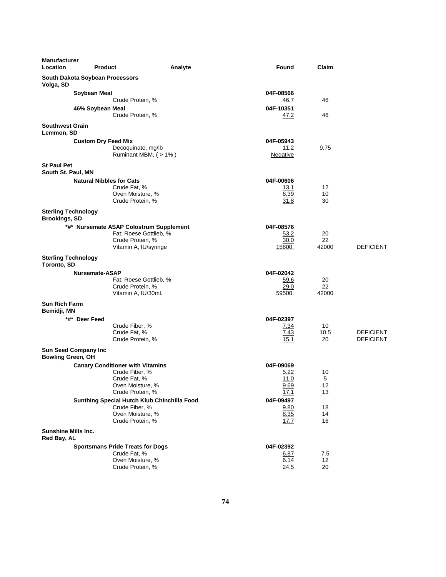| <b>Manufacturer</b><br>Location                    | <b>Product</b>                  |                                                                                                                   | Analyte | <b>Found</b>                              | Claim               |                                      |
|----------------------------------------------------|---------------------------------|-------------------------------------------------------------------------------------------------------------------|---------|-------------------------------------------|---------------------|--------------------------------------|
| Volga, SD                                          | South Dakota Soybean Processors |                                                                                                                   |         |                                           |                     |                                      |
|                                                    | Soybean Meal                    | Crude Protein, %                                                                                                  |         | 04F-08566<br>46.7                         | 46                  |                                      |
|                                                    | 46% Soybean Meal                | Crude Protein, %                                                                                                  |         | 04F-10351<br>47.2                         | 46                  |                                      |
| <b>Southwest Grain</b><br>Lemmon, SD               |                                 |                                                                                                                   |         |                                           |                     |                                      |
|                                                    | <b>Custom Dry Feed Mix</b>      | Decoquinate, mg/lb<br>Ruminant MBM, (>1%)                                                                         |         | 04F-05943<br>11.2<br>Negative             | 9.75                |                                      |
| <b>St Paul Pet</b><br>South St. Paul, MN           |                                 |                                                                                                                   |         |                                           |                     |                                      |
|                                                    | <b>Natural Nibbles for Cats</b> | Crude Fat, %<br>Oven Moisture, %<br>Crude Protein, %                                                              |         | 04F-00606<br>13.1<br>6.39<br>31.8         | 12<br>10<br>30      |                                      |
| <b>Sterling Technology</b><br><b>Brookings, SD</b> |                                 |                                                                                                                   |         |                                           |                     |                                      |
|                                                    |                                 | *#* Nursemate ASAP Colostrum Supplement<br>Fat: Roese Gottlieb, %<br>Crude Protein, %<br>Vitamin A, IU/syringe    |         | 04F-08576<br>53.2<br>30.0<br>15600.       | 20<br>22<br>42000   | <b>DEFICIENT</b>                     |
| <b>Sterling Technology</b><br>Toronto, SD          |                                 |                                                                                                                   |         |                                           |                     |                                      |
|                                                    | Nursemate-ASAP                  | Fat: Roese Gottlieb, %<br>Crude Protein, %<br>Vitamin A, IU/30ml.                                                 |         | 04F-02042<br>59.6<br>29.0<br>59500.       | 20<br>22<br>42000   |                                      |
| <b>Sun Rich Farm</b><br>Bemidji, MN                |                                 |                                                                                                                   |         |                                           |                     |                                      |
|                                                    | *#* Deer Feed                   | Crude Fiber, %<br>Crude Fat, %<br>Crude Protein, %                                                                |         | 04F-02397<br>7.34<br>7.43<br>15.1         | 10<br>10.5<br>20    | <b>DEFICIENT</b><br><b>DEFICIENT</b> |
| <b>Bowling Green, OH</b>                           | Sun Seed Company Inc            |                                                                                                                   |         |                                           |                     |                                      |
|                                                    |                                 | <b>Canary Conditioner with Vitamins</b><br>Crude Fiber, %<br>Crude Fat, %<br>Oven Moisture, %<br>Crude Protein, % |         | 04F-09069<br>5.22<br>11.0<br>9.69<br>17.1 | 10<br>5<br>12<br>13 |                                      |
|                                                    |                                 | Sunthing Special Hutch Klub Chinchilla Food<br>Crude Fiber, %<br>Oven Moisture, %<br>Crude Protein, %             |         | 04F-09497<br>9.80<br>8.35<br>17.7         | 18<br>14<br>16      |                                      |
| <b>Sunshine Mills Inc.</b><br>Red Bay, AL          |                                 |                                                                                                                   |         |                                           |                     |                                      |
|                                                    |                                 | <b>Sportsmans Pride Treats for Dogs</b><br>Crude Fat, %<br>Oven Moisture, %<br>Crude Protein, %                   |         | 04F-02392<br>6.87<br>6.14<br>24.5         | 7.5<br>12<br>20     |                                      |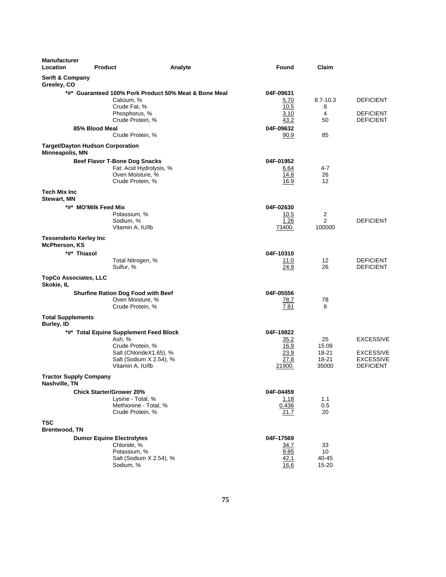| <b>Manufacturer</b><br>Location                       | <b>Product</b>                                                                                          | Analyte                                               | Found                                               | Claim                                      |                                                                              |
|-------------------------------------------------------|---------------------------------------------------------------------------------------------------------|-------------------------------------------------------|-----------------------------------------------------|--------------------------------------------|------------------------------------------------------------------------------|
| <b>Swift &amp; Company</b><br>Greeley, CO             |                                                                                                         |                                                       |                                                     |                                            |                                                                              |
|                                                       | Calcium, %<br>Crude Fat, %<br>Phosphorus, %<br>Crude Protein, %                                         | *#* Guaranteed 100% Pork Product 50% Meat & Bone Meal | 04F-09631<br>5.70<br>10.5<br>3.10<br>43.2           | $8.7 - 10.3$<br>8<br>4<br>50               | <b>DEFICIENT</b><br><b>DEFICIENT</b><br><b>DEFICIENT</b>                     |
|                                                       | 85% Blood Meal                                                                                          |                                                       | 04F-09632                                           |                                            |                                                                              |
|                                                       | Crude Protein, %                                                                                        |                                                       | 90.9                                                | 85                                         |                                                                              |
| Minneapolis, MN                                       | <b>Target/Dayton Hudson Corporation</b>                                                                 |                                                       |                                                     |                                            |                                                                              |
|                                                       | <b>Beef Flavor T-Bone Dog Snacks</b><br>Fat: Acid Hydrolysis, %<br>Oven Moisture, %<br>Crude Protein, % |                                                       | 04F-01952<br>6.64<br>14.8<br>16.9                   | 4-7<br>26<br>12                            |                                                                              |
| <b>Tech Mix Inc</b><br><b>Stewart, MN</b>             |                                                                                                         |                                                       |                                                     |                                            |                                                                              |
|                                                       | *#* MO'Milk Feed Mix<br>Potassium, %<br>Sodium, %<br>Vitamin A, IU/lb                                   |                                                       | 04F-02630<br>10.5<br>1.26<br>73400.                 | $\overline{a}$<br>$\overline{2}$<br>100000 | <b>DEFICIENT</b>                                                             |
| <b>Tessenderlo Kerley Inc</b><br><b>McPherson, KS</b> |                                                                                                         |                                                       |                                                     |                                            |                                                                              |
| *#* Thiasol                                           |                                                                                                         |                                                       | 04F-10310                                           |                                            |                                                                              |
|                                                       | Total Nitrogen, %<br>Sulfur, %                                                                          |                                                       | 11.0<br>24.9                                        | 12<br>26                                   | <b>DEFICIENT</b><br><b>DEFICIENT</b>                                         |
| <b>TopCo Associates, LLC</b><br>Skokie, IL            |                                                                                                         |                                                       |                                                     |                                            |                                                                              |
|                                                       | <b>Shurfine Ration Dog Food with Beef</b><br>Oven Moisture, %<br>Crude Protein, %                       |                                                       | 04F-05556<br><u>78.7</u><br>7.81                    | 78<br>8                                    |                                                                              |
| <b>Total Supplements</b><br><b>Burley, ID</b>         |                                                                                                         |                                                       |                                                     |                                            |                                                                              |
|                                                       | *#* Total Equine Supplement Feed Block<br>Ash, %<br>Crude Protein, %<br>Vitamin A, IU/lb                | Salt (ChlorideX1.65), %<br>Salt (Sodium X 2.54), %    | 04F-19822<br>35.2<br>16.9<br>23.9<br>27.8<br>21900. | 25<br>15.09<br>18-21<br>18-21<br>35000     | <b>EXCESSIVE</b><br><b>EXCESSIVE</b><br><b>EXCESSIVE</b><br><b>DEFICIENT</b> |
| <b>Tractor Supply Company</b><br>Nashville, TN        |                                                                                                         |                                                       |                                                     |                                            |                                                                              |
|                                                       | <b>Chick Starter/Grower 20%</b><br>Lysine - Total, %<br>Methionine - Total, %<br>Crude Protein, %       |                                                       | 04F-04459<br>1.18<br>0.436<br>21.7                  | 1.1<br>0.5<br>20                           |                                                                              |
| TSC<br><b>Brentwood, TN</b>                           |                                                                                                         |                                                       |                                                     |                                            |                                                                              |
|                                                       | <b>Dumor Equine Electrolytes</b><br>Chloride, %<br>Potassium, %<br>Sodium, %                            | Salt (Sodium X 2.54), %                               | 04F-17569<br>34.7<br>9.85<br>42.1<br>16.6           | 33<br>10<br>40-45<br>15-20                 |                                                                              |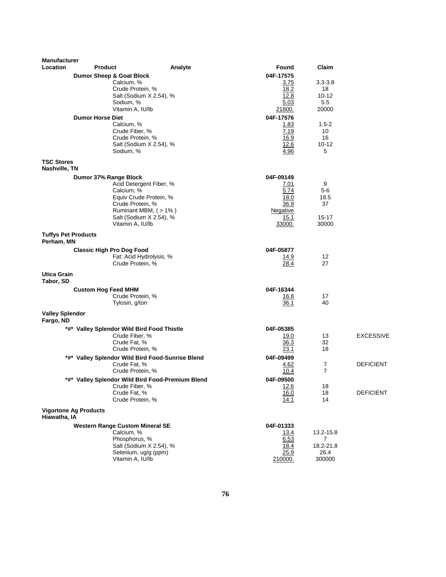| <b>Manufacturer</b><br>Location          | <b>Product</b>                                    | Analyte             | <b>Found</b>      | Claim           |                  |
|------------------------------------------|---------------------------------------------------|---------------------|-------------------|-----------------|------------------|
|                                          |                                                   |                     |                   |                 |                  |
|                                          | <b>Dumor Sheep &amp; Goat Block</b><br>Calcium, % |                     | 04F-17575<br>3.75 | $3.3 - 3.8$     |                  |
|                                          | Crude Protein, %                                  |                     | 18.2              | 18              |                  |
|                                          | Salt (Sodium X 2.54), %                           |                     | 12.8              | $10 - 12$       |                  |
|                                          | Sodium, %                                         |                     | 5.03              | 5.5             |                  |
|                                          | Vitamin A, IU/lb                                  |                     | 21800.            | 20000           |                  |
|                                          | <b>Dumor Horse Diet</b>                           |                     | 04F-17576         |                 |                  |
|                                          | Calcium, %                                        |                     | 1.83              | $1.5 - 2$       |                  |
|                                          | Crude Fiber, %                                    |                     | 7.19              | 10              |                  |
|                                          | Crude Protein, %<br>Salt (Sodium X 2.54), %       |                     | 16.9<br>12.6      | 16<br>$10 - 12$ |                  |
|                                          | Sodium, %                                         |                     | 4.96              | 5               |                  |
| <b>TSC Stores</b>                        |                                                   |                     |                   |                 |                  |
| Nashville, TN                            |                                                   |                     |                   |                 |                  |
|                                          | Dumor 37% Range Block                             |                     | 04F-09149         |                 |                  |
|                                          | Acid Detergent Fiber, %                           |                     | 7.01              | 9               |                  |
|                                          | Calcium, %<br>Equiv Crude Protein, %              |                     | 5.74<br>18.0      | 5-6<br>18.5     |                  |
|                                          | Crude Protein, %                                  |                     | 36.9              | 37              |                  |
|                                          |                                                   | Ruminant MBM, (>1%) | Negative          |                 |                  |
|                                          | Salt (Sodium X 2.54), %                           |                     | 15.1              | 15-17           |                  |
|                                          | Vitamin A, IU/lb                                  |                     | 33000.            | 30000           |                  |
| <b>Tuffys Pet Products</b><br>Perham, MN |                                                   |                     |                   |                 |                  |
|                                          | <b>Classic High Pro Dog Food</b>                  |                     | 04F-05877         |                 |                  |
|                                          | Fat: Acid Hydrolysis, %                           |                     | 14.9              | 12              |                  |
|                                          | Crude Protein, %                                  |                     | 28.4              | 27              |                  |
| Utica Grain<br>Tabor, SD                 |                                                   |                     |                   |                 |                  |
|                                          | <b>Custom Hog Feed MHM</b>                        |                     | 04F-16344         |                 |                  |
|                                          | Crude Protein, %                                  |                     | 16.8              | 17              |                  |
|                                          | Tylosin, g/ton                                    |                     | 36.1              | 40              |                  |
| <b>Valley Splendor</b><br>Fargo, ND      |                                                   |                     |                   |                 |                  |
|                                          | *#* Valley Splendor Wild Bird Food Thistle        |                     | 04F-05385         |                 |                  |
|                                          | Crude Fiber, %                                    |                     | 19.0              | 13              | <b>EXCESSIVE</b> |
|                                          | Crude Fat, %                                      |                     | 36.3              | 32              |                  |
|                                          | Crude Protein, %                                  |                     | 23.1              | 18              |                  |
|                                          | *#* Valley Splendor Wild Bird Food-Sunrise Blend  |                     | 04F-09499         | $\overline{7}$  | <b>DEFICIENT</b> |
|                                          | Crude Fat, %<br>Crude Protein, %                  |                     | 4.62<br>10.4      | $\overline{7}$  |                  |
|                                          | *#* Valley Splendor Wild Bird Food-Premium Blend  |                     | 04F-09500         |                 |                  |
|                                          | Crude Fiber, %                                    |                     | 12.6              | 18              |                  |
|                                          | Crude Fat, %                                      |                     | 16.0              | 18              | <b>DEFICIENT</b> |
|                                          | Crude Protein, %                                  |                     | 14.1              | 14              |                  |
| Hiawatha, IA                             | <b>Vigortone Ag Products</b>                      |                     |                   |                 |                  |
|                                          | <b>Western Range Custom Mineral SE</b>            |                     | 04F-01333         |                 |                  |
|                                          | Calcium, %                                        |                     | <u>13.4</u>       | 13.2-15.8       |                  |
|                                          | Phosphorus, %                                     |                     | 6.53              | $\overline{7}$  |                  |
|                                          | Salt (Sodium X 2.54), %                           |                     | 18.4              | 18.2-21.8       |                  |
|                                          | Selenium, ug/g (ppm)                              |                     | 25.9<br>210000.   | 26.4<br>300000  |                  |
|                                          | Vitamin A, IU/lb                                  |                     |                   |                 |                  |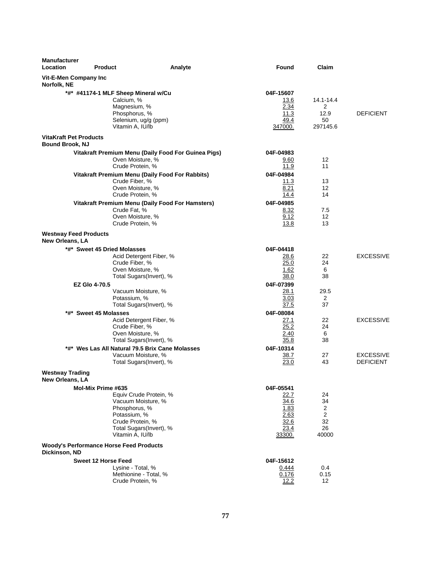| <b>Manufacturer</b><br>Location                         | <b>Product</b>                                                                                                                 | Analyte                                                                    | Found                                                               | Claim                                    |                                      |
|---------------------------------------------------------|--------------------------------------------------------------------------------------------------------------------------------|----------------------------------------------------------------------------|---------------------------------------------------------------------|------------------------------------------|--------------------------------------|
| Vit-E-Men Company Inc<br>Norfolk, NE                    |                                                                                                                                |                                                                            |                                                                     |                                          |                                      |
|                                                         | *#* #41174-1 MLF Sheep Mineral w/Cu<br>Calcium, %<br>Magnesium, %<br>Phosphorus, %<br>Selenium, ug/g (ppm)<br>Vitamin A, IU/lb |                                                                            | 04F-15607<br>13.6<br>2.34<br>11.3<br>49.4<br>347000.                | 14.1-14.4<br>2<br>12.9<br>50<br>297145.6 | <b>DEFICIENT</b>                     |
| <b>VitaKraft Pet Products</b><br><b>Bound Brook, NJ</b> |                                                                                                                                |                                                                            |                                                                     |                                          |                                      |
|                                                         | Oven Moisture, %<br>Crude Protein, %                                                                                           | Vitakraft Premium Menu (Daily Food For Guinea Pigs)                        | 04F-04983<br>9.60<br>11.9                                           | 12 <sup>2</sup><br>11                    |                                      |
|                                                         | Crude Fiber, %<br>Oven Moisture, %<br>Crude Protein, %                                                                         | Vitakraft Premium Menu (Daily Food For Rabbits)                            | 04F-04984<br>11.3<br>8.21<br>14.4                                   | 13<br>12<br>14                           |                                      |
|                                                         | Crude Fat, %<br>Oven Moisture, %<br>Crude Protein, %                                                                           | Vitakraft Premium Menu (Daily Food For Hamsters)                           | 04F-04985<br>8.32<br>9.12<br>13.8                                   | 7.5<br>12<br>13                          |                                      |
| <b>Westway Feed Products</b><br>New Orleans, LA         |                                                                                                                                |                                                                            |                                                                     |                                          |                                      |
|                                                         | *#* Sweet 45 Dried Molasses<br>Crude Fiber, %<br>Oven Moisture, %                                                              | Acid Detergent Fiber, %<br>Total Sugars(Invert), %                         | 04F-04418<br>28.6<br>25.0<br>1.62<br>38.0                           | 22<br>24<br>6<br>38                      | <b>EXCESSIVE</b>                     |
|                                                         | <b>EZ Glo 4-70.5</b><br>Vacuum Moisture, %<br>Potassium, %                                                                     | Total Sugars(Invert), %                                                    | 04F-07399<br>28.1<br>3.03<br>37.5                                   | 29.5<br>2<br>37                          |                                      |
|                                                         | *#* Sweet 45 Molasses<br>Crude Fiber, %<br>Oven Moisture, %                                                                    | Acid Detergent Fiber, %<br>Total Sugars(Invert), %                         | 04F-08084<br>27.1<br>25.2<br>2.40<br>35.8                           | 22<br>24<br>6<br>38                      | <b>EXCESSIVE</b>                     |
|                                                         | Vacuum Moisture, %                                                                                                             | *#* Wes Las All Natural 79.5 Brix Cane Molasses<br>Total Sugars(Invert), % | 04F-10314<br><u>38.7</u><br>23.0                                    | 27<br>43                                 | <b>EXCESSIVE</b><br><b>DEFICIENT</b> |
| <b>Westway Trading</b><br>New Orleans, LA               |                                                                                                                                |                                                                            |                                                                     |                                          |                                      |
|                                                         | Mol-Mix Prime #635<br>Vacuum Moisture, %<br>Phosphorus, %<br>Potassium, %<br>Crude Protein, %<br>Vitamin A, IU/lb              | Equiv Crude Protein, %<br>Total Sugars(Invert), %                          | 04F-05541<br>22.7<br>34.6<br>1.83<br>2.63<br>32.6<br>23.4<br>33300. | 24<br>34<br>2<br>2<br>32<br>26<br>40000  |                                      |
| Dickinson, ND                                           | <b>Woody's Performance Horse Feed Products</b>                                                                                 |                                                                            |                                                                     |                                          |                                      |
|                                                         | <b>Sweet 12 Horse Feed</b><br>Lysine - Total, %<br>Methionine - Total, %<br>Crude Protein, %                                   |                                                                            | 04F-15612<br>0.444<br>0.176<br>12.2                                 | 0.4<br>0.15<br>$12 \overline{ }$         |                                      |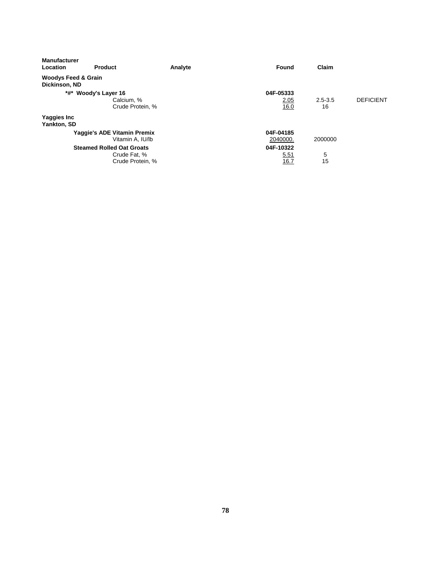| <b>Manufacturer</b><br>Location                 | <b>Product</b>                   | Analyte | Found     | Claim       |                  |
|-------------------------------------------------|----------------------------------|---------|-----------|-------------|------------------|
| <b>Woodys Feed &amp; Grain</b><br>Dickinson, ND |                                  |         |           |             |                  |
|                                                 | *#* Woody's Layer 16             |         | 04F-05333 |             |                  |
|                                                 | Calcium, %                       |         | 2.05      | $2.5 - 3.5$ | <b>DEFICIENT</b> |
|                                                 | Crude Protein, %                 |         | 16.0      | 16          |                  |
| <b>Yaggies Inc</b><br>Yankton, SD               |                                  |         |           |             |                  |
|                                                 | Yaggie's ADE Vitamin Premix      |         | 04F-04185 |             |                  |
|                                                 | Vitamin A. IU/lb                 |         | 2040000.  | 2000000     |                  |
|                                                 | <b>Steamed Rolled Oat Groats</b> |         | 04F-10322 |             |                  |
|                                                 | Crude Fat, %                     |         | 5.51      | 5           |                  |
|                                                 | Crude Protein, %                 |         | 16.7      | 15          |                  |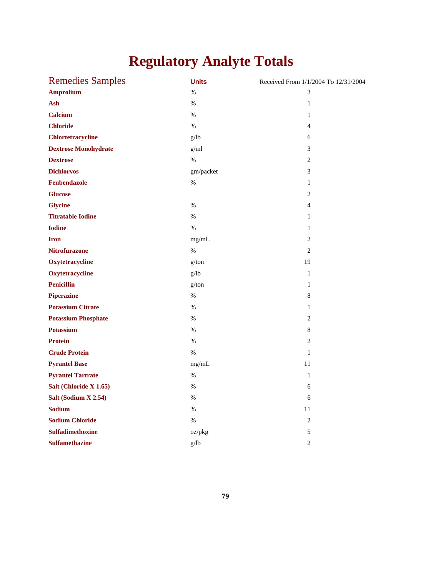# **Regulatory Analyte Totals**

| <b>Remedies Samples</b>     | <b>Units</b> | Received From 1/1/2004 To 12/31/2004 |
|-----------------------------|--------------|--------------------------------------|
| <b>Amprolium</b>            | $\%$         | 3                                    |
| Ash                         | $\%$         | $\mathbf{1}$                         |
| <b>Calcium</b>              | $\%$         | $\mathbf{1}$                         |
| <b>Chloride</b>             | $\%$         | $\overline{4}$                       |
| <b>Chlortetracycline</b>    | g/lb         | 6                                    |
| <b>Dextrose Monohydrate</b> | g/ml         | 3                                    |
| <b>Dextrose</b>             | $\%$         | $\sqrt{2}$                           |
| <b>Dichlorvos</b>           | gm/packet    | 3                                    |
| Fenbendazole                | $\%$         | $\mathbf{1}$                         |
| <b>Glucose</b>              |              | $\overline{2}$                       |
| <b>Glycine</b>              | $\%$         | $\overline{4}$                       |
| <b>Titratable Iodine</b>    | $\%$         | $\mathbf{1}$                         |
| <b>Iodine</b>               | $\%$         | $\mathbf{1}$                         |
| <b>Iron</b>                 | mg/mL        | $\overline{2}$                       |
| <b>Nitrofurazone</b>        | $\%$         | 2                                    |
| Oxytetracycline             | g/ton        | 19                                   |
| Oxytetracycline             | g/lb         | $\mathbf{1}$                         |
| <b>Penicillin</b>           | g/ton        | $\mathbf{1}$                         |
| <b>Piperazine</b>           | $\%$         | 8                                    |
| <b>Potassium Citrate</b>    | $\%$         | $\mathbf{1}$                         |
| <b>Potassium Phosphate</b>  | %            | $\mathfrak{2}$                       |
| <b>Potassium</b>            | $\%$         | 8                                    |
| <b>Protein</b>              | %            | $\mathfrak{2}$                       |
| <b>Crude Protein</b>        | $\%$         | $\mathbf{1}$                         |
| <b>Pyrantel Base</b>        | mg/mL        | 11                                   |
| <b>Pyrantel Tartrate</b>    | $\%$         | $\mathbf{1}$                         |
| Salt (Chloride X 1.65)      | $\%$         | 6                                    |
| Salt (Sodium X 2.54)        | $\%$         | 6                                    |
| <b>Sodium</b>               | $\%$         | 11                                   |
| <b>Sodium Chloride</b>      | $\%$         | $\overline{2}$                       |
| <b>Sulfadimethoxine</b>     | oz/pkg       | 5                                    |
| <b>Sulfamethazine</b>       | g/lb         | $\overline{2}$                       |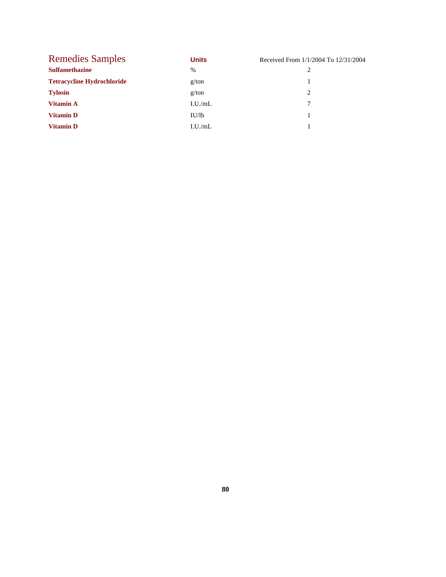| <b>Remedies Samples</b>           | <b>Units</b> | Received From 1/1/2004 To 12/31/2004 |
|-----------------------------------|--------------|--------------------------------------|
| <b>Sulfamethazine</b>             | %            |                                      |
| <b>Tetracycline Hydrochloride</b> | g/ton        |                                      |
| <b>Tylosin</b>                    | g/ton        | 2                                    |
| Vitamin A                         | I.U./mL      |                                      |
| <b>Vitamin D</b>                  | IU/lb        |                                      |
| <b>Vitamin D</b>                  | I.U./mL      |                                      |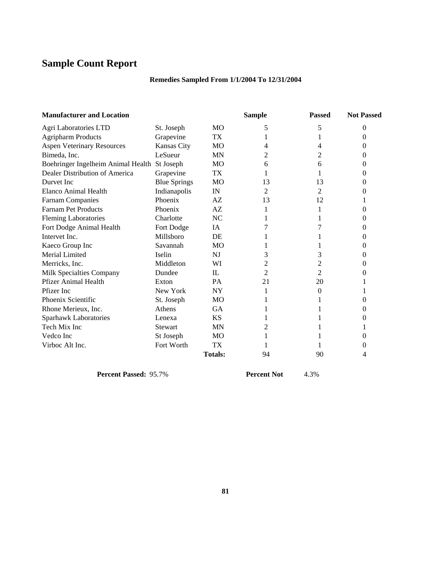# **Sample Count Report**

# **Remedies Sampled From 1/1/2004 To 12/31/2004**

| <b>Manufacturer and Location</b>             |                     |                | <b>Sample</b> |                | <b>Not Passed</b> |  |
|----------------------------------------------|---------------------|----------------|---------------|----------------|-------------------|--|
| Agri Laboratories LTD                        | St. Joseph          | <b>MO</b>      | 5             | 5              | $\theta$          |  |
| <b>Agripharm Products</b>                    | Grapevine           | TX             | 1             | 1              | 0                 |  |
| <b>Aspen Veterinary Resources</b>            | Kansas City         | <b>MO</b>      | 4             | 4              | 0                 |  |
| Bimeda, Inc.                                 | LeSueur             | MN             | 2             | 2              | 0                 |  |
| Boehringer Ingelheim Animal Health St Joseph |                     | МO             | 6             | 6              | 0                 |  |
| Dealer Distribution of America               | Grapevine           | TX             | 1             | 1              | 0                 |  |
| Durvet Inc.                                  | <b>Blue Springs</b> | MO             | 13            | 13             | 0                 |  |
| Elanco Animal Health                         | Indianapolis        | IN             | 2             | 2              | 0                 |  |
| <b>Farnam Companies</b>                      | Phoenix             | AZ.            | 13            | 12             |                   |  |
| <b>Farnam Pet Products</b>                   | Phoenix             | AZ             | 1             |                | 0                 |  |
| <b>Fleming Laboratories</b>                  | Charlotte           | <b>NC</b>      |               |                | 0                 |  |
| Fort Dodge Animal Health                     | Fort Dodge          | IA             | 7             | 7              | 0                 |  |
| Intervet Inc.                                | Millsboro           | DE             |               |                | 0                 |  |
| Kaeco Group Inc                              | Savannah            | MO             |               |                | 0                 |  |
| Merial Limited                               | Iselin              | NJ             | 3             | 3              | 0                 |  |
| Merricks, Inc.                               | Middleton           | WI             | 2             | 2              | 0                 |  |
| Milk Specialties Company                     | Dundee              | IL             | 2             | $\overline{2}$ | 0                 |  |
| <b>Pfizer Animal Health</b>                  | Exton               | PA             | 21            | 20             |                   |  |
| Pfizer Inc                                   | New York            | <b>NY</b>      | 1             | $\theta$       |                   |  |
| Phoenix Scientific                           | St. Joseph          | <b>MO</b>      |               |                | 0                 |  |
| Rhone Merieux, Inc.                          | Athens              | <b>GA</b>      |               |                | 0                 |  |
| Sparhawk Laboratories                        | Lenexa              | <b>KS</b>      |               |                | 0                 |  |
| Tech Mix Inc                                 | <b>Stewart</b>      | MN             | 2             |                |                   |  |
| Vedco Inc                                    | St Joseph           | МO             |               |                | 0                 |  |
| Virboc Alt Inc.                              | Fort Worth          | TX             |               | L              | 0                 |  |
|                                              |                     | <b>Totals:</b> | 94            | 90             | 4                 |  |

**Percent Passed:** 95.7% **Percent Not**  $4.3\%$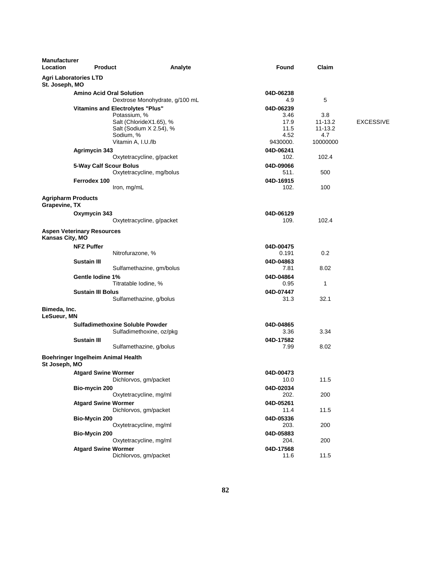| Manufacturer<br>Location                   | <b>Product</b>                     | Analyte                                            | Found             | Claim                      |                  |
|--------------------------------------------|------------------------------------|----------------------------------------------------|-------------------|----------------------------|------------------|
| St. Joseph, MO                             | <b>Agri Laboratories LTD</b>       |                                                    |                   |                            |                  |
|                                            | <b>Amino Acid Oral Solution</b>    |                                                    | 04D-06238         |                            |                  |
|                                            |                                    | Dextrose Monohydrate, g/100 mL                     | 4.9               | 5                          |                  |
|                                            |                                    | <b>Vitamins and Electrolytes "Plus"</b>            | 04D-06239         |                            |                  |
|                                            |                                    | Potassium, %                                       | 3.46              | 3.8                        |                  |
|                                            |                                    | Salt (ChlorideX1.65), %<br>Salt (Sodium X 2.54), % | 17.9<br>11.5      | $11 - 13.2$<br>$11 - 13.2$ | <b>EXCESSIVE</b> |
|                                            |                                    | Sodium, %                                          | 4.52              | 4.7                        |                  |
|                                            |                                    | Vitamin A, I.U./lb                                 | 9430000.          | 10000000                   |                  |
|                                            | <b>Agrimycin 343</b>               |                                                    | 04D-06241         |                            |                  |
|                                            |                                    | Oxytetracycline, g/packet                          | 102.              | 102.4                      |                  |
|                                            | 5-Way Calf Scour Bolus             |                                                    | 04D-09066         |                            |                  |
|                                            |                                    | Oxytetracycline, mg/bolus                          | 511.              | 500                        |                  |
|                                            | Ferrodex 100                       |                                                    | 04D-16915         |                            |                  |
|                                            |                                    | Iron, mg/mL                                        | 102.              | 100                        |                  |
| <b>Agripharm Products</b><br>Grapevine, TX |                                    |                                                    |                   |                            |                  |
|                                            | Oxymycin 343                       |                                                    | 04D-06129         |                            |                  |
|                                            |                                    | Oxytetracycline, g/packet                          | 109.              | 102.4                      |                  |
| Kansas City, MO                            | <b>Aspen Veterinary Resources</b>  |                                                    |                   |                            |                  |
|                                            | <b>NFZ Puffer</b>                  |                                                    | 04D-00475         |                            |                  |
|                                            |                                    | Nitrofurazone, %                                   | 0.191             | 0.2                        |                  |
|                                            | <b>Sustain III</b>                 |                                                    | 04D-04863         |                            |                  |
|                                            |                                    | Sulfamethazine, gm/bolus                           | 7.81              | 8.02                       |                  |
|                                            | Gentle lodine 1%                   |                                                    | 04D-04864         |                            |                  |
|                                            |                                    | Titratable Iodine, %                               | 0.95              | 1                          |                  |
|                                            | <b>Sustain III Bolus</b>           | Sulfamethazine, g/bolus                            | 04D-07447<br>31.3 | 32.1                       |                  |
|                                            |                                    |                                                    |                   |                            |                  |
| Bimeda, Inc.<br>LeSueur, MN                |                                    |                                                    |                   |                            |                  |
|                                            |                                    | <b>Sulfadimethoxine Soluble Powder</b>             | 04D-04865         |                            |                  |
|                                            |                                    | Sulfadimethoxine, oz/pkg                           | 3.36              | 3.34                       |                  |
|                                            | Sustain III                        |                                                    | 04D-17582         |                            |                  |
|                                            |                                    | Sulfamethazine, g/bolus                            | 7.99              | 8.02                       |                  |
| St Joseph, MO                              | Boehringer Ingelheim Animal Health |                                                    |                   |                            |                  |
|                                            | <b>Atgard Swine Wormer</b>         |                                                    | 04D-00473         |                            |                  |
|                                            |                                    | Dichlorvos, gm/packet                              | 10.0              | 11.5                       |                  |
|                                            | Bio-mycin 200                      |                                                    | 04D-02034         |                            |                  |
|                                            |                                    | Oxytetracycline, mg/ml                             | 202.              | 200                        |                  |
|                                            | <b>Atgard Swine Wormer</b>         | Dichlorvos, gm/packet                              | 04D-05261<br>11.4 | 11.5                       |                  |
|                                            |                                    |                                                    |                   |                            |                  |
|                                            | Bio-Mycin 200                      | Oxytetracycline, mg/ml                             | 04D-05336<br>203. | 200                        |                  |
|                                            | Bio-Mycin 200                      |                                                    | 04D-05883         |                            |                  |
|                                            |                                    | Oxytetracycline, mg/ml                             | 204.              | 200                        |                  |
|                                            | <b>Atgard Swine Wormer</b>         |                                                    | 04D-17568         |                            |                  |
|                                            |                                    | Dichlorvos, gm/packet                              | 11.6              | 11.5                       |                  |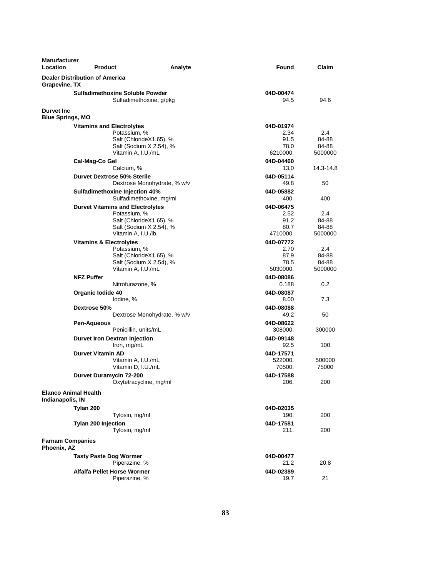| <b>Manufacturer</b><br><b>Location</b>          | <b>Product</b>                        |                                                                   | Analyte | Found             | Claim            |
|-------------------------------------------------|---------------------------------------|-------------------------------------------------------------------|---------|-------------------|------------------|
| Grapevine, TX                                   | <b>Dealer Distribution of America</b> |                                                                   |         |                   |                  |
|                                                 |                                       | <b>Sulfadimethoxine Soluble Powder</b><br>Sulfadimethoxine, g/pkg |         | 04D-00474<br>94.5 | 94.6             |
| <b>Durvet Inc</b><br><b>Blue Springs, MO</b>    |                                       |                                                                   |         |                   |                  |
|                                                 | <b>Vitamins and Electrolytes</b>      |                                                                   |         | 04D-01974         |                  |
|                                                 |                                       | Potassium, %                                                      |         | 2.34              | 2.4              |
|                                                 |                                       | Salt (ChlorideX1.65), %                                           |         | 91.5              | 84-88            |
|                                                 |                                       | Salt (Sodium X 2.54), %                                           |         | 78.0              | 84-88            |
|                                                 |                                       | Vitamin A, I.U./mL                                                |         | 6210000.          | 5000000          |
|                                                 | Cal-Mag-Co Gel                        |                                                                   |         | 04D-04460         |                  |
|                                                 |                                       | Calcium, %                                                        |         | 13.0              | 14.3-14.8        |
|                                                 | <b>Durvet Dextrose 50% Sterile</b>    |                                                                   |         | 04D-05114<br>49.8 | 50               |
|                                                 |                                       | Dextrose Monohydrate, % w/v                                       |         |                   |                  |
|                                                 |                                       | Sulfadimethoxine Injection 40%<br>Sulfadimethoxine, mg/ml         |         | 04D-05882<br>400. | 400              |
|                                                 |                                       |                                                                   |         | 04D-06475         |                  |
|                                                 |                                       | <b>Durvet Vitamins and Electrolytes</b><br>Potassium, %           |         | 2.52              | 2.4              |
|                                                 |                                       | Salt (ChlorideX1.65), %                                           |         | 91.2              | 84-88            |
|                                                 |                                       | Salt (Sodium X 2.54), %                                           |         | 80.7              | 84-88            |
|                                                 |                                       | Vitamin A, I.U./lb                                                |         | 4710000.          | 5000000          |
|                                                 | <b>Vitamins &amp; Electrolytes</b>    |                                                                   |         | 04D-07772         |                  |
|                                                 |                                       | Potassium, %                                                      |         | 2.70              | 2.4              |
|                                                 |                                       | Salt (ChlorideX1.65), %<br>Salt (Sodium X 2.54), %                |         | 87.9              | 84-88            |
|                                                 |                                       | Vitamin A, I.U./mL                                                |         | 78.5<br>5030000.  | 84-88<br>5000000 |
|                                                 | <b>NFZ Puffer</b>                     |                                                                   |         | 04D-08086         |                  |
|                                                 |                                       | Nitrofurazone, %                                                  |         | 0.188             | 0.2              |
|                                                 | Organic lodide 40                     |                                                                   |         | 04D-08087         |                  |
|                                                 |                                       | lodine, %                                                         |         | 8.00              | 7.3              |
|                                                 | Dextrose 50%                          |                                                                   |         | 04D-08088         |                  |
|                                                 |                                       | Dextrose Monohydrate, % w/v                                       |         | 49.2              | 50               |
|                                                 | Pen-Aqueous                           |                                                                   |         | 04D-08622         |                  |
|                                                 |                                       | Penicillin, units/mL                                              |         | 308000.           | 300000           |
|                                                 |                                       | <b>Durvet Iron Dextran Injection</b>                              |         | 04D-09148         |                  |
|                                                 |                                       | Iron, mg/mL                                                       |         | 92.5              | 100              |
|                                                 | <b>Durvet Vitamin AD</b>              |                                                                   |         | 04D-17571         |                  |
|                                                 |                                       | Vitamin A, I.U./mL                                                |         | 522000.           | 500000           |
|                                                 |                                       | Vitamin D, I.U./mL                                                |         | 70500.            | 75000            |
|                                                 | <b>Durvet Duramycin 72-200</b>        | Oxytetracycline, mg/ml                                            |         | 04D-17588<br>206. | 200              |
| <b>Elanco Animal Health</b><br>Indianapolis, IN |                                       |                                                                   |         |                   |                  |
|                                                 | Tylan 200                             |                                                                   |         | 04D-02035         |                  |
|                                                 |                                       | Tylosin, mg/ml                                                    |         | 190.              | 200              |
|                                                 | <b>Tylan 200 Injection</b>            | Tylosin, mg/ml                                                    |         | 04D-17581<br>211. | 200              |
| <b>Farnam Companies</b>                         |                                       |                                                                   |         |                   |                  |
| Phoenix, AZ                                     |                                       |                                                                   |         |                   |                  |
|                                                 | <b>Tasty Paste Dog Wormer</b>         |                                                                   |         | 04D-00477         |                  |
|                                                 |                                       | Piperazine, %                                                     |         | 21.2              | 20.8             |
|                                                 | <b>Alfalfa Pellet Horse Wormer</b>    |                                                                   |         | 04D-02389         |                  |
|                                                 |                                       | Piperazine, %                                                     |         | 19.7              | 21               |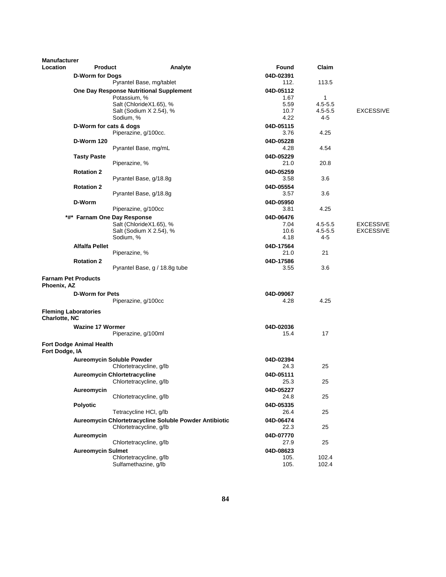| <b>Manufacturer</b> |                             |                                                    |                                                        |                   |                            |                                      |
|---------------------|-----------------------------|----------------------------------------------------|--------------------------------------------------------|-------------------|----------------------------|--------------------------------------|
| Location            | <b>Product</b>              |                                                    | Analyte                                                | Found             | Claim                      |                                      |
|                     | <b>D-Worm for Dogs</b>      |                                                    |                                                        | 04D-02391         |                            |                                      |
|                     |                             | Pyrantel Base, mg/tablet                           |                                                        | 112.              | 113.5                      |                                      |
|                     |                             | One Day Response Nutritional Supplement            |                                                        | 04D-05112         |                            |                                      |
|                     |                             | Potassium, %                                       |                                                        | 1.67              | $\mathbf{1}$               |                                      |
|                     |                             | Salt (ChlorideX1.65), %                            |                                                        | 5.59              | $4.5 - 5.5$                |                                      |
|                     |                             | Salt (Sodium X 2.54), %<br>Sodium, %               |                                                        | 10.7<br>4.22      | $4.5 - 5.5$<br>4-5         | <b>EXCESSIVE</b>                     |
|                     |                             |                                                    |                                                        |                   |                            |                                      |
|                     | D-Worm for cats & dogs      | Piperazine, g/100cc.                               |                                                        | 04D-05115<br>3.76 | 4.25                       |                                      |
|                     |                             |                                                    |                                                        |                   |                            |                                      |
|                     | <b>D-Worm 120</b>           | Pyrantel Base, mg/mL                               |                                                        | 04D-05228<br>4.28 | 4.54                       |                                      |
|                     |                             |                                                    |                                                        |                   |                            |                                      |
|                     | <b>Tasty Paste</b>          | Piperazine, %                                      |                                                        | 04D-05229<br>21.0 | 20.8                       |                                      |
|                     |                             |                                                    |                                                        |                   |                            |                                      |
|                     | <b>Rotation 2</b>           |                                                    |                                                        | 04D-05259<br>3.58 | 3.6                        |                                      |
|                     |                             | Pyrantel Base, g/18.8g                             |                                                        |                   |                            |                                      |
|                     | <b>Rotation 2</b>           |                                                    |                                                        | 04D-05554         |                            |                                      |
|                     |                             | Pyrantel Base, g/18.8g                             |                                                        | 3.57              | 3.6                        |                                      |
|                     | D-Worm                      |                                                    |                                                        | 04D-05950         |                            |                                      |
|                     |                             | Piperazine, g/100cc                                |                                                        | 3.81              | 4.25                       |                                      |
|                     |                             | *#* Farnam One Day Response                        |                                                        | 04D-06476         |                            |                                      |
|                     |                             | Salt (ChlorideX1.65), %<br>Salt (Sodium X 2.54), % |                                                        | 7.04<br>10.6      | $4.5 - 5.5$<br>$4.5 - 5.5$ | <b>EXCESSIVE</b><br><b>EXCESSIVE</b> |
|                     |                             | Sodium, %                                          |                                                        | 4.18              | 4-5                        |                                      |
|                     | <b>Alfalfa Pellet</b>       |                                                    |                                                        | 04D-17564         |                            |                                      |
|                     |                             | Piperazine, %                                      |                                                        | 21.0              | 21                         |                                      |
|                     | <b>Rotation 2</b>           |                                                    |                                                        | 04D-17586         |                            |                                      |
|                     |                             | Pyrantel Base, g / 18.8g tube                      |                                                        | 3.55              | 3.6                        |                                      |
|                     | <b>Farnam Pet Products</b>  |                                                    |                                                        |                   |                            |                                      |
| Phoenix, AZ         |                             |                                                    |                                                        |                   |                            |                                      |
|                     | <b>D-Worm for Pets</b>      |                                                    |                                                        | 04D-09067         |                            |                                      |
|                     |                             | Piperazine, g/100cc                                |                                                        | 4.28              | 4.25                       |                                      |
|                     |                             |                                                    |                                                        |                   |                            |                                      |
| Charlotte, NC       | <b>Fleming Laboratories</b> |                                                    |                                                        |                   |                            |                                      |
|                     | <b>Wazine 17 Wormer</b>     |                                                    |                                                        | 04D-02036         |                            |                                      |
|                     |                             | Piperazine, g/100ml                                |                                                        | 15.4              | 17                         |                                      |
|                     |                             |                                                    |                                                        |                   |                            |                                      |
| Fort Dodge, IA      | Fort Dodge Animal Health    |                                                    |                                                        |                   |                            |                                      |
|                     |                             | <b>Aureomycin Soluble Powder</b>                   |                                                        | 04D-02394         |                            |                                      |
|                     |                             | Chlortetracycline, g/lb                            |                                                        | 24.3              | 25                         |                                      |
|                     |                             | <b>Aureomycin Chlortetracycline</b>                |                                                        | 04D-05111         |                            |                                      |
|                     |                             | Chlortetracycline, g/lb                            |                                                        | 25.3              | 25                         |                                      |
|                     | Aureomycin                  |                                                    |                                                        | 04D-05227         |                            |                                      |
|                     |                             | Chlortetracycline, g/lb                            |                                                        | 24.8              | 25                         |                                      |
|                     | <b>Polyotic</b>             |                                                    |                                                        | 04D-05335         |                            |                                      |
|                     |                             | Tetracycline HCI, g/lb                             |                                                        | 26.4              | 25                         |                                      |
|                     |                             |                                                    | Aureomycin Chlortetracycline Soluble Powder Antibiotic | 04D-06474         |                            |                                      |
|                     |                             | Chlortetracycline, g/lb                            |                                                        | 22.3              | 25                         |                                      |
|                     | Aureomycin                  |                                                    |                                                        | 04D-07770         |                            |                                      |
|                     |                             | Chlortetracycline, g/lb                            |                                                        | 27.9              | 25                         |                                      |
|                     | <b>Aureomycin Sulmet</b>    |                                                    |                                                        | 04D-08623         |                            |                                      |
|                     |                             | Chlortetracycline, g/lb                            |                                                        | 105.              | 102.4                      |                                      |
|                     |                             | Sulfamethazine, g/lb                               |                                                        | 105.              | 102.4                      |                                      |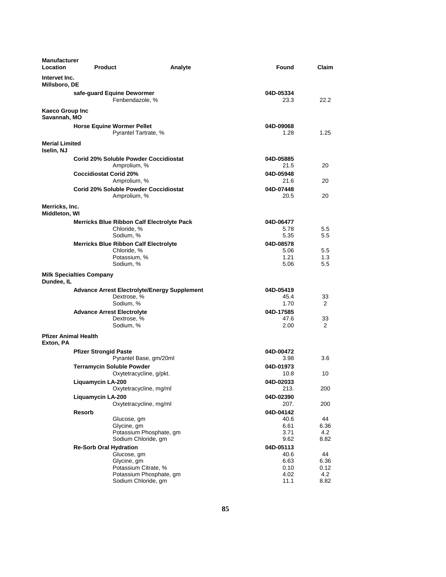| <b>Manufacturer</b><br><b>Location</b><br><b>Product</b> |                                                                                 | Analyte | Found                     | Claim               |
|----------------------------------------------------------|---------------------------------------------------------------------------------|---------|---------------------------|---------------------|
| Intervet Inc.<br>Millsboro, DE                           |                                                                                 |         |                           |                     |
|                                                          | safe-guard Equine Dewormer<br>Fenbendazole, %                                   |         | 04D-05334<br>23.3         | 22.2                |
| Kaeco Group Inc<br>Savannah, MO                          |                                                                                 |         |                           |                     |
|                                                          | <b>Horse Equine Wormer Pellet</b><br>Pyrantel Tartrate, %                       |         | 04D-09068<br>1.28         | 1.25                |
| <b>Merial Limited</b><br>Iselin, NJ                      |                                                                                 |         |                           |                     |
|                                                          | <b>Corid 20% Soluble Powder Coccidiostat</b><br>Amprolium, %                    |         | 04D-05885<br>21.5         | 20                  |
| <b>Coccidiostat Corid 20%</b>                            | Amprolium, %                                                                    |         | 04D-05948<br>21.6         | 20                  |
|                                                          | <b>Corid 20% Soluble Powder Coccidiostat</b><br>Amprolium, %                    |         | 04D-07448<br>20.5         | 20                  |
| Merricks, Inc.<br>Middleton, WI                          |                                                                                 |         |                           |                     |
|                                                          | <b>Merricks Blue Ribbon Calf Electrolyte Pack</b><br>Chloride, %<br>Sodium, %   |         | 04D-06477<br>5.78<br>5.35 | 5.5<br>5.5          |
|                                                          | <b>Merricks Blue Ribbon Calf Electrolyte</b><br>Chloride, %<br>Potassium, %     |         | 04D-08578<br>5.06<br>1.21 | 5.5<br>1.3          |
| <b>Milk Specialties Company</b>                          | Sodium, %                                                                       |         | 5.06                      | 5.5                 |
| Dundee, IL                                               |                                                                                 |         |                           |                     |
|                                                          | <b>Advance Arrest Electrolyte/Energy Supplement</b><br>Dextrose, %<br>Sodium, % |         | 04D-05419<br>45.4<br>1.70 | 33<br>2             |
| <b>Advance Arrest Electrolyte</b>                        |                                                                                 |         | 04D-17585<br>47.6         | 33                  |
|                                                          | Dextrose, %<br>Sodium, %                                                        |         | 2.00                      | 2                   |
| <b>Pfizer Animal Health</b><br>Exton, PA                 |                                                                                 |         |                           |                     |
| <b>Pfizer Strongid Paste</b>                             | Pyrantel Base, gm/20ml                                                          |         | 04D-00472<br>3.98         | 3.6                 |
|                                                          | <b>Terramycin Soluble Powder</b><br>Oxytetracycline, g/pkt.                     |         | 04D-01973<br>10.8         | 10                  |
| Liquamycin LA-200                                        | Oxytetracycline, mg/ml                                                          |         | 04D-02033<br>213.         | 200                 |
| Liquamycin LA-200                                        | Oxytetracycline, mg/ml                                                          |         | 04D-02390<br>207.         | 200                 |
| <b>Resorb</b>                                            | Glucose, gm                                                                     |         | 04D-04142<br>40.6         | 44                  |
|                                                          | Glycine, gm<br>Potassium Phosphate, gm                                          |         | 6.61<br>3.71              | 6.36<br>4.2         |
|                                                          | Sodium Chloride, gm                                                             |         | 9.62                      | 8.82                |
| <b>Re-Sorb Oral Hydration</b>                            | Glucose, gm                                                                     |         | 04D-05113<br>40.6         | 44                  |
|                                                          | Glycine, gm<br>Potassium Citrate, %                                             |         | 6.63                      | 6.36                |
|                                                          | Potassium Phosphate, gm<br>Sodium Chloride, gm                                  |         | 0.10<br>4.02<br>11.1      | 0.12<br>4.2<br>8.82 |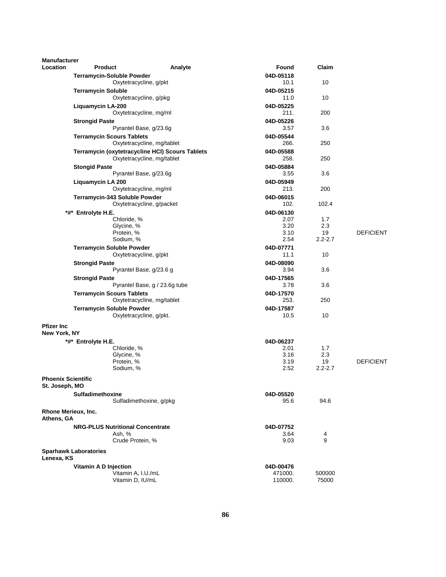| <b>Manufacturer</b>                         |                                         |                                                 |                   |                   |                  |
|---------------------------------------------|-----------------------------------------|-------------------------------------------------|-------------------|-------------------|------------------|
| <b>Location</b>                             | <b>Product</b>                          | Analyte                                         | Found             | Claim             |                  |
|                                             | <b>Terramycin-Soluble Powder</b>        |                                                 | 04D-05118         |                   |                  |
|                                             |                                         | Oxytetracycline, g/pkt                          | 10.1              | 10                |                  |
|                                             | <b>Terramycin Soluble</b>               |                                                 | 04D-05215         |                   |                  |
|                                             |                                         | Oxytetracycline, g/pkg                          | 11.0              | 10                |                  |
|                                             | <b>Liquamycin LA-200</b>                |                                                 | 04D-05225         |                   |                  |
|                                             |                                         | Oxytetracycline, mg/ml                          | 211.              | 200               |                  |
|                                             | <b>Strongid Paste</b>                   |                                                 | 04D-05226         |                   |                  |
|                                             |                                         | Pyrantel Base, g/23.6g                          | 3.57              | 3.6               |                  |
|                                             | <b>Terramycin Scours Tablets</b>        | Oxytetracycline, mg/tablet                      | 04D-05544<br>266. | 250               |                  |
|                                             |                                         | Terramycin (oxytetracycline HCI) Scours Tablets | 04D-05588         |                   |                  |
|                                             |                                         | Oxytetracycline, mg/tablet                      | 258.              | 250               |                  |
|                                             | <b>Stongid Paste</b>                    |                                                 | 04D-05884         |                   |                  |
|                                             |                                         | Pyrantel Base, g/23.6g                          | 3.55              | 3.6               |                  |
|                                             | Liquamycin LA 200                       |                                                 | 04D-05949         |                   |                  |
|                                             |                                         | Oxytetracycline, mg/ml                          | 213.              | 200               |                  |
|                                             | Terramycin-343 Soluble Powder           |                                                 | 04D-06015         |                   |                  |
|                                             |                                         | Oxytetracycline, g/packet                       | 102.              | 102.4             |                  |
|                                             | *#* Entrolyte H.E.                      |                                                 | 04D-06130         |                   |                  |
|                                             | Chloride, %                             |                                                 | 2.07              | 1.7               |                  |
|                                             | Glycine, %                              |                                                 | 3.20              | 2.3               |                  |
|                                             | Protein, %<br>Sodium, %                 |                                                 | 3.10<br>2.54      | 19<br>$2.2 - 2.7$ | <b>DEFICIENT</b> |
|                                             |                                         |                                                 |                   |                   |                  |
|                                             | <b>Terramycin Soluble Powder</b>        | Oxytetracycline, g/pkt                          | 04D-07771<br>11.1 | 10                |                  |
|                                             | <b>Strongid Paste</b>                   |                                                 | 04D-08090         |                   |                  |
|                                             |                                         | Pyrantel Base, g/23.6 g                         | 3.94              | 3.6               |                  |
|                                             | <b>Strongid Paste</b>                   |                                                 | 04D-17565         |                   |                  |
|                                             |                                         | Pyrantel Base, g / 23.6g tube                   | 3.78              | 3.6               |                  |
|                                             | <b>Terramycin Scours Tablets</b>        |                                                 | 04D-17570         |                   |                  |
|                                             |                                         | Oxytetracycline, mg/tablet                      | 253.              | 250               |                  |
|                                             | <b>Terramycin Soluble Powder</b>        |                                                 | 04D-17587         |                   |                  |
|                                             |                                         | Oxytetracycline, g/pkt.                         | 10.5              | 10                |                  |
| <b>Pfizer Inc</b>                           |                                         |                                                 |                   |                   |                  |
| New York, NY                                |                                         |                                                 |                   |                   |                  |
|                                             | *#* Entrolyte H.E.                      |                                                 | 04D-06237         |                   |                  |
|                                             | Chloride, %                             |                                                 | 2.01              | 1.7               |                  |
|                                             | Glycine, %                              |                                                 | 3.16              | 2.3               |                  |
|                                             | Protein, %                              |                                                 | 3.19              | 19                | <b>DEFICIENT</b> |
|                                             | Sodium, %                               |                                                 | 2.52              | $2.2 - 2.7$       |                  |
| <b>Phoenix Scientific</b><br>St. Joseph, MO |                                         |                                                 |                   |                   |                  |
|                                             | Sulfadimethoxine                        |                                                 | 04D-05520         |                   |                  |
|                                             |                                         | Sulfadimethoxine, g/pkg                         | 95.6              | 94.6              |                  |
| Rhone Merieux, Inc.<br>Athens, GA           |                                         |                                                 |                   |                   |                  |
|                                             | <b>NRG-PLUS Nutritional Concentrate</b> |                                                 | 04D-07752         |                   |                  |
|                                             | Ash, %                                  |                                                 | 3.64              | 4                 |                  |
|                                             | Crude Protein, %                        |                                                 | 9.03              | 9                 |                  |
| Lenexa, KS                                  | <b>Sparhawk Laboratories</b>            |                                                 |                   |                   |                  |
|                                             | Vitamin A D Injection                   |                                                 | 04D-00476         |                   |                  |
|                                             |                                         | Vitamin A, I.U./mL                              | 471000.           | 500000            |                  |
|                                             | Vitamin D, IU/mL                        |                                                 | 110000.           | 75000             |                  |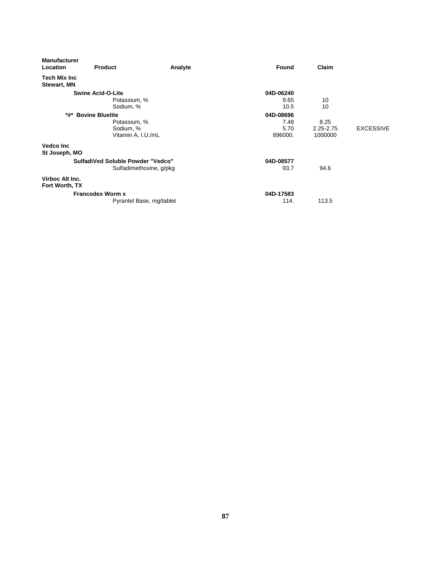| <b>Manufacturer</b><br><b>Location</b> | <b>Product</b>                    | Analyte                  | Found     | Claim     |                  |
|----------------------------------------|-----------------------------------|--------------------------|-----------|-----------|------------------|
| Tech Mix Inc<br><b>Stewart, MN</b>     |                                   |                          |           |           |                  |
|                                        | <b>Swine Acid-O-Lite</b>          |                          | 04D-06240 |           |                  |
|                                        | Potassium, %                      |                          | 9.65      | 10        |                  |
|                                        | Sodium, %                         |                          | 10.5      | 10        |                  |
| *#*                                    | <b>Bovine Bluelite</b>            |                          | 04D-08696 |           |                  |
|                                        | Potassium, %                      |                          | 7.48      | 8.25      |                  |
|                                        | Sodium, %                         |                          | 5.70      | 2.25-2.75 | <b>EXCESSIVE</b> |
|                                        | Vitamin A, I.U./mL                |                          | 896000.   | 1000000   |                  |
| <b>Vedco Inc</b>                       |                                   |                          |           |           |                  |
| St Joseph, MO                          |                                   |                          |           |           |                  |
|                                        | SulfadiVed Soluble Powder "Vedco" |                          | 04D-08577 |           |                  |
|                                        |                                   | Sulfadimethoxine, g/pkg  | 93.7      | 94.6      |                  |
| Virboc Alt Inc.<br>Fort Worth, TX      |                                   |                          |           |           |                  |
|                                        | <b>Francodex Worm x</b>           |                          | 04D-17583 |           |                  |
|                                        |                                   | Pyrantel Base, mg/tablet | 114.      | 113.5     |                  |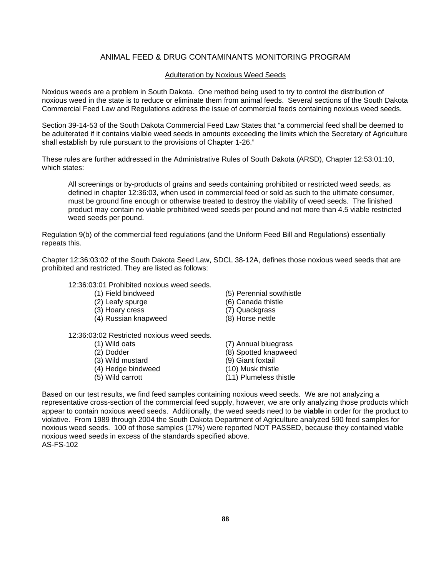## ANIMAL FEED & DRUG CONTAMINANTS MONITORING PROGRAM

#### Adulteration by Noxious Weed Seeds

Noxious weeds are a problem in South Dakota. One method being used to try to control the distribution of noxious weed in the state is to reduce or eliminate them from animal feeds. Several sections of the South Dakota Commercial Feed Law and Regulations address the issue of commercial feeds containing noxious weed seeds.

Section 39-14-53 of the South Dakota Commercial Feed Law States that "a commercial feed shall be deemed to be adulterated if it contains vialble weed seeds in amounts exceeding the limits which the Secretary of Agriculture shall establish by rule pursuant to the provisions of Chapter 1-26."

These rules are further addressed in the Administrative Rules of South Dakota (ARSD), Chapter 12:53:01:10, which states:

All screenings or by-products of grains and seeds containing prohibited or restricted weed seeds, as defined in chapter 12:36:03, when used in commercial feed or sold as such to the ultimate consumer, must be ground fine enough or otherwise treated to destroy the viability of weed seeds. The finished product may contain no viable prohibited weed seeds per pound and not more than 4.5 viable restricted weed seeds per pound.

Regulation 9(b) of the commercial feed regulations (and the Uniform Feed Bill and Regulations) essentially repeats this.

Chapter 12:36:03:02 of the South Dakota Seed Law, SDCL 38-12A, defines those noxious weed seeds that are prohibited and restricted. They are listed as follows:

#### 12:36:03:01 Prohibited noxious weed seeds.

- 
- 
- (3) Hoary cress (7) Quackgrass
- (4) Russian knapweed (8) Horse nettle
- 12:36:03:02 Restricted noxious weed seeds.
	-
	-
	-
	- $(4)$  Hedge bindweed
	-
- (1) Field bindweed (5) Perennial sowthistle
- (2) Leafy spurge (6) Canada thistle
	-
	-
- (1) Wild oats (7) Annual bluegrass (2) Dodder (8) Spotted knapweed<br>
(3) Wild mustard (9) Giant foxtail (3) Wild mustard (9) Giant foxtail<br>
(4) Hedge bindweed (10) Musk thistle (5) Wild carrott (11) Plumeless thistle

Based on our test results, we find feed samples containing noxious weed seeds. We are not analyzing a representative cross-section of the commercial feed supply, however, we are only analyzing those products which appear to contain noxious weed seeds. Additionally, the weed seeds need to be **viable** in order for the product to violative. From 1989 through 2004 the South Dakota Department of Agriculture analyzed 590 feed samples for noxious weed seeds. 100 of those samples (17%) were reported NOT PASSED, because they contained viable noxious weed seeds in excess of the standards specified above. AS-FS-102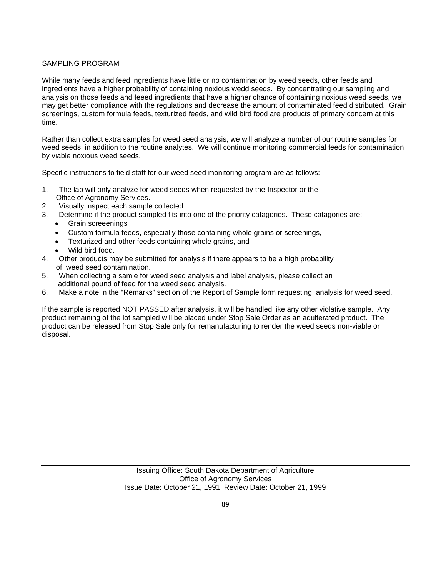#### SAMPLING PROGRAM

While many feeds and feed ingredients have little or no contamination by weed seeds, other feeds and ingredients have a higher probability of containing noxious wedd seeds. By concentrating our sampling and analysis on those feeds and feeed ingredients that have a higher chance of containing noxious weed seeds, we may get better compliance with the regulations and decrease the amount of contaminated feed distributed. Grain screenings, custom formula feeds, texturized feeds, and wild bird food are products of primary concern at this time.

Rather than collect extra samples for weed seed analysis, we will analyze a number of our routine samples for weed seeds, in addition to the routine analytes. We will continue monitoring commercial feeds for contamination by viable noxious weed seeds.

Specific instructions to field staff for our weed seed monitoring program are as follows:

- 1. The lab will only analyze for weed seeds when requested by the Inspector or the Office of Agronomy Services.
- 2. Visually inspect each sample collected
- 3. Determine if the product sampled fits into one of the priority catagories. These catagories are:
	- Grain screeenings
		- Custom formula feeds, especially those containing whole grains or screenings,
	- Texturized and other feeds containing whole grains, and
	- Wild bird food.
- 4. Other products may be submitted for analysis if there appears to be a high probability of weed seed contamination.
- 5. When collecting a samle for weed seed analysis and label analysis, please collect an additional pound of feed for the weed seed analysis.
- 6. Make a note in the "Remarks" section of the Report of Sample form requesting analysis for weed seed.

If the sample is reported NOT PASSED after analysis, it will be handled like any other violative sample. Any product remaining of the lot sampled will be placed under Stop Sale Order as an adulterated product. The product can be released from Stop Sale only for remanufacturing to render the weed seeds non-viable or disposal.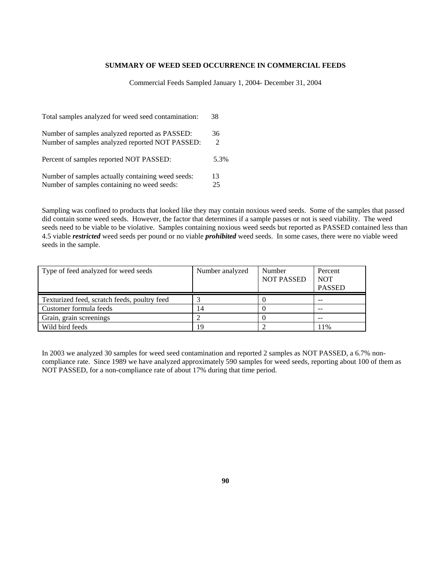#### **SUMMARY OF WEED SEED OCCURRENCE IN COMMERCIAL FEEDS**

Commercial Feeds Sampled January 1, 2004- December 31, 2004

| Total samples analyzed for weed seed contamination: | 38   |
|-----------------------------------------------------|------|
| Number of samples analyzed reported as PASSED:      | 36   |
| Number of samples analyzed reported NOT PASSED:     | 2    |
| Percent of samples reported NOT PASSED:             | 5.3% |
| Number of samples actually containing weed seeds:   | 13   |
| Number of samples containing no weed seeds:         | 25   |

Sampling was confined to products that looked like they may contain noxious weed seeds. Some of the samples that passed did contain some weed seeds. However, the factor that determines if a sample passes or not is seed viability. The weed seeds need to be viable to be violative. Samples containing noxious weed seeds but reported as PASSED contained less than 4.5 viable *restricted* weed seeds per pound or no viable *prohibited* weed seeds. In some cases, there were no viable weed seeds in the sample.

| Type of feed analyzed for weed seeds         | Number analyzed | Number<br><b>NOT PASSED</b> | Percent<br><b>NOT</b><br><b>PASSED</b> |
|----------------------------------------------|-----------------|-----------------------------|----------------------------------------|
| Texturized feed, scratch feeds, poultry feed |                 |                             | $- -$                                  |
| Customer formula feeds                       | 14              |                             | $- -$                                  |
| Grain, grain screenings                      |                 |                             | $- -$                                  |
| Wild bird feeds                              | 19              |                             | 11%                                    |

In 2003 we analyzed 30 samples for weed seed contamination and reported 2 samples as NOT PASSED, a 6.7% noncompliance rate. Since 1989 we have analyzed approximately 590 samples for weed seeds, reporting about 100 of them as NOT PASSED, for a non-compliance rate of about 17% during that time period.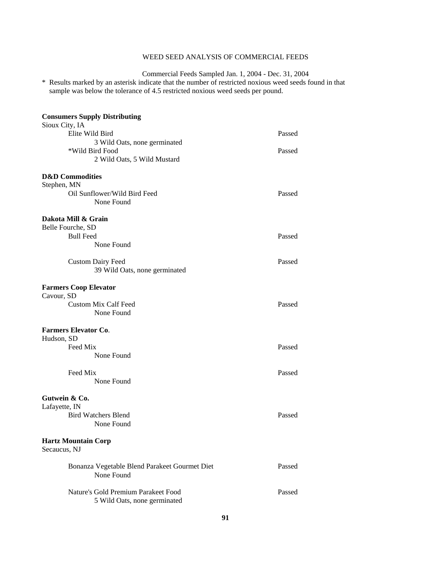### WEED SEED ANALYSIS OF COMMERCIAL FEEDS

Commercial Feeds Sampled Jan. 1, 2004 - Dec. 31, 2004

\* Results marked by an asterisk indicate that the number of restricted noxious weed seeds found in that sample was below the tolerance of 4.5 restricted noxious weed seeds per pound.

| <b>Consumers Supply Distributing</b>                                |        |
|---------------------------------------------------------------------|--------|
| Sioux City, IA<br>Elite Wild Bird                                   | Passed |
| 3 Wild Oats, none germinated                                        |        |
| *Wild Bird Food                                                     | Passed |
| 2 Wild Oats, 5 Wild Mustard                                         |        |
| <b>D&amp;D</b> Commodities                                          |        |
| Stephen, MN                                                         |        |
| Oil Sunflower/Wild Bird Feed<br>None Found                          | Passed |
|                                                                     |        |
| Dakota Mill & Grain                                                 |        |
| Belle Fourche, SD                                                   |        |
| <b>Bull Feed</b><br>None Found                                      | Passed |
|                                                                     |        |
| <b>Custom Dairy Feed</b>                                            | Passed |
| 39 Wild Oats, none germinated                                       |        |
| <b>Farmers Coop Elevator</b><br>Cavour, SD                          |        |
| <b>Custom Mix Calf Feed</b>                                         | Passed |
| None Found                                                          |        |
| <b>Farmers Elevator Co.</b>                                         |        |
| Hudson, SD                                                          |        |
| Feed Mix                                                            | Passed |
| None Found                                                          |        |
| Feed Mix                                                            | Passed |
| None Found                                                          |        |
| Gutwein & Co.                                                       |        |
| Lafayette, IN                                                       |        |
| <b>Bird Watchers Blend</b>                                          | Passed |
| None Found                                                          |        |
| <b>Hartz Mountain Corp</b><br>Secaucus, NJ                          |        |
| Bonanza Vegetable Blend Parakeet Gourmet Diet<br>None Found         | Passed |
| Nature's Gold Premium Parakeet Food<br>5 Wild Oats, none germinated | Passed |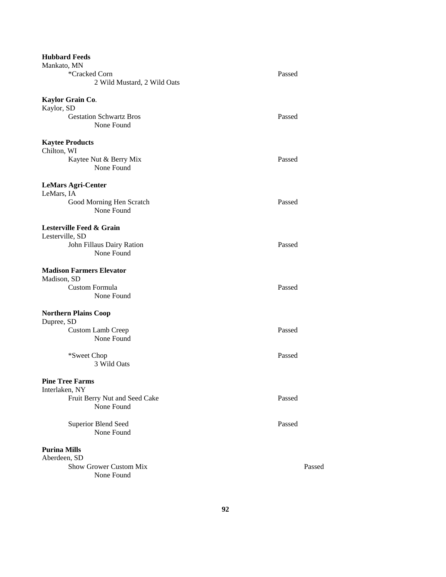| <b>Hubbard Feeds</b>                     |        |
|------------------------------------------|--------|
| Mankato, MN                              |        |
| *Cracked Corn                            | Passed |
| 2 Wild Mustard, 2 Wild Oats              |        |
| Kaylor Grain Co.                         |        |
| Kaylor, SD                               |        |
| <b>Gestation Schwartz Bros</b>           | Passed |
| None Found                               |        |
|                                          |        |
| <b>Kaytee Products</b>                   |        |
| Chilton, WI                              |        |
| Kaytee Nut & Berry Mix                   | Passed |
| None Found                               |        |
|                                          |        |
| <b>LeMars Agri-Center</b>                |        |
| LeMars, IA                               |        |
| Good Morning Hen Scratch                 | Passed |
| None Found                               |        |
|                                          |        |
| Lesterville Feed & Grain                 |        |
| Lesterville, SD                          |        |
| John Fillaus Dairy Ration                | Passed |
| None Found                               |        |
|                                          |        |
| <b>Madison Farmers Elevator</b>          |        |
| Madison, SD                              |        |
| Custom Formula                           | Passed |
| None Found                               |        |
|                                          |        |
| <b>Northern Plains Coop</b>              |        |
| Dupree, SD                               |        |
| <b>Custom Lamb Creep</b>                 | Passed |
| None Found                               |        |
|                                          |        |
| *Sweet Chop                              | Passed |
| 3 Wild Oats                              |        |
|                                          |        |
| <b>Pine Tree Farms</b><br>Interlaken, NY |        |
| Fruit Berry Nut and Seed Cake            | Passed |
| None Found                               |        |
|                                          |        |
| <b>Superior Blend Seed</b>               | Passed |
| None Found                               |        |
|                                          |        |
| <b>Purina Mills</b>                      |        |
| Aberdeen, SD                             |        |
| Show Grower Custom Mix                   | Passed |
| None Found                               |        |
|                                          |        |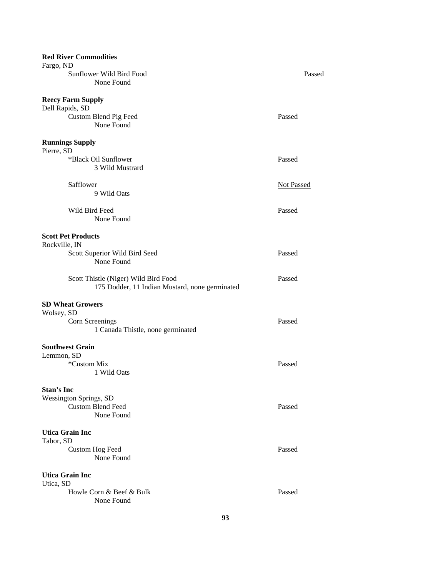| <b>Red River Commodities</b>                              |                   |
|-----------------------------------------------------------|-------------------|
| Fargo, ND<br>Sunflower Wild Bird Food                     | Passed            |
| None Found                                                |                   |
|                                                           |                   |
| <b>Reecy Farm Supply</b>                                  |                   |
| Dell Rapids, SD                                           |                   |
| Custom Blend Pig Feed                                     | Passed            |
| None Found                                                |                   |
| <b>Runnings Supply</b>                                    |                   |
| Pierre, SD                                                |                   |
| *Black Oil Sunflower                                      | Passed            |
| 3 Wild Mustrard                                           |                   |
|                                                           |                   |
| Safflower                                                 | <b>Not Passed</b> |
| 9 Wild Oats                                               |                   |
| Wild Bird Feed                                            | Passed            |
| None Found                                                |                   |
|                                                           |                   |
| <b>Scott Pet Products</b>                                 |                   |
| Rockville, IN                                             |                   |
| Scott Superior Wild Bird Seed                             | Passed            |
| None Found                                                |                   |
| Scott Thistle (Niger) Wild Bird Food                      | Passed            |
| 175 Dodder, 11 Indian Mustard, none germinated            |                   |
|                                                           |                   |
| <b>SD Wheat Growers</b>                                   |                   |
| Wolsey, SD                                                |                   |
| Corn Screenings                                           | Passed            |
| 1 Canada Thistle, none germinated                         |                   |
| <b>Southwest Grain</b>                                    |                   |
| Lemmon, SD                                                |                   |
| *Custom Mix                                               | Passed            |
| 1 Wild Oats                                               |                   |
|                                                           |                   |
| Stan's Inc                                                |                   |
| <b>Wessington Springs, SD</b><br><b>Custom Blend Feed</b> | Passed            |
| None Found                                                |                   |
|                                                           |                   |
| <b>Utica Grain Inc</b>                                    |                   |
| Tabor, SD                                                 |                   |
| <b>Custom Hog Feed</b>                                    | Passed            |
| None Found                                                |                   |
|                                                           |                   |
| <b>Utica Grain Inc</b><br>Utica, SD                       |                   |
| Howle Corn & Beef & Bulk                                  | Passed            |
| None Found                                                |                   |
|                                                           |                   |